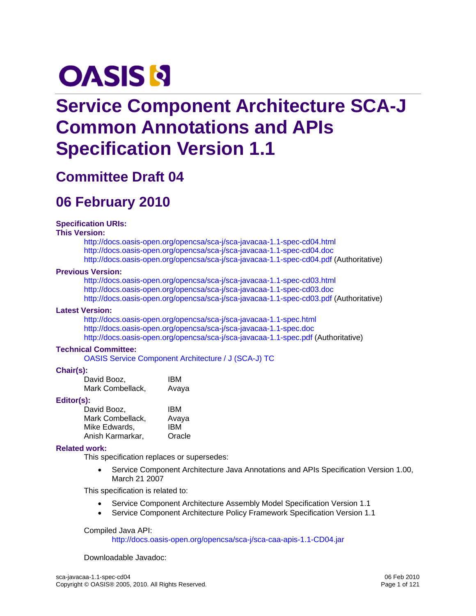# <span id="page-0-0"></span>**OASIS N**

# **Service Component Architecture SCA-J Common Annotations and APIs Specification Version 1.1**

# **Committee Draft 04**

# **06 February 2010**

#### **Specification URIs:**

#### **This Version:**

<http://docs.oasis-open.org/opencsa/sca-j/sca-javacaa-1.1-spec-cd04.html> <http://docs.oasis-open.org/opencsa/sca-j/sca-javacaa-1.1-spec-cd04.doc> <http://docs.oasis-open.org/opencsa/sca-j/sca-javacaa-1.1-spec-cd04.pdf> (Authoritative)

#### **Previous Version:**

<http://docs.oasis-open.org/opencsa/sca-j/sca-javacaa-1.1-spec-cd03.html> <http://docs.oasis-open.org/opencsa/sca-j/sca-javacaa-1.1-spec-cd03.doc> <http://docs.oasis-open.org/opencsa/sca-j/sca-javacaa-1.1-spec-cd03.pdf> (Authoritative)

#### **Latest Version:**

<http://docs.oasis-open.org/opencsa/sca-j/sca-javacaa-1.1-spec.html> <http://docs.oasis-open.org/opencsa/sca-j/sca-javacaa-1.1-spec.doc> <http://docs.oasis-open.org/opencsa/sca-j/sca-javacaa-1.1-spec.pdf> (Authoritative)

#### **Technical Committee:**

[OASIS Service Component Architecture / J \(SCA-J\) TC](http://www.oasis-open.org/committees/opencsa/sca-j/)

#### **Chair(s):**

| David Booz,      | <b>IBM</b> |
|------------------|------------|
| Mark Combellack, | Avaya      |

#### **Editor(s):**

| David Booz.      | IBM    |
|------------------|--------|
| Mark Combellack, | Avaya  |
| Mike Edwards,    | IBM    |
| Anish Karmarkar, | Oracle |

#### **Related work:**

This specification replaces or supersedes:

• Service Component Architecture Java Annotations and APIs Specification Version 1.00, March 21 2007

This specification is related to:

- Service Component Architecture Assembly Model Specification Version 1.1
- Service Component Architecture Policy Framework Specification Version 1.1

#### Compiled Java API:

<http://docs.oasis-open.org/opencsa/sca-j/sca-caa-apis-1.1-CD04.jar>

Downloadable Javadoc: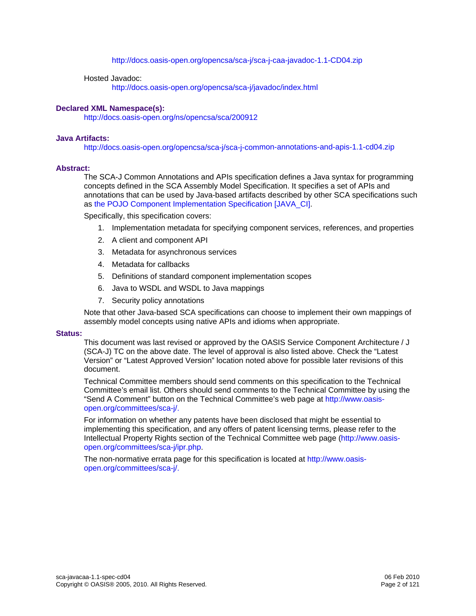#### <http://docs.oasis-open.org/opencsa/sca-j/sca-j-caa-javadoc-1.1-CD04.zip>

#### Hosted Javadoc:

<http://docs.oasis-open.org/opencsa/sca-j/javadoc/index.html>

#### **Declared XML Namespace(s):**

<http://docs.oasis-open.org/ns/opencsa/sca/200912>

#### **Java Artifacts:**

<http://docs.oasis-open.org/opencsa/sca-j/sca-j-common-annotations-and-apis-1.1-cd04.zip>

#### **Abstract:**

The SCA-J Common Annotations and APIs specification defines a Java syntax for programming concepts defined in the SCA Assembly Model Specification. It specifies a set of APIs and annotations that can be used by Java-based artifacts described by other SCA specifications such as [the POJO Component Implementation Specification \[JAVA\\_CI\]](#page-6-0).

Specifically, this specification covers:

- 1. Implementation metadata for specifying component services, references, and properties
- 2. A client and component API
- 3. Metadata for asynchronous services
- 4. Metadata for callbacks
- 5. Definitions of standard component implementation scopes
- 6. Java to WSDL and WSDL to Java mappings
- 7. Security policy annotations

Note that other Java-based SCA specifications can choose to implement their own mappings of assembly model concepts using native APIs and idioms when appropriate.

#### **Status:**

This document was last revised or approved by the OASIS Service Component Architecture / J (SCA-J) TC on the above date. The level of approval is also listed above. Check the "Latest Version" or "Latest Approved Version" location noted above for possible later revisions of this document.

Technical Committee members should send comments on this specification to the Technical Committee's email list. Others should send comments to the Technical Committee by using the "Send A Comment" button on the Technical Committee's web page at [http://www.oasis](http://www.oasis-open.org/committees/sca-j/)[open.org/committees/sca-j/](http://www.oasis-open.org/committees/sca-j/).

For information on whether any patents have been disclosed that might be essential to implementing this specification, and any offers of patent licensing terms, please refer to the Intellectual Property Rights section of the Technical Committee web page ([http://www.oasis](http://www.oasis-open.org/committees/sca-j/ipr.php)[open.org/committees/sca-j/ipr.php.](http://www.oasis-open.org/committees/sca-j/ipr.php)

The non-normative errata page for this specification is located at [http://www.oasis](http://www.oasis-open.org/committees/sca-j/)[open.org/committees/sca-j/](http://www.oasis-open.org/committees/sca-j/).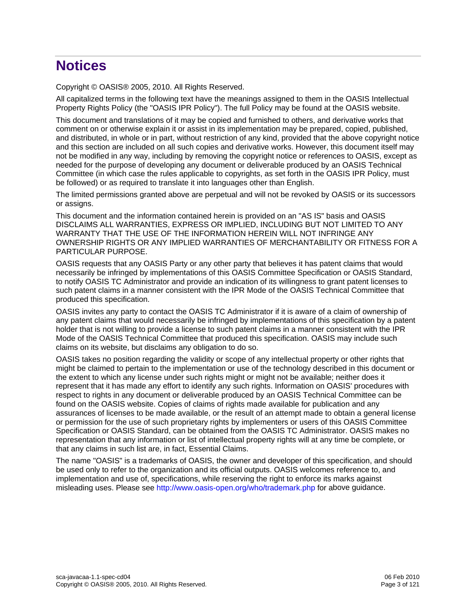# **Notices**

Copyright © OASIS® 2005, 2010. All Rights Reserved.

All capitalized terms in the following text have the meanings assigned to them in the OASIS Intellectual Property Rights Policy (the "OASIS IPR Policy"). The full Policy may be found at the OASIS website.

This document and translations of it may be copied and furnished to others, and derivative works that comment on or otherwise explain it or assist in its implementation may be prepared, copied, published, and distributed, in whole or in part, without restriction of any kind, provided that the above copyright notice and this section are included on all such copies and derivative works. However, this document itself may not be modified in any way, including by removing the copyright notice or references to OASIS, except as needed for the purpose of developing any document or deliverable produced by an OASIS Technical Committee (in which case the rules applicable to copyrights, as set forth in the OASIS IPR Policy, must be followed) or as required to translate it into languages other than English.

The limited permissions granted above are perpetual and will not be revoked by OASIS or its successors or assigns.

This document and the information contained herein is provided on an "AS IS" basis and OASIS DISCLAIMS ALL WARRANTIES, EXPRESS OR IMPLIED, INCLUDING BUT NOT LIMITED TO ANY WARRANTY THAT THE USE OF THE INFORMATION HEREIN WILL NOT INFRINGE ANY OWNERSHIP RIGHTS OR ANY IMPLIED WARRANTIES OF MERCHANTABILITY OR FITNESS FOR A PARTICULAR PURPOSE.

OASIS requests that any OASIS Party or any other party that believes it has patent claims that would necessarily be infringed by implementations of this OASIS Committee Specification or OASIS Standard, to notify OASIS TC Administrator and provide an indication of its willingness to grant patent licenses to such patent claims in a manner consistent with the IPR Mode of the OASIS Technical Committee that produced this specification.

OASIS invites any party to contact the OASIS TC Administrator if it is aware of a claim of ownership of any patent claims that would necessarily be infringed by implementations of this specification by a patent holder that is not willing to provide a license to such patent claims in a manner consistent with the IPR Mode of the OASIS Technical Committee that produced this specification. OASIS may include such claims on its website, but disclaims any obligation to do so.

OASIS takes no position regarding the validity or scope of any intellectual property or other rights that might be claimed to pertain to the implementation or use of the technology described in this document or the extent to which any license under such rights might or might not be available; neither does it represent that it has made any effort to identify any such rights. Information on OASIS' procedures with respect to rights in any document or deliverable produced by an OASIS Technical Committee can be found on the OASIS website. Copies of claims of rights made available for publication and any assurances of licenses to be made available, or the result of an attempt made to obtain a general license or permission for the use of such proprietary rights by implementers or users of this OASIS Committee Specification or OASIS Standard, can be obtained from the OASIS TC Administrator. OASIS makes no representation that any information or list of intellectual property rights will at any time be complete, or that any claims in such list are, in fact, Essential Claims.

The name "OASIS" is a trademarks of OASIS, the owner and developer of this specification, and should be used only to refer to the organization and its official outputs. OASIS welcomes reference to, and implementation and use of, specifications, while reserving the right to enforce its marks against misleading uses. Please see <http://www.oasis-open.org/who/trademark.php>for above guidance.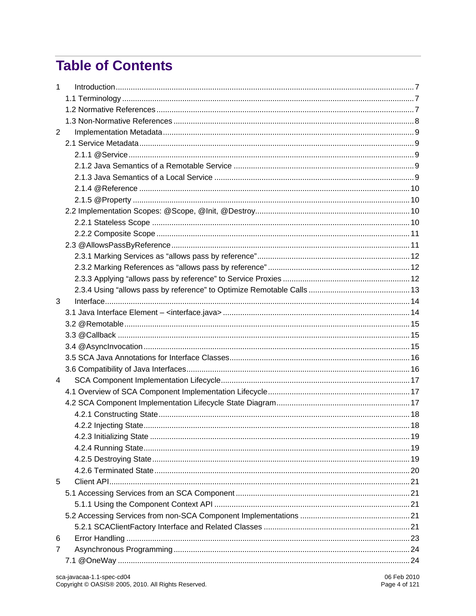# **Table of Contents**

| 1              |  |
|----------------|--|
|                |  |
|                |  |
|                |  |
| $\overline{2}$ |  |
|                |  |
|                |  |
|                |  |
|                |  |
|                |  |
|                |  |
|                |  |
|                |  |
|                |  |
|                |  |
|                |  |
|                |  |
|                |  |
|                |  |
| 3              |  |
|                |  |
|                |  |
|                |  |
|                |  |
|                |  |
|                |  |
| $\overline{4}$ |  |
|                |  |
|                |  |
|                |  |
|                |  |
|                |  |
|                |  |
|                |  |
|                |  |
| 5              |  |
|                |  |
|                |  |
|                |  |
|                |  |
| 6              |  |
| 7              |  |
|                |  |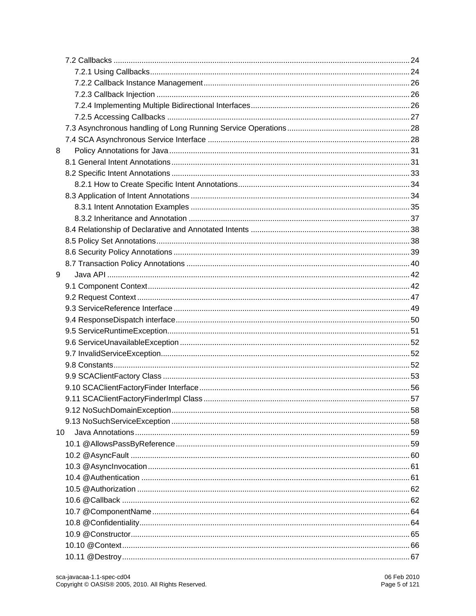| 8   |  |
|-----|--|
|     |  |
|     |  |
|     |  |
|     |  |
|     |  |
|     |  |
|     |  |
|     |  |
|     |  |
|     |  |
| 9   |  |
|     |  |
|     |  |
|     |  |
|     |  |
|     |  |
|     |  |
|     |  |
|     |  |
|     |  |
|     |  |
|     |  |
|     |  |
|     |  |
| 10. |  |
|     |  |
|     |  |
|     |  |
|     |  |
|     |  |
|     |  |
|     |  |
|     |  |
|     |  |
|     |  |
|     |  |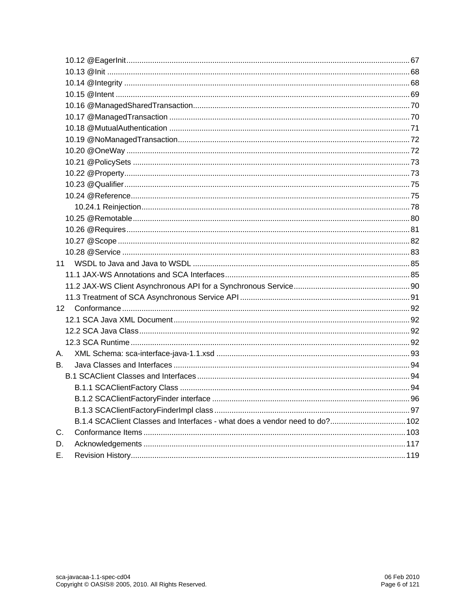| 11                                                                          |  |
|-----------------------------------------------------------------------------|--|
|                                                                             |  |
|                                                                             |  |
|                                                                             |  |
| 12                                                                          |  |
|                                                                             |  |
|                                                                             |  |
|                                                                             |  |
| A.                                                                          |  |
| В.                                                                          |  |
|                                                                             |  |
|                                                                             |  |
|                                                                             |  |
|                                                                             |  |
| B.1.4 SCAClient Classes and Interfaces - what does a vendor need to do? 102 |  |
| С.                                                                          |  |
| D.                                                                          |  |
| E.                                                                          |  |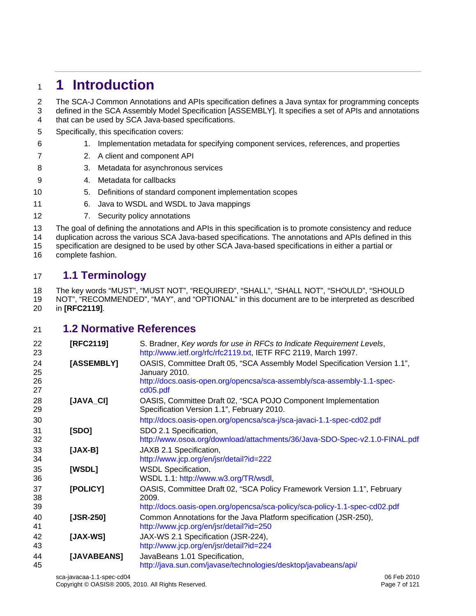# <span id="page-6-1"></span><span id="page-6-0"></span><sup>1</sup>**1 Introduction**

2 The SCA-J Common Annotations and APIs specification defines a Java syntax for programming concepts 3 defined in the SCA Assembly Model Specification [ASSEMBLY]. It specifies a set of APIs and annotations 4 that can be used by SCA Java-based specifications.

- 5 Specifically, this specification covers:
- 6 1. Implementation metadata for specifying component services, references, and properties
- 7 2. A client and component API
- 8 3. Metadata for asynchronous services
- 9 4. Metadata for callbacks
- 10 5. Definitions of standard component implementation scopes
- 11 6. Java to WSDL and WSDL to Java mappings
- 12 7. Security policy annotations

13 The goal of defining the annotations and APIs in this specification is to promote consistency and reduce

14 duplication across the various SCA Java-based specifications. The annotations and APIs defined in this

15 specification are designed to be used by other SCA Java-based specifications in either a partial or 16 complete fashion.

# <span id="page-6-2"></span>17 **1.1 Terminology**

18 The key words "MUST", "MUST NOT", "REQUIRED", "SHALL", "SHALL NOT", "SHOULD", "SHOULD 19 NOT", "RECOMMENDED", "MAY", and "OPTIONAL" in this document are to be interpreted as described 20 in **[\[RFC2119\]](#page-6-4)**.

#### <span id="page-6-3"></span>21 **1.2 Normative References**

<span id="page-6-4"></span>

| 22<br>23 | [RFC2119]     | S. Bradner, Key words for use in RFCs to Indicate Requirement Levels,<br>http://www.ietf.org/rfc/rfc2119.txt, IETF RFC 2119, March 1997. |
|----------|---------------|------------------------------------------------------------------------------------------------------------------------------------------|
| 24<br>25 | [ASSEMBLY]    | OASIS, Committee Draft 05, "SCA Assembly Model Specification Version 1.1",<br>January 2010.                                              |
| 26<br>27 |               | http://docs.oasis-open.org/opencsa/sca-assembly/sca-assembly-1.1-spec-<br>cd05.pdf                                                       |
| 28<br>29 | [JAVA_CI]     | OASIS, Committee Draft 02, "SCA POJO Component Implementation<br>Specification Version 1.1", February 2010.                              |
| 30       |               | http://docs.oasis-open.org/opencsa/sca-j/sca-javaci-1.1-spec-cd02.pdf                                                                    |
| 31<br>32 | [SDO]         | SDO 2.1 Specification,<br>http://www.osoa.org/download/attachments/36/Java-SDO-Spec-v2.1.0-FINAL.pdf                                     |
| 33<br>34 | $[JAX-B]$     | JAXB 2.1 Specification,<br>http://www.jcp.org/en/jsr/detail?id=222                                                                       |
| 35<br>36 | [WSDL]        | <b>WSDL Specification,</b><br>WSDL 1.1: http://www.w3.org/TR/wsdl,                                                                       |
| 37<br>38 | [POLICY]      | OASIS, Committee Draft 02, "SCA Policy Framework Version 1.1", February<br>2009.                                                         |
| 39       |               | http://docs.oasis-open.org/opencsa/sca-policy/sca-policy-1.1-spec-cd02.pdf                                                               |
| 40<br>41 | [ $JSR-250$ ] | Common Annotations for the Java Platform specification (JSR-250),<br>http://www.jcp.org/en/jsr/detail?id=250                             |
| 42<br>43 | $[JAX-WS]$    | JAX-WS 2.1 Specification (JSR-224),<br>http://www.jcp.org/en/jsr/detail?id=224                                                           |
| 44<br>45 | [JAVABEANS]   | JavaBeans 1.01 Specification,<br>http://java.sun.com/javase/technologies/desktop/javabeans/api/                                          |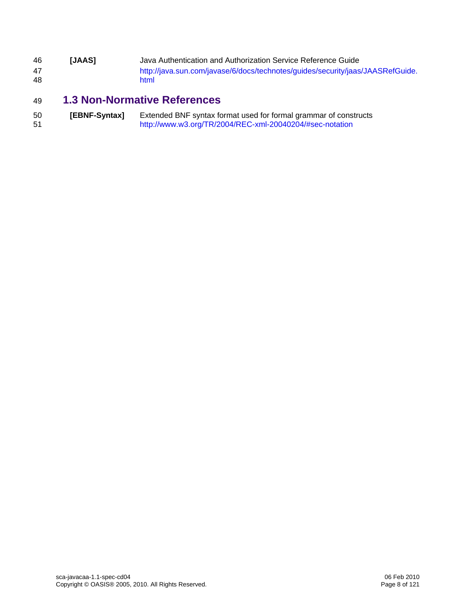<span id="page-7-0"></span>

| 46 | <b>IJAAS1</b> | Java Authentication and Authorization Service Reference Guide                  |
|----|---------------|--------------------------------------------------------------------------------|
| 47 |               | http://java.sun.com/javase/6/docs/technotes/guides/security/jaas/JAASRefGuide. |
| 48 |               | html                                                                           |

# <span id="page-7-1"></span>**1.3 Non-Normative References**

| 50 | [EBNF-Syntax] | Extended BNF syntax format used for formal grammar of constructs |
|----|---------------|------------------------------------------------------------------|
| 51 |               | http://www.w3.org/TR/2004/REC-xml-20040204/#sec-notation         |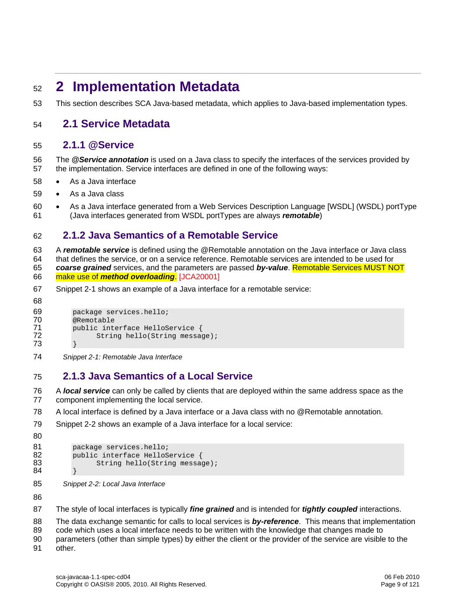# <span id="page-8-1"></span><span id="page-8-0"></span><sup>52</sup>**2 Implementation Metadata**

53 This section describes SCA Java-based metadata, which applies to Java-based implementation types.

#### <span id="page-8-2"></span>54 **2.1 Service Metadata**

#### <span id="page-8-3"></span>55 **2.1.1 @Service**

56 The *@Service annotation* is used on a Java class to specify the interfaces of the services provided by 57 the implementation. Service interfaces are defined in one of the following ways:

- 58 As a Java interface
- 59 As a Java class
- 60 As a Java interface generated from a Web Services Description Language [WSDL] (WSDL) portType 61 (Java interfaces generated from WSDL portTypes are always *remotable*)

#### <span id="page-8-4"></span>62 **2.1.2 Java Semantics of a Remotable Service**

63 A *remotable service* is defined using the @Remotable annotation on the Java interface or Java class 64 that defines the service, or on a service reference. Remotable services are intended to be used for 65 *coarse grained* [services, and the parameters are passed](#page-102-2) *by-value*. Remotable Services MUST NOT 66 make use of *[method overloadin](#page-102-2)g*. [JCA20001]

67 [Snippet 2-1](#page-8-6) shows an example of a Java interface for a remotable service:

```
68 
69 package services.hello;<br>70 @Remotable
70 @Remotable<br>71 public inte
71 public interface HelloService { 
                 String hello(String message);
73 }
```
<span id="page-8-6"></span>74 *Snippet 2-1: Remotable Java Interface* 

#### <span id="page-8-5"></span>75 **2.1.3 Java Semantics of a Local Service**

76 A *local service* can only be called by clients that are deployed within the same address space as the 77 component implementing the local service.

78 A local interface is defined by a Java interface or a Java class with no @Remotable annotation.

79 [Snippet 2-2](#page-8-7) shows an example of a Java interface for a local service:

```
80
```

```
81 package services.hello;<br>82 public interface HelloS
82 public interface HelloService {<br>83 String hello(String message
                     String hello(String message);
84 }
```
<span id="page-8-7"></span>

85 *Snippet 2-2: Local Java Interface* 

86

87 The style of local interfaces is typically *fine grained* and is intended for *tightly coupled* interactions.

88 The data exchange semantic for calls to local services is *by-reference*. This means that implementation

89 code which uses a local interface needs to be written with the knowledge that changes made to

90 parameters (other than simple types) by either the client or the provider of the service are visible to the

91 other.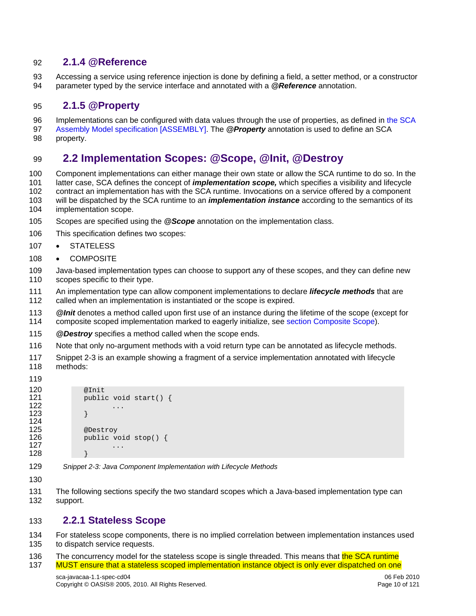#### <span id="page-9-1"></span><span id="page-9-0"></span>92 **2.1.4 @Reference**

93 Accessing a service using reference injection is done by defining a field, a setter method, or a constructor 94 parameter typed by the service interface and annotated with a *@Reference* annotation.

#### <span id="page-9-2"></span>95 **2.1.5 @Property**

[96 Implementations can be configured with data values through the use of properties, as defined in the SCA](#page-6-0)  97 [Assembly Model specification \[ASSEMB](#page-6-0)LY]. The *@Property* annotation is used to define an SCA

98 property.

# 99 **2.2 Implementation Scopes: @Scope, @Init, @Destroy**

<span id="page-9-3"></span>100 Component implementations can either manage their own state or allow the SCA runtime to do so. In the 101 latter case, SCA defines the concept of *implementation scope,* which specifies a visibility and lifecycle 102 contract an implementation has with the SCA runtime. Invocations on a service offered by a component 103 will be dispatched by the SCA runtime to an *implementation instance* according to the semantics of its

- 104 implementation scope.
- 105 Scopes are specified using the *@Scope* annotation on the implementation class.
- 106 This specification defines two scopes:
- 107 STATELESS
- 108 COMPOSITE
- 109 Java-based implementation types can choose to support any of these scopes, and they can define new 110 scopes specific to their type.
- 111 An implementation type can allow component implementations to declare *lifecycle methods* that are 112 called when an implementation is instantiated or the scope is expired.
- 113 *@Init* denotes a method called upon first use of an instance during the lifetime of the scope (except for 114 composite scoped implementation marked to eagerly initialize, see [section Composite Scope](#page-10-0)).
- 115 *@Destroy* specifies a method called when the scope ends.
- 116 Note that only no-argument methods with a void return type can be annotated as lifecycle methods.
- 117 [Snippet 2-3](#page-9-5) is an example showing a fragment of a service implementation annotated with lifecycle 118 methods:
- 119

```
120 @Init<br>121 public
            public void start() \{122 \dots<br>123 \dots123 } 
124 
125 @Destroy 
            public void stop() \{127 ...
128 }
```
- <span id="page-9-5"></span>129 *Snippet 2-3: Java Component Implementation with Lifecycle Methods*
- 130
- 131 The following sections specify the two standard scopes which a Java-based implementation type can 132 support.

#### <span id="page-9-4"></span>133 **2.2.1 Stateless Scope**

- 134 For stateless scope components, there is no implied correlation between implementation instances used 135 to dispatch service requests.
- 136 The concurrency model for the stateless scope is single threaded. This means that the SCA runtime 137 MUST ensure that a stateless scoped implementation instance object is only ever dispatched on one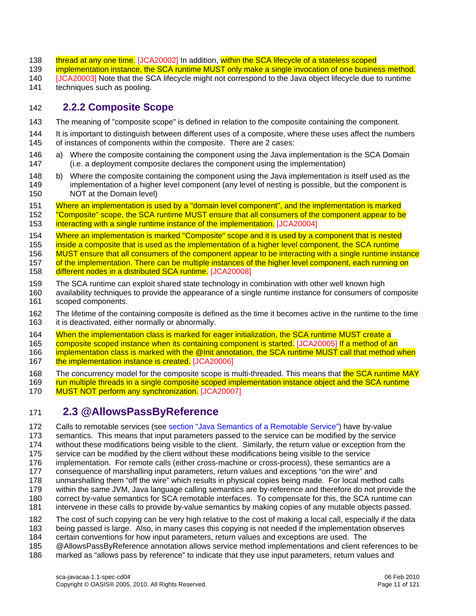- <span id="page-10-0"></span>138 thread at any one time. [JCA20002] In addition, within the SCA lifecycle of a stateless scoped
- 139 [implementation instance, the SCA runtime MUST only make a single invocation of one business met](#page-102-4)hod.
- 140 [JCA20003] Note that the SCA lifecycle might not correspond to the Java object lifecycle due to runtime
- 141 techniques such as pooling.

#### <span id="page-10-1"></span>142 **2.2.2 Composite Scope**

- 143 The meaning of "composite scope" is defined in relation to the composite containing the component.
- 144 It is important to distinguish between different uses of a composite, where these uses affect the numbers 145 of instances of components within the composite. There are 2 cases:
- 146 a) Where the composite containing the component using the Java implementation is the SCA Domain 147 (i.e. a deployment composite declares the component using the implementation)
- 148 b) Where the composite containing the component using the Java implementation is itself used as the 149 implementation of a higher level component (any level of nesting is possible, but the component is 150 NOT at the Domain level)
- 151 Where an implementation is used by a "domain level component", and the implementation is marked 152 "Composite" scope, the SCA runtime MUST ensure that all consumers of the component appear to be 153 [interacting with a single runtime instance of the impleme](#page-102-5)ntation. [JCA20004]
- 
- 154 Where an implementation is marked "Composite" scope and it is used by a component that is nested
- 155 inside a composite that is used as the implementation of a higher level component, the SCA runtime
- [156 MUST ensure that all consumers of the component appear to be interacting with a single runtime instance](#page-102-6)
- 157 of the implementation. There can be multiple instances of the higher level component, each running on
- 158 [different nodes in a distribut](#page-102-6)ed SCA runtime. [JCA20008]
- 159 The SCA runtime can exploit shared state technology in combination with other well known high
- 160 availability techniques to provide the appearance of a single runtime instance for consumers of composite 161 scoped components.
- 162 The lifetime of the containing composite is defined as the time it becomes active in the runtime to the time 163 it is deactivated, either normally or abnormally.
- 164 When the implementation class is marked for eager initialization, the SCA runtime MUST create a
- [165](#page-102-8) [composite scoped instance when its containing component is sta](#page-102-7)[rted. \[JCA20005\]](#page-102-8) If a method of an
- 166 implementation class is marked with the @Init annotation, the SCA runtime MUST call that method when 167 [the implementation instance is](#page-102-8) created. [JCA20006]
- 
- 168 The concurrency model for the composite scope is multi-threaded. This means that the SCA runtime MAY
- 169 run multiple threads in a single composite scoped implementation instance object and the SCA runtime 170 [MUST NOT perform any synchroni](#page-102-9)zation. [JCA20007]

### <span id="page-10-2"></span>171 **2.3 @AllowsPassByReference**

- 172 Calls to remotable services (see [section "Java Semantics of a Remotable Service"\)](#page-8-0) have by-value
- 173 semantics. This means that input parameters passed to the service can be modified by the service
- 174 without these modifications being visible to the client. Similarly, the return value or exception from the
- 175 service can be modified by the client without these modifications being visible to the service
- 176 implementation. For remote calls (either cross-machine or cross-process), these semantics are a
- 177 consequence of marshalling input parameters, return values and exceptions "on the wire" and
- 178 unmarshalling them "off the wire" which results in physical copies being made. For local method calls
- 179 within the same JVM, Java language calling semantics are by-reference and therefore do not provide the 180 correct by-value semantics for SCA remotable interfaces. To compensate for this, the SCA runtime can
- 181 intervene in these calls to provide by-value semantics by making copies of any mutable objects passed.
- 
- 182 The cost of such copying can be very high relative to the cost of making a local call, especially if the data 183 being passed is large. Also, in many cases this copying is not needed if the implementation observes
- 184 certain conventions for how input parameters, return values and exceptions are used. The
- 185 @AllowsPassByReference annotation allows service method implementations and client references to be
- 186 marked as "allows pass by reference" to indicate that they use input parameters, return values and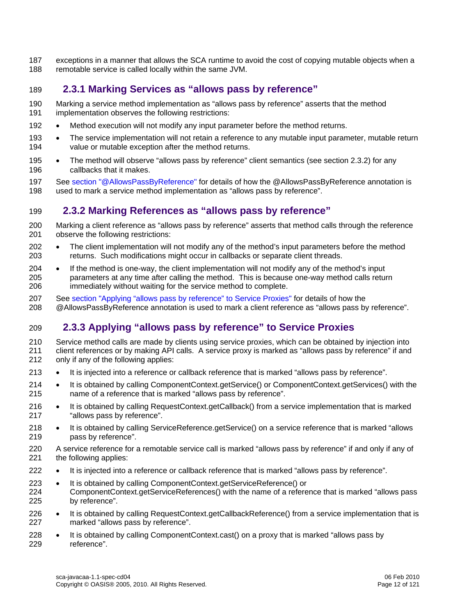<span id="page-11-0"></span>187 exceptions in a manner that allows the SCA runtime to avoid the cost of copying mutable objects when a 188 remotable service is called locally within the same JVM.

#### <span id="page-11-1"></span>189 **2.3.1 Marking Services as "allows pass by reference"**

- 190 Marking a service method implementation as "allows pass by reference" asserts that the method 191 implementation observes the following restrictions:
- 192 Method execution will not modify any input parameter before the method returns.
- 193 The service implementation will not retain a reference to any mutable input parameter, mutable return 194 value or mutable exception after the method returns.
- 195 The method will observe "allows pass by reference" client semantics (see section [2.3.2\)](#page-11-2) for any 196 callbacks that it makes.
- 197 See [section "@AllowsPassByReference"](#page-58-0) for details of how the @AllowsPassByReference annotation is 198 used to mark a service method implementation as "allows pass by reference".

#### <span id="page-11-2"></span>199 **2.3.2 Marking References as "allows pass by reference"**

- 200 Marking a client reference as "allows pass by reference" asserts that method calls through the reference 201 observe the following restrictions:
- 202 The client implementation will not modify any of the method's input parameters before the method 203 returns. Such modifications might occur in callbacks or separate client threads.
- 204 If the method is one-way, the client implementation will not modify any of the method's input 205 parameters at any time after calling the method. This is because one-way method calls return 206 immediately without waiting for the service method to complete.
- 207 See [section "Applying "allows pass by reference" to Service Proxies"](#page-11-0) for details of how the 208 @AllowsPassByReference annotation is used to mark a client reference as "allows pass by reference".

### <span id="page-11-3"></span>209 **2.3.3 Applying "allows pass by reference" to Service Proxies**

210 Service method calls are made by clients using service proxies, which can be obtained by injection into 211 client references or by making API calls. A service proxy is marked as "allows pass by reference" if and 212 only if any of the following applies:

- 213 It is injected into a reference or callback reference that is marked "allows pass by reference".
- 214 It is obtained by calling ComponentContext.getService() or ComponentContext.getServices() with the 215 name of a reference that is marked "allows pass by reference".
- 216 It is obtained by calling RequestContext.getCallback() from a service implementation that is marked 217 "allows pass by reference".
- 218 It is obtained by calling ServiceReference.getService() on a service reference that is marked "allows 219 pass by reference".

220 A service reference for a remotable service call is marked "allows pass by reference" if and only if any of 221 the following applies:

- 222 It is injected into a reference or callback reference that is marked "allows pass by reference".
- 223 It is obtained by calling ComponentContext.getServiceReference() or ComponentContext.getServiceReferences() with the name of a reference that is marked "allows pass 225 by reference".
- 226 It is obtained by calling RequestContext.getCallbackReference() from a service implementation that is 227 marked "allows pass by reference".
- 228 It is obtained by calling ComponentContext.cast() on a proxy that is marked "allows pass by 229 reference".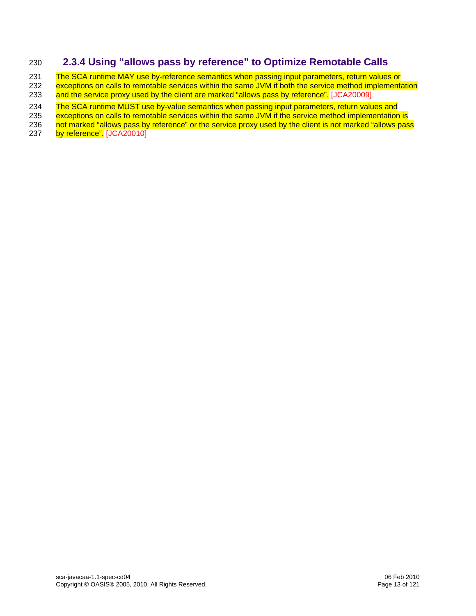### <span id="page-12-1"></span><span id="page-12-0"></span>230 **2.3.4 Using "allows pass by reference" to Optimize Remotable Calls**

231 The SCA runtime MAY use by-reference semantics when passing input parameters, return values or

232 exceptions on calls to remotable services within the same JVM if both the service method implementation

233 [and the service proxy used by the client are marked "allows pass by ref](#page-102-10)erence". [JCA20009]

234 The SCA runtime MUST use by-value semantics when passing input parameters, return values and<br>235 exceptions on calls to remotable services within the same JVM if the service method implementation

[235 exceptions on calls to remotable services within the same JVM if the service method implementation is](#page-102-11) 236 <br>236 not marked "allows pass by reference" or the service proxy used by the client is not marked "allows pas

not marked "allows pass by reference" or the service proxy used by the client is not marked "allows pass

237 [by](#page-102-11) reference". [JCA20010]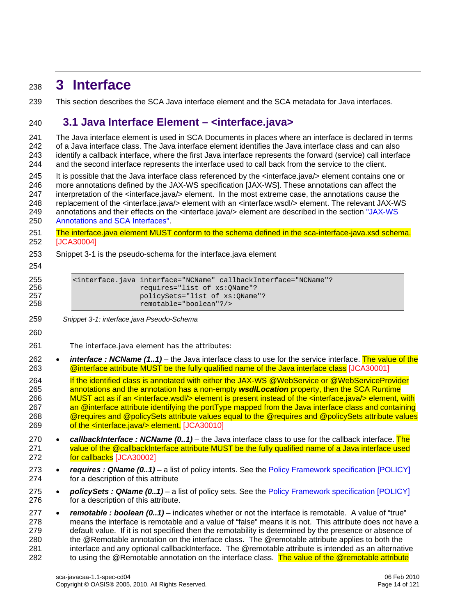# <span id="page-13-1"></span><span id="page-13-0"></span><sup>238</sup>**3 Interface**

239 This section describes the SCA Java interface element and the SCA metadata for Java interfaces.

### <span id="page-13-2"></span>240 **3.1 Java Interface Element – <interface.java>**

241 The Java interface element is used in SCA Documents in places where an interface is declared in terms 242 of a Java interface class. The Java interface element identifies the Java interface class and can also 243 identify a callback interface, where the first Java interface represents the forward (service) call interface 244 and the second interface represents the interface used to call back from the service to the client.

245 It is possible that the Java interface class referenced by the <interface.java/> element contains one or 246 more annotations defined by the JAX-WS specification [JAX-WS]. These annotations can affect the 247 interpretation of the <interface.java/> element. In the most extreme case, the annotations cause the 248 replacement of the <interface.java/> element with an <interface.wsdl/> element. The relevant JAX-WS

[249 annotations and their effects on the <interface.java/> element are described in the section "JAX-WS](#page-0-0) 

250 [Annotations and SCA Interfac](#page-0-0)es".

- 251 The interface.java element MUST conform to the schema defined in the sca-interface-java.xsd schema. 252 [JCA30004]
- 253 [Snippet 3-1](#page-13-3) is the pseudo-schema for the interface.java element
- 254

| 255 | <interface.iava_interface="ncname"_callbackinterface="ncname"?< th=""></interface.iava_interface="ncname"_callbackinterface="ncname"?<> |
|-----|-----------------------------------------------------------------------------------------------------------------------------------------|
| 256 | requires="list of xs:OName"?                                                                                                            |
| 257 | policySets="list of xs:OName"?                                                                                                          |
| 258 | remotable="boolean"?/>                                                                                                                  |

- <span id="page-13-3"></span>259 *Snippet 3-1: interface.java Pseudo-Schema*
- 260

261 The interface.java element has the attributes:

262 • *interface : NCName (1..1)* [– the Java interface class to use for the service interface. The value of the](#page-102-12)  263 **[@interface attribute MUST be the fully qualified name of the Java interface c](#page-102-12)lass [JCA30001]** 

264 If the identified class is annotated with either the JAX-WS @WebService or @WebServiceProvider [265 annotations and the annotation has a non-empty](#page-103-1) *wsdlLocation* property, then the SCA Runtime 266 MUST act as if an <interface.wsdl/> element is present instead of the <interface.java/> element, with 267 an @interface attribute identifying the portType mapped from the Java interface class and containing [268 @requires and @policySets attribute values equal to the @requires and @policySets attribute values](#page-103-1)  269 [of the <inter](#page-103-1)face.java/> element. [JCA30010]

270 • *callbackInterface : NCName (0..1)* [– the Java interface class to use for the callback interface. The](#page-102-13)  271 value of the @callbackInterface attribute MUST be the fully qualified name of a Java interface used 272 [for c](#page-102-13)allbacks [JCA30002]

273 • *requires : QName (0..1)* – a list of policy intents. See the [Policy Framework specification \[POLICY\]](#page-6-0) 274 for a description of this attribute

- 275 *policySets : QName (0..1)* a list of policy sets. See the [Policy Framework specification \[POLICY\]](#page-6-0) 276 for a description of this attribute.
- 277 *remotable : boolean (0..1)*  indicates whether or not the interface is remotable. A value of "true" 278 means the interface is remotable and a value of "false" means it is not. This attribute does not have a 279 default value. If it is not specified then the remotability is determined by the presence or absence of 280 the @Remotable annotation on the interface class. The @remotable attribute applies to both the 281 interface and any optional callbackInterface. The @remotable attribute is intended as an alternative 282 to using the @Remotable annotation on the interface class. The value of the @remotable attribute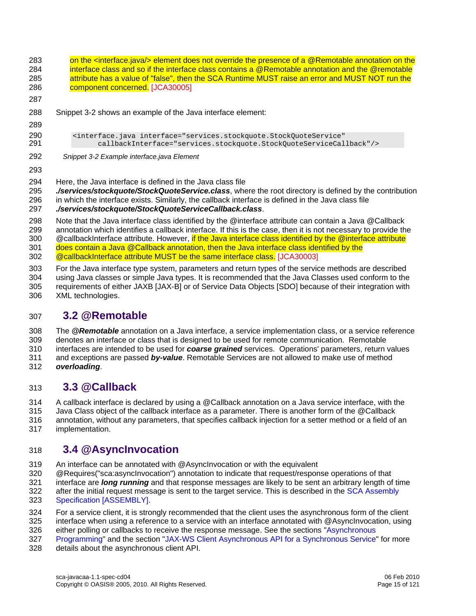<span id="page-14-4"></span><span id="page-14-0"></span>283 on the <interface.java/> element does not override the presence of a @Remotable annotation on the 284 interface class and so if the interface class contains a @Remotable annotation and the @remotable 285 attribute has a value of "false", then the SCA Runtime MUST raise an error and MUST NOT run the 286 component concerned. [JCA30005] 287 288 [Snippet 3-2](#page-14-4) shows an example of the Java interface element: 289 290 <interface.java interface="services.stockquote.StockQuoteService" 291 callbackInterface="services.stockquote.StockQuoteServiceCallback"/> 292 *Snippet 3-2 Example interface.java Element*  293 294 Here, the Java interface is defined in the Java class file 295 *./services/stockquote/StockQuoteService.class*, where the root directory is defined by the contribution 296 in which the interface exists. Similarly, the callback interface is defined in the Java class file 297 *./services/stockquote/StockQuoteServiceCallback.class*. 298 Note that the Java interface class identified by the @interface attribute can contain a Java @Callback 299 annotation which identifies a callback interface. If this is the case, then it is not necessary to provide the 300 @callbackInterface attribute. However, if the Java interface class identified by the @interface attribute 301 does contain a Java @Callback annotation, then the Java interface class identified by the 302 [@callbackInterface attribute MUST be the same interface](#page-102-14) class. [JCA30003] 303 For the Java interface type system, parameters and return types of the service methods are described 304 using Java classes or simple Java types. It is recommended that the Java Classes used conform to the 305 requirements of either JAXB [JAX-B] or of Service Data Objects [SDO] because of their integration with 306 XML technologies.

### <span id="page-14-1"></span>307 **3.2 @Remotable**

308 The *@Remotable* annotation on a Java interface, a service implementation class, or a service reference 309 denotes an interface or class that is designed to be used for remote communication. Remotable 310 interfaces are intended to be used for *coarse grained* services. Operations' parameters, return values 311 and exceptions are passed *by-value*. Remotable Services are not allowed to make use of method 312 *overloading*.

### <span id="page-14-2"></span>313 **3.3 @Callback**

314 A callback interface is declared by using a @Callback annotation on a Java service interface, with the 315 Java Class object of the callback interface as a parameter. There is another form of the @Callback 316 annotation, without any parameters, that specifies callback injection for a setter method or a field of an 317 implementation.

### <span id="page-14-3"></span>318 **3.4 @AsyncInvocation**

319 An interface can be annotated with @AsyncInvocation or with the equivalent

320 @Requires("sca:asyncInvocation") annotation to indicate that request/response operations of that

321 interface are *long running* and that response messages are likely to be sent an arbitrary length of time 322 after the initial request message is sent to the target service. This is described in the SCA Assembly<br>323 Specification [ASSEMBLY].

- [Specification \[ASSEM](#page-6-0)BLY].
- 324 For a service client, it is strongly recommended that the client uses the asynchronous form of the client
- 325 interface when using a reference to a service with an interface annotated with @AsyncInvocation, using
- 326 either polling or callbacks to receive the response message. See the sections "Asynchronous
- 327 [Program](#page-23-0)ming" and the section ["JAX-WS Client Asynchronous API for a Synchronous Service"](#page-89-0) for more
- 328 details about the asynchronous client API.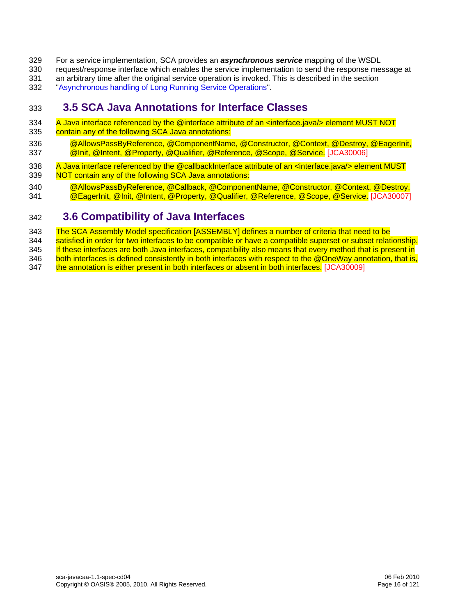- <span id="page-15-0"></span>329 For a service implementation, SCA provides an *asynchronous service* mapping of the WSDL
- 330 request/response interface which enables the service implementation to send the response message at
- 331 an arbitrary time after the original service operation is invoked. This is described in the section
- 332 "[Asynchronous handling of Long Running Service Operations](#page-27-0)".

# <span id="page-15-1"></span>333 **3.5 SCA Java Annotations for Interface Classes**

- 334 A Java interface referenced by the @interface attribute of an <interface.java/> element MUST NOT
- 335 contain any of the following SCA Java annotations:
- [336 @AllowsPassByReference, @ComponentName, @Constructor, @Context, @Destroy, @EagerInit,](#page-103-3)  337 [@Init, @Intent, @Property, @Qualifier, @Reference, @Scope](#page-103-3), @Service. [JCA30006]
- 338 A Java interface referenced by the @callbackInterface attribute of an <interface.java/> element MUST [339 NOT contain any of the following SCA Java annotations:](#page-103-4)
- 340 @AllowsPassByReference, @Callback, @ComponentName, @Constructor, @Context, @Destroy. 341 [@EagerInit, @Init, @Intent, @Property, @Qualifier, @Reference, @Scope](#page-103-4), @Service. [JCA30007]

### <span id="page-15-2"></span>342 **3.6 Compatibility of Java Interfaces**

343 The SCA Assembly Model specification [ASSEMBLY] defines a number of criteria that need to be

344 satisfied in order for two interfaces to be compatible or have a compatible superset or subset relationship.

345 If these interfaces are both Java interfaces, compatibility also means that every method that is present in 346 both interfaces is defined consistently in both interfaces with respect to the @OneWay annotation, that is,

347 [the annotation is either present in both interfaces or absent in](#page-103-5) both interfaces. [JCA30009]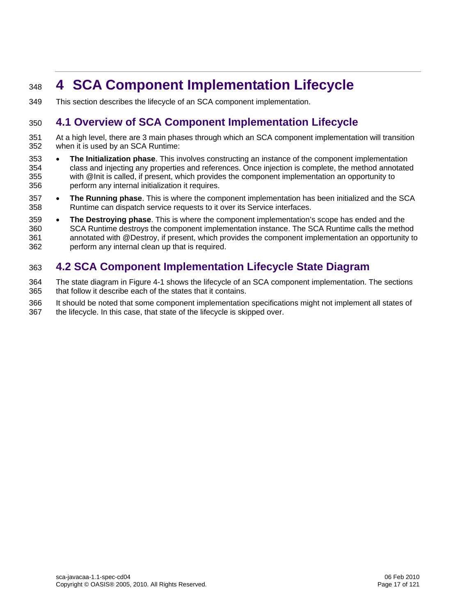# <span id="page-16-1"></span><span id="page-16-0"></span><sup>348</sup>**4 SCA Component Implementation Lifecycle**

349 This section describes the lifecycle of an SCA component implementation.

### <span id="page-16-2"></span>350 **4.1 Overview of SCA Component Implementation Lifecycle**

- 351 At a high level, there are 3 main phases through which an SCA component implementation will transition 352 when it is used by an SCA Runtime:
- 353 **The Initialization phase**. This involves constructing an instance of the component implementation 354 class and injecting any properties and references. Once injection is complete, the method annotated 355 with @Init is called, if present, which provides the component implementation an opportunity to 356 perform any internal initialization it requires.
- 357 **The Running phase**. This is where the component implementation has been initialized and the SCA 358 Runtime can dispatch service requests to it over its Service interfaces.
- 359 **The Destroying phase**. This is where the component implementation's scope has ended and the 360 SCA Runtime destroys the component implementation instance. The SCA Runtime calls the method 361 annotated with @Destroy, if present, which provides the component implementation an opportunity to 362 perform any internal clean up that is required.

# <span id="page-16-3"></span>363 **4.2 SCA Component Implementation Lifecycle State Diagram**

- 364 The state diagram in [Figure 4-1](#page-17-3) shows the lifecycle of an SCA component implementation. The sections 365 that follow it describe each of the states that it contains.
- 366 It should be noted that some component implementation specifications might not implement all states of
- 367 the lifecycle. In this case, that state of the lifecycle is skipped over.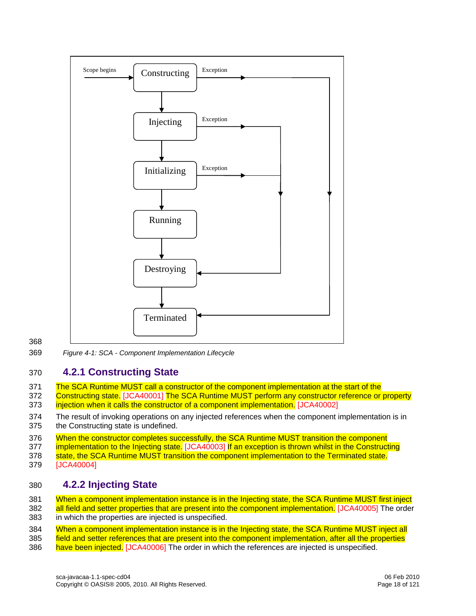<span id="page-17-0"></span>

#### 368

<span id="page-17-3"></span>369 *Figure 4-1: SCA - Component Implementation Lifecycle* 

#### <span id="page-17-1"></span>370 **4.2.1 Constructing State**

- 371 The SCA Runtime MUST call a constructor of the component implementation at the start of the
- 372 [Constructing sta](#page-103-6)te. [JCA40001] The SCA Runtime MUST perform any constructor reference or property 373 [injection when it calls the constructor of a component implementati](#page-103-7)on. [JCA40002]
- 374 The result of invoking operations on any injected references when the component implementation is in 375 the Constructing state is undefined.

376 When the constructor completes successfully, the SCA Runtime MUST transition the component

[377](#page-103-9) [implementation to the Injecting s](#page-103-8)tate. [JCA40003] If an exception is thrown whilst in the Constructing

- 378 [state, the SCA Runtime MUST transition the component implementation to the Terminated st](#page-103-9)ate.
- 379 [JCA40004]

#### <span id="page-17-2"></span>380 **4.2.2 Injecting State**

381 When a component implementation instance is in the Injecting state, the SCA Runtime MUST first inject

382 [all field and setter properties that are present into the component implementat](#page-103-10)ion. [JCA40005] The order 383 in which the properties are injected is unspecified.

384 When a component implementation instance is in the Injecting state, the SCA Runtime MUST inject all 385 field and setter references that are present into the component implementation, after all the properties

386 [have been in](#page-103-11)jected. [JCA40006] The order in which the references are injected is unspecified.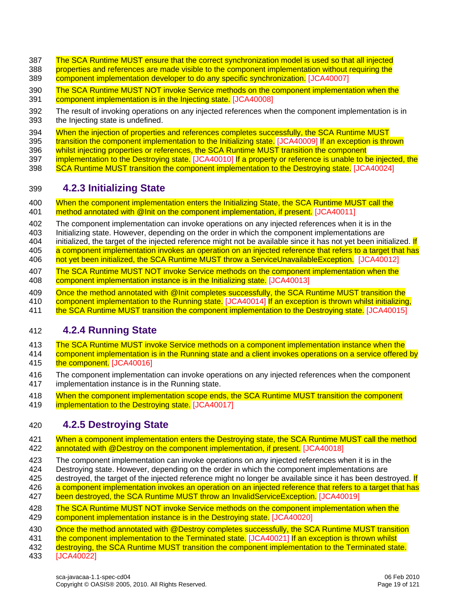- <span id="page-18-0"></span>387 The SCA Runtime MUST ensure that the correct synchronization model is used so that all injected [388 properties and references are made visible to the component implementation without requiring the](#page-104-0)
- 389 [component implementation developer to do any specific synchron](#page-104-0)ization. [JCA40007]
- 390 The SCA Runtime MUST NOT invoke Service methods on the component implementation when the 391 [component implementation is in the Injecting sta](#page-104-1)te. [JCA40008]
- 392 The result of invoking operations on any injected references when the component implementation is in 393 the Injecting state is undefined.
- 394 When the injection of properties and references completes successfully, the SCA Runtime MUST
- [395](#page-104-3) [transition the component implementation to the Initializing s](#page-104-2)[tate. \[JCA40009\]](#page-104-3) If an exception is thrown
- 396 whilst injecting properties or references, the SCA Runtime MUST transition the component
- [397](#page-104-4) [implementation to the Destroyin](#page-104-3)g state. [JCA40010] If a property or reference is unable to be injected, the
- 398 [SCA Runtime MUST transition the component implementation to the Destroying sta](#page-104-4)te. [JCA40024]

#### <span id="page-18-1"></span>399 **4.2.3 Initializing State**

- [400 When the component implementation enters the Initializing State, the SCA Runtime MUST call the](#page-104-5)  401 [method annotated with @Init on the component implementation, if prese](#page-104-5)nt. [JCA40011]
- 402 The component implementation can invoke operations on any injected references when it is in the
- 403 Initializing state. However, depending on the order in which the component implementations are
- 404 initialized, the target of the injected reference might not be available since it has not yet been initialized. If
- [405 a component implementation invokes an operation on an injected reference that refers to a target that has](#page-104-6)
- 406 [not yet been initialized, the SCA Runtime MUST throw a ServiceUnavailableExc](#page-104-6)eption. [JCA40012]
- [407 The SCA Runtime MUST NOT invoke Service methods on the component implementation when the](#page-104-7)  408 [component implementation instance is in the Initializing st](#page-104-7)ate. [JCA40013]
- 409 Once the method annotated with @Init completes successfully, the SCA Runtime MUST transition the
- [410](#page-104-9) [component implementation to the Running s](#page-104-8)[tate. \[JCA40014\]](#page-104-9) If an exception is thrown whilst initializing,
- 411 [the SCA Runtime MUST transition the component implementation to the Destroying st](#page-104-9)ate. [JCA40015]

#### <span id="page-18-2"></span>412 **4.2.4 Running State**

- [413 The SCA Runtime MUST invoke Service methods on a component implementation instance when the](#page-104-10)
- [414 component implementation is in the Running state and a client invokes operations on a service offered by](#page-104-10)  415 [the co](#page-104-10)mponent. [JCA40016]
- 416 The component implementation can invoke operations on any injected references when the component 417 implementation instance is in the Running state.
- [418 When the component implementation scope ends, the SCA Runtime MUST transition the component](#page-104-11)
- 419 [implementation to the Destroying sta](#page-104-11)te. [JCA40017]

#### <span id="page-18-3"></span>420 **4.2.5 Destroying State**

- 421 When a component implementation enters the Destroying state, the SCA Runtime MUST call the method 422 [annotated with @Destroy on the component implementation, if pres](#page-104-12)ent. [JCA40018]
- 423 The component implementation can invoke operations on any injected references when it is in the
- 424 Destroying state. However, depending on the order in which the component implementations are
- 425 destroyed, the target of the injected reference might no longer be available since it has been destroyed. If
- 426 a component implementation invokes an operation on an injected reference that refers to a target that has
- 427 [been destroyed, the SCA Runtime MUST throw an InvalidServiceExc](#page-104-13)eption. [JCA40019]
- 428 The SCA Runtime MUST NOT invoke Service methods on the component implementation when the 429 [component implementation instance is in the Destroying st](#page-104-14)ate. [JCA40020]
- 430 Once the method annotated with @Destroy completes successfully, the SCA Runtime MUST transition
- [431](#page-104-16) [the component implementation to the Terminated s](#page-104-15)[tate. \[JCA40021\]](#page-104-16) If an exception is thrown whilst
- 432 [destroying, the SCA Runtime MUST transition the component implementation to the Terminated sta](#page-104-16)te.
- 433 [JCA40022]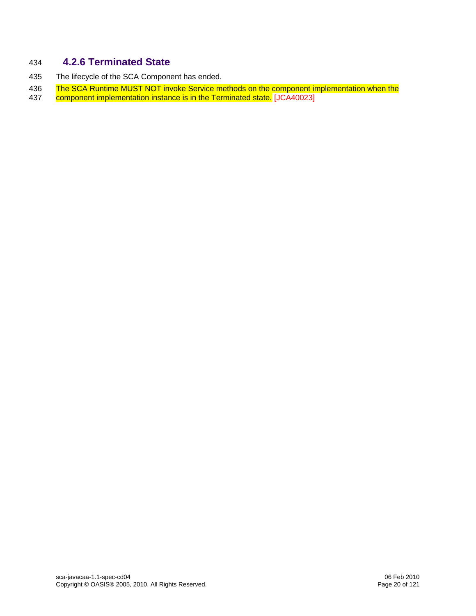### <span id="page-19-1"></span><span id="page-19-0"></span>434 **4.2.6 Terminated State**

- 435 The lifecycle of the SCA Component has ended.
- [436 The SCA Runtime MUST NOT invoke Service methods on the component implementation when the](#page-104-17) 437 component implementation instance is in the Terminated state. [JCA40023] [component implementation instance is in the Terminated st](#page-104-17)ate. [JCA40023]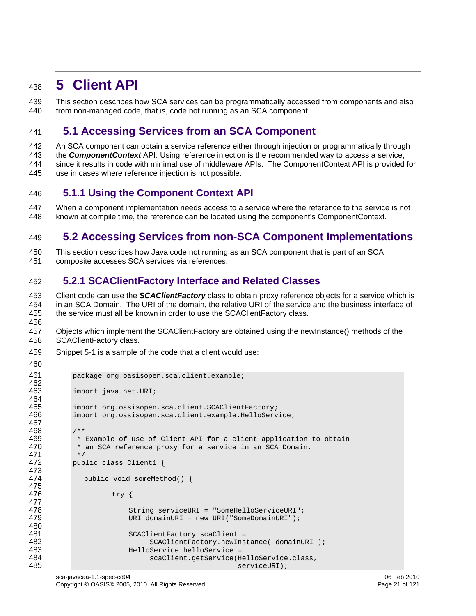# <span id="page-20-1"></span><span id="page-20-0"></span><sup>438</sup>**5 Client API**

439 This section describes how SCA services can be programmatically accessed from components and also 440 from non-managed code, that is, code not running as an SCA component.

### <span id="page-20-2"></span>441 **5.1 Accessing Services from an SCA Component**

442 An SCA component can obtain a service reference either through injection or programmatically through 443 the *ComponentContext* API. Using reference injection is the recommended way to access a service, 444 since it results in code with minimal use of middleware APIs. The ComponentContext API is provided for 445 use in cases where reference injection is not possible.

#### <span id="page-20-3"></span>446 **5.1.1 Using the Component Context API**

447 When a component implementation needs access to a service where the reference to the service is not 448 known at compile time, the reference can be located using the component's ComponentContext.

# <span id="page-20-4"></span>449 **5.2 Accessing Services from non-SCA Component Implementations**

450 This section describes how Java code not running as an SCA component that is part of an SCA 451 composite accesses SCA services via references.

#### <span id="page-20-5"></span>452 **5.2.1 SCAClientFactory Interface and Related Classes**

453 Client code can use the *SCAClientFactory* class to obtain proxy reference objects for a service which is 454 in an SCA Domain. The URI of the domain, the relative URI of the service and the business interface of 455 the service must all be known in order to use the SCAClientFactory class. 456

457 Objects which implement the SCAClientFactory are obtained using the newInstance() methods of the 458 SCAClientFactory class.

459 [Snippet 5-1](#page-21-0) is a sample of the code that a client would use:

```
460
```

```
461 package org.oasisopen.sca.client.example; 
462<br>463
            import java.net.URI;
464<br>465
465 import org.oasisopen.sca.client.SCAClientFactory;<br>466 import org.oasisopen.sca.client.example.HelloServ
            import org.oasisopen.sca.client.example.HelloService;
467 
468 /** 
469 * Example of use of Client API for a client application to obtain<br>470 * an SCA reference proxy for a service in an SCA Domain.
             * an SCA reference proxy for a service in an SCA Domain.
471<br>472
            public class Client1 {
473 
              public void someMethod() {
475 
476 try { 
477 
478 String serviceURI = "SomeHelloServiceURI";<br>479 URI domainURI = new URI("SomeDomainURI");
                           URI domainURI = new URI("SomeDomainURI");
480 
481 SCAClientFactory scaClient =<br>482 SCAClientFactory.newIns
                                 SCAClientFactory.newInstance( domainURI );
483 HelloService helloService = 
484 scaClient.getService(HelloService.class, 
                                                         serviceURI);
```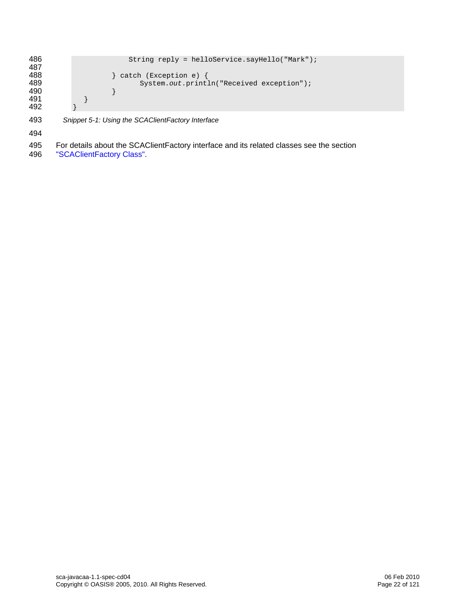```
486 String reply = helloService.sayHello("Mark");
487<br>488
488 \left.\begin{array}{ccc} \text{488} \\ \text{489} \end{array}\right\} catch (Exception e) {
                           System.out.println("Received exception");<br>}
\begin{array}{cc} 490 & & \\ 491 & & \end{array}491 } 
492 }
```
<span id="page-21-0"></span>493 *Snippet 5-1: Using the SCAClientFactory Interface* 

494

- 495 For details about the SCAClientFactory interface and its related classes see the section
- 496 ["SCAClientFactory Class"](#page-0-0).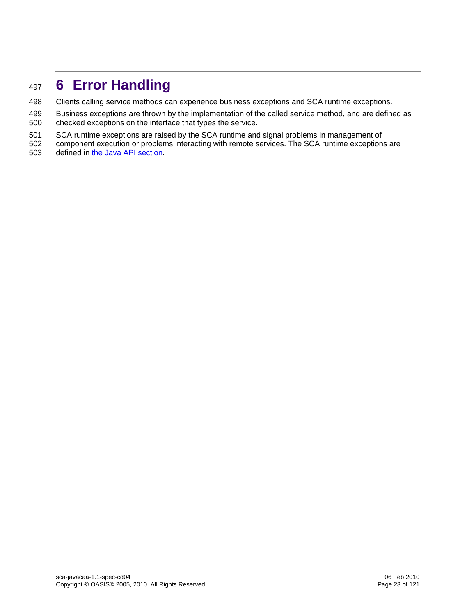# <span id="page-22-1"></span><span id="page-22-0"></span><sup>497</sup>**6 Error Handling**

- 498 Clients calling service methods can experience business exceptions and SCA runtime exceptions.
- 499 Business exceptions are thrown by the implementation of the called service method, and are defined as 500 checked exceptions on the interface that types the service.
- 501 SCA runtime exceptions are raised by the SCA runtime and signal problems in management of
- 502 component execution or problems interacting with remote services. The SCA runtime exceptions are 503 defined in [the Java API section](#page-41-0).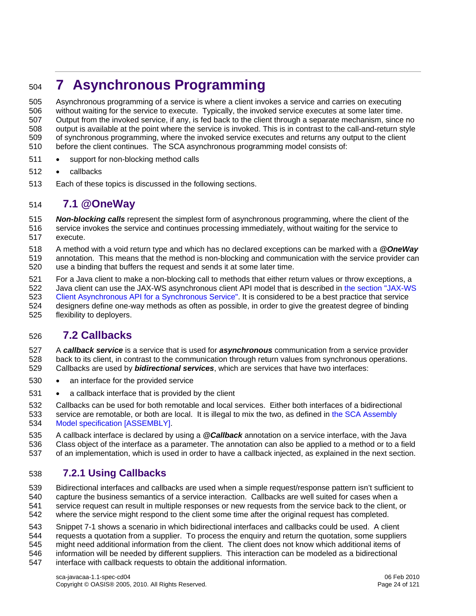# <span id="page-23-1"></span><span id="page-23-0"></span><sup>504</sup>**7 Asynchronous Programming**

505 Asynchronous programming of a service is where a client invokes a service and carries on executing 506 without waiting for the service to execute. Typically, the invoked service executes at some later time. 507 Output from the invoked service, if any, is fed back to the client through a separate mechanism, since no 508 output is available at the point where the service is invoked. This is in contrast to the call-and-return style 509 of synchronous programming, where the invoked service executes and returns any output to the client 510 before the client continues. The SCA asynchronous programming model consists of:

- 511 support for non-blocking method calls
- 512 callbacks
- 513 Each of these topics is discussed in the following sections.

#### <span id="page-23-2"></span>514 **7.1 @OneWay**

515 *Non-blocking calls* represent the simplest form of asynchronous programming, where the client of the

516 service invokes the service and continues processing immediately, without waiting for the service to 517 execute.

518 A method with a void return type and which has no declared exceptions can be marked with a *@OneWay* 519 annotation. This means that the method is non-blocking and communication with the service provider can 520 use a binding that buffers the request and sends it at some later time.

521 For a Java client to make a non-blocking call to methods that either return values or throw exceptions, a

[522 Java client can use the JAX-WS asynchronous client API model that is described in the section "JAX-WS](#page-89-0)  523 [Client Asynchronous API for a Synchronous Servi](#page-89-0)ce". It is considered to be a best practice that service 524 designers define one-way methods as often as possible, in order to give the greatest degree of binding 525 flexibility to deployers.

### <span id="page-23-3"></span>526 **7.2 Callbacks**

527 A *callback service* is a service that is used for *asynchronous* communication from a service provider 528 back to its client, in contrast to the communication through return values from synchronous operations. 529 Callbacks are used by *bidirectional services*, which are services that have two interfaces:

- 530 an interface for the provided service
- 531 a callback interface that is provided by the client

532 Callbacks can be used for both remotable and local services. Either both interfaces of a bidirectional [533 service are remotable, or both are local. It is illegal to mix the two, as defined in the SCA Assembly](#page-6-0)  534 [Model specification \[ASSEMB](#page-6-0)LY].

535 A callback interface is declared by using a *@Callback* annotation on a service interface, with the Java 536 Class object of the interface as a parameter. The annotation can also be applied to a method or to a field

537 of an implementation, which is used in order to have a callback injected, as explained in the next section.

#### <span id="page-23-4"></span>538 **7.2.1 Using Callbacks**

539 Bidirectional interfaces and callbacks are used when a simple request/response pattern isn't sufficient to

540 capture the business semantics of a service interaction. Callbacks are well suited for cases when a

- 541 service request can result in multiple responses or new requests from the service back to the client, or
- 542 where the service might respond to the client some time after the original request has completed.

543 [Snippet 7-1](#page-24-0) shows a scenario in which bidirectional interfaces and callbacks could be used. A client 544 requests a quotation from a supplier. To process the enquiry and return the quotation, some suppliers 545 might need additional information from the client. The client does not know which additional items of 546 information will be needed by different suppliers. This interaction can be modeled as a bidirectional 547 interface with callback requests to obtain the additional information.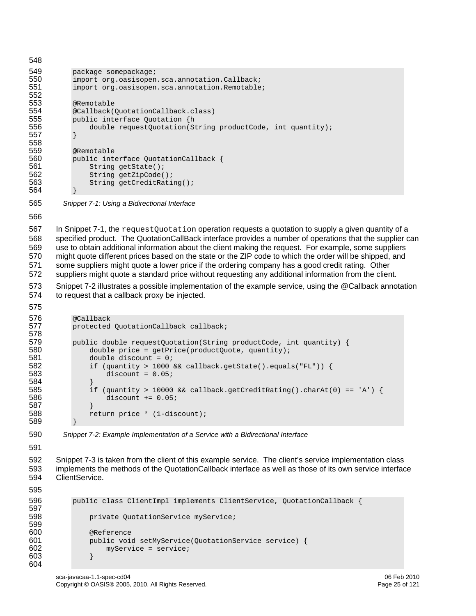548 549 package somepackage;<br>550 import org.oasisopen 550 import org.oasisopen.sca.annotation.Callback;<br>551 import org.oasisopen.sca.annotation.Remotable import org.oasisopen.sca.annotation.Remotable; 552 553 @Remotable<br>554 @Callback( 554 @Callback(QuotationCallback.class)<br>555 public interface Quotation {h 555 public interface Quotation {h<br>556 double requestQuotation(S) 556 double requestQuotation(String productCode, int quantity); 557 } 558 559 @Remotable<br>560 public int 560 public interface QuotationCallback {<br>561 String getState(); 561 String getState();<br>562 String getZipCode( String getZipCode(); 563 String getCreditRating(); 564 } 565 *Snippet 7-1: Using a Bidirectional Interface*  566 567 In [Snippet 7-1](#page-24-0), the request Quotation operation requests a quotation to supply a given quantity of a 568 specified product. The QuotationCallBack interface provides a number of operations that the supplier can 569 use to obtain additional information about the client making the request. For example, some suppliers 570 might quote different prices based on the state or the ZIP code to which the order will be shipped, and 571 some suppliers might quote a lower price if the ordering company has a good credit rating. Other 572 suppliers might quote a standard price without requesting any additional information from the client. 573 [Snippet 7-2](#page-24-1) illustrates a possible implementation of the example service, using the @Callback annotation 574 to request that a callback proxy be injected. 575

```
576 @Callback<br>577 protected
            protected QuotationCallback callback;
578 
579 public double requestQuotation(String productCode, int quantity) {<br>580 \frac{1}{100} double price = getPrice(productOuote, quantity);
580 double price = getPrice(productQuote, quantity);<br>581 double discount = 0;
581 double discount = 0;<br>582 if (quantity > 1000
582 if (quantity > 1000 && callback.getState().equals("FL")) { 
                      discount = 0.05;
584 } 
585 if (quantity > 10000 && callback.getCreditRating().charAt(0) == 'A') { 
                      discount += 0.05;
587 } 
                 return price * (1-discount);
589 }
```
<span id="page-24-1"></span>590 *Snippet 7-2: Example Implementation of a Service with a Bidirectional Interface* 

591

592 [Snippet 7-3](#page-25-4) is taken from the client of this example service. The client's service implementation class 593 implements the methods of the QuotationCallback interface as well as those of its own service interface 594 ClientService.

595

```
596 public class ClientImpl implements ClientService, QuotationCallback { 
597 
598 private QuotationService myService; 
599 
600 @Reference 
601 public void setMyService(QuotationService service) {<br>602 myService = service;
                 myService = service;603 } 
604
```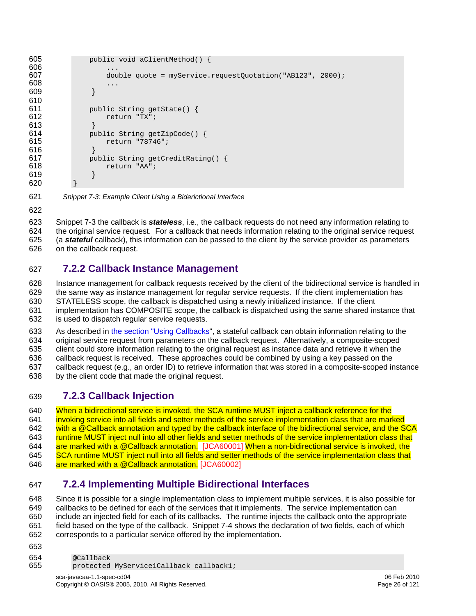```
605 public void aClientMethod() { 
606<br>607
                double quote = myService.requestOuotation("AB123", 2000);
608 ... 
609 } 
610 
611 public String getState() { 
612 return "TX"; 
613 }<br>614 pu
614 public String getZipCode() { 
                615 return "78746"; 
616 }<br>617 bu
617 public String getCreditRating() {<br>618 return "AA";
                return "AA";
619 } 
620 }
```
<span id="page-25-4"></span>621 *Snippet 7-3: Example Client Using a Biderictional Interface* 

622

623 [Snippet 7-3](#page-25-4) the callback is *stateless*, i.e., the callback requests do not need any information relating to 624 the original service request. For a callback that needs information relating to the original service request 625 (a *stateful* callback), this information can be passed to the client by the service provider as parameters

626 on the callback request.

#### <span id="page-25-1"></span>627 **7.2.2 Callback Instance Management**

628 Instance management for callback requests received by the client of the bidirectional service is handled in 629 the same way as instance management for regular service requests. If the client implementation has 630 STATELESS scope, the callback is dispatched using a newly initialized instance. If the client 631 implementation has COMPOSITE scope, the callback is dispatched using the same shared instance that 632 is used to dispatch regular service requests.

633 As described in [the section "Using Callbacks"](#page-23-0), a stateful callback can obtain information relating to the 634 original service request from parameters on the callback request. Alternatively, a composite-scoped 635 client could store information relating to the original request as instance data and retrieve it when the 636 callback request is received. These approaches could be combined by using a key passed on the 637 callback request (e.g., an order ID) to retrieve information that was stored in a composite-scoped instance

638 by the client code that made the original request.

#### <span id="page-25-2"></span>639 **7.2.3 Callback Injection**

640 When a bidirectional service is invoked, the SCA runtime MUST inject a callback reference for the [641 invoking service into all fields and setter methods of the service implementation class that are marked](#page-105-0)  [642 with a @Callback annotation and typed by the callback interface of the bidirectional service, and the SCA](#page-105-0)  643 runtime MUST inject null into all other fields and setter methods of the service implementation class that [644](#page-105-1) [are marked with a @Call](#page-105-0)[back annotation. \[JCA60001\]](#page-105-1) When a non-bidirectional service is invoked, the 645 SCA runtime MUST inject null into all fields and setter methods of the service implementation class that 646 [are marked with a @Callback ann](#page-105-1)otation. [JCA60002]

#### <span id="page-25-3"></span>647 **7.2.4 Implementing Multiple Bidirectional Interfaces**

648 Since it is possible for a single implementation class to implement multiple services, it is also possible for 649 callbacks to be defined for each of the services that it implements. The service implementation can 650 include an injected field for each of its callbacks. The runtime injects the callback onto the appropriate 651 field based on the type of the callback. [Snippet 7-4](#page-26-2) shows the declaration of two fields, each of which 652 corresponds to a particular service offered by the implementation.

653

```
654 @Callback<br>655 protected
            protected MyService1Callback callback1;
```
sca-javacaa-1.1-spec-cd04 06 Feb 2010 Copyright © OASIS® 2005, 2010. All Rights Reserved. Page 26 of 121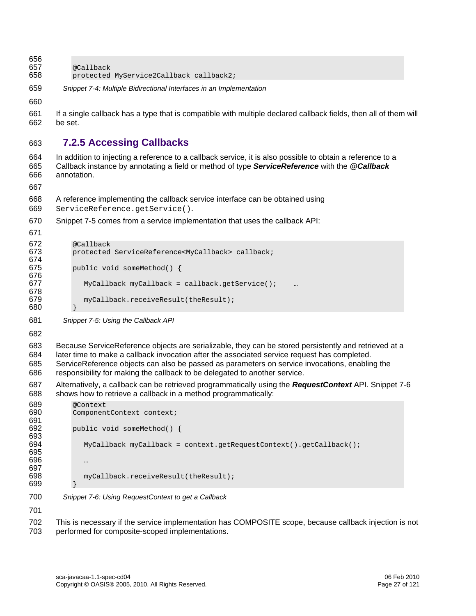<span id="page-26-0"></span>656

- 657 @Callback<br>658 protected protected MyService2Callback callback2;
- <span id="page-26-2"></span>659 *Snippet 7-4: Multiple Bidirectional Interfaces in an Implementation*

660

661 If a single callback has a type that is compatible with multiple declared callback fields, then all of them will 662 be set.

#### <span id="page-26-1"></span>663 **7.2.5 Accessing Callbacks**

664 In addition to injecting a reference to a callback service, it is also possible to obtain a reference to a 665 Callback instance by annotating a field or method of type *ServiceReference* with the *@Callback* 666 annotation.

667

- 668 A reference implementing the callback service interface can be obtained using
- 669 ServiceReference.getService().
- 670 [Snippet 7-5](#page-26-3) comes from a service implementation that uses the callback API:

671

```
672 @Callback<br>673 protected
          protected ServiceReference<MyCallback> callback;
674<br>675
          public void someMethod() {
676 
677 MyCallback myCallback = callback.getService();
678 
679 myCallback.receiveResult(theResult); 
680 }
```
<span id="page-26-3"></span>681 *Snippet 7-5: Using the Callback API* 

682

- 683 Because ServiceReference objects are serializable, they can be stored persistently and retrieved at a
- 684 later time to make a callback invocation after the associated service request has completed.
- 685 ServiceReference objects can also be passed as parameters on service invocations, enabling the 686 responsibility for making the callback to be delegated to another service.
- 687 Alternatively, a callback can be retrieved programmatically using the *RequestContext* API. [Snippet 7-6](#page-26-4) 688 shows how to retrieve a callback in a method programmatically:

| 689 | @Context                                                             |
|-----|----------------------------------------------------------------------|
| 690 | ComponentContext context;                                            |
| 691 |                                                                      |
| 692 | public void someMethod() {                                           |
| 693 |                                                                      |
| 694 | $MyCallback$ myCallback = context.getRequestContext().getCallback(); |
| 695 |                                                                      |
| 696 | $\cdots$                                                             |
| 697 |                                                                      |
| 698 | myCallback.receiveResult(theResult);                                 |
| 699 |                                                                      |
|     |                                                                      |
| 700 | Snippet 7-6: Using RequestContext to get a Callback                  |

<span id="page-26-4"></span>701

702 This is necessary if the service implementation has COMPOSITE scope, because callback injection is not 703 performed for composite-scoped implementations.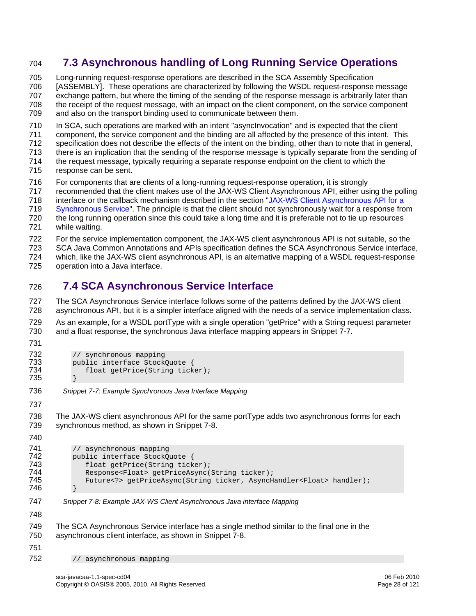### <span id="page-27-1"></span><span id="page-27-0"></span>704 **7.3 Asynchronous handling of Long Running Service Operations**

705 Long-running request-response operations are described in the SCA Assembly Specification 706 [ASSEMBLY]. These operations are characterized by following the WSDL request-response message 707 exchange pattern, but where the timing of the sending of the response message is arbitrarily later than 708 the receipt of the request message, with an impact on the client component, on the service component 709 and also on the transport binding used to communicate between them.

710 In SCA, such operations are marked with an intent "asyncInvocation" and is expected that the client

- 711 component, the service component and the binding are all affected by the presence of this intent. This
- 712 specification does not describe the effects of the intent on the binding, other than to note that in general,
- 713 there is an implication that the sending of the response message is typically separate from the sending of
- 714 the request message, typically requiring a separate response endpoint on the client to which the 715 response can be sent.
- 716 For components that are clients of a long-running request-response operation, it is strongly
- 717 recommended that the client makes use of the JAX-WS Client Asynchronous API, either using the polling
- [718 interface or the callback mechanism described in the section "JAX-WS Client Asynchronous API for a](#page-89-0)
- 719 [Synchronous Serv](#page-89-0)ice". The principle is that the client should not synchronously wait for a response from
- 720 the long running operation since this could take a long time and it is preferable not to tie up resources 721 while waiting.
- 722 For the service implementation component, the JAX-WS client asynchronous API is not suitable, so the
- 723 SCA Java Common Annotations and APIs specification defines the SCA Asynchronous Service interface,
- 724 which, like the JAX-WS client asynchronous API, is an alternative mapping of a WSDL request-response
- 725 operation into a Java interface.

# <span id="page-27-2"></span>726 **7.4 SCA Asynchronous Service Interface**

727 The SCA Asynchronous Service interface follows some of the patterns defined by the JAX-WS client 728 asynchronous API, but it is a simpler interface aligned with the needs of a service implementation class.

729 As an example, for a WSDL portType with a single operation "getPrice" with a String request parameter 730 and a float response, the synchronous Java interface mapping appears in [Snippet 7-7](#page-27-3).

731

```
732 // synchronous mapping 
733 public interface StockQuote {<br>734 float getPrice (String tick
                float getPrice(String ticker);
```
735 }

<span id="page-27-3"></span>736 *Snippet 7-7: Example Synchronous Java Interface Mapping*

737

738 The JAX-WS client asynchronous API for the same portType adds two asynchronous forms for each 739 synchronous method, as shown in [Snippet 7-8](#page-27-4).

740

741 // asynchronous mapping<br>742 **public interface StockO** 742 public interface StockQuote {<br>743 float getPrice(String tick 743 float getPrice(String ticker);<br>744 Response<Float> getPriceAsync( 744 Response<Float> getPriceAsync(String ticker); Future<?> getPriceAsync(String ticker, AsyncHandler<Float> handler); 746 } 747 *Snippet 7-8: Example JAX-WS Client Asynchronous Java interface Mapping* 

<span id="page-27-4"></span>748

749 The SCA Asynchronous Service interface has a single method similar to the final one in the 750 asynchronous client interface, as shown in [Snippet 7-8.](#page-27-4)

751

752 // asynchronous mapping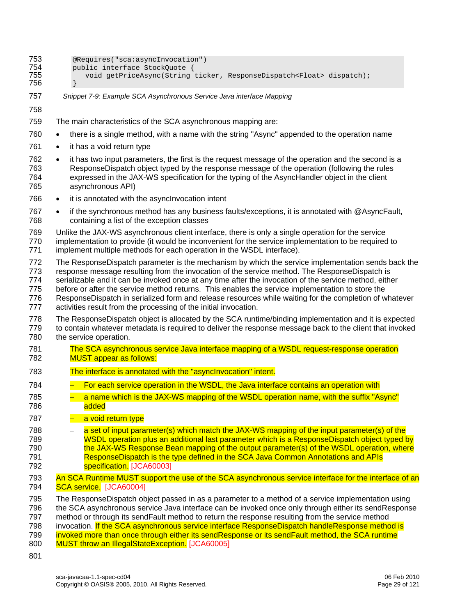| 753<br>754<br>755<br>756               | @Requires("sca:asyncInvocation")<br>public interface StockQuote {<br>void getPriceAsync(String ticker, ResponseDispatch <float> dispatch);</float>                                                                                                                                                                                                                                                                                                                                                                                                                                              |
|----------------------------------------|-------------------------------------------------------------------------------------------------------------------------------------------------------------------------------------------------------------------------------------------------------------------------------------------------------------------------------------------------------------------------------------------------------------------------------------------------------------------------------------------------------------------------------------------------------------------------------------------------|
| 757                                    | Snippet 7-9: Example SCA Asynchronous Service Java interface Mapping                                                                                                                                                                                                                                                                                                                                                                                                                                                                                                                            |
| 758                                    |                                                                                                                                                                                                                                                                                                                                                                                                                                                                                                                                                                                                 |
| 759                                    | The main characteristics of the SCA asynchronous mapping are:                                                                                                                                                                                                                                                                                                                                                                                                                                                                                                                                   |
| 760                                    | there is a single method, with a name with the string "Async" appended to the operation name<br>$\bullet$                                                                                                                                                                                                                                                                                                                                                                                                                                                                                       |
| 761                                    | it has a void return type<br>$\bullet$                                                                                                                                                                                                                                                                                                                                                                                                                                                                                                                                                          |
| 762<br>763<br>764<br>765               | it has two input parameters, the first is the request message of the operation and the second is a<br>$\bullet$<br>ResponseDispatch object typed by the response message of the operation (following the rules<br>expressed in the JAX-WS specification for the typing of the AsyncHandler object in the client<br>asynchronous API)                                                                                                                                                                                                                                                            |
| 766                                    | it is annotated with the asynclnvocation intent<br>$\bullet$                                                                                                                                                                                                                                                                                                                                                                                                                                                                                                                                    |
| 767<br>768                             | if the synchronous method has any business faults/exceptions, it is annotated with @AsyncFault,<br>containing a list of the exception classes                                                                                                                                                                                                                                                                                                                                                                                                                                                   |
| 769<br>770<br>771                      | Unlike the JAX-WS asynchronous client interface, there is only a single operation for the service<br>implementation to provide (it would be inconvenient for the service implementation to be required to<br>implement multiple methods for each operation in the WSDL interface).                                                                                                                                                                                                                                                                                                              |
| 772<br>773<br>774<br>775<br>776<br>777 | The ResponseDispatch parameter is the mechanism by which the service implementation sends back the<br>response message resulting from the invocation of the service method. The ResponseDispatch is<br>serializable and it can be invoked once at any time after the invocation of the service method, either<br>before or after the service method returns. This enables the service implementation to store the<br>ResponseDispatch in serialized form and release resources while waiting for the completion of whatever<br>activities result from the processing of the initial invocation. |
| 778<br>779<br>780                      | The ResponseDispatch object is allocated by the SCA runtime/binding implementation and it is expected<br>to contain whatever metadata is required to deliver the response message back to the client that invoked<br>the service operation.                                                                                                                                                                                                                                                                                                                                                     |
| 781<br>782                             | The SCA asynchronous service Java interface mapping of a WSDL request-response operation<br><b>MUST appear as follows:</b>                                                                                                                                                                                                                                                                                                                                                                                                                                                                      |
| 783                                    | The interface is annotated with the "asynclnvocation" intent.                                                                                                                                                                                                                                                                                                                                                                                                                                                                                                                                   |
| 784                                    | For each service operation in the WSDL, the Java interface contains an operation with                                                                                                                                                                                                                                                                                                                                                                                                                                                                                                           |
| 785<br>786                             | a name which is the JAX-WS mapping of the WSDL operation name, with the suffix "Async"<br>added                                                                                                                                                                                                                                                                                                                                                                                                                                                                                                 |
| 787                                    | a void return type                                                                                                                                                                                                                                                                                                                                                                                                                                                                                                                                                                              |
| 788<br>789<br>790<br>791<br>792        | a set of input parameter(s) which match the JAX-WS mapping of the input parameter(s) of the<br>WSDL operation plus an additional last parameter which is a ResponseDispatch object typed by<br>the JAX-WS Response Bean mapping of the output parameter(s) of the WSDL operation, where<br>ResponseDispatch is the type defined in the SCA Java Common Annotations and APIs<br>specification. [JCA60003]                                                                                                                                                                                        |
| 793<br>794                             | An SCA Runtime MUST support the use of the SCA asynchronous service interface for the interface of an<br>SCA service. [JCA60004]                                                                                                                                                                                                                                                                                                                                                                                                                                                                |
| 795<br>796<br>797<br>798<br>799<br>800 | The ResponseDispatch object passed in as a parameter to a method of a service implementation using<br>the SCA asynchronous service Java interface can be invoked once only through either its sendResponse<br>method or through its sendFault method to return the response resulting from the service method<br>invocation. If the SCA asynchronous service interface ResponseDispatch handleResponse method is<br>invoked more than once through either its sendResponse or its sendFault method, the SCA runtime<br><b>MUST throw an IllegalStateException.</b> [JCA60005]                   |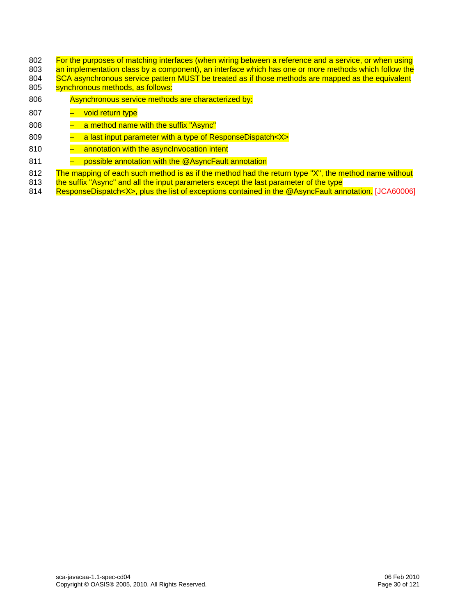- 802 For the purposes of matching interfaces (when wiring between a reference and a service, or when using
- [803 an implementation class by a component\), an interface which has one or more methods which follow the](#page-105-5) 804 SCA asynchronous service pattern MUST be treated as if those methods are mapped as the equivalent [804 SCA asynchronous service pattern MUST be treated as if those methods are mapped as the equivalent](#page-105-5) 805<br>805 Synchronous methods, as follows:
- synchronous methods, as follows:
- 806 Asynchronous service methods are characterized by:
- 807 void return type
- [808 a method name with the suffix "Async"](#page-105-5)
- 809 a last input parameter with a type of ResponseDispatch<X>
- 810 annotation with the asynclnvocation intent
- 811 possible annotation with the @AsyncFault annotation
- 812 The mapping of each such method is as if the method had the return type "X", the method name without
- 813 the suffix "Async" and all the input parameters except the last parameter of the type
- 814 [ResponseDispatch<X>, plus the li](#page-105-5)st of exceptions contained in the @AsyncFault annotation. [JCA60006]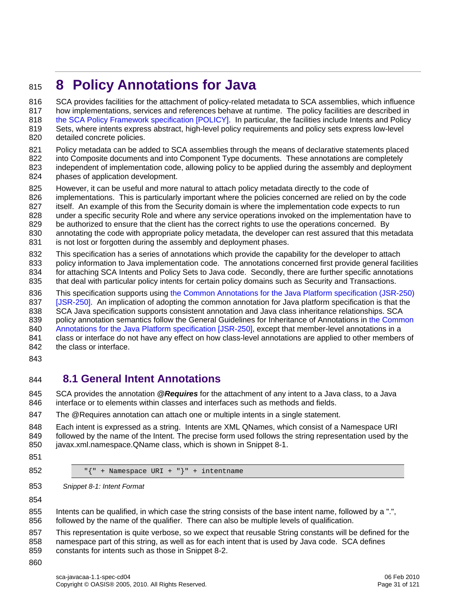# <span id="page-30-1"></span><span id="page-30-0"></span><sup>815</sup>**8 Policy Annotations for Java**

816 SCA provides facilities for the attachment of policy-related metadata to SCA assemblies, which influence [817 how implementations, services and references behave at runtime. The policy facilities are described in](#page-6-0) 818 [the SCA Policy Framework specification \[POLI](#page-6-0)CY]. In particular, the facilities include Intents and Policy 819 Sets, where intents express abstract, high-level policy requirements and policy sets express low-level 820 detailed concrete policies.

821 Policy metadata can be added to SCA assemblies through the means of declarative statements placed

- 822 into Composite documents and into Component Type documents. These annotations are completely 823 independent of implementation code, allowing policy to be applied during the assembly and deployme independent of implementation code, allowing policy to be applied during the assembly and deployment 824 phases of application development.
- 825 However, it can be useful and more natural to attach policy metadata directly to the code of
- 826 implementations. This is particularly important where the policies concerned are relied on by the code
- 827 itself. An example of this from the Security domain is where the implementation code expects to run
- 828 under a specific security Role and where any service operations invoked on the implementation have to
- 829 be authorized to ensure that the client has the correct rights to use the operations concerned. By
- 830 annotating the code with appropriate policy metadata, the developer can rest assured that this metadata 831 is not lost or forgotten during the assembly and deployment phases.
- 832 This specification has a series of annotations which provide the capability for the developer to attach
- 833 policy information to Java implementation code. The annotations concerned first provide general facilities 834 for attaching SCA Intents and Policy Sets to Java code. Secondly, there are further specific annotations
- 835 that deal with particular policy intents for certain policy domains such as Security and Transactions.
- 836 This specification supports using the Common Annotations for the Java Platform specification (JSR-250)
- 837 [\[JSR-](#page-6-0)250]. An implication of adopting the common annotation for Java platform specification is that the
- 838 SCA Java specification supports consistent annotation and Java class inheritance relationships. SCA
- 839 policy annotation semantics follow the General Guidelines for Inheritance of Annotations in the Common
- 840 [Annotations for the Java Platform specification \[JSR-](#page-6-0)250], except that member-level annotations in a
- 841 class or interface do not have any effect on how class-level annotations are applied to other members of 842 the class or interface.
- 843

### <span id="page-30-2"></span>844 **8.1 General Intent Annotations**

845 SCA provides the annotation *@Requires* for the attachment of any intent to a Java class, to a Java 846 interface or to elements within classes and interfaces such as methods and fields.

847 The @Requires annotation can attach one or multiple intents in a single statement.

848 Each intent is expressed as a string. Intents are XML QNames, which consist of a Namespace URI 849 followed by the name of the Intent. The precise form used follows the string representation used by the 850 javax.xml.namespace.QName class, which is shown in [Snippet 8-1](#page-30-3).

- 851
- 852 "{" + Namespace URI + "}" + intentname
- <span id="page-30-3"></span>853 *Snippet 8-1: Intent Format*

854

855 Intents can be qualified, in which case the string consists of the base intent name, followed by a ".", 856 followed by the name of the qualifier. There can also be multiple levels of qualification.

857 This representation is quite verbose, so we expect that reusable String constants will be defined for the 858 namespace part of this string, as well as for each intent that is used by Java code. SCA defines 859 constants for intents such as those in [Snippet 8-2](#page-31-0).

860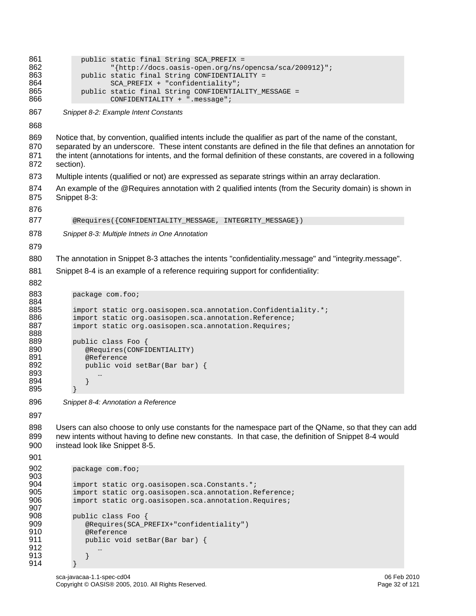```
sca-javacaa-1.1-spec-cd04 06 Feb 2010 
861 public static final String SCA_PREFIX =<br>862 <br>Fittp://docs.oasis-open.org/ns/
862 "{http://docs.oasis-open.org/ns/opencsa/sca/200912}";<br>863 public static final String CONFIDENTIALITY =
863 public static final String CONFIDENTIALITY =<br>864 SCA PREFIX + "confidentiality";
864 SCA_PREFIX + "confidentiality"; 
865 public static final String CONFIDENTIALITY_MESSAGE = 
                      CONFIDENTIALITY + ".message";
867 Snippet 8-2: Example Intent Constants 
868 
869 Notice that, by convention, qualified intents include the qualifier as part of the name of the constant, 
870 separated by an underscore. These intent constants are defined in the file that defines an annotation for 
871 the intent (annotations for intents, and the formal definition of these constants, are covered in a following 
872 section). 
873 Multiple intents (qualified or not) are expressed as separate strings within an array declaration. 
874 An example of the @Requires annotation with 2 qualified intents (from the Security domain) is shown in 
875 Snippet 8-3: 
876 
877 @Requires({CONFIDENTIALITY_MESSAGE, INTEGRITY_MESSAGE})
878 Snippet 8-3: Multiple Intnets in One Annotation 
879 
880 The annotation in Snippet 8-3 attaches the intents "confidentiality.message" and "integrity.message". 
881 Snippet 8-4 is an example of a reference requiring support for confidentiality: 
882 
883 package com.foo;
884 
885 import static org.oasisopen.sca.annotation.Confidentiality.*;
886 import static org.oasisopen.sca.annotation.Reference;<br>887 import static org.oasisopen.sca.annotation.Requires;
            import static org.oasisopen.sca.annotation.Requires;
888 
889 public class Foo { 
890 @Requires(CONFIDENTIALITY)<br>891 @Reference
891 @Reference 
               public void setBar(Bar bar) {
893 … 
894 } 
895 } 
896 Snippet 8-4: Annotation a Reference 
897 
898 Users can also choose to only use constants for the namespace part of the QName, so that they can add 
899 new intents without having to define new constants. In that case, the definition of Snippet 8-4 would 
900 instead look like Snippet 8-5. 
901 
902 package com.foo; 
903 
904 import static org.oasisopen.sca.Constants.*;<br>905 import static org.oasisopen.sca.annotation.R
905 import static org.oasisopen.sca.annotation.Reference;<br>906 import static org.oasisopen.sca.annotation.Requires;
            import static org.oasisopen.sca.annotation.Requires;
907 
908 public class Foo {<br>909 @Requires(SCA E
909 @Requires(SCA_PREFIX+"confidentiality") 
910 @Reference 
               public void setBar(Bar bar) {
912 … 
913 } 
914 }
```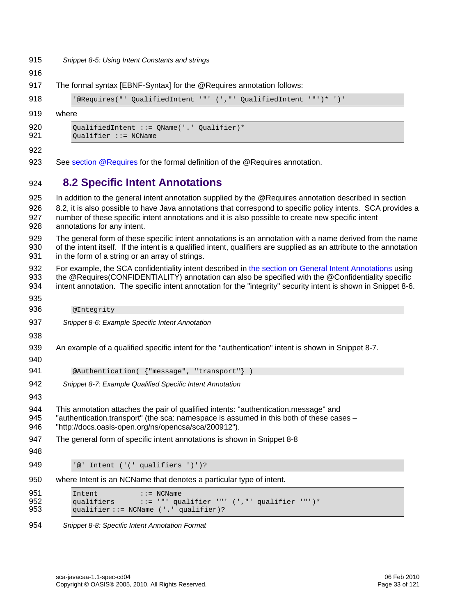<span id="page-32-0"></span>915 *Snippet 8-5: Using Intent Constants and strings* 

<span id="page-32-2"></span>916

917 The formal syntax [EBNF-Syntax] for the @Requires annotation follows:

```
918 '@Requires("' QualifiedIntent '"' (',"' QualifiedIntent '"')* ')'
```
919 where

| 920 | OualifiedIntent ::= $OMame('.'$ Oualifier)* |
|-----|---------------------------------------------|
| 921 | $Oualifier :: = NCName$                     |

#### 922

923 See [section @Requires](#page-80-0) for the formal definition of the @Requires annotation.

### <span id="page-32-1"></span>924 **8.2 Specific Intent Annotations**

<span id="page-32-3"></span>

| 925               | In addition to the general intent annotation supplied by the @Requires annotation described in section                                                                                                                                                                                                                           |
|-------------------|----------------------------------------------------------------------------------------------------------------------------------------------------------------------------------------------------------------------------------------------------------------------------------------------------------------------------------|
| 926<br>927<br>928 | 8.2, it is also possible to have Java annotations that correspond to specific policy intents. SCA provides a<br>number of these specific intent annotations and it is also possible to create new specific intent<br>annotations for any intent.                                                                                 |
| 929<br>930<br>931 | The general form of these specific intent annotations is an annotation with a name derived from the name<br>of the intent itself. If the intent is a qualified intent, qualifiers are supplied as an attribute to the annotation<br>in the form of a string or an array of strings.                                              |
| 932<br>933<br>934 | For example, the SCA confidentiality intent described in the section on General Intent Annotations using<br>the @Requires(CONFIDENTIALITY) annotation can also be specified with the @Confidentiality specific<br>intent annotation. The specific intent annotation for the "integrity" security intent is shown in Snippet 8-6. |
| 935               |                                                                                                                                                                                                                                                                                                                                  |
| 936               | @Integrity                                                                                                                                                                                                                                                                                                                       |
| 937               | Snippet 8-6: Example Specific Intent Annotation                                                                                                                                                                                                                                                                                  |
| 938               |                                                                                                                                                                                                                                                                                                                                  |
| 939<br>940        | An example of a qualified specific intent for the "authentication" intent is shown in Snippet 8-7.                                                                                                                                                                                                                               |
| 941               | @Authentication( { "message", "transport" } )                                                                                                                                                                                                                                                                                    |
| 942<br>943        | Snippet 8-7: Example Qualified Specific Intent Annotation                                                                                                                                                                                                                                                                        |
| 944<br>945<br>946 | This annotation attaches the pair of qualified intents: "authentication.message" and<br>"authentication.transport" (the sca: namespace is assumed in this both of these cases -<br>"http://docs.oasis-open.org/ns/opencsa/sca/200912").                                                                                          |
| 947               | The general form of specific intent annotations is shown in Snippet 8-8                                                                                                                                                                                                                                                          |
| 948               |                                                                                                                                                                                                                                                                                                                                  |
| 949               | '@' Intent ('(' qualifiers ')')?                                                                                                                                                                                                                                                                                                 |
| 950               | where Intent is an NCName that denotes a particular type of intent.                                                                                                                                                                                                                                                              |
| 951<br>952<br>953 | Intent<br>$\mathsf{::}$ = NCName<br>qualifiers<br>::= '"' qualifier '"' (',"' qualifier '"')*<br>qualifier: = NCName ('.' qualifier)?                                                                                                                                                                                            |

<span id="page-32-5"></span><span id="page-32-4"></span>954 *Snippet 8-8: Specific Intent Annotation Format*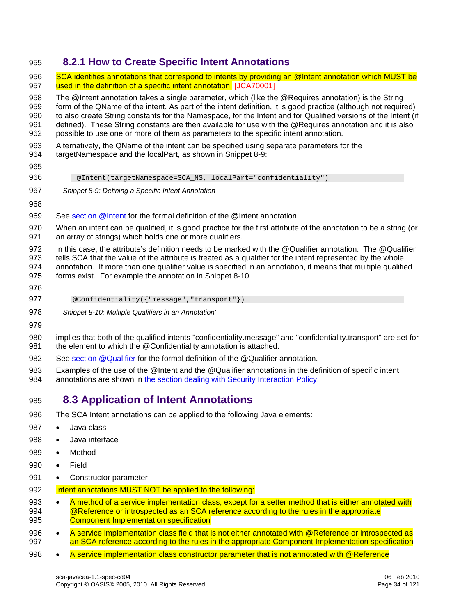#### <span id="page-33-0"></span>955 **8.2.1 How to Create Specific Intent Annotations**

<span id="page-33-3"></span><span id="page-33-1"></span>956 SCA identifies annotations that correspond to intents by providing an @Intent annotation which MUST be 957 [used in the definition of a specific intent annotati](#page-105-6)on. [JCA70001] 958 The @Intent annotation takes a single parameter, which (like the @Requires annotation) is the String 959 form of the QName of the intent. As part of the intent definition, it is good practice (although not required) 960 to also create String constants for the Namespace, for the Intent and for Qualified versions of the Intent (if 961 defined). These String constants are then available for use with the @Requires annotation and it is also 962 possible to use one or more of them as parameters to the specific intent annotation. 963 Alternatively, the QName of the intent can be specified using separate parameters for the 964 targetNamespace and the localPart, as shown in [Snippet 8-9](#page-33-3): 965 966 @Intent(targetNamespace=SCA\_NS, localPart="confidentiality") 967 *Snippet 8-9: Defining a Specific Intent Annotation*  968 969 See [section @Intent](#page-68-0) for the formal definition of the @Intent annotation. 970 When an intent can be qualified, it is good practice for the first attribute of the annotation to be a string (or 971 an array of strings) which holds one or more qualifiers. 972 In this case, the attribute's definition needs to be marked with the @Qualifier annotation. The @Qualifier 973 tells SCA that the value of the attribute is treated as a qualifier for the intent represented by the whole 974 annotation. If more than one qualifier value is specified in an annotation, it means that multiple qualified 975 forms exist. For example the annotation in [Snippet 8-10](#page-33-4) 976 977 @Confidentiality({"message","transport"})

- <span id="page-33-4"></span>978 *Snippet 8-10: Multiple Qualifiers in an Annotation'*
- 979

980 implies that both of the qualified intents "confidentiality.message" and "confidentiality.transport" are set for 981 the element to which the @Confidentiality annotation is attached.

- 982 See [section @Qualifier](#page-74-0) for the formal definition of the @Qualifier annotation.
- 983 Examples of the use of the @Intent and the @Qualifier annotations in the definition of specific intent 984 annotations are shown in [the section dealing with Security Interaction Policy.](#page-38-0)

### <span id="page-33-2"></span>985 **8.3 Application of Intent Annotations**

- 986 The SCA Intent annotations can be applied to the following Java elements:
- 987 Java class
- 988 Java interface
- 989 Method
- 990 Field
- 991 Constructor parameter
- 992 Intent annotations MUST NOT be applied to the following:
- 993 A method of a service implementation class, except for a setter method that is either annotated with [994 @Reference or introspected as an SCA reference according to the rules in the appropriate](#page-106-0)  [995 Component Implementation specification](#page-106-0)
- 996 A service implementation class field that is not either annotated with @Reference or introspected as 997 an SCA reference according to the rules in the appropriate Component Implementation specification
- 998 • [A service implementation class constructor parameter that is](#page-106-0) not annotated with @Reference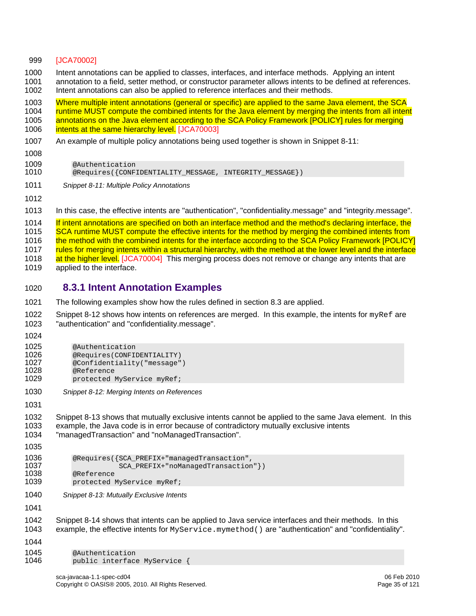#### <span id="page-34-0"></span>999 [JCA70002]

1000 Intent annotations can be applied to classes, interfaces, and interface methods. Applying an intent 1001 annotation to a field, setter method, or constructor parameter allows intents to be defined at references. 1002 Intent annotations can also be applied to reference interfaces and their methods.

[1003 Where multiple intent annotations \(general or specific\) are applied to the same Java element, the SCA](#page-106-1) 

1004 runtime MUST compute the combined intents for the Java element by merging the intents from all intent

1005 annotations on the Java element according to the SCA Policy Framework [POLICY] rules for merging

1006 [intents at the same hi](#page-106-1)erarchy level. [JCA70003]

- 1007 An example of multiple policy annotations being used together is shown in [Snippet 8-11:](#page-34-2)
- 1008

1009 **@Authentication**<br>1010 **@Requires({CONF**)

@Requires({CONFIDENTIALITY\_MESSAGE, INTEGRITY\_MESSAGE})

- <span id="page-34-2"></span>1011 *Snippet 8-11: Multiple Policy Annotations*
- 1012

1013 In this case, the effective intents are "authentication", "confidentiality.message" and "integrity.message".

[1014 If intent annotations are specified on both an interface method and the method's declaring interface, the](#page-106-2)  [1015 SCA runtime MUST compute the effective intents for the method by merging the combined intents from](#page-106-2)  1016 the method with the combined intents for the interface according to the SCA Policy Framework [POLICY] 1017 rules for merging intents within a structural hierarchy, with the method at the lower level and the interface 1018 at the higher level. [JCA70004] This merging process does not remove or change any intents that are

1019 applied to the interface.

#### <span id="page-34-1"></span>1020 **8.3.1 Intent Annotation Examples**

- 1021 The following examples show how the rules defined in section 8.3 are applied.
- 1022 [Snippet 8-12](#page-34-3) shows how intents on references are merged. In this example, the intents for  $myRef$  are 1023 "authentication" and "confidentiality.message".

1024

```
1025 @Authentication<br>1026 @Requires(CONFI)
1026 @Requires(CONFIDENTIALITY)<br>1027 @Confidentiality("message"
1027 @Confidentiality("message") 
1028 @Reference 
              protected MyService myRef;
```
<span id="page-34-3"></span>1030 *Snippet 8-12: Merging Intents on References* 

1031

1032 [Snippet 8-13](#page-34-4) shows that mutually exclusive intents cannot be applied to the same Java element. In this 1033 example, the Java code is in error because of contradictory mutually exclusive intents

1034 "managedTransaction" and "noManagedTransaction".

```
1035 
1036 @Requires({SCA_PREFIX+"managedTransaction",<br>1037 SCA PREFIX+"noManagedTransaction
1037 SCA_PREFIX+"noManagedTransaction" })<br>1038 @Reference
1038 @Reference 
             protected MyService myRef;
1040 Snippet 8-13: Mutually Exclusive Intents
```
<span id="page-34-4"></span>1041

1042 [Snippet 8-14](#page-35-0) shows that intents can be applied to Java service interfaces and their methods. In this 1043 example, the effective intents for MyService.mymethod() are "authentication" and "confidentiality".

1044 1045 @Authentication<br>1046 public interface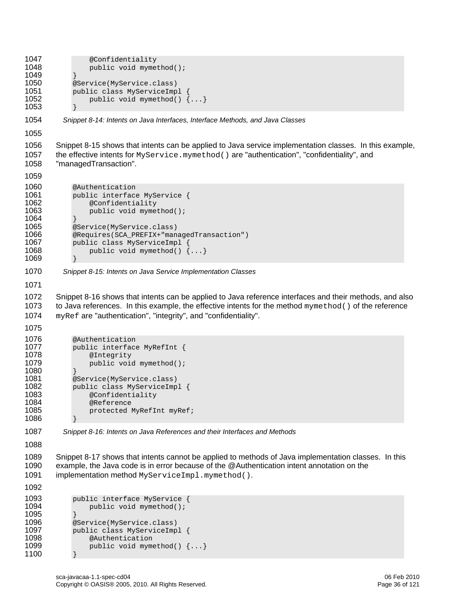```
1047 @Confidentiality<br>1048 bublic void myme
              public void mymethod();<br>}
1049<br>1050
1050 @Service(MyService.class)<br>1051 public class MyServiceImp
1051 public class MyServiceImpl { 
                   public void mymethod() \{ \ldots \}1053 } 
1054 Snippet 8-14: Intents on Java Interfaces, Interface Methods, and Java Classes 
1055 
1056 Snippet 8-15 shows that intents can be applied to Java service implementation classes. In this example, 
1057 the effective intents for MyService.mymethod() are "authentication", "confidentiality", and 
1058 "managedTransaction". 
1059 
1060 @Authentication<br>1061 public interface
              public interface MyService {
1062 @Confidentiality 
                   public void mymethod();
\begin{array}{cc} 1064 & 3 \\ 1065 & 2 \end{array}1065 @Service(MyService.class)<br>1066 @Requires(SCA PREFIX+"man
1066 @Requires(SCA_PREFIX+"managedTransaction") 
1067 public class MyServiceImpl {<br>1068 public void mymethod() {
                   public void mymethod() \{... \}1069 } 
1070 Snippet 8-15: Intents on Java Service Implementation Classes 
1071 
1072 Snippet 8-16 shows that intents can be applied to Java reference interfaces and their methods, and also 
1073 to Java references. In this example, the effective intents for the method mymethod() of the reference
1074 myRef are "authentication", "integrity", and "confidentiality". 
1075 
1076 @Authentication<br>1077 public interface
1077 public interface MyRefInt {<br>1078    ©Integrity
1078 @Integrity 
                   public void mymethod();
1080<br>1081
1081 @Service(MyService.class) 
1082 public class MyServiceImpl {<br>1083     @Confidentiality
1083 @Confidentiality 
1084 @Reference 
                   protected MyRefInt myRef;
1086 } 
1087 Snippet 8-16: Intents on Java References and their Interfaces and Methods 
1088 
1089 Snippet 8-17 shows that intents cannot be applied to methods of Java implementation classes. In this 
1090 example, the Java code is in error because of the @Authentication intent annotation on the 
1091 implementation method MyServiceImpl.mymethod(). 
1092 
1093 public interface MyService {<br>1094 public void mymethod();
                   public void mymethod();
\begin{array}{cc} 1095 & & \ & 3 \\ 1096 & & \ & \end{array}1096 @Service(MyService.class)<br>1097 public class MyServiceImp
1097 public class MyServiceImpl {<br>1098      @Authentication
1098 @Authentication<br>1099 public void myme
                   public void mymethod() \{ \ldots \}1100 }
```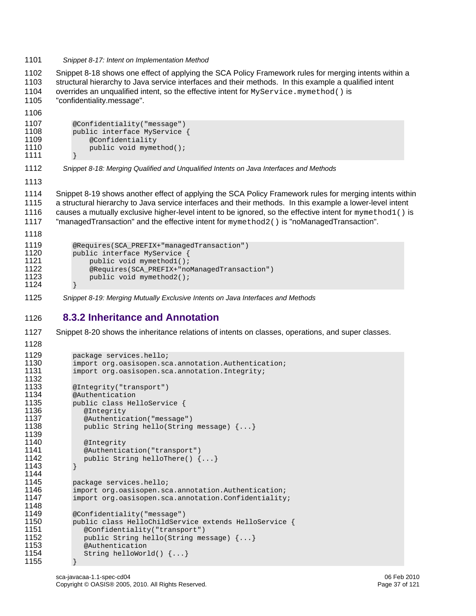1101 *Snippet 8-17: Intent on Implementation Method* 

1102 [Snippet 8-18](#page-36-0) shows one effect of applying the SCA Policy Framework rules for merging intents within a 1103 structural hierarchy to Java service interfaces and their methods. In this example a qualified intent 1104 overrides an unqualified intent, so the effective intent for MyService, mymethod() is 1105 "confidentiality.message".

1106

```
1107 @Confidentiality("message")<br>1108 public interface MyService
1108 public interface MyService {<br>1109     @Confidentiality
                   @Confidentiality
1110 public void mymethod();
1111 }
```
<span id="page-36-0"></span>1112 *Snippet 8-18: Merging Qualified and Unqualified Intents on Java Interfaces and Methods* 

1113

1114 [Snippet 8-19](#page-36-1) shows another effect of applying the SCA Policy Framework rules for merging intents within 1115 a structural hierarchy to Java service interfaces and their methods. In this example a lower-level intent 1116 causes a mutually exclusive higher-level intent to be ignored, so the effective intent for mymethod1() is 1117 "managedTransaction" and the effective intent for mymethod2() is "noManagedTransaction".

```
1118 
1119 @Requires(SCA_PREFIX+"managedTransaction")<br>1120 public interface MyService {
1120 public interface MyService {<br>1121 public void mymethodl();
1121 public void mymethod1();<br>1122 @Requires(SCA PREFIX+"no
1122 @Requires(SCA_PREFIX+"noManagedTransaction")<br>1123 bublic void mymethod2();
                     public void mymethod2();
1124 }
```
<span id="page-36-1"></span>1125 *Snippet 8-19: Merging Mutually Exclusive Intents on Java Interfaces and Methods*

## 1126 **8.3.2 Inheritance and Annotation**

1127 [Snippet 8-20](#page-37-0) shows the inheritance relations of intents on classes, operations, and super classes.

```
1128 
1129 package services.hello;<br>1130 import org.oasisopen.sc
1130 import org.oasisopen.sca.annotation.Authentication;<br>1131 import org.oasisopen.sca.annotation.Integrity;
                import org.oasisopen.sca.annotation.Integrity;
1132 
1133 @Integrity("transport") 
1134 @Authentication<br>1135 public class He.
1135 public class HelloService {<br>1136      @Integrity
1136 @Integrity<br>1137 @Authentica
1137 @Authentication("message")<br>1138 public String hello(String
                   public String hello(String message) \{... \}1139<br>1140
1140 @Integrity<br>1141 @Authentic
1141 @Authentication("transport")<br>1142   vublic String helloThere() {
                   public String helloThere() \{ \ldots \}1143 } 
1144 
1145 package services.hello;<br>1146 import org.oasisopen.sc
1146 import org.oasisopen.sca.annotation.Authentication;<br>1147 import org.oasisopen.sca.annotation.Confidentiality
                import org.oasisopen.sca.annotation.Confidentiality;
1148<br>1149
1149 @Confidentiality("message")<br>1150 public class HelloChildServ
1150 public class HelloChildService extends HelloService { 
1151 @Confidentiality("transport")<br>1152 public String hello(String me
                   public String hello(String message) \{... \}1153 @Authentication 
                   String helloWorld() \{ \ldots \}1155 }
```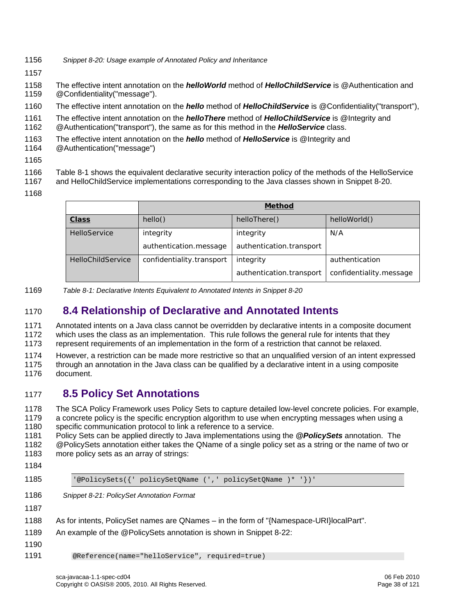- <span id="page-37-0"></span>1156 *Snippet 8-20: Usage example of Annotated Policy and Inheritance*
- 1157
- 1158 The effective intent annotation on the *helloWorld* method of *HelloChildService* is @Authentication and 1159 @Confidentiality("message").
- 1160 The effective intent annotation on the *hello* method of *HelloChildService* is @Confidentiality("transport"),
- 1161 The effective intent annotation on the *helloThere* method of *HelloChildService* is @Integrity and 1162 @Authentication("transport"), the same as for this method in the *HelloService* class.
- 1163 The effective intent annotation on the *hello* method of *HelloService* is @Integrity and
- 1164 @Authentication("message")
- 1165
- 1166 [Table 8-1](#page-37-1) shows the equivalent declarative security interaction policy of the methods of the HelloService
- 1167 and HelloChildService implementations corresponding to the Java classes shown in [Snippet 8-20.](#page-37-0)
- 1168

|                     |                           | <b>Method</b>            |                         |
|---------------------|---------------------------|--------------------------|-------------------------|
| <b>Class</b>        | hello()                   | helloThere()             | helloWorld()            |
| <b>HelloService</b> | integrity                 | integrity                | N/A                     |
|                     | authentication.message    | authentication.transport |                         |
| HelloChildService   | confidentiality.transport | integrity                | authentication          |
|                     |                           | authentication.transport | confidentiality.message |

<span id="page-37-1"></span>1169 *Table 8-1: Declarative Intents Equivalent to Annotated Intents in [Snippet 8-20](#page-37-0)* 

# 1170 **8.4 Relationship of Declarative and Annotated Intents**

1171 Annotated intents on a Java class cannot be overridden by declarative intents in a composite document 1172 which uses the class as an implementation. This rule follows the general rule for intents that they 1173 represent requirements of an implementation in the form of a restriction that cannot be relaxed.

1174 However, a restriction can be made more restrictive so that an unqualified version of an intent expressed 1175 through an annotation in the Java class can be qualified by a declarative intent in a using composite

1176 document.

# 1177 **8.5 Policy Set Annotations**

1178 The SCA Policy Framework uses Policy Sets to capture detailed low-level concrete policies. For example, 1179 a concrete policy is the specific encryption algorithm to use when encrypting messages when using a 1180 specific communication protocol to link a reference to a service.

1181 Policy Sets can be applied directly to Java implementations using the *@PolicySets* annotation. The 1182 @PolicySets annotation either takes the QName of a single policy set as a string or the name of two or 1183 more policy sets as an array of strings:

- 1184
- 

1185 '@PolicySets({' policySetQName (',' policySetQName )\* '})'

- 1186 *Snippet 8-21: PolicySet Annotation Format*
- 1187
- 1188 As for intents, PolicySet names are QNames in the form of "{Namespace-URI}localPart".
- 1189 An example of the @PolicySets annotation is shown in [Snippet 8-22](#page-38-0):
- 1190

1191 @Reference(name="helloService", required=true)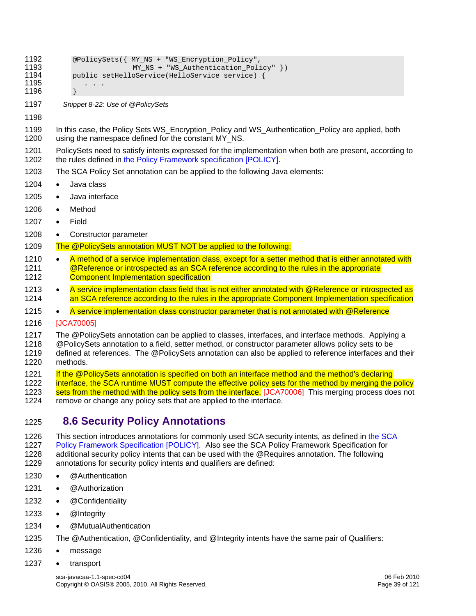- <span id="page-38-0"></span>1192 @PolicySets({ MY\_NS + "WS\_Encryption\_Policy",<br>1193 MY NS + "WS Authentication Poli 1193 MY\_NS + "WS\_Authentication\_Policy" })<br>1194 mublic setHelloService(HelloService service) { public setHelloService(HelloService service) { 1195 . . . . 1196 } 1197 *Snippet 8-22: Use of @PolicySets*  1198 1199 In this case, the Policy Sets WS\_Encryption\_Policy and WS\_Authentication\_Policy are applied, both 1200 using the namespace defined for the constant MY\_NS. 1201 PolicySets need to satisfy intents expressed for the implementation when both are present, according to 1202 the rules defined in the Policy Framework specification (POLICY). the rules defined i[n the Policy Framework specification \[POLICY\]](#page-6-0). 1203 The SCA Policy Set annotation can be applied to the following Java elements: 1204 • Java class 1205 • Java interface 1206 • Method 1207 • Field 1208 • Constructor parameter 1209 The @PolicySets annotation MUST NOT be applied to the following: 1210 • A method of a service implementation class, except for a setter method that is either annotated with 1211 **@Reference or introspected as an SCA reference according to the rules in the appropriate** [1212 Component Implementation specification](#page-106-0)  1213 • A service implementation class field that is not either annotated with @Reference or introspected as [1214 an SCA reference according to the rules in the appropriate Component Implementation specification](#page-106-0)  1215 • [A service implementation class constructor parameter t](#page-106-0)hat is not annotated with @Reference 1216 [JCA70005] 1217 The @PolicySets annotation can be applied to classes, interfaces, and interface methods. Applying a 1218 @PolicySets annotation to a field, setter method, or constructor parameter allows policy sets to be 1219 defined at references. The @PolicySets annotation can also be applied to reference interfaces and their 1220 methods. 1221 If the @PolicySets annotation is specified on both an interface method and the method's declaring 1222 interface, the SCA runtime MUST compute the effective policy sets for the method by merging the policy 1223 [sets from the method with the policy sets from the i](#page-106-1)nterface. [JCA70006] This merging process does not
- 1224 remove or change any policy sets that are applied to the interface.

# 1225 **8.6 Security Policy Annotations**

1226 This section introduces annotations for commonly used SCA security intents, as defined in the SCA 1227 [Policy Framework Specification \[POL](#page-6-0)ICY]. Also see the SCA Policy Framework Specification for 1228 additional security policy intents that can be used with the @Requires annotation. The following 1229 annotations for security policy intents and qualifiers are defined:

- 1230 @Authentication
- 1231 @Authorization
- 1232 @Confidentiality
- 1233 @Integrity
- 1234 @MutualAuthentication
- 1235 The @Authentication, @Confidentiality, and @Integrity intents have the same pair of Qualifiers:
- 1236 message
- 1237 transport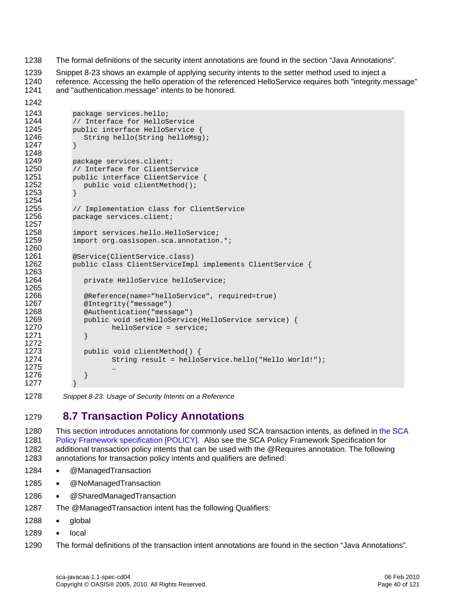1238 The formal definitions of the security intent annotations are found in the section "Java Annotations".

1239 [Snippet 8-23](#page-39-0) shows an example of applying security intents to the setter method used to inject a<br>1240 Freference, Accessing the hello operation of the referenced HelloService requires both "integrity m reference. Accessing the hello operation of the referenced HelloService requires both "integrity.message" 1241 and "authentication.message" intents to be honored.

```
1242 
1243 package services.hello;<br>1244 // Interface for HelloS
1244 // Interface for HelloService 
1245 public interface HelloService { 
                  String hello(String helloMsg);
1247 } 
1248 
1249 package services.client;<br>1250 // Interface for ClientS
1250 // Interface for ClientService<br>1251   public interface ClientService
1251 public interface ClientService {<br>1252    public void clientMethod();
                  public void clientMethod();
1253 } 
1254 
1255 // Implementation class for ClientService<br>1256 package services.client;
              package services.client;
1257<br>1258
1258 import services.hello.HelloService;<br>1259 import org.oasisopen.sca.annotation
              import org.oasisopen.sca.annotation.*;
1260 
1261 @Service(ClientService.class)<br>1262 public class ClientServiceImp
              public class ClientServiceImpl implements ClientService {
1263<br>1264
                  private HelloService helloService;
1265 
1266 @Reference(name="helloService", required=true) 
1267 @Integrity("message") 
1268 @Authentication("message") 
1269 public void setHelloService(HelloService service) {<br>1270 helloService = service;
                          helloService = service;
1271 }
1272 
1273 public void clientMethod() { 
                          String result = helloService.hello("Hello World!");
\begin{array}{c} \textbf{1275} \\ \textbf{1276} \end{array}1276 } 
1277 }
```
<span id="page-39-0"></span>1278 *Snippet 8-23: Usage of Security Intents on a Reference* 

# 1279 **8.7 Transaction Policy Annotations**

[1280 This section introduces annotations for commonly used SCA transaction intents, as defined in the SCA](#page-6-0)  1281 [Policy Framework specification \[PO](#page-6-0)LICY]. Also see the SCA Policy Framework Specification for 1282 additional transaction policy intents that can be used with the @Requires annotation. The following 1283 annotations for transaction policy intents and qualifiers are defined:

- 1284 @ManagedTransaction
- 1285 @NoManagedTransaction
- 1286 @SharedManagedTransaction
- 1287 The @ManagedTransaction intent has the following Qualifiers:
- 1288 global
- 1289 local
- 1290 The formal definitions of the transaction intent annotations are found in the section "Java Annotations".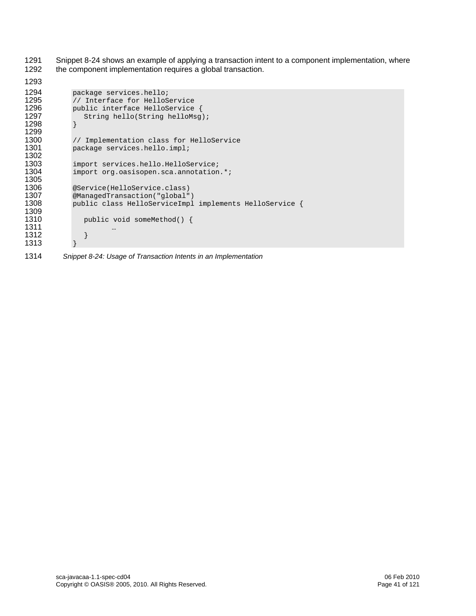1291 [Snippet 8-24](#page-40-0) shows an example of applying a transaction intent to a component implementation, where 1292 the component implementation requires a global transaction.

```
1293 
1294 package services.hello;<br>1295 // Interface for HelloS
1295 // Interface for HelloService<br>1296   – public interface HelloService
1296 public interface HelloService {<br>1297 String hello(String helloMsg)
              String hello(String helloMsg);<br>}
1298 } 
1299 
1300 // Implementation class for HelloService 
              package services.hello.impl;
1302 
1303 import services.hello.HelloService;<br>1304 import org.oasisopen.sca.annotation
              import org.oasisopen.sca.annotation.*;
1305 
1306 <br>
1307 @ManagedTransaction("global"
1307 @ManagedTransaction("global")<br>1308 public class HelloServiceImpl
              public class HelloServiceImpl implements HelloService {
1309 
                 public void someMethod() {
1311 … 
1312 } 
1313 }
```
<span id="page-40-0"></span>1314 *Snippet 8-24: Usage of Transaction Intents in an Implementation*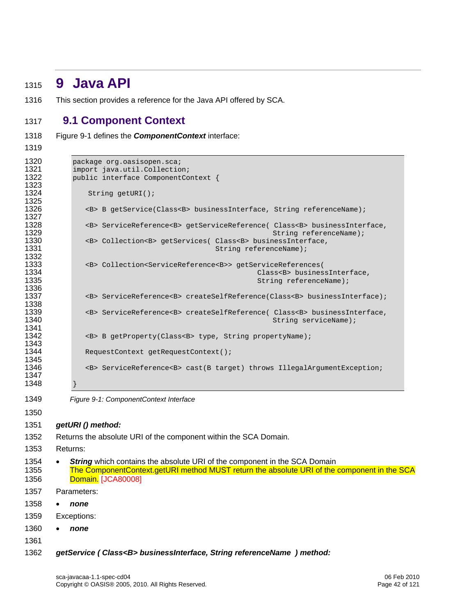# **9 Java API**

1316 This section provides a reference for the Java API offered by SCA.

# **9.1 Component Context**

- [Figure 9-1](#page-41-0) defines the *ComponentContext* interface:
- 

```
1320 package org.oasisopen.sca;<br>1321 import java.util.Collectio
1321 import java.util.Collection; 
           public interface ComponentContext {
1323 
              String getURI();
1325 
              1326 <B> B getService(Class<B> businessInterface, String referenceName); 
1327 
1328 <B> ServiceReference<B> getServiceReference( Class<B> businessInterface, 
1329 String referenceName); 
1330 <B> Collection<B> getServices( Class<B> businessInterface,<br>1331 String referenceName);
                                             String referenceName);
1332 
1333 <B> Collection<ServiceReference<B>> getServiceReferences( 
1334 Class<B> businessInterface, 
                                                       String referenceName);
1336<br>1337
              1337 <B> ServiceReference<B> createSelfReference(Class<B> businessInterface); 
1338 
1339 <B> ServiceReference<B> createSelfReference( Class<B> businessInterface, 
                                                          String serviceName);
1341 
              1342 <B> B getProperty(Class<B> type, String propertyName); 
1343 
              RequestContext getRequestContext();
1345<br>1346
              1346 <B> ServiceReference<B> cast(B target) throws IllegalArgumentException; 
1347 
1348 } 
1349 Figure 9-1: ComponentContext Interface 
1350 
1351 getURI () method: 
1352 Returns the absolute URI of the component within the SCA Domain. 
1353 Returns:
```
- <span id="page-41-0"></span>1354 • **String** which contains the absolute URI of the component in the SCA Domain [1355 The ComponentContext.getURI method MUST return the absolute URI of the component in the SCA](#page-107-0)  [Dom](#page-107-0)ain. [JCA80008]
- 1357 Parameters:
- *none*
- 1359 Exceptions:
- *none*
- 
- *getService ( Class<B> businessInterface, String referenceName ) method:*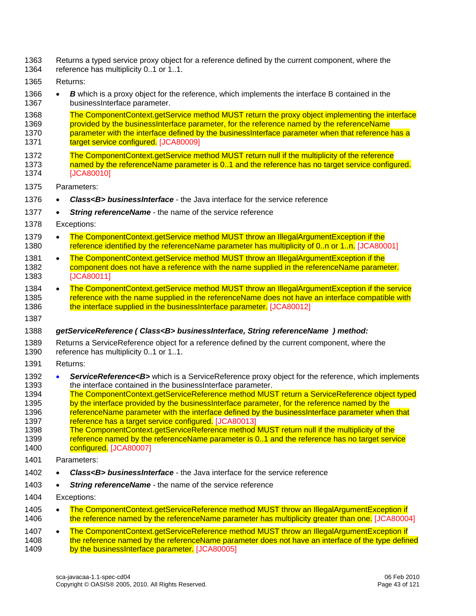- 1363 Returns a typed service proxy object for a reference defined by the current component, where the
- 1364 reference has multiplicity 0..1 or 1..1.
- 1365 Returns:
- 1366 *B* which is a proxy object for the reference, which implements the interface B contained in the 1367 businessInterface parameter.
- 1368 The ComponentContext.getService method MUST return the proxy object implementing the interface 1369 provided by the businessInterface parameter, for the reference named by the referenceName 1370 parameter with the interface defined by the businessInterface parameter when that reference has a 1371 **[target serv](#page-107-1)ice configured.** [JCA80009]
- 1372 The ComponentContext.getService method MUST return null if the multiplicity of the reference 1373 [named by the referenceName parameter is 0..1 and the reference has no target service config](#page-107-2)ured. 1374 [JCA80010]
- 1375 Parameters:
- 1376 *Class<B> businessInterface* the Java interface for the service reference
- 1377 **String referenceName** the name of the service reference
- 1378 Exceptions:
- 1379 The ComponentContext.getService method MUST throw an IllegalArgumentException if the 1380 [reference identified by the referenceName parameter has multiplicity of 0..n or 1](#page-106-2)..n. [JCA80001]
- 1381 The ComponentContext.getService method MUST throw an IllegalArgumentException if the 1382 [component does not have a reference with the name supplied in the referenceName parame](#page-107-3)ter. 1383 [JCA80011]
- 1384 The ComponentContext.getService method MUST throw an IllegalArgumentException if the service 1385 reference with the name supplied in the referenceName does not have an interface compatible with 1386 [the interface supplied in the businessInterface](#page-107-4) parameter. [JCA80012]
- 1387

#### 1388 *getServiceReference ( Class<B> businessInterface, String referenceName ) method:*

- 1389 Returns a ServiceReference object for a reference defined by the current component, where the 1390 reference has multiplicity 0..1 or 1..1.
- 1391 Returns:
- 1392 **ServiceReference<B>** which is a ServiceReference proxy object for the reference, which implements 1393 the interface contained in the business Interface parameter. the interface contained in the businessInterface parameter.
- [1394 The ComponentContext.getServiceReference method MUST return a ServiceReference object typed](#page-107-5)  [1395 by the interface provided by the businessInterface parameter, for the reference named by the](#page-107-5)  1396 referenceName parameter with the interface defined by the businessInterface parameter when that
- 1397 [reference has a target serv](#page-107-5)ice configured. [JCA80013]
- [1398 The ComponentContext.getServiceReference method MUST return null if the multiplicity of the](#page-107-6)  [1399 reference named by the referenceName parameter is 0..1 and the reference has no target service](#page-107-6)  1400 [c](#page-107-6)onfigured. [JCA80007]
- 1401 Parameters:
- 1402 *Class<B> businessInterface* the Java interface for the service reference
- 1403 *String referenceName* the name of the service reference
- 1404 Exceptions:
- 1405 The ComponentContext.getServiceReference method MUST throw an IllegalArgumentException if 1406 [the reference named by the referenceName parameter has multiplicity greater than](#page-106-3) one. [JCA80004]
- 1407 The ComponentContext.getServiceReference method MUST throw an IllegalArgumentException if 1408 the reference named by the referenceName parameter does not have an interface of the type defined<br>1409 by the businessInterface parameter. [JCA80005] [by the businessInterface](#page-107-7) parameter. [JCA80005]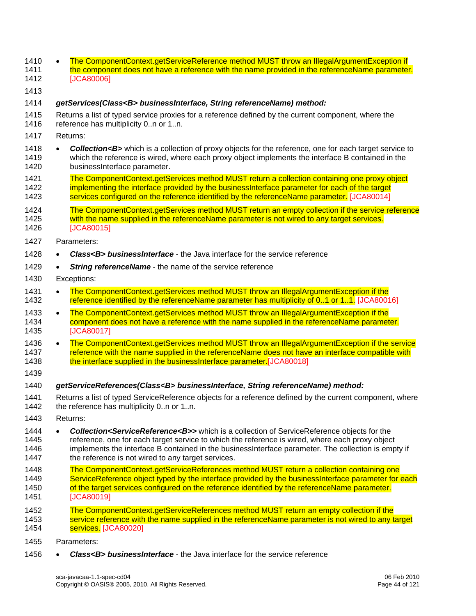| 1410<br>1411<br>1412         |           | The ComponentContext.getServiceReference method MUST throw an IllegalArgumentException if<br>the component does not have a reference with the name provided in the referenceName parameter.<br>[JCA80006]                                                                                                                                                                                |
|------------------------------|-----------|------------------------------------------------------------------------------------------------------------------------------------------------------------------------------------------------------------------------------------------------------------------------------------------------------------------------------------------------------------------------------------------|
| 1413                         |           |                                                                                                                                                                                                                                                                                                                                                                                          |
| 1414                         |           | getServices(Class <b> businessInterface, String referenceName) method:</b>                                                                                                                                                                                                                                                                                                               |
| 1415<br>1416                 |           | Returns a list of typed service proxies for a reference defined by the current component, where the<br>reference has multiplicity 0n or 1n.                                                                                                                                                                                                                                              |
| 1417                         |           | Returns:                                                                                                                                                                                                                                                                                                                                                                                 |
| 1418<br>1419<br>1420         | $\bullet$ | Collection <b> which is a collection of proxy objects for the reference, one for each target service to<br/>which the reference is wired, where each proxy object implements the interface B contained in the<br/>businessInterface parameter.</b>                                                                                                                                       |
| 1421<br>1422<br>1423         |           | The ComponentContext.getServices method MUST return a collection containing one proxy object<br>implementing the interface provided by the businessinterface parameter for each of the target<br>services configured on the reference identified by the referenceName parameter. [JCA80014]                                                                                              |
| 1424<br>1425<br>1426         |           | The ComponentContext.getServices method MUST return an empty collection if the service reference<br>with the name supplied in the referenceName parameter is not wired to any target services.<br>[JCA80015]                                                                                                                                                                             |
| 1427                         |           | Parameters:                                                                                                                                                                                                                                                                                                                                                                              |
| 1428                         |           | Class <b> businessInterface - the Java interface for the service reference</b>                                                                                                                                                                                                                                                                                                           |
| 1429                         |           | String referenceName - the name of the service reference                                                                                                                                                                                                                                                                                                                                 |
| 1430                         |           | Exceptions:                                                                                                                                                                                                                                                                                                                                                                              |
| 1431<br>1432                 | $\bullet$ | The ComponentContext.getServices method MUST throw an IllegalArgumentException if the<br>reference identified by the referenceName parameter has multiplicity of 0.1 or 1.1. [JCA80016]                                                                                                                                                                                                  |
| 1433<br>1434<br>1435         | $\bullet$ | The ComponentContext.getServices method MUST throw an IllegalArgumentException if the<br>component does not have a reference with the name supplied in the referenceName parameter.<br>[JCA80017]                                                                                                                                                                                        |
| 1436<br>1437<br>1438         | $\bullet$ | The ComponentContext.getServices method MUST throw an IllegalArgumentException if the service<br>reference with the name supplied in the referenceName does not have an interface compatible with<br>the interface supplied in the businessinterface parameter. [JCA80018]                                                                                                               |
| 1439                         |           |                                                                                                                                                                                                                                                                                                                                                                                          |
| 1440                         |           | getServiceReferences(Class <b> businessInterface, String referenceName) method:</b>                                                                                                                                                                                                                                                                                                      |
| 1441<br>1442                 |           | Returns a list of typed ServiceReference objects for a reference defined by the current component, where<br>the reference has multiplicity 0n or 1n.                                                                                                                                                                                                                                     |
| 1443                         |           | Returns:                                                                                                                                                                                                                                                                                                                                                                                 |
| 1444<br>1445<br>1446<br>1447 |           | <b>Collection<servicereference<b>&gt;</servicereference<b></b> which is a collection of ServiceReference objects for the<br>reference, one for each target service to which the reference is wired, where each proxy object<br>implements the interface B contained in the businessInterface parameter. The collection is empty if<br>the reference is not wired to any target services. |
| 1448<br>1449<br>1450<br>1451 |           | The ComponentContext.getServiceReferences method MUST return a collection containing one<br>ServiceReference object typed by the interface provided by the businessInterface parameter for each<br>of the target services configured on the reference identified by the referenceName parameter.<br>[JCA80019]                                                                           |
| 1452<br>1453<br>1454         |           | The ComponentContext.getServiceReferences method MUST return an empty collection if the<br>service reference with the name supplied in the referenceName parameter is not wired to any target<br>services. [JCA80020]                                                                                                                                                                    |
| 1455                         |           | Parameters:                                                                                                                                                                                                                                                                                                                                                                              |

1456 • *Class<B> businessInterface* - the Java interface for the service reference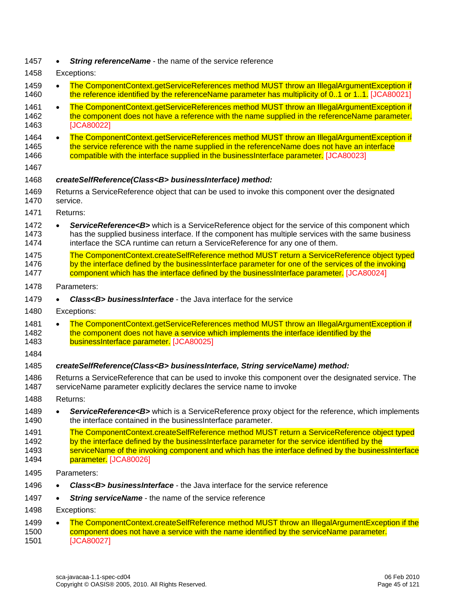| 1457 | <b>String referenceName</b> - the name of the service reference |  |
|------|-----------------------------------------------------------------|--|
|      |                                                                 |  |

- 1458 Exceptions:
- 1459 The ComponentContext.getServiceReferences method MUST throw an IllegalArgumentException if 1460 [the reference identified by the referenceName parameter has multiplicity of 0..1 or 1](#page-108-2)..1. [JCA80021]
- 1461 The ComponentContext.getServiceReferences method MUST throw an IllegalArgumentException if 1462 [the component does not have a reference with the name supplied in the referenceName param](#page-108-3)eter. 1463 [JCA80022]
- 1464 The ComponentContext.getServiceReferences method MUST throw an IllegalArgumentException if 1465 the service reference with the name supplied in the referenceName does not have an interface 1466 [compatible with the interface supplied in the businessInterface p](#page-108-4)arameter. [JCA80023]
- 1467

#### 1468 *createSelfReference(Class<B> businessInterface) method:*

- 1469 Returns a ServiceReference object that can be used to invoke this component over the designated 1470 service.
- 1471 Returns:
- 1472 **ServiceReference<B>** which is a ServiceReference object for the service of this component which 1473 has the supplied business interface. If the component has multiple services with the same business 1474 interface the SCA runtime can return a ServiceReference for any one of them.
- [1475 The ComponentContext.createSelfReference method MUST return a ServiceReference object typed](#page-108-5)  1476 by the interface defined by the businessInterface parameter for one of the services of the invoking 1477 [component which has the interface defined by the businessInterface](#page-108-5) parameter. [JCA80024]
- 1478 Parameters:
- 1479 *Class<B> businessInterface* the Java interface for the service
- 1480 Exceptions:

1481 • The ComponentContext.getServiceReferences method MUST throw an IllegalArgumentException if 1482 the component does not have a service which implements the interface identified by the 1483 [businessInterface](#page-108-6) parameter. [JCA80025]

1484

#### 1485 *createSelfReference(Class<B> businessInterface, String serviceName) method:*

- 1486 Returns a ServiceReference that can be used to invoke this component over the designated service. The 1487 serviceName parameter explicitly declares the service name to invoke
- 1488 Returns:
- 1489 *ServiceReference<B>* which is a ServiceReference proxy object for the reference, which implements 1490 the interface contained in the business Interface parameter. the interface contained in the businessInterface parameter.
- [1491 The ComponentContext.createSelfReference method MUST return a ServiceReference object typed](#page-108-7)
- 1492 by the interface defined by the businessInterface parameter for the service identified by the
- 1493 serviceName of the invoking component and which has the interface defined by the businessInterface 1494 **parameter.** [JCA80026]
- 1495 Parameters:
- 1496 *Class<B> businessInterface* the Java interface for the service reference
- 1497 *String serviceName* the name of the service reference
- 1498 Exceptions:
- 1499 The ComponentContext.createSelfReference method MUST throw an IllegalArgumentException if the 1500 [component does not have a service with the name identified by the serviceName param](#page-108-8)eter. 1501 [JCA80027]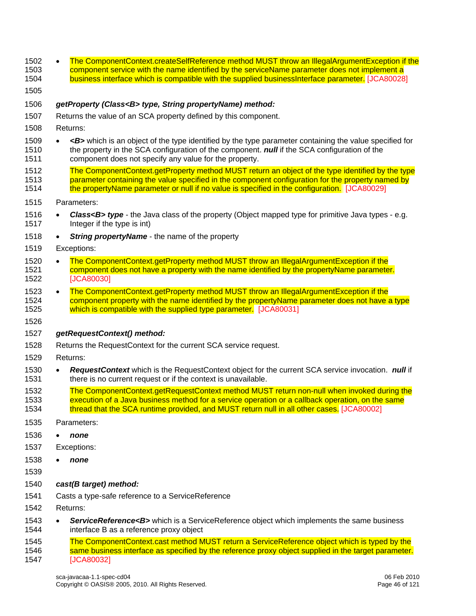1502 • The ComponentContext.createSelfReference method MUST throw an IllegalArgumentException if the [1503 component service with the name identified by the serviceName parameter does not implement a](#page-108-9)  1504 [business interface which is compatible with the supplied businessInterface](#page-108-9) parameter. [JCA80028] 1505 1506 *getProperty (Class<B> type, String propertyName) method:*  1507 Returns the value of an SCA property defined by this component. 1508 Returns: 1509 • *<B>* which is an object of the type identified by the type parameter containing the value specified for 1510 the property in the SCA configuration of the component. *null* if the SCA configuration of the 1511 component does not specify any value for the property. [1512 The ComponentContext.getProperty method MUST return an object of the type identified by the type](#page-108-10)  1513 parameter containing the value specified in the component configuration for the property named by 1514 [the propertyName parameter or null if no value is specified in the confi](#page-108-10)guration. [JCA80029] 1515 Parameters: 1516 • *Class<B> type* - the Java class of the property (Object mapped type for primitive Java types - e.g. 1517 Integer if the type is int) 1518 • *String propertyName* - the name of the property 1519 Exceptions: 1520 • The ComponentContext.getProperty method MUST throw an IllegalArgumentException if the 1521 [component does not have a property with the name identified by the propertyName parame](#page-108-11)ter. 1522 [JCA80030] 1523 • The ComponentContext.getProperty method MUST throw an IllegalArgumentException if the 1524 component property with the name identified by the propertyName parameter does not have a type 1525 [which is compatible with the supplied type](#page-108-12) parameter. [JCA80031] 1526 1527 *getRequestContext() method:*  1528 Returns the RequestContext for the current SCA service request. 1529 Returns: 1530 • *RequestContext* which is the RequestContext object for the current SCA service invocation. *null* if 1531 there is no current request or if the context is unavailable. 1532 The ComponentContext.getRequestContext method MUST return non-null when invoked during the 1533 execution of a Java business method for a service operation or a callback operation, on the same 1534 **[thread that the SCA runtime provided, and MUST return null in all ot](#page-106-4)her cases.** [JCA80002] 1535 Parameters: 1536 • *none*  1537 Exceptions: 1538 • *none*  1539 1540 *cast(B target) method:*  1541 Casts a type-safe reference to a ServiceReference 1542 Returns: 1543 • *ServiceReference<B>* which is a ServiceReference object which implements the same business 1544 interface B as a reference proxy object [1545 The ComponentContext.cast method MUST return a ServiceReference object which is typed by the](#page-108-13)  1546 [same business interface as specified by the reference proxy object supplied in the target parame](#page-108-13)ter. 1547 [JCA80032]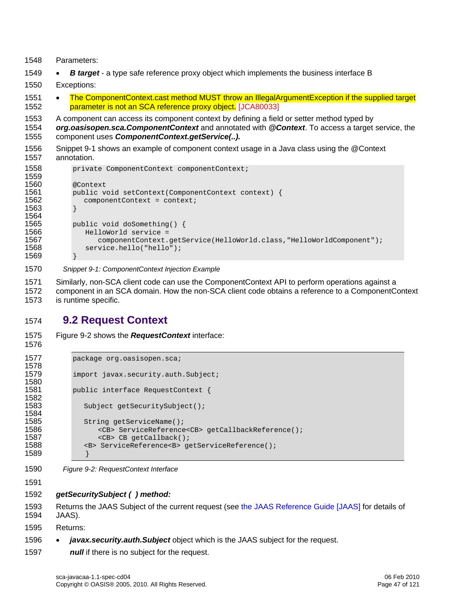```
1548 Parameters:
```
- 1549 *B target* a type safe reference proxy object which implements the business interface B
- 1550 Exceptions:
- 1551 The ComponentContext.cast method MUST throw an IllegalArgumentException if the supplied target 1552 [parameter is not an SCA reference proxy obj](#page-109-0)ect. [JCA80033]
- 1553 A component can access its component context by defining a field or setter method typed by
- 1554 *org.oasisopen.sca.ComponentContext* and annotated with *@Context*. To access a target service, the
- 1555 component uses *ComponentContext.getService(..).*
- 1556 [Snippet 9-1](#page-46-0) shows an example of component context usage in a Java class using the @Context 1557 annotation.

```
1558 private ComponentContext componentContext; 
1559 
1560 @Context 
1561 public void setContext(ComponentContext context) {<br>1562     componentContext = context;
                componentContext = context;1563 } 
1564<br>1565
1565 public void doSomething() { 
1566 HelloWorld service = 
1567 componentContext.getService(HelloWorld.class,"HelloWorldComponent");<br>1568 service.hello("hello");
                service.hello("hello");
1569 }
```
- <span id="page-46-0"></span>1570 *Snippet 9-1: ComponentContext Injection Example*
- 1571 Similarly, non-SCA client code can use the ComponentContext API to perform operations against a 1572 component in an SCA domain. How the non-SCA client code obtains a reference to a ComponentContext
- 1573 is runtime specific.

## 1574 **9.2 Request Context**

```
1576
```
1575 [Figure 9-2](#page-46-1) shows the *RequestContext* interface:

```
1577 package org.oasisopen.sca;
1578 
1579 import javax.security.auth.Subject;
1580 
1581 public interface RequestContext { 
1582 
                Subject getSecuritySubject();
1584 
1585 String getServiceName();<br>1586 - CB> ServiceReference
1586 <CB> ServiceReference<CB> getCallbackReference();<br>1587 <CB> CB qetCallback();
1587 <CB> CB getCallback();<br>1588 <B> ServiceReference<B> get
                1588 <B> ServiceReference<B> getServiceReference(); 
1589 }
```
<span id="page-46-1"></span>1590 *Figure 9-2: RequestContext Interface* 

1591

#### 1592 *getSecuritySubject ( ) method:*

1593 Returns the JAAS Subject of the current request (see [the JAAS Reference Guide \[JAAS\]](#page-7-0) for details of 1594 JAAS).

1595 Returns:

- 1596 *javax.security.auth.Subject* object which is the JAAS subject for the request.
- 1597 *null* if there is no subject for the request.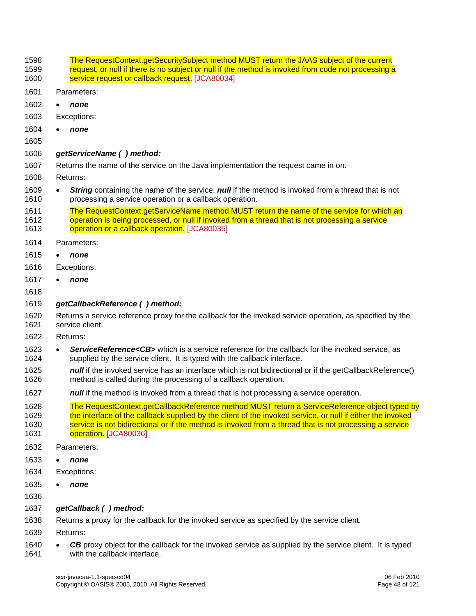1598 The RequestContext.getSecuritySubject method MUST return the JAAS subject of the current 1599 request, or null if there is no subject or null if the method is invoked from code not processing a 1600 **Service request or callback request.** [JCA80034] 1601 Parameters: 1602 • *none*  1603 Exceptions: 1604 • *none*  1605 1606 *getServiceName ( ) method:*  1607 Returns the name of the service on the Java implementation the request came in on. 1608 Returns: 1609 • *String* containing the name of the service. *null* if the method is invoked from a thread that is not 1610 processing a service operation or a callback operation. [1611 The RequestContext.getServiceName method MUST return the name of the service for which an](#page-109-2)  1612 operation is being processed, or null if invoked from a thread that is not processing a service 1613 [operation or a callback](#page-109-2) operation. [JCA80035] 1614 Parameters: 1615 • *none*  1616 Exceptions: 1617 • *none*  1618 1619 *getCallbackReference ( ) method:*  1620 Returns a service reference proxy for the callback for the invoked service operation, as specified by the 1621 service client. 1622 Returns: 1623 • *ServiceReference<CB>* which is a service reference for the callback for the invoked service, as 1624 supplied by the service client. It is typed with the callback interface. 1625 *null* if the invoked service has an interface which is not bidirectional or if the getCallbackReference() 1626 method is called during the processing of a callback operation. 1627 **null** if the method is invoked from a thread that is not processing a service operation. 1628 The RequestContext.getCallbackReference method MUST return a ServiceReference object typed by 1629 the interface of the callback supplied by the client of the invoked service, or null if either the invoked 1630 service is not bidirectional or if the method is invoked from a thread that is not processing a service 1631 operation. [JCA80036] 1632 Parameters: 1633 • *none*  1634 Exceptions: 1635 • *none*  1636 1637 *getCallback ( ) method:*  1638 Returns a proxy for the callback for the invoked service as specified by the service client. 1639 Returns: 1640 • *CB* proxy object for the callback for the invoked service as supplied by the service client. It is typed with the callback interface with the callback interface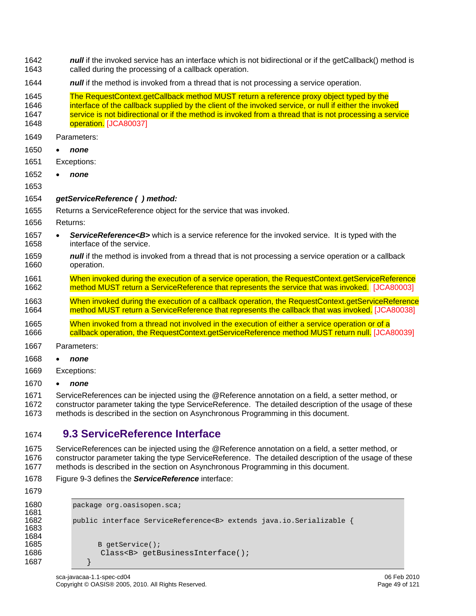- 1642 **null** if the invoked service has an interface which is not bidirectional or if the getCallback() method is 1643 called during the processing of a callback operation.
- 1644 *null* if the method is invoked from a thread that is not processing a service operation.
- [1645 The RequestContext.getCallback method MUST return a reference proxy object typed by the](#page-109-4)
- 1646 interface of the callback supplied by the client of the invoked service, or null if either the invoked 1647 service is not bidirectional or if the method is invoked from a thread that is not processing a service 1648 operation. [JCA80037]
- 1649 Parameters:
- 1650 *none*
- 1651 Exceptions:
- 1652 *none*
- 1653
- 1654 *getServiceReference ( ) method:*
- 1655 Returns a ServiceReference object for the service that was invoked.
- 1656 Returns:
- 1657 *ServiceReference<B>* which is a service reference for the invoked service. It is typed with the 1658 interface of the service.
- 1659 **null** if the method is invoked from a thread that is not processing a service operation or a callback 1660 operation.
- 1661 When invoked during the execution of a service operation, the RequestContext.getServiceReference 1662 [method MUST return a ServiceReference that represents the service that was inv](#page-106-5)oked. [JCA80003]
- 1663 When invoked during the execution of a callback operation, the RequestContext.getServiceReference 1664 [method MUST return a ServiceReference that represents the callback that was invo](#page-109-5)ked. [JCA80038]
- 1665 When invoked from a thread not involved in the execution of either a service operation or of a 1666 [callback operation, the RequestContext.getServiceReference method MUST return n](#page-109-6)ull. [JCA80039]
- 1667 Parameters:
- 1668 *none*
- 1669 Exceptions:
- 1670 *none*

1671 ServiceReferences can be injected using the @Reference annotation on a field, a setter method, or 1672 constructor parameter taking the type ServiceReference. The detailed description of the usage of these 1673 methods is described in the section on Asynchronous Programming in this document.

#### 1674 **9.3 ServiceReference Interface**

1675 ServiceReferences can be injected using the @Reference annotation on a field, a setter method, or 1676 constructor parameter taking the type ServiceReference. The detailed description of the usage of these 1677 methods is described in the section on Asynchronous Programming in this document.

- 1678 [Figure 9-3](#page-49-0) defines the *ServiceReference* interface:
- 1679

```
1680 package org.oasisopen.sca;
1681 
          1682 public interface ServiceReference<B> extends java.io.Serializable { 
1683 
1684<br>1685
1685 B getService(); 
                 Class<B> qetBusinessInterface();
1687 }
```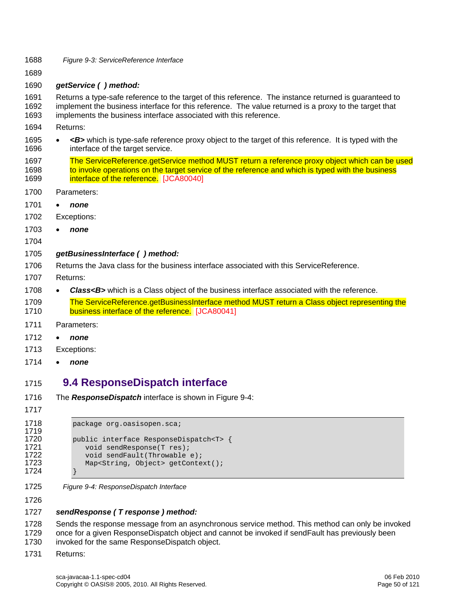- <span id="page-49-0"></span>1688 *Figure 9-3: ServiceReference Interface*
- 1689
- 1690 *getService ( ) method:*

1691 Returns a type-safe reference to the target of this reference. The instance returned is guaranteed to 1692 implement the business interface for this reference. The value returned is a proxy to the target that 1693 implements the business interface associated with this reference.

- 1694 Returns:
- 1695 *<B>* which is type-safe reference proxy object to the target of this reference. It is typed with the 1696 interface of the target service.
- [1697 The ServiceReference.getService method MUST return a reference proxy object which can be used](#page-109-7)  1698 to invoke operations on the target service of the reference and which is typed with the business 1699 **[interface of the r](#page-109-7)eference.** [JCA80040]
- 1700 Parameters:
- 1701 *none*
- 1702 Exceptions:
- 1703 *none*
- 1704

#### 1705 *getBusinessInterface ( ) method:*

- 1706 Returns the Java class for the business interface associated with this ServiceReference.
- 1707 Returns:
- 1708 **Class<B>** which is a Class object of the business interface associated with the reference.
- [1709 The ServiceReference.getBusinessInterface method MUST return a Class object representing the](#page-109-8)  1710 [business interface of the refere](#page-109-8)nce. [JCA80041]
- 1711 Parameters:
- 1712 *none*
- 1713 Exceptions:
- 1714 *none*

### 1715 **9.4 ResponseDispatch interface**

- 1716 The *ResponseDispatch* interface is shown in [Figure 9-4:](#page-49-1)
- 1717

```
1718 package org.oasisopen.sca;
1719 
1720 public interface ResponseDispatch<T> {<br>1721 void sendResponse(T res);
1721 void sendResponse(T res); 
1722 void sendFault(Throwable e);<br>1723 Map<String, Object> getConte
                 Map<String, Object> getContext();
1724 }
```
<span id="page-49-1"></span>1725 *Figure 9-4: ResponseDispatch Interface*

1726

#### 1727 *sendResponse ( T response ) method:*

1728 Sends the response message from an asynchronous service method. This method can only be invoked 1729 once for a given ResponseDispatch object and cannot be invoked if sendFault has previously been

- 1730 invoked for the same ResponseDispatch object.
- 1731 Returns: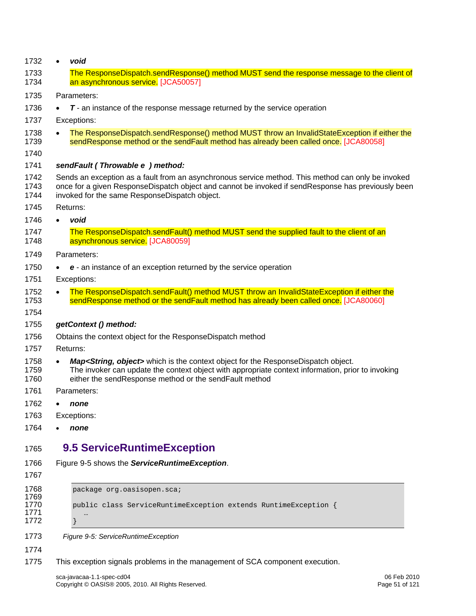<span id="page-50-0"></span>

| 1732                                 | $\bullet$ | void                                                                                                                                                                                                                                                            |
|--------------------------------------|-----------|-----------------------------------------------------------------------------------------------------------------------------------------------------------------------------------------------------------------------------------------------------------------|
| 1733<br>1734                         |           | The ResponseDispatch.sendResponse() method MUST send the response message to the client of<br>an asynchronous service. [JCA50057]                                                                                                                               |
| 1735                                 |           | Parameters:                                                                                                                                                                                                                                                     |
| 1736                                 |           | T - an instance of the response message returned by the service operation                                                                                                                                                                                       |
| 1737                                 |           | Exceptions:                                                                                                                                                                                                                                                     |
| 1738<br>1739                         |           | The ResponseDispatch.sendResponse() method MUST throw an InvalidStateException if either the<br>sendResponse method or the sendFault method has already been called once. [JCA80058]                                                                            |
| 1740                                 |           |                                                                                                                                                                                                                                                                 |
| 1741                                 |           | sendFault (Throwable e) method:                                                                                                                                                                                                                                 |
| 1742<br>1743<br>1744                 |           | Sends an exception as a fault from an asynchronous service method. This method can only be invoked<br>once for a given ResponseDispatch object and cannot be invoked if sendResponse has previously been<br>invoked for the same ResponseDispatch object.       |
| 1745                                 |           | Returns:                                                                                                                                                                                                                                                        |
| 1746                                 | $\bullet$ | void                                                                                                                                                                                                                                                            |
| 1747<br>1748                         |           | The ResponseDispatch.sendFault() method MUST send the supplied fault to the client of an<br>asynchronous service. [JCA80059]                                                                                                                                    |
| 1749                                 |           | Parameters:                                                                                                                                                                                                                                                     |
| 1750                                 |           | e - an instance of an exception returned by the service operation                                                                                                                                                                                               |
| 1751                                 |           | Exceptions:                                                                                                                                                                                                                                                     |
| 1752<br>1753<br>1754                 | $\bullet$ | The ResponseDispatch.sendFault() method MUST throw an InvalidStateException if either the<br>sendResponse method or the sendFault method has already been called once. [JCA80060]                                                                               |
| 1755                                 |           | getContext () method:                                                                                                                                                                                                                                           |
| 1756                                 |           | Obtains the context object for the ResponseDispatch method                                                                                                                                                                                                      |
| 1757                                 |           | Returns:                                                                                                                                                                                                                                                        |
| 1758<br>1759<br>1760                 | $\bullet$ | Map <string, object=""> which is the context object for the ResponseDispatch object.<br/>The invoker can update the context object with appropriate context information, prior to invoking<br/>either the sendResponse method or the sendFault method</string,> |
| 1761                                 |           | Parameters:                                                                                                                                                                                                                                                     |
| 1762                                 | ٠         | none                                                                                                                                                                                                                                                            |
| 1763                                 |           | Exceptions:                                                                                                                                                                                                                                                     |
| 1764                                 |           | none                                                                                                                                                                                                                                                            |
| 1765                                 |           | <b>9.5 ServiceRuntimeException</b>                                                                                                                                                                                                                              |
| 1766                                 |           | Figure 9-5 shows the ServiceRuntimeException.                                                                                                                                                                                                                   |
| 1767                                 |           |                                                                                                                                                                                                                                                                 |
| 1768<br>1769<br>1770<br>1771<br>1772 |           | package org.oasisopen.sca;<br>public class ServiceRuntimeException extends RuntimeException {                                                                                                                                                                   |
| 1773                                 |           | Figure 9-5: ServiceRuntimeException                                                                                                                                                                                                                             |
| 1774                                 |           |                                                                                                                                                                                                                                                                 |
| 1775                                 |           | This exception signals problems in the management of SCA component execution.                                                                                                                                                                                   |
|                                      |           | sca-javacaa-1.1-spec-cd04<br>06 Feb 2010<br>Copyright © OASIS® 2005, 2010. All Rights Reserved.<br>Page 51 of 121                                                                                                                                               |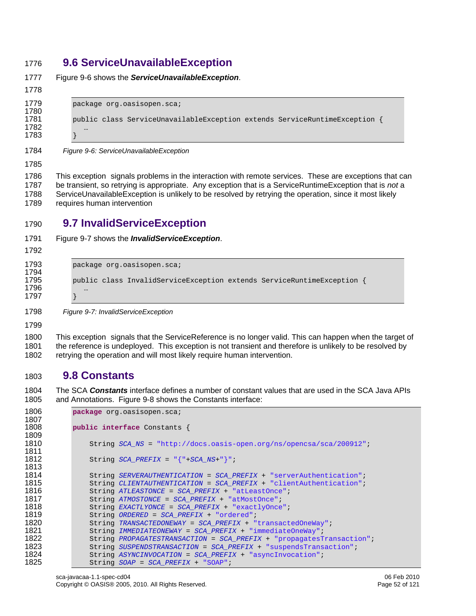## **9.6 ServiceUnavailableException**

| ٩ |  |  |
|---|--|--|

[Figure 9-6](#page-51-0) shows the *ServiceUnavailableException*.

| 1779 | package org.oasisopen.sca;                                               |
|------|--------------------------------------------------------------------------|
| 1780 |                                                                          |
| 1781 | public class ServiceUnavailableException extends ServiceRuntimeException |
| 1782 | $$                                                                       |
| 1783 |                                                                          |

<span id="page-51-0"></span>*Figure 9-6: ServiceUnavailableException* 

1786 This exception signals problems in the interaction with remote services. These are exceptions that can 1787 be transient, so retrying is appropriate. Any exception that is a ServiceRuntimeException that is *not* a 1788 ServiceUnavailableException is unlikely to be resolved by retrying the operation, since it most likely 1789 requires human intervention

## **9.7 InvalidServiceException**

[Figure 9-7](#page-51-1) shows the *InvalidServiceException*. 

```
1793 package org.oasisopen.sca;
1794 
1795 public class InvalidServiceException extends ServiceRuntimeException { 
1796 … 
1797 }
```
<span id="page-51-1"></span>*Figure 9-7: InvalidServiceException* 

1800 This exception signals that the ServiceReference is no longer valid. This can happen when the target of 1801 the reference is undeployed. This exception is not transient and therefore is unlikely to be resolved by 1802 retrying the operation and will most likely require human intervention.

# **9.8 Constants**

1804 The SCA *Constants* interface defines a number of constant values that are used in the SCA Java APIs 1805 and Annotations. [Figure 9-8](#page-52-0) shows the Constants interface:

```
1806 package org.oasisopen.sca; 
1807 
           public interface Constants {
1809 
1810 String SCA_NS = "http://docs.oasis-open.org/ns/opencsa/sca/200912"; 
1811 
1812 String SCA_PREFIX = "{"+SCA_NS+"}"; 
1813 
1814 String SERVERAUTHENTICATION = SCA_PREFIX + "serverAuthentication"; 
1815 String CLIENTAUTHENTICATION = SCA_PREFIX + "clientAuthentication"; 
1816 String ATLEASTONCE = SCA_PREFIX + "atLeastOnce";<br>1817 String ATMOSTONCE = SCA PREFIX + "atMostOnce";
              1817 String ATMOSTONCE = SCA_PREFIX + "atMostOnce"; 
1818 String EXACTLYONCE = SCA_PREFIX + "exactlyOnce"; 
1819 String ORDERED = SCA_PREFIX + "ordered"; 
1820 String TRANSACTEDONEWAY = SCA_PREFIX + "transactedOneWay"; 
1821 String IMMEDIATEONEWAY = SCA_PREFIX + "immediateOneWay"; 
1822 String PROPAGATESTRANSACTION = SCA_PREFIX + "propagatesTransaction"; 
1823 String SUSPENDSTRANSACTION = SCA_PREFIX + "suspendsTransaction"; 
1824 String ASYNCINVOCATION = SCA_PREFIX + "asyncInvocation"; 
              1825 String SOAP = SCA_PREFIX + "SOAP";
```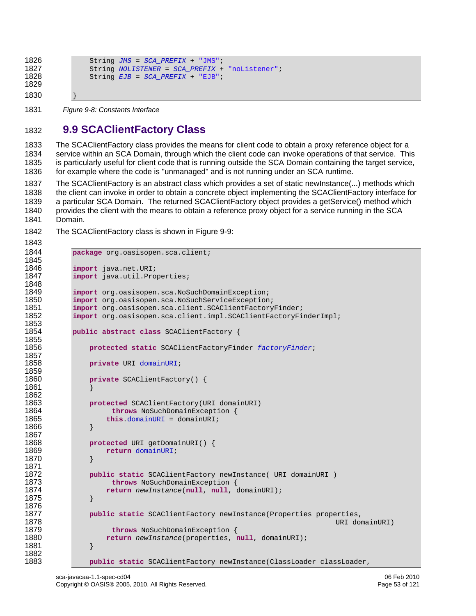```
1826 String JMS = SCA_PREFIX + "JMS";<br>1827 String NOLISTENER = SCA PREFIX +
1827 String NOLISTENER = SCA_PREFIX + "noListener";<br>1828 String EJB = SCA PREFIX + "EJB";
                      1828 String EJB = SCA_PREFIX + "EJB"; 
1829 
1830 }
```
<span id="page-52-0"></span>1831 *Figure 9-8: Constants Interface* 

1843

# 1832 **9.9 SCAClientFactory Class**

1833 The SCAClientFactory class provides the means for client code to obtain a proxy reference object for a 1834 service within an SCA Domain, through which the client code can invoke operations of that service. This 1835 is particularly useful for client code that is running outside the SCA Domain containing the target service, 1836 for example where the code is "unmanaged" and is not running under an SCA runtime.

1837 The SCAClientFactory is an abstract class which provides a set of static newInstance(...) methods which 1838 the client can invoke in order to obtain a concrete object implementing the SCAClientFactory interface for 1839 a particular SCA Domain. The returned SCAClientFactory object provides a getService() method which 1840 provides the client with the means to obtain a reference proxy object for a service running in the SCA 1841 Domain.

1842 The SCAClientFactory class is shown in [Figure 9-9:](#page-53-0)

```
1844 package org.oasisopen.sca.client; 
1845 
1846 import java.net.URI; 
             import java.util.Properties;
1848 
1849 import org.oasisopen.sca.NoSuchDomainException; 
1850 import org.oasisopen.sca.NoSuchServiceException; 
1851 import org.oasisopen.sca.client.SCAClientFactoryFinder;<br>1852 import org.oasisopen.sca.client.impl.SCAClientFactoryFi
             import org.oasisopen.sca.client.impl.SCAClientFactoryFinderImpl;
1853<br>1854
             public abstract class SCAClientFactory {
1855 
                 1856 protected static SCAClientFactoryFinder factoryFinder; 
1857 
                 1858 private URI domainURI; 
1859<br>1860
                 private SCAClientFactory() {
1861 } 
1862<br>1863
1863 protected SCAClientFactory(URI domainURI)<br>1864 https://www.NoSuchDomainException {
1864 throws NoSuchDomainException {<br>1865 this.domainURI = domainURI;
                      1865 this.domainURI = domainURI; 
1866 } 
1867<br>1868
1868 protected URI getDomainURI() {<br>1869 protection domainURI;
                     1869 return domainURI; 
1870 } 
1871 
1872 public static SCAClientFactory newInstance( URI domainURI )<br>1873 https://www.program-backgrount-state
                       throws NoSuchDomainException {
1874 return newInstance(null, null, domainURI); 
1875 } 
1876 
1877 public static SCAClientFactory newInstance(Properties properties, 
1878 URI domainURI) 
1879 throws NoSuchDomainException {<br>1880 1880 teturn new Instance (properties, 1
                      1880 return newInstance(properties, null, domainURI); 
1881 } 
1882 
                 1883 public static SCAClientFactory newInstance(ClassLoader classLoader,
```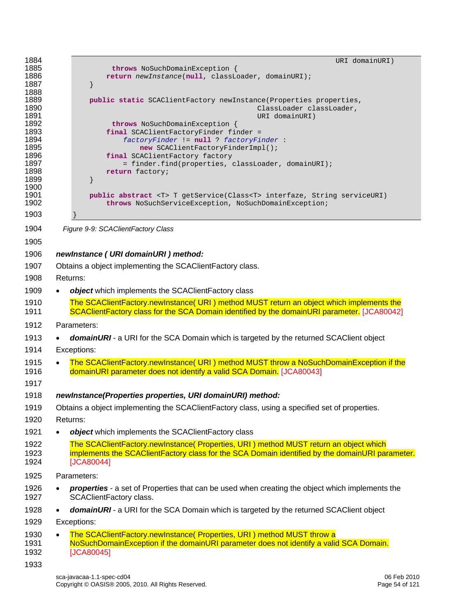<span id="page-53-0"></span>

| 1884<br>1885<br>1886<br>1887<br>1888<br>1889<br>1890<br>1891<br>1892<br>1893<br>1894<br>1895<br>1896<br>1897<br>1898<br>1899<br>1900<br>1901<br>1902 | URI domainURI)<br>throws NoSuchDomainException {<br>return newInstance(null, classLoader, domainURI);<br>public static SCAClientFactory newInstance(Properties properties,<br>ClassLoader classLoader,<br>URI domainURI)<br>throws NoSuchDomainException {<br>final SCAClientFactoryFinder finder =<br>factoryFinder != null ? factoryFinder :<br>new SCAClientFactoryFinderImpl();<br>final SCAClientFactory factory<br>= finder.find(properties, classLoader, domainURI);<br>return factory;<br>public abstract <t> T getService(Class<t> interfaze, String serviceURI)<br/>throws NoSuchServiceException, NoSuchDomainException;</t></t> |
|------------------------------------------------------------------------------------------------------------------------------------------------------|---------------------------------------------------------------------------------------------------------------------------------------------------------------------------------------------------------------------------------------------------------------------------------------------------------------------------------------------------------------------------------------------------------------------------------------------------------------------------------------------------------------------------------------------------------------------------------------------------------------------------------------------|
| 1903                                                                                                                                                 |                                                                                                                                                                                                                                                                                                                                                                                                                                                                                                                                                                                                                                             |
| 1904                                                                                                                                                 | Figure 9-9: SCAClientFactory Class                                                                                                                                                                                                                                                                                                                                                                                                                                                                                                                                                                                                          |
| 1905                                                                                                                                                 |                                                                                                                                                                                                                                                                                                                                                                                                                                                                                                                                                                                                                                             |
| 1906                                                                                                                                                 | newInstance (URI domainURI) method:                                                                                                                                                                                                                                                                                                                                                                                                                                                                                                                                                                                                         |
| 1907                                                                                                                                                 | Obtains a object implementing the SCAClientFactory class.                                                                                                                                                                                                                                                                                                                                                                                                                                                                                                                                                                                   |
| 1908                                                                                                                                                 | Returns:                                                                                                                                                                                                                                                                                                                                                                                                                                                                                                                                                                                                                                    |
| 1909                                                                                                                                                 | object which implements the SCAClientFactory class                                                                                                                                                                                                                                                                                                                                                                                                                                                                                                                                                                                          |
| 1910                                                                                                                                                 | The SCAClientFactory.newInstance( URI) method MUST return an object which implements the                                                                                                                                                                                                                                                                                                                                                                                                                                                                                                                                                    |
| 1911                                                                                                                                                 | SCAClientFactory class for the SCA Domain identified by the domainURI parameter. [JCA80042]                                                                                                                                                                                                                                                                                                                                                                                                                                                                                                                                                 |
| 1912                                                                                                                                                 | Parameters:                                                                                                                                                                                                                                                                                                                                                                                                                                                                                                                                                                                                                                 |
| 1913                                                                                                                                                 | <b>domainURI</b> - a URI for the SCA Domain which is targeted by the returned SCAClient object                                                                                                                                                                                                                                                                                                                                                                                                                                                                                                                                              |
| 1914                                                                                                                                                 | Exceptions:                                                                                                                                                                                                                                                                                                                                                                                                                                                                                                                                                                                                                                 |
| 1915                                                                                                                                                 | The SCAClientFactory.newInstance( URI ) method MUST throw a NoSuchDomainException if the<br>$\bullet$                                                                                                                                                                                                                                                                                                                                                                                                                                                                                                                                       |
| 1916                                                                                                                                                 | domainURI parameter does not identify a valid SCA Domain. [JCA80043]                                                                                                                                                                                                                                                                                                                                                                                                                                                                                                                                                                        |
| 1917                                                                                                                                                 |                                                                                                                                                                                                                                                                                                                                                                                                                                                                                                                                                                                                                                             |
| 1918                                                                                                                                                 | newInstance(Properties properties, URI domainURI) method:                                                                                                                                                                                                                                                                                                                                                                                                                                                                                                                                                                                   |
| 1919                                                                                                                                                 | Obtains a object implementing the SCAClientFactory class, using a specified set of properties.                                                                                                                                                                                                                                                                                                                                                                                                                                                                                                                                              |
| 1920                                                                                                                                                 | Returns:                                                                                                                                                                                                                                                                                                                                                                                                                                                                                                                                                                                                                                    |
| 1921                                                                                                                                                 | object which implements the SCAClientFactory class                                                                                                                                                                                                                                                                                                                                                                                                                                                                                                                                                                                          |
| 1922<br>1923                                                                                                                                         | The SCAClientFactory.newInstance(Properties, URI) method MUST return an object which<br>implements the SCAClientFactory class for the SCA Domain identified by the domainURI parameter.                                                                                                                                                                                                                                                                                                                                                                                                                                                     |
| 1924                                                                                                                                                 | [JCA80044]                                                                                                                                                                                                                                                                                                                                                                                                                                                                                                                                                                                                                                  |
| 1925                                                                                                                                                 | Parameters:                                                                                                                                                                                                                                                                                                                                                                                                                                                                                                                                                                                                                                 |
| 1926                                                                                                                                                 | properties - a set of Properties that can be used when creating the object which implements the                                                                                                                                                                                                                                                                                                                                                                                                                                                                                                                                             |
| 1927                                                                                                                                                 | <b>SCAClientFactory class.</b>                                                                                                                                                                                                                                                                                                                                                                                                                                                                                                                                                                                                              |
| 1928                                                                                                                                                 | domainURI - a URI for the SCA Domain which is targeted by the returned SCAClient object<br>$\bullet$                                                                                                                                                                                                                                                                                                                                                                                                                                                                                                                                        |
| 1929                                                                                                                                                 | Exceptions:                                                                                                                                                                                                                                                                                                                                                                                                                                                                                                                                                                                                                                 |
| 1930<br>1931<br>1932                                                                                                                                 | The SCAClientFactory.newInstance( Properties, URI ) method MUST throw a<br>$\bullet$<br>NoSuchDomainException if the domainURI parameter does not identify a valid SCA Domain.<br>[JCA80045]                                                                                                                                                                                                                                                                                                                                                                                                                                                |
| 1933                                                                                                                                                 |                                                                                                                                                                                                                                                                                                                                                                                                                                                                                                                                                                                                                                             |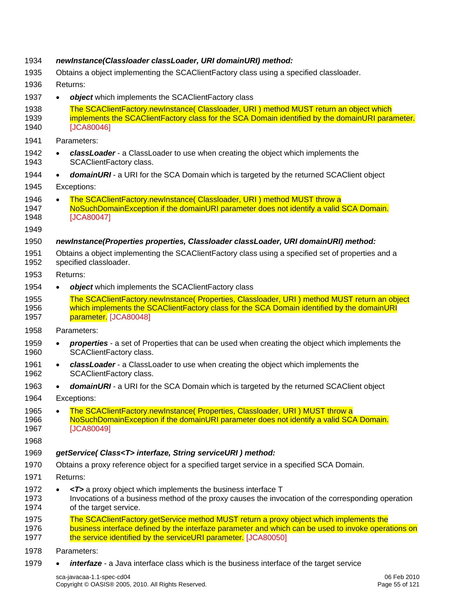| 1934                 | newInstance(Classloader classLoader, URI domainURI) method:                                                                                                                                                                                                     |  |  |
|----------------------|-----------------------------------------------------------------------------------------------------------------------------------------------------------------------------------------------------------------------------------------------------------------|--|--|
| 1935                 | Obtains a object implementing the SCAClientFactory class using a specified classloader.                                                                                                                                                                         |  |  |
| 1936                 | Returns:                                                                                                                                                                                                                                                        |  |  |
| 1937                 | <b>object</b> which implements the SCAClientFactory class<br>$\bullet$                                                                                                                                                                                          |  |  |
| 1938<br>1939<br>1940 | The SCAClientFactory.newInstance( Classloader, URI) method MUST return an object which<br>implements the SCAClientFactory class for the SCA Domain identified by the domainURI parameter.<br>[JCA80046]                                                         |  |  |
| 1941                 | Parameters:                                                                                                                                                                                                                                                     |  |  |
| 1942<br>1943         | classLoader - a ClassLoader to use when creating the object which implements the<br>SCAClientFactory class.                                                                                                                                                     |  |  |
| 1944                 | <b>domainURI</b> - a URI for the SCA Domain which is targeted by the returned SCAClient object<br>$\bullet$                                                                                                                                                     |  |  |
| 1945                 | Exceptions:                                                                                                                                                                                                                                                     |  |  |
| 1946<br>1947<br>1948 | The SCAClientFactory.newInstance( Classloader, URI ) method MUST throw a<br>$\bullet$<br>NoSuchDomainException if the domainURI parameter does not identify a valid SCA Domain.<br>[JCA80047]                                                                   |  |  |
| 1949                 |                                                                                                                                                                                                                                                                 |  |  |
| 1950<br>1951<br>1952 | newInstance(Properties properties, Classloader classLoader, URI domainURI) method:<br>Obtains a object implementing the SCAClientFactory class using a specified set of properties and a<br>specified classloader.                                              |  |  |
| 1953                 | Returns:                                                                                                                                                                                                                                                        |  |  |
| 1954                 | object which implements the SCAClientFactory class<br>$\bullet$                                                                                                                                                                                                 |  |  |
| 1955<br>1956<br>1957 | The SCAClientFactory.newInstance(Properties, Classloader, URI) method MUST return an object<br>which implements the SCAClientFactory class for the SCA Domain identified by the domainURI<br>parameter. [JCA80048]                                              |  |  |
| 1958                 | Parameters:                                                                                                                                                                                                                                                     |  |  |
| 1959<br>1960         | properties - a set of Properties that can be used when creating the object which implements the<br>$\bullet$<br>SCAClientFactory class.                                                                                                                         |  |  |
| 1961<br>1962         | classLoader - a ClassLoader to use when creating the object which implements the<br>$\bullet$<br>SCAClientFactory class.                                                                                                                                        |  |  |
| 1963                 | <b>domainURI</b> - a URI for the SCA Domain which is targeted by the returned SCAClient object                                                                                                                                                                  |  |  |
| 1964                 | Exceptions:                                                                                                                                                                                                                                                     |  |  |
| 1965<br>1966<br>1967 | The SCAClientFactory.newInstance( Properties, Classloader, URI ) MUST throw a<br>NoSuchDomainException if the domainURI parameter does not identify a valid SCA Domain.<br>[JCA80049]                                                                           |  |  |
| 1968                 |                                                                                                                                                                                                                                                                 |  |  |
| 1969                 | getService(Class <t>interfaze, String serviceURI) method:</t>                                                                                                                                                                                                   |  |  |
| 1970                 | Obtains a proxy reference object for a specified target service in a specified SCA Domain.                                                                                                                                                                      |  |  |
| 1971                 | Returns:                                                                                                                                                                                                                                                        |  |  |
| 1972<br>1973<br>1974 | $\langle T \rangle$ a proxy object which implements the business interface T<br>Invocations of a business method of the proxy causes the invocation of the corresponding operation<br>of the target service.                                                    |  |  |
| 1975<br>1976<br>1977 | The SCAClientFactory.getService method MUST return a proxy object which implements the<br>business interface defined by the interfaze parameter and which can be used to invoke operations on<br>the service identified by the serviceURI parameter. [JCA80050] |  |  |
| 1978                 | Parameters:                                                                                                                                                                                                                                                     |  |  |
|                      |                                                                                                                                                                                                                                                                 |  |  |

1979 • *interfaze* - a Java interface class which is the business interface of the target service

sca-javacaa-1.1-spec-cd04 06 Feb 2010 Copyright © OASIS® 2005, 2010. All Rights Reserved. Page 55 of 121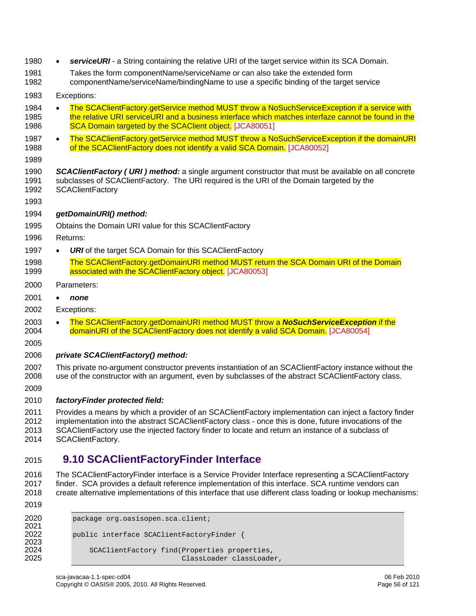- 1980 *serviceURI* a String containing the relative URI of the target service within its SCA Domain. 1981 Takes the form componentName/serviceName or can also take the extended form 1982 componentName/serviceName/bindingName to use a specific binding of the target service 1983 Exceptions: 1984 • The SCAClientFactory.getService method MUST throw a NoSuchServiceException if a service with 1985 the relative URI serviceURI and a business interface which matches interfaze cannot be found in the 1986 [SCA Domain targeted by the SCAClien](#page-110-7)t object. [JCA80051] 1987 • The SCAClientFactory.getService method MUST throw a NoSuchServiceException if the domainURI 1988 [of the SCAClientFactory does not identify a valid SCA Do](#page-110-8)main. [JCA80052] 1989 1990 *SCAClientFactory ( URI ) method:* a single argument constructor that must be available on all concrete 1991 subclasses of SCAClientFactory. The URI required is the URI of the Domain targeted by the 1992 SCAClientFactory 1993 1994 *getDomainURI() method:*  1995 Obtains the Domain URI value for this SCAClientFactory 1996 Returns: 1997 • *URI* of the target SCA Domain for this SCAClientFactory [1998 The SCAClientFactory.getDomainURI method MUST return the SCA Domain URI of the Domain](#page-110-9)  1999 [associated with the SCAClientFactory ob](#page-110-9)ject. [JCA80053] 2000 Parameters: 2001 • *none*  2002 Exceptions: 2003 • [The SCAClientFactory.getDomainURI method MUST throw a](#page-110-10) *NoSuchServiceException* if the 2004 [domainURI of the SCAClientFactory does not identify a valid SCA Do](#page-110-10)main. [JCA80054] 2005 2006 *private SCAClientFactory() method:*  2007 This private no-argument constructor prevents instantiation of an SCAClientFactory instance without the 2008 use of the constructor with an argument, even by subclasses of the abstract SCAClientFactory class. 2009 2010 *factoryFinder protected field:*  2011 Provides a means by which a provider of an SCAClientFactory implementation can inject a factory finder 2012 implementation into the abstract SCAClientFactory class - once this is done, future invocations of the 2013 SCAClientFactory use the injected factory finder to locate and return an instance of a subclass of 2014 SCAClientFactory. 2015 **9.10 SCAClientFactoryFinder Interface**  2016 The SCAClientFactoryFinder interface is a Service Provider Interface representing a SCAClientFactory<br>2017 finder, SCA provides a default reference implementation of this interface, SCA runtime vendors can finder. SCA provides a default reference implementation of this interface. SCA runtime vendors can 2018 create alternative implementations of this interface that use different class loading or lookup mechanisms:
- 2019

2021<br>2022

2023<br>2024

```
2020 package org.oasisopen.sca.client;
            public interface SCAClientFactoryFinder {
2024 SCAClientFactory find(Properties properties,<br>2025 ClassLoader classLoade
                                         ClassLoader classLoader,
```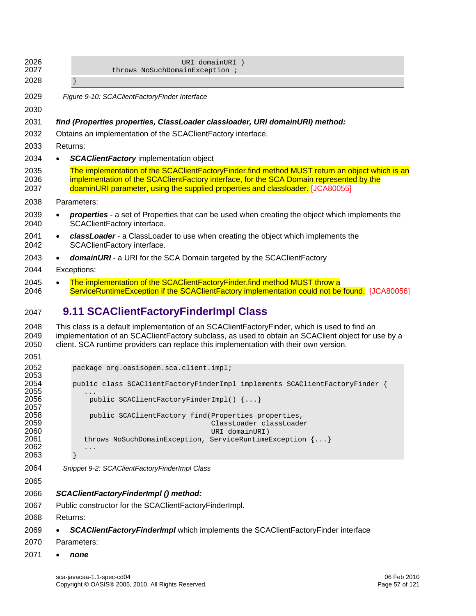| 2026                 | URI domainURI )                                                                                                                                                                                                                                                                              |
|----------------------|----------------------------------------------------------------------------------------------------------------------------------------------------------------------------------------------------------------------------------------------------------------------------------------------|
| 2027                 | throws NoSuchDomainException ;                                                                                                                                                                                                                                                               |
| 2028                 |                                                                                                                                                                                                                                                                                              |
| 2029                 | Figure 9-10: SCAClientFactoryFinder Interface                                                                                                                                                                                                                                                |
| 2030                 |                                                                                                                                                                                                                                                                                              |
| 2031                 | find (Properties properties, ClassLoader classloader, URI domainURI) method:                                                                                                                                                                                                                 |
| 2032                 | Obtains an implementation of the SCACI enterfactory interface.                                                                                                                                                                                                                               |
| 2033                 | Returns:                                                                                                                                                                                                                                                                                     |
| 2034                 | <b>SCAClientFactory implementation object</b><br>$\bullet$                                                                                                                                                                                                                                   |
| 2035<br>2036<br>2037 | The implementation of the SCAClientFactoryFinder.find method MUST return an object which is an<br>implementation of the SCAClientFactory interface, for the SCA Domain represented by the<br>doaminURI parameter, using the supplied properties and classloader. [JCA80055]                  |
| 2038                 | Parameters:                                                                                                                                                                                                                                                                                  |
| 2039<br>2040         | <b>properties</b> - a set of Properties that can be used when creating the object which implements the<br>$\bullet$<br><b>SCAClientFactory interface.</b>                                                                                                                                    |
| 2041<br>2042         | classLoader - a ClassLoader to use when creating the object which implements the<br>$\bullet$<br>SCAClientFactory interface.                                                                                                                                                                 |
| 2043                 | domainURI - a URI for the SCA Domain targeted by the SCAClientFactory<br>$\bullet$                                                                                                                                                                                                           |
| 2044                 | Exceptions:                                                                                                                                                                                                                                                                                  |
| 2045<br>2046         | The implementation of the SCAClientFactoryFinder.find method MUST throw a<br>$\bullet$<br>ServiceRuntimeException if the SCAClientFactory implementation could not be found. [JCA80056]                                                                                                      |
| 2047                 | 9.11 SCAClientFactoryFinderImpl Class                                                                                                                                                                                                                                                        |
| 2048<br>2049<br>2050 | This class is a default implementation of an SCAClientFactoryFinder, which is used to find an<br>implementation of an SCAClientFactory subclass, as used to obtain an SCAClient object for use by a<br>client. SCA runtime providers can replace this implementation with their own version. |

2052<br>2053<br>2054

2055<br>2056

2057<br>2058

| 2052 | package org.oasisopen.sca.client.impl;                                      |
|------|-----------------------------------------------------------------------------|
| 2053 |                                                                             |
| 2054 | public class SCAClientFactoryFinderImpl implements SCAClientFactoryFinder { |
| 2055 | $\ddotsc$                                                                   |
| 2056 | public SCAClientFactoryFinderImpl() $\{ \ldots \}$                          |
| 2057 |                                                                             |
| 2058 | public SCAClientFactory find(Properties properties,                         |
| 2059 | ClassLoader classLoader                                                     |
| 2060 | URI domainURI)                                                              |
| 2061 | throws NoSuchDomainException, ServiceRuntimeException $\{ \dots \}$         |
| 2062 | $\ddotsc$                                                                   |
| 2063 |                                                                             |

*Snippet 9-2: SCAClientFactoryFinderImpl Class* 

- *SCAClientFactoryFinderImpl () method:*
- 2067 Public constructor for the SCAClientFactoryFinderImpl.

2068 Returns:

- *SCAClientFactoryFinderImpl* which implements the SCAClientFactoryFinder interface
- 2070 Parameters:
- *none*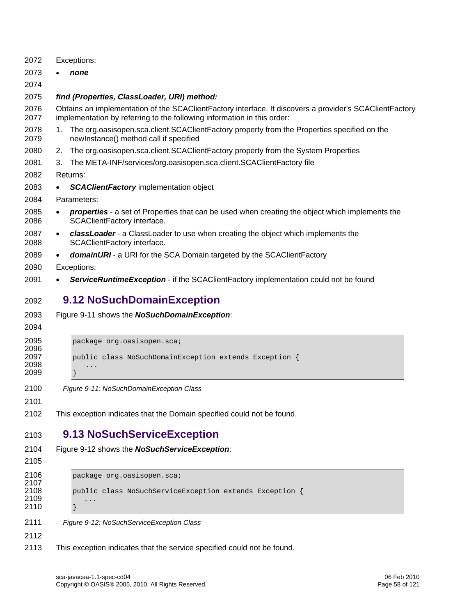| 2072                         | Exceptions:                                                                                                                                                                        |
|------------------------------|------------------------------------------------------------------------------------------------------------------------------------------------------------------------------------|
| 2073                         | none                                                                                                                                                                               |
| 2074                         |                                                                                                                                                                                    |
| 2075                         | find (Properties, ClassLoader, URI) method:                                                                                                                                        |
| 2076<br>2077                 | Obtains an implementation of the SCAClientFactory interface. It discovers a provider's SCAClientFactory<br>implementation by referring to the following information in this order: |
| 2078<br>2079                 | The org.oasisopen.sca.client.SCAClientFactory property from the Properties specified on the<br>1.<br>newInstance() method call if specified                                        |
| 2080                         | The org.oasisopen.sca.client.SCAClientFactory property from the System Properties<br>2.                                                                                            |
| 2081                         | The META-INF/services/org.oasisopen.sca.client.SCAClientFactory file<br>З.                                                                                                         |
| 2082                         | Returns:                                                                                                                                                                           |
| 2083                         | <b>SCAClientFactory implementation object</b>                                                                                                                                      |
| 2084                         | Parameters:                                                                                                                                                                        |
| 2085<br>2086                 | <b>properties</b> - a set of Properties that can be used when creating the object which implements the<br>$\bullet$<br>SCAClientFactory interface.                                 |
| 2087<br>2088                 | classLoader - a ClassLoader to use when creating the object which implements the<br>$\bullet$<br>SCAClientFactory interface.                                                       |
| 2089                         | domainURI - a URI for the SCA Domain targeted by the SCAClientFactory<br>$\bullet$                                                                                                 |
| 2090                         | Exceptions:                                                                                                                                                                        |
| 2091                         | ServiceRuntimeException - if the SCAClientFactory implementation could not be found                                                                                                |
| 2092<br>2093<br>2094         | 9.12 NoSuchDomainException<br>Figure 9-11 shows the NoSuchDomainException:                                                                                                         |
| 2095                         | package org.oasisopen.sca;                                                                                                                                                         |
| 2096<br>2097                 | public class NoSuchDomainException extends Exception {                                                                                                                             |
| 2098                         | .                                                                                                                                                                                  |
| 2099                         |                                                                                                                                                                                    |
| 2100                         | Figure 9-11: NoSuchDomainException Class                                                                                                                                           |
| 2101                         |                                                                                                                                                                                    |
| 2102                         | This exception indicates that the Domain specified could not be found.                                                                                                             |
| 2103                         | 9.13 NoSuchServiceException                                                                                                                                                        |
| 2104                         | Figure 9-12 shows the <b>NoSuchServiceException</b> :                                                                                                                              |
| 2105                         |                                                                                                                                                                                    |
| 2106<br>2107<br>2108<br>2109 | package org.oasisopen.sca;<br>public class NoSuchServiceException extends Exception {<br>.                                                                                         |
| 2110                         |                                                                                                                                                                                    |
| 2111                         | Figure 9-12: NoSuchServiceException Class                                                                                                                                          |
| 2112                         |                                                                                                                                                                                    |

<span id="page-57-1"></span><span id="page-57-0"></span>2113 This exception indicates that the service specified could not be found.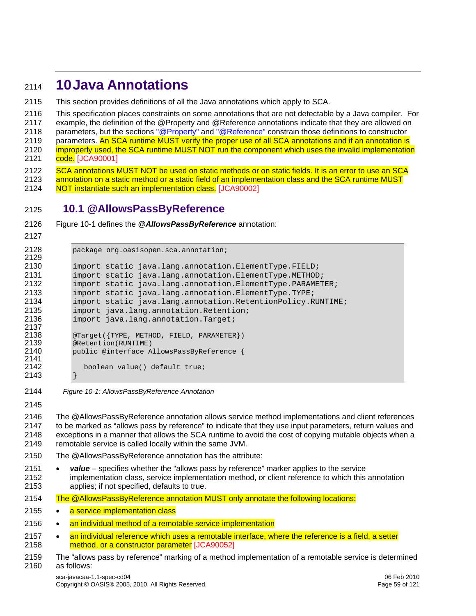# <sup>2114</sup>**10 Java Annotations**

2115 This section provides definitions of all the Java annotations which apply to SCA.

2116 This specification places constraints on some annotations that are not detectable by a Java compiler. For

2117 example, the definition of the @Property and @Reference annotations indicate that they are allowed on

2118 parameters, but the sections ["@Property"](#page-72-0) and ["@Reference"](#page-74-0) constrain those definitions to constructor<br>2119 parameters, An SCA runtime MUST verify the proper use of all SCA annotations and if an annotation is parameters. An SCA runtime MUST verify the proper use of all SCA annotations and if an annotation is

2120 **improperly used, the SCA runtime MUST NOT run the component which uses the invalid implementation** 2121 code. [JCA90001]

- 2122 SCA annotations MUST NOT be used on static methods or on static fields. It is an error to use an SCA
- 2123 annotation on a static method or a static field of an implementation class and the SCA runtime MUST
- 2124 [NOT instantiate such an implementati](#page-110-14)on class. [JCA90002]

# 2125 **10.1 @AllowsPassByReference**

- 2126 [Figure 10-1](#page-58-0) defines the *@AllowsPassByReference* annotation:
- 2127

```
2128 package org.oasisopen.sca.annotation; 
2129 
2130 import static java.lang.annotation.ElementType.FIELD; 
2131 import static java.lang.annotation.ElementType.METHOD;<br>2132 import static java.lang.annotation.ElementType.PARAMET
2132 import static java.lang.annotation.ElementType.PARAMETER;<br>2133 import static java.lang.annotation.ElementType.TYPE;
              import static java.lang.annotation.ElementType.TYPE;
2134 import static java.lang.annotation.RetentionPolicy.RUNTIME; 
2135 import java.lang.annotation.Retention;<br>2136 import java.lang.annotation.Target;
              import java.lang.annotation.Target;
2137<br>2138
2138 @Target({TYPE, METHOD, FIELD, PARAMETER})<br>2139 @Retention(RUNTIME)
2139 @Retention(RUNTIME)<br>2140 public @interface A
             public @interface AllowsPassByReference {
2141 
2142 boolean value() default true; 
2143 }
```
<span id="page-58-0"></span>2144 *Figure 10-1: AllowsPassByReference Annotation*

2145

2146 The @AllowsPassByReference annotation allows service method implementations and client references 2147 to be marked as "allows pass by reference" to indicate that they use input parameters, return values and 2148 exceptions in a manner that allows the SCA runtime to avoid the cost of copying mutable objects when a 2149 remotable service is called locally within the same JVM.

- 2150 The @AllowsPassByReference annotation has the attribute:
- 2151 *value*  specifies whether the "allows pass by reference" marker applies to the service 2152 implementation class, service implementation method, or client reference to which this annotation 2153 applies; if not specified, defaults to true.
- [2154 The @AllowsPassByReference annotation MUST only annotate the following locations:](#page-113-0)
- 2155 a service implementation class
- 2156 • [an individual method of a remotable service implementation](#page-113-0)
- 2157 an individual reference which uses a remotable interface, where the reference is a field, a setter 2158 [method, o](#page-113-0)r a constructor parameter [JCA90052]

<sup>2159</sup> The "allows pass by reference" marking of a method implementation of a remotable service is determined 2160 as follows: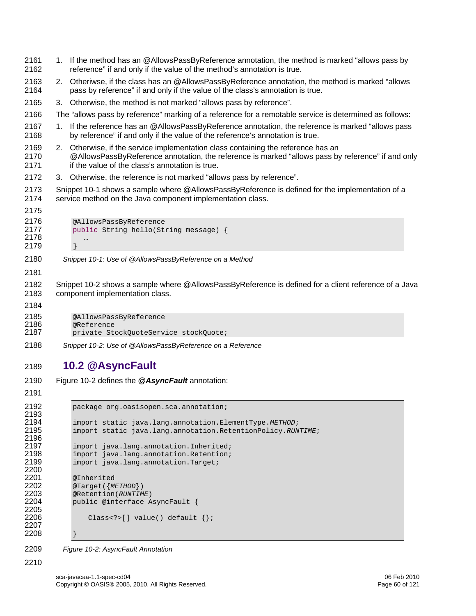<span id="page-59-0"></span>2161 1. If the method has an @AllowsPassByReference annotation, the method is marked "allows pass by 2162 reference" if and only if the value of the method's annotation is true. 2163 2. Otheriwse, if the class has an @AllowsPassByReference annotation, the method is marked "allows 2164 pass by reference" if and only if the value of the class's annotation is true. 2165 3. Otherwise, the method is not marked "allows pass by reference". 2166 The "allows pass by reference" marking of a reference for a remotable service is determined as follows: 2167 1. If the reference has an @AllowsPassByReference annotation, the reference is marked "allows pass 2168 by reference" if and only if the value of the reference's annotation is true. 2169 2. Otherwise, if the service implementation class containing the reference has an 2170 @AllowsPassByReference annotation, the reference is marked "allows pass by reference" if and only 2171 if the value of the class's annotation is true. 2172 3. Otherwise, the reference is not marked "allows pass by reference". 2173 [Snippet 10-1](#page-59-0) shows a sample where @AllowsPassByReference is defined for the implementation of a 2174 service method on the Java component implementation class. 2175 2176 @AllowsPassByReference<br>2177 public String hello(St: public String hello(String message) { 2178 … 2179 } 2180 *Snippet 10-1: Use of @AllowsPassByReference on a Method* 2181 2182 [Snippet 10-2](#page-59-1) shows a sample where @AllowsPassByReference is defined for a client reference of a Java 2183 component implementation class. 2184 2185 @AllowsPassByReference<br>2186 @Reference 2186 @Reference<br>2187 private St private StockQuoteService stockQuote; 2188 *Snippet 10-2: Use of @AllowsPassByReference on a Reference*  2189 **10.2 @AsyncFault**  2190 [Figure 10-2](#page-59-2) defines the *@AsyncFault* annotation: 2191 2192 package org.oasisopen.sca.annotation; 2193<br>2194 2194 import static java.lang.annotation.ElementType.*METHOD*; 2195 import static java.lang.annotation.RetentionPolicy.*RUNTIME*; 2196<br>2197 2197 import java.lang.annotation.Inherited;<br>2198 import java.lang.annotation.Retention; 2198 import java.lang.annotation.Retention;<br>2199 import java.lang.annotation.Target; import java.lang.annotation.Target; 2200 2201 @Inherited<br>2202 @Target({M 2202 @Target({*METHOD*})<br>2203 @Retention(*RUNTIM* 

<span id="page-59-1"></span>2203 @Retention(*RUNTIME*) public @interface AsyncFault {

Class<?>[] value() default  $\{\}$ ;

2207 2208 }

2205

<span id="page-59-2"></span>2209 *Figure 10-2: AsyncFault Annotation* 

2210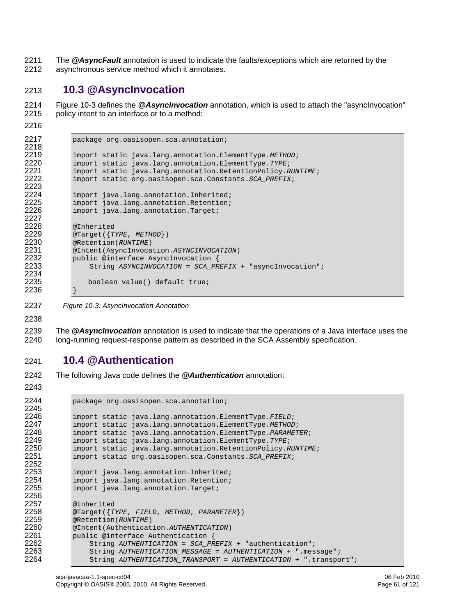2211 The *@AsyncFault* annotation is used to indicate the faults/exceptions which are returned by the 2212 asynchronous service method which it annotates.

## 2213 **10.3 @AsyncInvocation**

2214 [Figure 10-3](#page-60-0) defines the *@AsyncInvocation* annotation, which is used to attach the "asyncInvocation" 2215 policy intent to an interface or to a method:

2216

```
2217 package org.oasisopen.sca.annotation; 
2218<br>2219
2219 import static java.lang.annotation.ElementType.METHOD; 
2220 import static java.lang.annotation.ElementType.TYPE; 
2221 import static java.lang.annotation.RetentionPolicy.RUNTIME;<br>2222 import static org.oasisopen.sca.Constants.SCA PREFIX;
               2222 import static org.oasisopen.sca.Constants.SCA_PREFIX; 
2223 
2224 import java.lang.annotation.Inherited;<br>2225 import java.lang.annotation.Retention;
2225 import java.lang.annotation.Retention;<br>2226 import java.lang.annotation.Target;
               import java.lang.annotation.Target;
2227<br>2228
2228 @Inherited<br>2229 @Target({T
2229 @Target({TYPE, METHOD})<br>2230 @Retention(RUNTIME)
2230 @Retention(RUNTIME) 
2231 @Intent(AsyncInvocation.ASYNCINVOCATION) 
2232 public @interface AsyncInvocation {<br>2233 String ASYNCINVOCATION = SCA PR
                    2233 String ASYNCINVOCATION = SCA_PREFIX + "asyncInvocation"; 
2234<br>2235
                   boolean value() default true;
2236 }
```
<span id="page-60-0"></span>2237 *Figure 10-3: AsyncInvocation Annotation* 

2238

2239 The *@AsyncInvocation* annotation is used to indicate that the operations of a Java interface uses the 2240 long-running request-response pattern as described in the SCA Assembly specification.

#### 2241 **10.4 @Authentication**

- 2242 The following Java code defines the *@Authentication* annotation:
- 2243

```
2244 package org.oasisopen.sca.annotation; 
2245 
2246 import static java.lang.annotation.ElementType.FIELD; 
2247 import static java.lang.annotation.ElementType.METHOD; 
2248 import static java.lang.annotation.ElementType.PARAMETER; 
2249 import static java.lang.annotation.ElementType.TYPE; 
2250 import static java.lang.annotation.RetentionPolicy.RUNTIME; 
            2251 import static org.oasisopen.sca.Constants.SCA_PREFIX; 
2252 
2253 import java.lang.annotation.Inherited;<br>2254 import java.lang.annotation.Retention;
2254 import java.lang.annotation.Retention;<br>2255 import java.lang.annotation.Target;
            import java.lang.annotation.Target;
2256<br>2257
2257 @Inherited<br>2258 @Target({T
2258 @Target({TYPE, FIELD, METHOD, PARAMETER}) 
2259 @Retention(RUNTIME) 
2260 @Intent(Authentication.AUTHENTICATION) 
2261 public @interface Authentication {<br>2262 String AUTHENTICATION = SCA PR
2262 String AUTHENTICATION = SCA_PREFIX + "authentication"; 
2263 String AUTHENTICATION_MESSAGE = AUTHENTICATION + ".message"; 
                2264 String AUTHENTICATION_TRANSPORT = AUTHENTICATION + ".transport";
```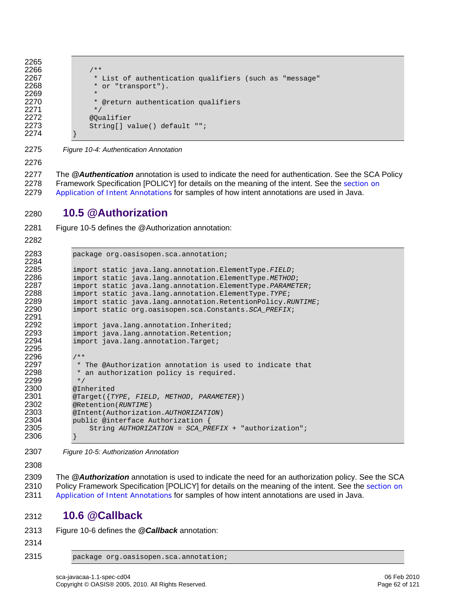```
2266 /**<br>2267 *
2267 * List of authentication qualifiers (such as "message"<br>2268 * or "transport").
                 * or "transport").
                 * @return authentication qualifiers */
2272 @Qualifier 
                String[] value() default "";
```
2275 *Figure 10-4: Authentication Annotation* 

2276

2265

2269<br>2270

2271<br>2272

2274 }

2277 The *@Authentication* annotation is used to indicate the need for authentication. See the SCA Policy [2278 Framework Specification \[POLICY\] for details on the meaning of the intent. See the](#page-33-0) section on 2279 [Application of Intent Annota](#page-33-0)tions for samples of how intent annotations are used in Java.

### 2280 **10.5 @Authorization**

2281 [Figure 10-5](#page-61-0) defines the @Authorization annotation:

2282

```
2283 package org.oasisopen.sca.annotation; 
2284<br>2285
2285 import static java.lang.annotation.ElementType.FIELD; 
2286 import static java.lang.annotation.ElementType.METHOD; 
2287 import static java.lang.annotation.ElementType.PARAMETER; 
2288 import static java.lang.annotation.ElementType.TYPE; 
2289 import static java.lang.annotation.RetentionPolicy.RUNTIME;<br>2290 import static org.oasisopen.sca.Constants.SCA PREFIX;
              2290 import static org.oasisopen.sca.Constants.SCA_PREFIX; 
2291<br>2292
2292 import java.lang.annotation.Inherited;<br>2293 import java.lang.annotation.Retention;
2293 import java.lang.annotation.Retention;<br>2294 import java.lang.annotation.Target;
              import java.lang.annotation.Target;
2295 
2296 /**<br>2297 *
2297 * The @Authorization annotation is used to indicate that 2298 * an authorization policy is required.
               * an authorization policy is required.<br>*/
2299<br>2300
2300 @Inherited<br>2301 @Target({T
2301 @Target({TYPE, FIELD, METHOD, PARAMETER}) 
              2302 @Retention(RUNTIME) 
2303 @Intent(Authorization.AUTHORIZATION) 
2304 public @interface Authorization {<br>2305 String AUTHORIZATION = SCA_PR
                   2305 String AUTHORIZATION = SCA_PREFIX + "authorization"; 
2306 }
```
<span id="page-61-0"></span>2307 *Figure 10-5: Authorization Annotation* 

2308

2309 The *@Authorization* annotation is used to indicate the need for an authorization policy. See the SCA [2310 Policy Framework Specification \[POLICY\] for details on the meaning of the intent. See the](#page-33-0) section on 2311 [Application of Intent Annota](#page-33-0)tions for samples of how intent annotations are used in Java.

#### 2312 **10.6 @Callback**

```
2313 Figure 10-6 defines the @Callback annotation:
```
2314

2315 package org.oasisopen.sca.annotation;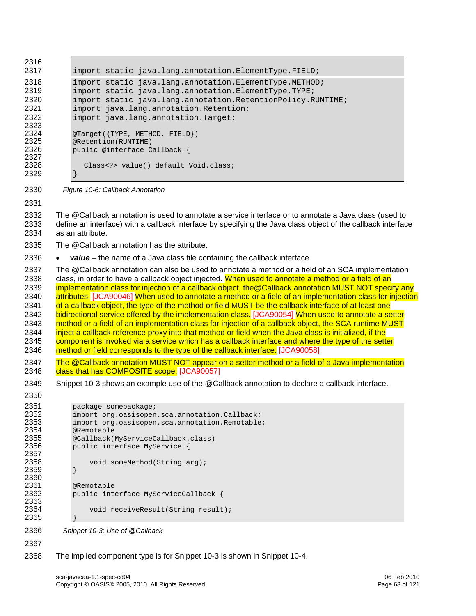<span id="page-62-1"></span><span id="page-62-0"></span>

| 2316         |                                                                                                                                                                                                              |
|--------------|--------------------------------------------------------------------------------------------------------------------------------------------------------------------------------------------------------------|
| 2317         | import static java.lang.annotation.ElementType.FIELD;                                                                                                                                                        |
| 2318         | import static java.lang.annotation.ElementType.METHOD;                                                                                                                                                       |
| 2319<br>2320 | import static java.lang.annotation.ElementType.TYPE;<br>import static java.lang.annotation.RetentionPolicy.RUNTIME;                                                                                          |
| 2321         | import java.lang.annotation.Retention;                                                                                                                                                                       |
| 2322         | import java.lang.annotation.Target;                                                                                                                                                                          |
| 2323         |                                                                                                                                                                                                              |
| 2324<br>2325 | @Target({TYPE, METHOD, FIELD})<br>@Retention(RUNTIME)                                                                                                                                                        |
| 2326         | public @interface Callback {                                                                                                                                                                                 |
| 2327<br>2328 | Class value() default Void.class;                                                                                                                                                                            |
| 2329         |                                                                                                                                                                                                              |
| 2330         | Figure 10-6: Callback Annotation                                                                                                                                                                             |
| 2331         |                                                                                                                                                                                                              |
| 2332         | The @Callback annotation is used to annotate a service interface or to annotate a Java class (used to                                                                                                        |
| 2333<br>2334 | define an interface) with a callback interface by specifying the Java class object of the callback interface<br>as an attribute.                                                                             |
|              |                                                                                                                                                                                                              |
| 2335         | The @Callback annotation has the attribute:                                                                                                                                                                  |
| 2336         | $value$ – the name of a Java class file containing the callback interface                                                                                                                                    |
| 2337<br>2338 | The @Callback annotation can also be used to annotate a method or a field of an SCA implementation<br>class, in order to have a callback object injected. When used to annotate a method or a field of an    |
| 2339         | implementation class for injection of a callback object, the @Callback annotation MUST NOT specify any                                                                                                       |
| 2340         | attributes. [JCA90046] When used to annotate a method or a field of an implementation class for injection                                                                                                    |
| 2341         | of a callback object, the type of the method or field MUST be the callback interface of at least one                                                                                                         |
| 2342         | bidirectional service offered by the implementation class. [JCA90054] When used to annotate a setter                                                                                                         |
| 2343         | method or a field of an implementation class for injection of a callback object, the SCA runtime MUST                                                                                                        |
| 2344<br>2345 | inject a callback reference proxy into that method or field when the Java class is initialized, if the<br>component is invoked via a service which has a callback interface and where the type of the setter |
| 2346         | method or field corresponds to the type of the callback interface. [JCA90058]                                                                                                                                |
| 2347         | The @Callback annotation MUST NOT appear on a setter method or a field of a Java implementation                                                                                                              |
| 2348         | class that has COMPOSITE scope. [JCA90057]                                                                                                                                                                   |
| 2349         | Snippet 10-3 shows an example use of the @Callback annotation to declare a callback interface.                                                                                                               |
| 2350         |                                                                                                                                                                                                              |
| 2351         | package somepackage;                                                                                                                                                                                         |
| 2352<br>2353 | import org.oasisopen.sca.annotation.Callback;                                                                                                                                                                |
| 2354         | import org.oasisopen.sca.annotation.Remotable;<br>@Remotable                                                                                                                                                 |
| 2355         | @Callback(MyServiceCallback.class)                                                                                                                                                                           |
| 2356<br>2357 | public interface MyService {                                                                                                                                                                                 |
| 2358         | void someMethod(String arg);                                                                                                                                                                                 |
| 2359         |                                                                                                                                                                                                              |
| 2360<br>2361 |                                                                                                                                                                                                              |
| 2362         | @Remotable<br>public interface MyServiceCallback {                                                                                                                                                           |
| 2363         |                                                                                                                                                                                                              |
| 2364         | void receiveResult(String result);                                                                                                                                                                           |
| 2365         |                                                                                                                                                                                                              |
| 2366         | Snippet 10-3: Use of @Callback                                                                                                                                                                               |
| 2367         |                                                                                                                                                                                                              |
| 2368         | The implied component type is for Snippet 10-3 is shown in Snippet 10-4.                                                                                                                                     |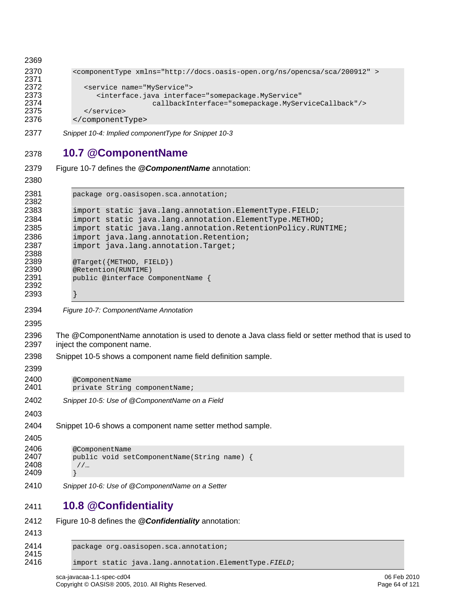```
2369 
2370 <componentType xmlns="http://docs.oasis-open.org/ns/opencsa/sca/200912" > 
2371<br>2372
2372 <service name="MyService"><br>2373 <interface.java_interfa
2373 <interface.java interface="somepackage.MyService" 
2374 callbackInterface="somepackage.MyServiceCallback"/> 
2375 </service><br>2376 </component
           2376 </componentType>
```
<span id="page-63-0"></span>*Snippet 10-4: Implied componentType for [Snippet 10-3](#page-62-1)* 

# **10.7 @ComponentName**

```
2379 Figure 10-7 defines the @ComponentName annotation: 
2380 
2381 package org.oasisopen.sca.annotation; 
2382 
2383 import static java.lang.annotation.ElementType.FIELD; 
2384 import static java.lang.annotation.ElementType.METHOD; 
2385 import static java.lang.annotation.RetentionPolicy.RUNTIME;<br>2386 import java.lang.annotation.Retention;
2386 import java.lang.annotation.Retention;<br>2387 import java.lang.annotation.Target;
             import java.lang.annotation.Target;
2388<br>2389
2389 @Target({METHOD, FIELD})<br>2390 @Retention(RUNTIME)
2390 @Retention(RUNTIME)<br>2391 public @interface C
             public @interface ComponentName {
2392 
2393 }
```
<span id="page-63-1"></span>*Figure 10-7: ComponentName Annotation*

2396 The @ComponentName annotation is used to denote a Java class field or setter method that is used to 2397 inject the component name.

[Snippet 10-5](#page-63-2) shows a component name field definition sample.

```
2400 @ComponentName<br>2401 private String
               private String componentName;
```
- <span id="page-63-2"></span>*Snippet 10-5: Use of @ComponentName on a Field*
- [Snippet 10-6](#page-63-3) shows a component name setter method sample.

```
2405 
2406 @ComponentName<br>2407 public void se
            public void setComponentName(String name) {
2408 //… 
2409
```
<span id="page-63-3"></span>*Snippet 10-6: Use of @ComponentName on a Setter* 

# **10.8 @Confidentiality**

```
2412 Figure 10-8 defines the @Confidentiality annotation: 
2413 
2414 package org.oasisopen.sca.annotation; 
2415<br>2416
            2416 import static java.lang.annotation.ElementType.FIELD;
```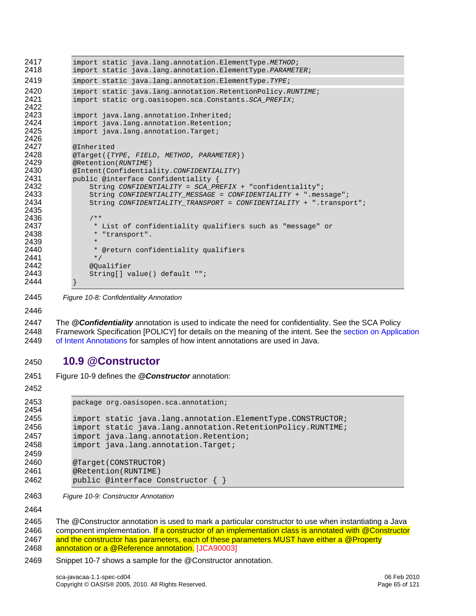```
2417 import static java.lang.annotation.ElementType.METHOD; 
             2418 import static java.lang.annotation.ElementType.PARAMETER; 
2419 import static java.lang.annotation.ElementType.TYPE; 
2420 import static java.lang.annotation.RetentionPolicy.RUNTIME;<br>2421 import static org.oasisopen.sca.Constants.SCA PREFIX;
             2421 import static org.oasisopen.sca.Constants.SCA_PREFIX; 
2422<br>2423
2423 import java.lang.annotation.Inherited;<br>2424 import java.lang.annotation.Retention;
2424 import java.lang.annotation.Retention;<br>2425 import java.lang.annotation.Target;
             import java.lang.annotation.Target;
2426<br>2427
2427 @Inherited<br>2428 @Target({T
2428 @Target({TYPE, FIELD, METHOD, PARAMETER}) 
2429 @Retention(RUNTIME) 
2430 @Intent(Confidentiality.CONFIDENTIALITY) 
             public @interface Confidentiality {
2432 String CONFIDENTIALITY = SCA_PREFIX + "confidentiality"; 
2433 String CONFIDENTIALITY_MESSAGE = CONFIDENTIALITY + ".message"; 
                  2434 String CONFIDENTIALITY_TRANSPORT = CONFIDENTIALITY + ".transport"; 
2435 
2436 /**<br>2437 *
2437 \qquad * List of confidentiality qualifiers such as "message" or<br>2438                * "transport".
                   * "transport".
2439<br>2440
                   * @return confidentiality qualifiers */
2441<br>2442
2442 @Qualifier 
                  String[] value() default "";
2444 }
```
<span id="page-64-0"></span>2445 *Figure 10-8: Confidentiality Annotation* 

2446

2447 The *@Confidentiality* annotation is used to indicate the need for confidentiality. See the SCA Policy [2448 Framework Specification \[POLICY\] for details on the meaning of the intent. See the section on Application](#page-33-0)  2449 [of Intent Annotat](#page-33-0)ions for samples of how intent annotations are used in Java.

#### 2450 **10.9 @Constructor**

- 2451 [Figure 10-9](#page-64-1) defines the *@Constructor* annotation:
- 2452

```
2453 package org.oasisopen.sca.annotation; 
2454 
2455 import static java.lang.annotation.ElementType.CONSTRUCTOR;<br>2456 import static java.lang.annotation.RetentionPolicy.RUNTIME;
2456 import static java.lang.annotation.RetentionPolicy.RUNTIME;<br>2457 import java.lang.annotation.Retention;
              import java.lang.annotation.Retention;
2458 import java.lang.annotation.Target; 
2459 
2460 @Target(CONSTRUCTOR)<br>2461 @Retention(RUNTIME)
             @Retention(RUNTIME)
2462 public @interface Constructor { }
```
<span id="page-64-1"></span>2463 *Figure 10-9: Constructor Annotation*

2464

2465 The @Constructor annotation is used to mark a particular constructor to use when instantiating a Java 2466 component implementation. If a constructor of an implementation class is annotated with @Constructor 2467 and the constructor has parameters, each of these parameters MUST have either a @Property 2468 [annotation or a @Reference a](#page-110-15)nnotation. [JCA90003]

2469 [Snippet 10-7](#page-65-0) shows a sample for the @Constructor annotation.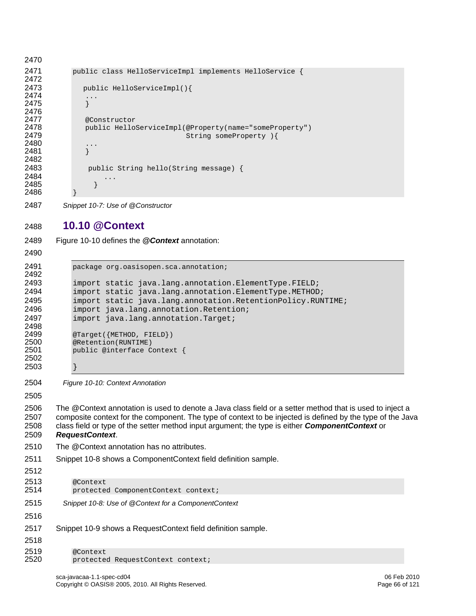```
2470 
2471 public class HelloServiceImpl implements HelloService { 
2472 
2473 public HelloServiceImpl(){ 
2474
2475 } 
2476<br>2477
2477 @Constructor<br>2478 public Hello
2478 public HelloServiceImpl(@Property(name="someProperty")<br>2479    String someProperty ){
                                      String someProperty ) {
2480 ... 
2481 } 
2482 
2483 public String hello(String message) { 
2484 ... 
2485 } 
2486 }
```

```
2487 Snippet 10-7: Use of @Constructor
```
### **10.10 @Context**

[Figure 10-10](#page-65-1) defines the *@Context* annotation:

```
2491 package org.oasisopen.sca.annotation; 
2492 
2493 import static java.lang.annotation.ElementType.FIELD;<br>2494 import static java.lang.annotation.ElementType.METHOD
2494 import static java.lang.annotation.ElementType.METHOD;<br>2495 import static java.lang.annotation.RetentionPolicy.RUN
2495 import static java.lang.annotation.RetentionPolicy.RUNTIME;<br>2496 import java.lang.annotation.Retention;
               import java.lang.annotation.Retention;
2497 import java.lang.annotation.Target;
2498 
2499 @Target({METHOD, FIELD}) 
2500 @Retention(RUNTIME)<br>2501 public @interface C
               public @interface Context {
2502 
2503 }
```
<span id="page-65-1"></span>*Figure 10-10: Context Annotation*

2506 The @Context annotation is used to denote a Java class field or a setter method that is used to inject a 2507 composite context for the component. The type of context to be injected is defined by the type of the Java 2508 class field or type of the setter method input argument; the type is either *ComponentContext* or *RequestContext*. 2510 The @Context annotation has no attributes. [Snippet 10-8](#page-65-2) shows a ComponentContext field definition sample. @Context

- protected ComponentContext context;
- <span id="page-65-2"></span>*Snippet 10-8: Use of @Context for a ComponentContext*
- [Snippet 10-9](#page-66-0) shows a RequestContext field definition sample.

 2519 @Context<br>2520 protecte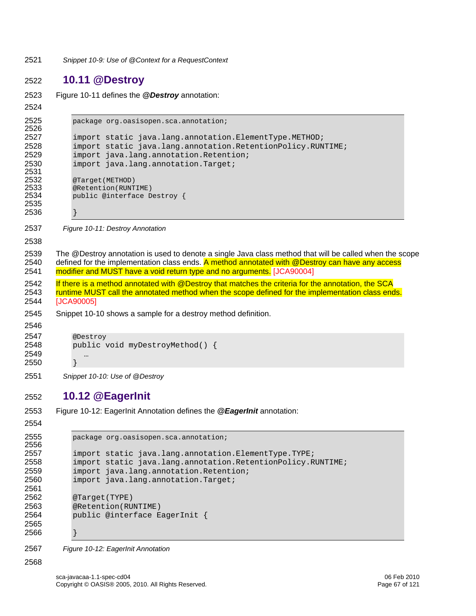<span id="page-66-0"></span>2521 *Snippet 10-9: Use of @Context for a RequestContext* 

#### 2522 **10.11 @Destroy**

```
2523 Figure 10-11 defines the @Destroy annotation:
```

```
2525 package org.oasisopen.sca.annotation; 
2526 
2527 import static java.lang.annotation.ElementType.METHOD;<br>2528 import static java.lang.annotation.RetentionPolicy.RUN
2528 import static java.lang.annotation.RetentionPolicy.RUNTIME;<br>2529 import java.lang.annotation.Retention;
2529 import java.lang.annotation.Retention;<br>2530 import java.lang.annotation.Target;
                import java.lang.annotation.Target;
2531<br>2532
2532 @Target(METHOD)<br>2533 @Retention(RUNT
2533 @Retention(RUNTIME)<br>2534 public @interface D
                public @interface Destroy {
2535 
2536 }
```
<span id="page-66-1"></span>2537 *Figure 10-11: Destroy Annotation*

2538

2524

2539 The @Destroy annotation is used to denote a single Java class method that will be called when the scope 2540 defined for the implementation class ends. A method annotated with @Destroy can have any access 2541 [modifier and MUST have a void return type and no argum](#page-111-0)ents. [JCA90004]

- 2542 If there is a method annotated with @Destroy that matches the criteria for the annotation, the SCA 2543 [runtime MUST call the annotated method when the scope defined for the implementation class e](#page-111-1)nds. 2544 [JCA90005]
- 2545 [Snippet 10-10](#page-66-2) shows a sample for a destroy method definition.

```
2546 
2547 @Destroy 
2548 public void myDestroyMethod() { 
2549
2550 }
```
<span id="page-66-2"></span>2551 *Snippet 10-10: Use of @Destroy*

#### 2552 **10.12 @EagerInit**

```
2553 Figure 10-12: EagerInit Annotation defines the @EagerInit annotation:
```
2554

```
2555 package org.oasisopen.sca.annotation; 
2556 
2557 import static java.lang.annotation.ElementType.TYPE;<br>2558 import static java.lang.annotation.RetentionPolicy.R
2558 import static java.lang.annotation.RetentionPolicy.RUNTIME;<br>2559 import java.lang.annotation.Retention;
2559 import java.lang.annotation.Retention;<br>2560 import java.lang.annotation.Target;
               import java.lang.annotation.Target;
2561 
2562 @Target(TYPE)<br>2563 @Retention(RU
               @Retention(RUNTIME)
2564 public @interface EagerInit { 
2565 
2566 }
```
<span id="page-66-3"></span>2567 *Figure 10-12: EagerInit Annotation*

2568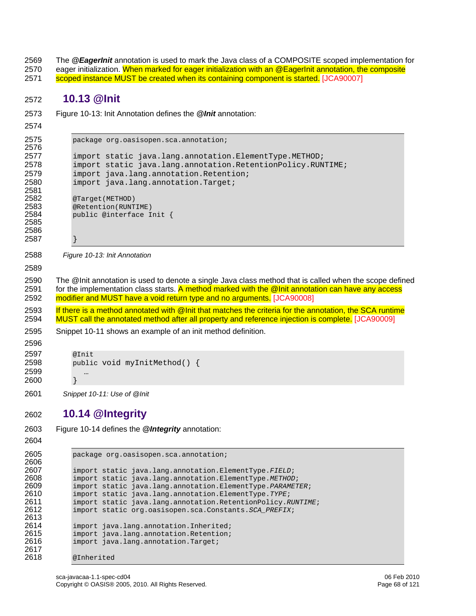2569 The *@EagerInit* annotation is used to mark the Java class of a COMPOSITE scoped implementation for

- 2570 eager initialization. When marked for eager initialization with an @EagerInit annotation, the composite
- [scoped instance MUST be created when its containing component is star](#page-111-2)ted. [JCA90007]

#### **10.13 @Init**

- [Figure 10-13: Init Annotation](#page-67-0) defines the *@Init* annotation:
- 

```
2575 package org.oasisopen.sca.annotation; 
2576 
2577 import static java.lang.annotation.ElementType.METHOD; 
2578 import static java.lang.annotation.RetentionPolicy.RUNTIME; 
2579 import java.lang.annotation.Retention; 
2580 import java.lang.annotation.Target; 
2581 
2582 @Target(METHOD)<br>2583 @Retention(RUNT
2583 @Retention(RUNTIME)<br>2584 public @interface I
           public @interface Init {
2585 
2586 
2587 }
```
<span id="page-67-0"></span>*Figure 10-13: Init Annotation* 

2590 The @Init annotation is used to denote a single Java class method that is called when the scope defined 2591 for the implementation class starts. A method marked with the @Init annotation can have any access [modifier and MUST have a void return type and no argum](#page-111-3)ents. [JCA90008]

2593 If there is a method annotated with @Init that matches the criteria for the annotation, the SCA runtime [MUST call the annotated method after all property and reference injection is comp](#page-111-4)lete. [JCA90009]

[Snippet 10-11](#page-67-1) shows an example of an init method definition.

@Init public void myInitMethod() { … }

<span id="page-67-1"></span>*Snippet 10-11: Use of @Init*

# **10.14 @Integrity**

```
2603 Figure 10-14 defines the @Integrity annotation: 
2604
```

```
2605 package org.oasisopen.sca.annotation; 
2606<br>2607
2607 import static java.lang.annotation.ElementType.FIELD; 
2608 import static java.lang.annotation.ElementType.METHOD; 
2609 import static java.lang.annotation.ElementType.PARAMETER; 
2610 import static java.lang.annotation.ElementType.TYPE; 
2611 import static java.lang.annotation.RetentionPolicy.RUNTIME; 
             2612 import static org.oasisopen.sca.Constants.SCA_PREFIX; 
2613<br>2614
2614 import java.lang.annotation.Inherited;<br>2615 import java.lang.annotation.Retention;
2615 import java.lang.annotation.Retention;<br>2616 import java.lang.annotation.Target;
             import java.lang.annotation.Target;
2617<br>2618
             @Inherited
```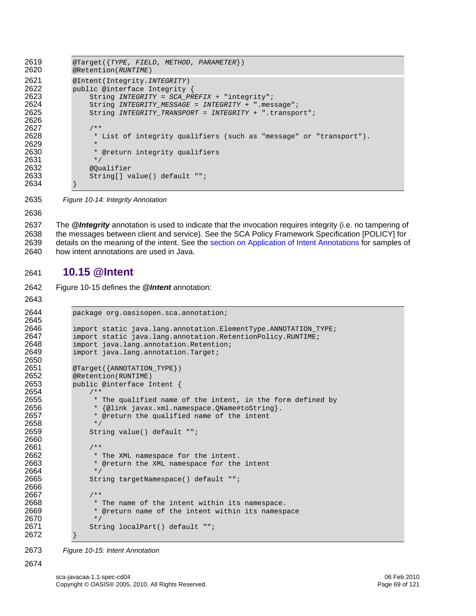```
2619 @Target({TYPE, FIELD, METHOD, PARAMETER}) 
            2620 @Retention(RUNTIME) 
2621 @Intent(Integrity.INTEGRITY) 
2622 public @interface Integrity {<br>2623 String INTEGRITY = SCA PR
2623 String INTEGRITY = SCA_PREFIX + "integrity"; 
2624 String INTEGRITY_MESSAGE = INTEGRITY + ".message"; 
                2625 String INTEGRITY_TRANSPORT = INTEGRITY + ".transport"; 
2626 
2627 /**<br>2628 *
                 * List of integrity qualifiers (such as "message" or "transport").
2629<br>2630
                 * @return integrity qualifiers
2631 */
2632 @Qualifier<br>2633 String[] va
                String[] value() default "";
2634 }
```
<span id="page-68-0"></span>2635 *Figure 10-14: Integrity Annotation* 

2636

2637 The *@Integrity* annotation is used to indicate that the invocation requires integrity (i.e. no tampering of 2638 the messages between client and service). See the SCA Policy Framework Specification [POLICY] for 2639 details on the meaning of the intent. See the [section on Application of Intent Annotations](#page-33-0) for samples of 2640 how intent annotations are used in Java.

## 2641 **10.15 @Intent**

2642 [Figure 10-15](#page-68-1) defines the *@Intent* annotation:

```
2643
```
2674

```
2644 package org.oasisopen.sca.annotation; 
2645<br>2646
2646 import static java.lang.annotation.ElementType.ANNOTATION_TYPE;<br>2647 import static java.lang.annotation.RetentionPolicy.RUNTIME;
2647 import static java.lang.annotation.RetentionPolicy.RUNTIME;<br>2648 import java.lang.annotation.Retention;
2648 import java.lang.annotation.Retention;<br>2649 import java.lang.annotation.Target;
                import java.lang.annotation.Target;
2650<br>2651
2651 @Target({ANNOTATION_TYPE})<br>2652 @Retention(RUNTIME)
2652 @Retention(RUNTIME)<br>2653 public @interface I
               public @interface Intent {
2654 /** 
2655 \star The qualified name of the intent, in the form defined by 2656 \star {@link javax.xml.namespace.OName#toString}.
2656 * {@link javax.xml.namespace.QName#toString}.<br>2657 * @return the qualified name of the intent
                      * @return the qualified name of the intent */
2658<br>2659
                     String value() default "";
2660 
2661 /** 
2662 * The XML namespace for the intent.<br>2663 * @return the XML namespace for the
                      * @return the XML namespace for the intent */
2664<br>2665
                     String targetNamespace() default "";
2666 
2667 /**<br>2668 *
2668 * The name of the intent within its namespace.<br>2669 * @return name of the intent within its namesp
                      * @return name of the intent within its namespace
2670 */<br>2671 Str
                     String localPart() default "";
2672 }
```
<span id="page-68-1"></span>2673 *Figure 10-15: Intent Annotation*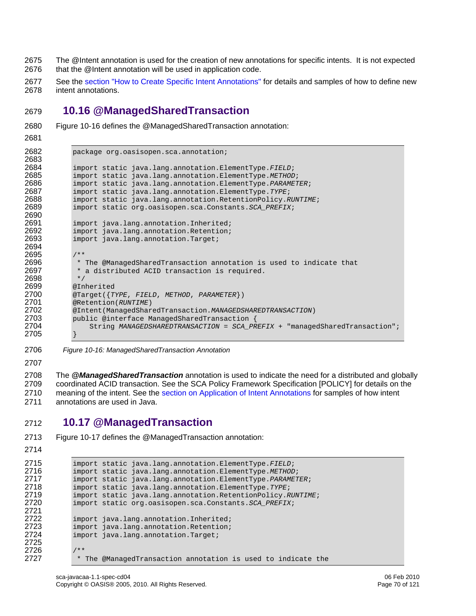- 2675 The @Intent annotation is used for the creation of new annotations for specific intents. It is not expected 2676 that the @Intent annotation will be used in application code.
- 2677 See the [section "How to Create Specific Intent Annotations"](#page-33-0) for details and samples of how to define new 2678 intent annotations.

# 2679 **10.16 @ManagedSharedTransaction**

- 2680 [Figure 10-16](#page-69-0) defines the @ManagedSharedTransaction annotation:
- 2681

```
2682 package org.oasisopen.sca.annotation; 
2683<br>2684
2684 import static java.lang.annotation.ElementType.FIELD; 
2685 import static java.lang.annotation.ElementType.METHOD; 
2686 import static java.lang.annotation.ElementType.PARAMETER;<br>2687 import static java.lang.annotation.ElementType.TYPE;
2687 import static java.lang.annotation.ElementType.TYPE; 
2688 import static java.lang.annotation.RetentionPolicy.RUNTIME;<br>2689 import static org.oasisopen.sca.Constants.SCA PREFIX;
               2689 import static org.oasisopen.sca.Constants.SCA_PREFIX; 
2690<br>2691
2691 import java.lang.annotation.Inherited;<br>2692 import java.lang.annotation.Retention;
2692 import java.lang.annotation.Retention;<br>2693 import java.lang.annotation.Target;
               import java.lang.annotation.Target;
2694 
2695 /**<br>2696 *
2696 * The @ManagedSharedTransaction annotation is used to indicate that 2697 * a distributed ACID transaction is required.
                * a distributed ACID transaction is required.<br>*/
2698<br>2699
2699 @Inherited<br>2700 @Target({T)
2700 @Target({TYPE, FIELD, METHOD, PARAMETER}) 
2701 @Retention(RUNTIME) 
2702 @Intent(ManagedSharedTransaction.MANAGEDSHAREDTRANSACTION) 
2703 public @interface ManagedSharedTransaction {<br>2704 String MANAGEDSHAREDTRANSACTION = SCA PR
                    2704 String MANAGEDSHAREDTRANSACTION = SCA_PREFIX + "managedSharedTransaction"; 
2705 }
```
- <span id="page-69-0"></span>2706 *Figure 10-16: ManagedSharedTransaction Annotation*
- 2707

2713 [Figure 10-17](#page-70-0) defines the @ManagedTransaction annotation:

2708 The *@ManagedSharedTransaction* annotation is used to indicate the need for a distributed and globally 2709 coordinated ACID transaction. See the SCA Policy Framework Specification [POLICY] for details on the 2710 meaning of the intent. See the [section on Application of Intent Annotations](#page-33-0) for samples of how intent 2711 annotations are used in Java.

# 2712 **10.17 @ManagedTransaction**

```
2714 
2715 import static java.lang.annotation.ElementType.FIELD; 
2716 import static java.lang.annotation.ElementType.METHOD; 
2717 import static java.lang.annotation.ElementType.PARAMETER; 
2718 import static java.lang.annotation.ElementType.TYPE; 
2719 import static java.lang.annotation.RetentionPolicy.RUNTIME;<br>2720 import static org.oasisopen.sca.Constants.SCA PREFIX;
              2720 import static org.oasisopen.sca.Constants.SCA_PREFIX; 
2721 
2722 import java.lang.annotation.Inherited;<br>2723 import java.lang.annotation.Retention;
2723 import java.lang.annotation.Retention;<br>2724 import java.lang.annotation.Target;
              import java.lang.annotation.Target;
2725 
2726 /**<br>2727 *
               * The @ManagedTransaction annotation is used to indicate the
```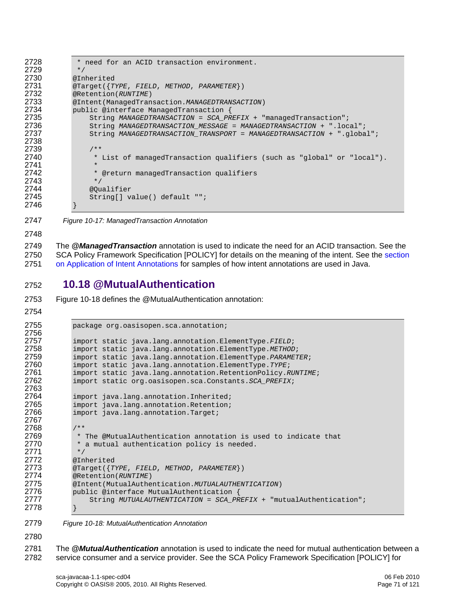```
2728 * need for an ACID transaction environment.<br>2729 */
2729<br>2730
2730 @Inherited<br>2731 @Target({T
2731 @Target({TYPE, FIELD, METHOD, PARAMETER}) 
2732 @Retention(RUNTIME) 
2733 @Intent(ManagedTransaction.MANAGEDTRANSACTION) 
2734 public @interface ManagedTransaction {<br>2735 String MANAGEDTRANSACTION = SCA PR
2735 String MANAGEDTRANSACTION = SCA_PREFIX + "managedTransaction"; 
2736 String MANAGEDTRANSACTION_MESSAGE = MANAGEDTRANSACTION + ".local"; 
                2737 String MANAGEDTRANSACTION_TRANSPORT = MANAGEDTRANSACTION + ".global"; 
2738 
2739 /**<br>2740 *
                 * List of managedTransaction qualifiers (such as "global" or "local").
2741<br>2742
                  * @return managedTransaction qualifiers
2743 */<br>2744 @Ou
2744 @Qualifier<br>2745 String[] va
                String[] value() default "";
2746 }
```
<span id="page-70-0"></span>2747 *Figure 10-17: ManagedTransaction Annotation* 

2748

2749 The *@ManagedTransaction* annotation is used to indicate the need for an ACID transaction. See the [2750 SCA Policy Framework Specification \[POLICY\] for details on the meaning of the intent. See the section](#page-33-0)  2751 [on Application of Intent Annota](#page-33-0)tions for samples of how intent annotations are used in Java.

### 2752 **10.18 @MutualAuthentication**

2753 [Figure 10-18](#page-70-1) defines the @MutualAuthentication annotation:

```
2754
```

```
2755 package org.oasisopen.sca.annotation; 
2756 
2757 import static java.lang.annotation.ElementType.FIELD; 
2758 import static java.lang.annotation.ElementType.METHOD; 
2759 import static java.lang.annotation.ElementType.PARAMETER; 
2760 import static java.lang.annotation.ElementType.TYPE; 
2761 import static java.lang.annotation.RetentionPolicy.RUNTIME;<br>2762 import static org.oasisopen.sca.Constants.SCA PREFIX;
              2762 import static org.oasisopen.sca.Constants.SCA_PREFIX; 
2763<br>2764
2764 import java.lang.annotation.Inherited;<br>2765 import java.lang.annotation.Retention;
2765 import java.lang.annotation.Retention;<br>2766 import java.lang.annotation.Target;
              import java.lang.annotation.Target;
2767 
2768 /**<br>2769 *
2769 * The @MutualAuthentication annotation is used to indicate that 2770 * a mutual authentication policy is needed.
               * a mutual authentication policy is needed.
2771 */<br>2772 @In
2772 @Inherited<br>2773 @Target({T
2773 @Target({TYPE, FIELD, METHOD, PARAMETER}) 
2774 @Retention(RUNTIME) 
2775 @Intent(MutualAuthentication.MUTUALAUTHENTICATION) 
2776 public @interface MutualAuthentication {<br>2777 String MUTUALAUTHENTICATION = SCA PR
                  2777 String MUTUALAUTHENTICATION = SCA_PREFIX + "mutualAuthentication"; 
2778 }
```
<span id="page-70-1"></span>2779 *Figure 10-18: MutualAuthentication Annotation* 

2780

2781 The *@MutualAuthentication* annotation is used to indicate the need for mutual authentication between a 2782 service consumer and a service provider. See the SCA Policy Framework Specification [POLICY] for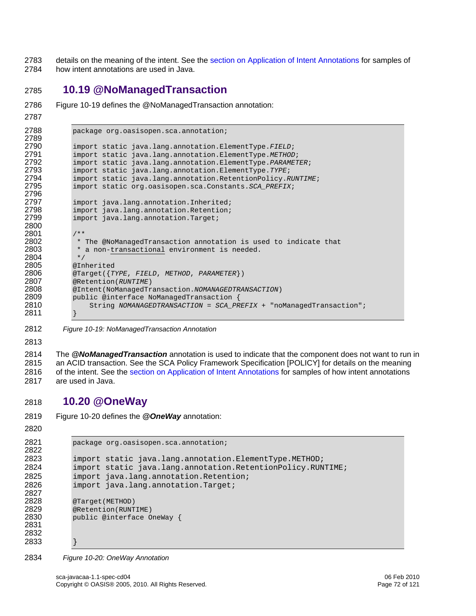2783 details on the meaning of the intent. See the [section on Application of Intent Annotations](#page-33-0) for samples of 2784 how intent annotations are used in Java.

## **10.19 @NoManagedTransaction**

```
2786 Figure 10-19 defines the @NoManagedTransaction annotation:
```

```
2787
```

```
2788 package org.oasisopen.sca.annotation; 
2789 
2790 import static java.lang.annotation.ElementType.FIELD; 
2791 import static java.lang.annotation.ElementType.METHOD; 
2792 import static java.lang.annotation.ElementType.PARAMETER; 
2793 import static java.lang.annotation.ElementType.TYPE; 
2794 import static java.lang.annotation.RetentionPolicy.RUNTIME;<br>2795 import static org.oasisopen.sca.Constants.SCA PREFIX;
              2795 import static org.oasisopen.sca.Constants.SCA_PREFIX; 
2796 
2797 import java.lang.annotation.Inherited;<br>2798 import java.lang.annotation.Retention;
2798 import java.lang.annotation.Retention;<br>2799 import java.lang.annotation.Target;
              import java.lang.annotation.Target;
2800 
2801 /**<br>2802 *
2802 * The @NoManagedTransaction annotation is used to indicate that<br>2803 * a non-transactional environment is needed.
               * a non-transactional environment is needed.<br>*/
2804<br>2805
2805 @Inherited<br>2806 @Target({T
2806 @Target({TYPE, FIELD, METHOD, PARAMETER}) 
              2807 @Retention(RUNTIME) 
2808 @Intent(NoManagedTransaction.NOMANAGEDTRANSACTION) 
2809 public @interface NoManagedTransaction {<br>2810 String NOMANAGEDTRANSACTION = SCA PR
                   2810 String NOMANAGEDTRANSACTION = SCA_PREFIX + "noManagedTransaction"; 
2811 }
```
<span id="page-71-0"></span>*Figure 10-19: NoManagedTransaction Annotation* 

2814 The *@NoManagedTransaction* annotation is used to indicate that the component does not want to run in 2815 an ACID transaction. See the SCA Policy Framework Specification [POLICY] for details on the meaning 2816 of the intent. See the [section on Application of Intent Annotations](#page-33-0) for samples of how intent annotations 2817 are used in Java.

# **10.20 @OneWay**

[Figure 10-20](#page-71-1) defines the *@OneWay* annotation:

```
2821 package org.oasisopen.sca.annotation; 
2822 
2823 import static java.lang.annotation.ElementType.METHOD; 
2824 import static java.lang.annotation.RetentionPolicy.RUNTIME; 
2825 import java.lang.annotation.Retention; 
2826 import java.lang.annotation.Target; 
2827<br>2828
2828 @Target(METHOD)<br>2829 @Retention(RUNT
2829 @Retention(RUNTIME)<br>2830 public @interface O
           public @interface OneWay {
2831 
2832 
2833 }
```
<span id="page-71-1"></span>*Figure 10-20: OneWay Annotation*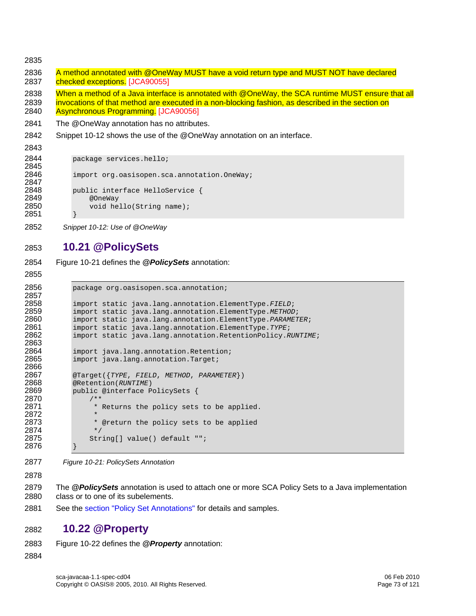2835

2836 A method annotated with @OneWay MUST have a void return type and MUST NOT have declared 2837 [checked except](#page-113-0)ions. [JCA90055]

2838 When a method of a Java interface is annotated with @OneWay, the SCA runtime MUST ensure that all 2839 invocations of that method are executed in a non-blocking fashion, as described in the section on

- 2840 [Asynchronous Pr](#page-113-1)ogramming. [JCA90056]
- 2841 The @OneWay annotation has no attributes.
- 2842 [Snippet 10-12](#page-72-0) shows the use of the @OneWay annotation on an interface.
- 2843

2844 package services.hello;

```
2845<br>2846
           import org.oasisopen.sca.annotation.OneWay;
2847 
2848 public interface HelloService { 
2849 @OneWay 
               void hello(String name);
2851 }
```
<span id="page-72-0"></span>2852 *Snippet 10-12: Use of @OneWay* 

## 2853 **10.21 @PolicySets**

2854 [Figure 10-21](#page-72-1) defines the *@PolicySets* annotation:

```
2855
```

```
2856 package org.oasisopen.sca.annotation; 
2857<br>2858
2858 import static java.lang.annotation.ElementType.FIELD; 
2859 import static java.lang.annotation.ElementType.METHOD; 
2860 import static java.lang.annotation.ElementType.PARAMETER; 
2861 import static java.lang.annotation.ElementType.TYPE; 
            2862 import static java.lang.annotation.RetentionPolicy.RUNTIME; 
2863<br>2864
2864 import java.lang.annotation.Retention;<br>2865 import java.lang.annotation.Target;
            import java.lang.annotation.Target;
2866 
2867 @Target({TYPE, FIELD, METHOD, PARAMETER}) 
2868 @Retention(RUNTIME) 
            public @interface PolicySets {
2870<br>2871
                  * Returns the policy sets to be applied.
2872<br>2873
                  * @return the policy sets to be applied */
2874<br>2875
                String[] value() default "";
2876 }
```
- <span id="page-72-1"></span>2877 *Figure 10-21: PolicySets Annotation*
- 2878

2879 The *@PolicySets* annotation is used to attach one or more SCA Policy Sets to a Java implementation 2880 class or to one of its subelements.

2881 See the [section "Policy Set Annotations"](#page-37-0) for details and samples.

## 2882 **10.22 @Property**

- 2883 [Figure 10-22](#page-73-0) defines the *@Property* annotation:
- 2884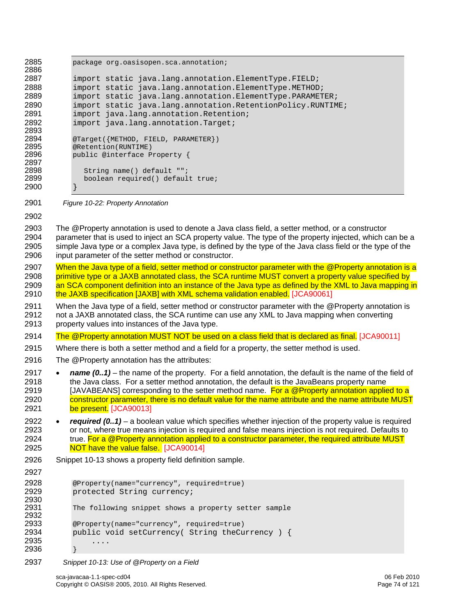2885 package org.oasisopen.sca.annotation; 2886<br>2887 2887 import static java.lang.annotation.ElementType.FIELD;<br>2888 import static java.lang.annotation.ElementType.METHOD import static java.lang.annotation.ElementType.METHOD; 2889 import static java.lang.annotation.ElementType.PARAMETER; 2890 import static java.lang.annotation.RetentionPolicy.RUNTIME;<br>2891 import java.lang.annotation.Retention; 2891 import java.lang.annotation.Retention;<br>2892 import java.lang.annotation.Target; import java.lang.annotation.Target; 2893<br>2894 2894 @Target({METHOD, FIELD, PARAMETER})<br>2895 @Retention(RUNTIME) 2895 @Retention(RUNTIME)<br>2896 public @interface P public @interface Property { 2897<br>2898 2898 String name() default "";<br>2899 boolean required() defaul boolean required() default true; 2900 } 2901 *Figure 10-22: Property Annotation* 2902 2903 The @Property annotation is used to denote a Java class field, a setter method, or a constructor 2904 parameter that is used to inject an SCA property value. The type of the property injected, which can be a 2905 simple Java type or a complex Java type, is defined by the type of the Java class field or the type of the 2906 input parameter of the setter method or constructor. 2907 When the Java type of a field, setter method or constructor parameter with the @Property annotation is a

- <span id="page-73-0"></span>2908 primitive type or a JAXB annotated class, the SCA runtime MUST convert a property value specified by 2909 an SCA component definition into an instance of the Java type as defined by the XML to Java mapping in 2910 [the JAXB specification \[JAXB\] with XML schema vali](#page-114-0)dation enabled. [JCA90061]
- 2911 When the Java type of a field, setter method or constructor parameter with the @Property annotation is 2912 not a JAXB annotated class, the SCA runtime can use any XML to Java mapping when converting 2913 property values into instances of the Java type.
- 2914 [The @Property annotation MUST NOT be used on a class field that is declared as final.](#page-111-0) [JCA90011]
- 2915 Where there is both a setter method and a field for a property, the setter method is used.
- 2916 The @Property annotation has the attributes:
- 2917 *name (0..1)* the name of the property. For a field annotation, the default is the name of the field of 2918 the Java class. For a setter method annotation, the default is the JavaBeans property name 2919 [JAVABEANS] corresponding to the setter method name. For a @Property annotation applied to a [2920 constructor parameter, there is no default value for the name attribute and the name attribute MUST](#page-111-1)  2921 [be](#page-111-1) present. [JCA90013]
- 2922 *required (0..1)* a boolean value which specifies whether injection of the property value is required 2923 or not, where true means injection is required and false means injection is not required. Defaults to 2924 true. For a @Property annotation applied to a constructor parameter, the required attribute MUST 2925 [NOT have the value fa](#page-111-2)lse. [JCA90014]
- 2926 [Snippet 10-13](#page-73-1) shows a property field definition sample.

```
2927
```

```
2928 @Property(name="currency", required=true)<br>2929 protected String currency;
           protected String currency;
2930<br>2931
           The following snippet shows a property setter sample
2932 
2933 @Property(name="currency", required=true) 
           public void setCurrency( String theCurrency ) {
2935 .... 
2936 }
```
<span id="page-73-1"></span>2937 *Snippet 10-13: Use of @Property on a Field*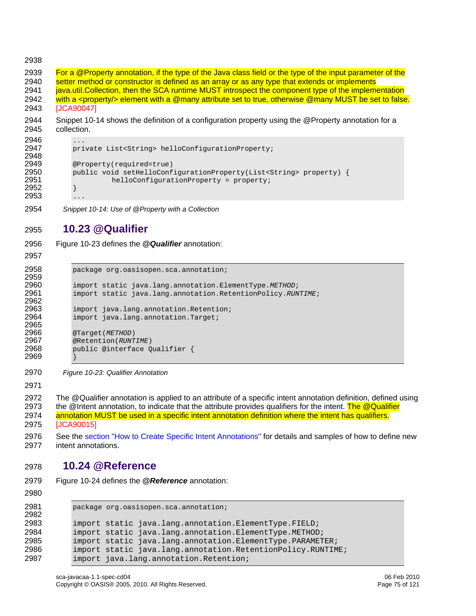#### 2938

2939 For a @Property annotation, if the type of the Java class field or the type of the input parameter of the<br>2940 setter method or constructor is defined as an array or as any type that extends or implements setter method or constructor is defined as an array or as any type that extends or implements 2941 iava.util.Collection, then the SCA runtime MUST introspect the component type of the implementation 2942 [with a <property/> element with a @many attribute set to true, otherwise @many MUST be](#page-113-2) set to false. 2943 [JCA90047]

2944 [Snippet 10-14](#page-74-0) shows the definition of a configuration property using the @Property annotation for a 2945 collection.

```
2946<br>2947
               private List<String> helloConfigurationProperty;
2948 
2949 @Property(required=true)<br>2950 public void setHelloConf
2950 public void setHelloConfigurationProperty(List<String> property) {<br>2951 helloConfigurationProperty = property;
               helloConfigurationProperty = property;<br>}
2952 } 
2953
```
<span id="page-74-0"></span>2954 *Snippet 10-14: Use of @Property with a Collection* 

### 2955 **10.23 @Qualifier**

2956 [Figure 10-23](#page-74-1) defines the *@Qualifier* annotation:

2957

2959<br>2960

2962<br>2963

2965<br>2966

2969 }

```
2958 package org.oasisopen.sca.annotation; 
2960 import static java.lang.annotation.ElementType.METHOD; 
             2961 import static java.lang.annotation.RetentionPolicy.RUNTIME; 
2963 import java.lang.annotation.Retention;<br>2964 import java.lang.annotation.Target;
             import java.lang.annotation.Target;
2966 @Target(METHOD)<br>2967 @Retention(RUNT
2967 @Retention(RUNTIME) 
             2968 public @interface Qualifier {
```
<span id="page-74-1"></span>2970 *Figure 10-23: Qualifier Annotation* 

2971

2972 The @Qualifier annotation is applied to an attribute of a specific intent annotation definition, defined using 2973 the @Intent annotation, to indicate that the attribute provides qualifiers for the intent. The @Qualifier 2974 [annotation MUST be used in a specific intent annotation definition where the intent has qualif](#page-111-3)iers. 2975 [JCA90015]

2976 See the [section "How to Create Specific Intent Annotations"](#page-33-0) for details and samples of how to define new 2977 intent annotations.

### 2978 **10.24 @Reference**

2979 [Figure 10-24](#page-75-0) defines the *@Reference* annotation:

2980

```
2981 package org.oasisopen.sca.annotation; 
2982 
2983 import static java.lang.annotation.ElementType.FIELD;<br>2984 import static java.lang.annotation.ElementType.METHOD
2984 import static java.lang.annotation.ElementType.METHOD;<br>2985 import static java.lang.annotation.ElementType.PARAMET
             import static java.lang.annotation.ElementType.PARAMETER;
2986 import static java.lang.annotation.RetentionPolicy.RUNTIME; 
2987 import java.lang.annotation.Retention;
```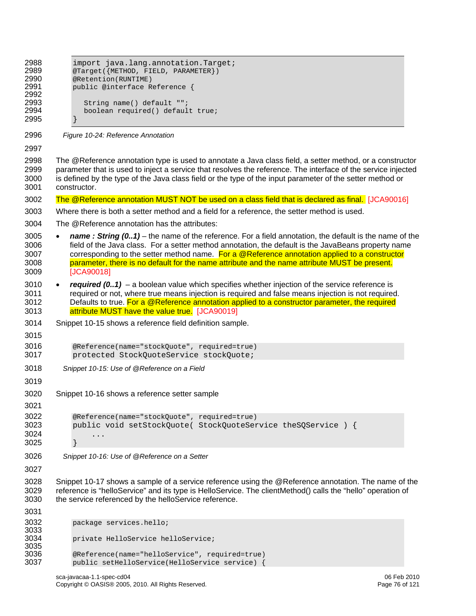<span id="page-75-2"></span><span id="page-75-1"></span><span id="page-75-0"></span>

| 2988<br>2989<br>2990<br>2991<br>2992<br>2993<br>2994<br>2995 | import java.lang.annotation.Target;<br>@Target({METHOD, FIELD, PARAMETER})<br>@Retention(RUNTIME)<br>public @interface Reference {<br>String name() default "";<br>boolean required() default true;                                                                                                                                                                                                                                          |
|--------------------------------------------------------------|----------------------------------------------------------------------------------------------------------------------------------------------------------------------------------------------------------------------------------------------------------------------------------------------------------------------------------------------------------------------------------------------------------------------------------------------|
| 2996                                                         | Figure 10-24: Reference Annotation                                                                                                                                                                                                                                                                                                                                                                                                           |
| 2997                                                         |                                                                                                                                                                                                                                                                                                                                                                                                                                              |
| 2998<br>2999<br>3000<br>3001                                 | The @Reference annotation type is used to annotate a Java class field, a setter method, or a constructor<br>parameter that is used to inject a service that resolves the reference. The interface of the service injected<br>is defined by the type of the Java class field or the type of the input parameter of the setter method or<br>constructor.                                                                                       |
| 3002                                                         | The @Reference annotation MUST NOT be used on a class field that is declared as final. [JCA90016]                                                                                                                                                                                                                                                                                                                                            |
| 3003                                                         | Where there is both a setter method and a field for a reference, the setter method is used.                                                                                                                                                                                                                                                                                                                                                  |
| 3004                                                         | The @Reference annotation has the attributes:                                                                                                                                                                                                                                                                                                                                                                                                |
| 3005<br>3006<br>3007<br>3008<br>3009                         | name: String $(0.1)$ – the name of the reference. For a field annotation, the default is the name of the<br>$\bullet$<br>field of the Java class. For a setter method annotation, the default is the JavaBeans property name<br>corresponding to the setter method name. For a @Reference annotation applied to a constructor<br>parameter, there is no default for the name attribute and the name attribute MUST be present.<br>[JCA90018] |
| 3010<br>3011<br>3012<br>3013                                 | required $(0.1)$ – a boolean value which specifies whether injection of the service reference is<br>$\bullet$<br>required or not, where true means injection is required and false means injection is not required.<br>Defaults to true. For a @Reference annotation applied to a constructor parameter, the required<br>attribute MUST have the value true. [JCA90019]                                                                      |
| 3014                                                         | Snippet 10-15 shows a reference field definition sample.                                                                                                                                                                                                                                                                                                                                                                                     |
| 3015                                                         |                                                                                                                                                                                                                                                                                                                                                                                                                                              |
| 3016<br>3017                                                 | @Reference(name="stockQuote", required=true)<br>protected StockQuoteService stockQuote;                                                                                                                                                                                                                                                                                                                                                      |
| 3018                                                         | Snippet 10-15: Use of @Reference on a Field                                                                                                                                                                                                                                                                                                                                                                                                  |
| 3019                                                         |                                                                                                                                                                                                                                                                                                                                                                                                                                              |
| 3020<br>3021                                                 | Snippet 10-16 shows a reference setter sample                                                                                                                                                                                                                                                                                                                                                                                                |
| 3022<br>3023<br>3024<br>3025                                 | @Reference(name="stockQuote", required=true)<br>public void setStockQuote( StockQuoteService theSQService ) {<br>.                                                                                                                                                                                                                                                                                                                           |
| 3026                                                         | Snippet 10-16: Use of @Reference on a Setter                                                                                                                                                                                                                                                                                                                                                                                                 |
| 3027                                                         |                                                                                                                                                                                                                                                                                                                                                                                                                                              |
| 3028<br>3029<br>3030                                         | Snippet 10-17 shows a sample of a service reference using the @Reference annotation. The name of the<br>reference is "helloService" and its type is HelloService. The clientMethod() calls the "hello" operation of<br>the service referenced by the helloService reference.                                                                                                                                                                 |
| 3031                                                         |                                                                                                                                                                                                                                                                                                                                                                                                                                              |
| 3032<br>3033<br>3034<br>3035<br>3036<br>3037                 | package services.hello;<br>private HelloService helloService;<br>@Reference(name="helloService", required=true)                                                                                                                                                                                                                                                                                                                              |
|                                                              | public setHelloService(HelloService service) {                                                                                                                                                                                                                                                                                                                                                                                               |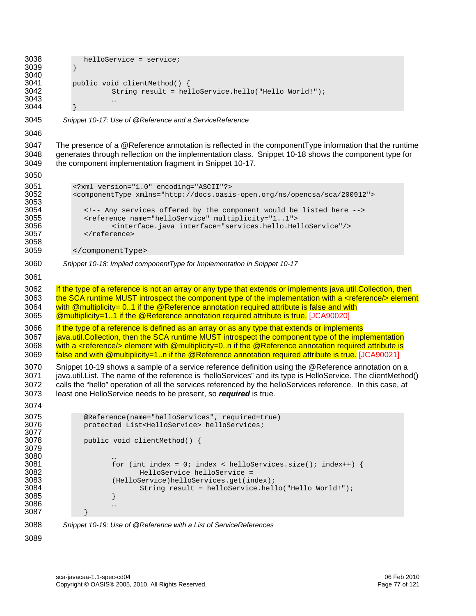```
3038 helloService = service;<br>3039 }
3039 } 
3040<br>3041
3041 public void clientMethod() {<br>3042 5tring result = hel
                       String result = helloService.hello("Hello World!");
3043 … 
3044 } 
3045 Snippet 10-17: Use of @Reference and a ServiceReference 
3046 
3047 The presence of a @Reference annotation is reflected in the componentType information that the runtime 
3048 generates through reflection on the implementation class. Snippet 10-18 shows the component type for 
3049 the component implementation fragment in Snippet 10-17. 
3050 
3051 <?xml version="1.0" encoding="ASCII"?><br>3052 <componentType xmlns="http://docs.oasi
             3052 <componentType xmlns="http://docs.oasis-open.org/ns/opencsa/sca/200912"> 
3053<br>3054
3054 <!-- Any services offered by the component would be listed here --> 
3055 <reference name="helloService" multiplicity="1..1"> 
3056 <interface.java interface="services.hello.HelloService"/><br>3057 </reference>
                3057 </reference> 
3058 
3059 </componentType> 
3060 Snippet 10-18: Implied componentType for Implementation in Snippet 10-17 
3061 
3062 If the type of a reference is not an array or any type that extends or implements java.util.Collection, then
3063 the SCA runtime MUST introspect the component type of the implementation with a <reference/> element
3064 with @ multiplicity= 0..1 if the @ Reference annotation required attribute is false and with
3065 @multiplicity=1..1 if the @Reference annotation required attribute is true. [JCA90020]
3066 If the type of a reference is defined as an array or as any type that extends or implements
3067 java.util.Collection, then the SCA runtime MUST introspect the component type of the implementation
3068 with a <reference/> element with @multiplicity=0..n if the @Reference annotation required attribute is
false and with @multiplicity=1..n if the @Reference annotation required attribute is true. [JCA90021]
3070 Snippet 10-19 shows a sample of a service reference definition using the @Reference annotation on a 
3071 java.util.List. The name of the reference is "helloServices" and its type is HelloService. The clientMethod() 
3072 calls the "hello" operation of all the services referenced by the helloServices reference. In this case, at 
3073 least one HelloService needs to be present, so required is true.
3074 
3075 @Reference(name="helloServices", required=true) 
                protected List<HelloService> helloServices;
3077 
                public void clientMethod() {
3079 
3080<br>3081
3081 for (int index = 0; index < helloServices.size(); index++) { 
3082 HelloService helloService = 
3083 (HelloService)helloServices.get(index);<br>3084 (String result = helloService.hell
                               String result = helloService.hello("Hello World!");
3085 }
3086 … 
3087 } 
3088 Snippet 10-19: Use of @Reference with a List of ServiceReferences 
3089
```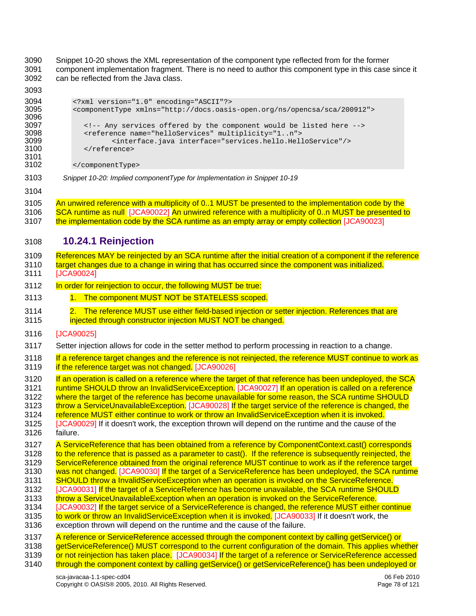3090 [Snippet 10-20](#page-77-0) shows the XML representation of the component type reflected from for the former<br>3091 component implementation fragment. There is no need to author this component type in this case 3091 component implementation fragment. There is no need to author this component type in this case since it 3092 can be reflected from the Java class.

<span id="page-77-0"></span>

| 3093                                                                         |                                                                                                                                                                                                                                                                                                                                                                                                                                                                                                                                                                                                                                                                                                                                                                                                                                                                                                                                                                                                                             |
|------------------------------------------------------------------------------|-----------------------------------------------------------------------------------------------------------------------------------------------------------------------------------------------------------------------------------------------------------------------------------------------------------------------------------------------------------------------------------------------------------------------------------------------------------------------------------------------------------------------------------------------------------------------------------------------------------------------------------------------------------------------------------------------------------------------------------------------------------------------------------------------------------------------------------------------------------------------------------------------------------------------------------------------------------------------------------------------------------------------------|
| 3094<br>3095<br>3096<br>3097<br>3098<br>3099<br>3100<br>3101<br>3102         | xml version="1.0" encoding="ASCII"?<br><componenttype xmlns="http://docs.oasis-open.org/ns/opencsa/sca/200912"><br/><!-- Any services offered by the component would be listed here --><br/><reference multiplicity="1n" name="helloServices"><br/><interface.java interface="services.hello.HelloService"></interface.java><br/></reference><br/></componenttype>                                                                                                                                                                                                                                                                                                                                                                                                                                                                                                                                                                                                                                                          |
| 3103                                                                         | Snippet 10-20: Implied componentType for Implementation in Snippet 10-19                                                                                                                                                                                                                                                                                                                                                                                                                                                                                                                                                                                                                                                                                                                                                                                                                                                                                                                                                    |
| 3104                                                                         |                                                                                                                                                                                                                                                                                                                                                                                                                                                                                                                                                                                                                                                                                                                                                                                                                                                                                                                                                                                                                             |
| 3105<br>3106<br>3107                                                         | An unwired reference with a multiplicity of 01 MUST be presented to the implementation code by the<br>SCA runtime as null [JCA90022] An unwired reference with a multiplicity of 0n MUST be presented to<br>the implementation code by the SCA runtime as an empty array or empty collection [JCA90023]                                                                                                                                                                                                                                                                                                                                                                                                                                                                                                                                                                                                                                                                                                                     |
| 3108                                                                         | 10.24.1 Reinjection                                                                                                                                                                                                                                                                                                                                                                                                                                                                                                                                                                                                                                                                                                                                                                                                                                                                                                                                                                                                         |
| 3109<br>3110<br>3111                                                         | References MAY be reinjected by an SCA runtime after the initial creation of a component if the reference<br>target changes due to a change in wiring that has occurred since the component was initialized.<br>[JCA90024]                                                                                                                                                                                                                                                                                                                                                                                                                                                                                                                                                                                                                                                                                                                                                                                                  |
| 3112                                                                         | In order for reinjection to occur, the following MUST be true:                                                                                                                                                                                                                                                                                                                                                                                                                                                                                                                                                                                                                                                                                                                                                                                                                                                                                                                                                              |
| 3113                                                                         | 1. The component MUST NOT be STATELESS scoped.                                                                                                                                                                                                                                                                                                                                                                                                                                                                                                                                                                                                                                                                                                                                                                                                                                                                                                                                                                              |
| 3114<br>3115                                                                 | 2. The reference MUST use either field-based injection or setter injection. References that are<br>injected through constructor injection MUST NOT be changed.                                                                                                                                                                                                                                                                                                                                                                                                                                                                                                                                                                                                                                                                                                                                                                                                                                                              |
| 3116                                                                         | [JCA90025]                                                                                                                                                                                                                                                                                                                                                                                                                                                                                                                                                                                                                                                                                                                                                                                                                                                                                                                                                                                                                  |
| 3117                                                                         | Setter injection allows for code in the setter method to perform processing in reaction to a change.                                                                                                                                                                                                                                                                                                                                                                                                                                                                                                                                                                                                                                                                                                                                                                                                                                                                                                                        |
| 3118<br>3119                                                                 | If a reference target changes and the reference is not reinjected, the reference MUST continue to work as<br>if the reference target was not changed. [JCA90026]                                                                                                                                                                                                                                                                                                                                                                                                                                                                                                                                                                                                                                                                                                                                                                                                                                                            |
| 3120<br>3121<br>3122<br>3123<br>3124<br>3125<br>3126                         | If an operation is called on a reference where the target of that reference has been undeployed, the SCA<br>runtime SHOULD throw an InvalidServiceException. [JCA90027] If an operation is called on a reference<br>where the target of the reference has become unavailable for some reason, the SCA runtime SHOULD<br>throw a ServiceUnavailableException. [JCA90028] If the target service of the reference is changed, the<br>reference MUST either continue to work or throw an InvalidServiceException when it is invoked.<br>[JCA90029] If it doesn't work, the exception thrown will depend on the runtime and the cause of the<br>failure.                                                                                                                                                                                                                                                                                                                                                                         |
| 3127<br>3128<br>3129<br>3130<br>3131<br>3132<br>3133<br>3134<br>3135<br>3136 | A ServiceReference that has been obtained from a reference by ComponentContext.cast() corresponds<br>to the reference that is passed as a parameter to cast(). If the reference is subsequently reinjected, the<br>ServiceReference obtained from the original reference MUST continue to work as if the reference target<br>was not changed. [JCA90030] If the target of a ServiceReference has been undeployed, the SCA runtime<br>SHOULD throw a InvalidServiceException when an operation is invoked on the ServiceReference.<br>[JCA90031] If the target of a ServiceReference has become unavailable, the SCA runtime SHOULD<br>throw a ServiceUnavailableException when an operation is invoked on the ServiceReference.<br>[JCA90032] If the target service of a ServiceReference is changed, the reference MUST either continue<br>to work or throw an InvalidServiceException when it is invoked. [JCA90033] If it doesn't work, the<br>exception thrown will depend on the runtime and the cause of the failure. |
| 3137<br>3138<br>3139<br>3140                                                 | A reference or ServiceReference accessed through the component context by calling getService() or<br>getServiceReference() MUST correspond to the current configuration of the domain. This applies whether<br>or not reinjection has taken place. [JCA90034] If the target of a reference or ServiceReference accessed<br>through the component context by calling getService() or getServiceReference() has been undeployed or                                                                                                                                                                                                                                                                                                                                                                                                                                                                                                                                                                                            |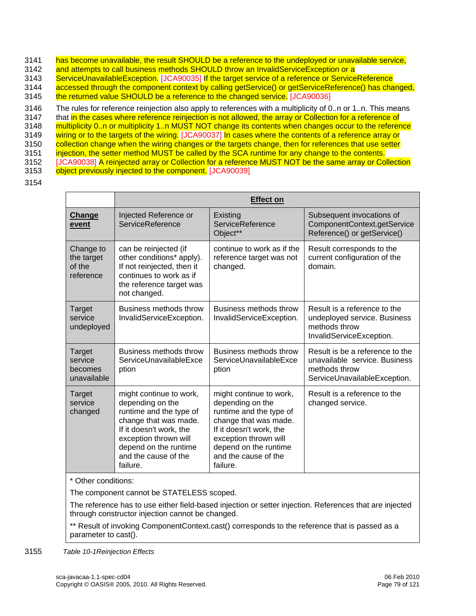- 3141 [has become unavailable, the result SHOULD be a reference to the undeployed or unavailable ser](#page-112-10)vice,
- 3142 and attempts to call business methods SHOULD throw an InvalidServiceException or a
- 3143 ServiceUnavailableException. [JCA90035] If the target service of a reference or ServiceReference
- [3144 accessed through the component context by calling getService\(\) or getServiceReference\(\) has changed,](#page-112-11)
- 3145 [the returned value SHOULD be a reference to the changed](#page-112-11) service. [JCA90036]
- 3146 The rules for reference reinjection also apply to references with a multiplicity of 0..n or 1..n. This means
- 3147 that in the cases where reference reinjection is not allowed, the array or Collection for a reference of
- 3148 multiplicity 0..n or multiplicity 1..n MUST NOT change its contents when changes occur to the reference
- [3149](#page-112-13) [wiring or to the targets of t](#page-112-12)[he wiring. \[JCA90037\]](#page-112-13) In cases where the contents of a reference array or
- 3150 collection change when the wiring changes or the targets change, then for references that use setter 3151 [injection, the setter method MUST be called by the SCA runtime for any change to the](#page-112-13) contents.
- 3152 [JCA90038] A reinjected array or Collection for a reference MUST NOT be the same array or Collection
- 3153 [object previously injected to the compo](#page-112-14)nent. [JCA90039]
- 3154

|                                                |                                                                                                                                                                                                                  | <b>Effect on</b>                                                                                                                                                                                                 |                                                                                                                   |
|------------------------------------------------|------------------------------------------------------------------------------------------------------------------------------------------------------------------------------------------------------------------|------------------------------------------------------------------------------------------------------------------------------------------------------------------------------------------------------------------|-------------------------------------------------------------------------------------------------------------------|
| Change<br>event                                | Injected Reference or<br>ServiceReference                                                                                                                                                                        | Existing<br>ServiceReference<br>Object**                                                                                                                                                                         | Subsequent invocations of<br>ComponentContext.getService<br>Reference() or getService()                           |
| Change to<br>the target<br>of the<br>reference | can be reinjected (if<br>other conditions* apply).<br>If not reinjected, then it<br>continues to work as if<br>the reference target was<br>not changed.                                                          | continue to work as if the<br>reference target was not<br>changed.                                                                                                                                               | Result corresponds to the<br>current configuration of the<br>domain.                                              |
| <b>Target</b><br>service<br>undeployed         | Business methods throw<br>InvalidServiceException.                                                                                                                                                               | Business methods throw<br>InvalidServiceException.                                                                                                                                                               | Result is a reference to the<br>undeployed service. Business<br>methods throw<br>InvalidServiceException.         |
| Target<br>service<br>becomes<br>unavailable    | Business methods throw<br>ServiceUnavailableExce<br>ption                                                                                                                                                        | Business methods throw<br>ServiceUnavailableExce<br>ption                                                                                                                                                        | Result is be a reference to the<br>unavailable service. Business<br>methods throw<br>ServiceUnavailableException. |
| Target<br>service<br>changed                   | might continue to work,<br>depending on the<br>runtime and the type of<br>change that was made.<br>If it doesn't work, the<br>exception thrown will<br>depend on the runtime<br>and the cause of the<br>failure. | might continue to work,<br>depending on the<br>runtime and the type of<br>change that was made.<br>If it doesn't work, the<br>exception thrown will<br>depend on the runtime<br>and the cause of the<br>failure. | Result is a reference to the<br>changed service.                                                                  |

#### \* Other conditions:

The component cannot be STATELESS scoped.

The reference has to use either field-based injection or setter injection. References that are injected through constructor injection cannot be changed.

\*\* Result of invoking ComponentContext.cast() corresponds to the reference that is passed as a parameter to cast().

3155 *Table 10-1Reinjection Effects*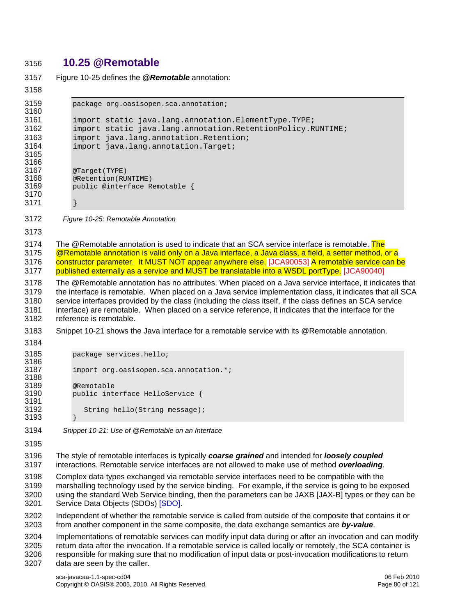#### 3156 **10.25 @Remotable**

```
3157 Figure 10-25 defines the @Remotable annotation: 
3158 
3159 package org.oasisopen.sca.annotation; 
3160 
3161 import static java.lang.annotation.ElementType.TYPE;<br>3162 import static java.lang.annotation.RetentionPolicy.R
             import static java.lang.annotation.RetentionPolicy.RUNTIME;
3163 import java.lang.annotation.Retention;<br>3164 import java.lang.annotation.Target;
             import java.lang.annotation.Target;
3165 
3166<br>3167
3167 @Target(TYPE)<br>3168 @Retention(RU
             @Retention(RUNTIME)
3169 public @interface Remotable { 
3170 
3171 } 
3172 Figure 10-25: Remotable Annotation
3173 
3174 The @Remotable annotation is used to indicate that an SCA service interface is remotable. The
3175 @Remotable annotation is valid only on a Java interface, a Java class, a field, a setter method, or a
3176 constructor parameter. It MUST NOT appear anywhere else. [JCA90053] A remotable service can be 
3177 published externally as a service and MUST be translatable into a WSDL portType. [JCA90040] 
3178 The @Remotable annotation has no attributes. When placed on a Java service interface, it indicates that 
3179 the interface is remotable. When placed on a Java service implementation class, it indicates that all SCA 
3180 service interfaces provided by the class (including the class itself, if the class defines an SCA service 
3181 interface) are remotable. When placed on a service reference, it indicates that the interface for the 
3182 reference is remotable. 
3183 Snippet 10-21 shows the Java interface for a remotable service with its @Remotable annotation. 
3184 
3185 package services.hello; 
3186<br>3187
             import org.oasisopen.sca.annotation.*;
3188<br>3189
3189 @Remotable<br>3190 public inte
             public interface HelloService {
3191<br>3192
                String hello(String message);
3193 } 
3194 Snippet 10-21: Use of @Remotable on an Interface 
3195 
3196 The style of remotable interfaces is typically coarse grained and intended for loosely coupled
3197 interactions. Remotable service interfaces are not allowed to make use of method overloading. 
3198 Complex data types exchanged via remotable service interfaces need to be compatible with the 
3199 marshalling technology used by the service binding. For example, if the service is going to be exposed 
3200 using the standard Web Service binding, then the parameters can be JAXB [JAX-B] types or they can be 
3201 Service Data Objects (SDOs) [SDO]. 
3202 Independent of whether the remotable service is called from outside of the composite that contains it or 
3203 from another component in the same composite, the data exchange semantics are by-value. 
3204 Implementations of remotable services can modify input data during or after an invocation and can modify 
3205 return data after the invocation. If a remotable service is called locally or remotely, the SCA container is 
3206 responsible for making sure that no modification of input data or post-invocation modifications to return 
3207 data are seen by the caller.
```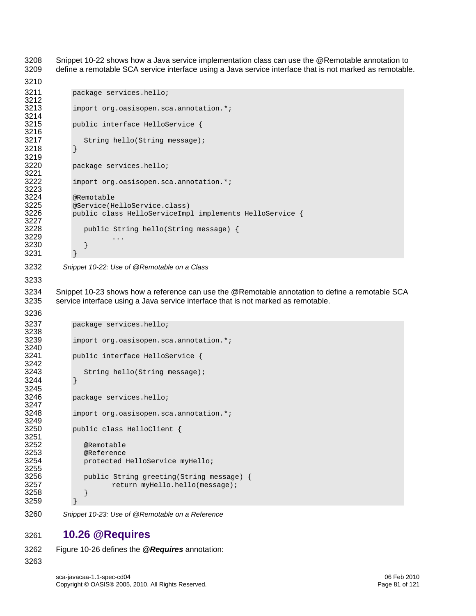3208 [Snippet 10-22](#page-80-0) shows how a Java service implementation class can use the @Remotable annotation to 3209 define a remotable SCA service interface using a Java service interface that is not marked as remotable.

```
3210 
3211 package services.hello; 
3212<br>3213
            import org.oasisopen.sca.annotation.*;
3214<br>3215
            public interface HelloService {
3216<br>3217
              String hello(String message);
3218 } 
3219 
3220 package services.hello; 
3221<br>3222
            import org.oasisopen.sca.annotation.*;
3223<br>3224
3224 @Remotable<br>3225 @Service(H
3225 @Service(HelloService.class) 
           public class HelloServiceImpl implements HelloService {
3227<br>3228
              public String hello(String message) {
3229 ...
3230 } 
3231 }
```

```
3232 Snippet 10-22: Use of @Remotable on a Class
```
3233

3236

3234 [Snippet 10-23](#page-80-1) shows how a reference can use the @Remotable annotation to define a remotable SCA 3235 service interface using a Java service interface that is not marked as remotable.

```
3237 package services.hello; 
3238<br>3239
            import org.oasisopen.sca.annotation.*;
3240<br>3241
           public interface HelloService {
3242<br>3243
            String hello(String message);<br>}
3244 } 
3245<br>3246
           package services.hello;
3247 
3248 import org.oasisopen.sca.annotation.*; 
3249 
3250 public class HelloClient { 
3251<br>3252
3252 @Remotable 
3253 @Reference 
              protected HelloService myHello;
3255<br>3256
3256 public String greeting(String message) { 
              % return myHello.hello(message);<br>}
3258 } 
3259 }
```
<span id="page-80-1"></span>3260 *Snippet 10-23: Use of @Remotable on a Reference* 

### 3261 **10.26 @Requires**

3262 [Figure 10-26](#page-81-0) defines the *@Requires* annotation: 3263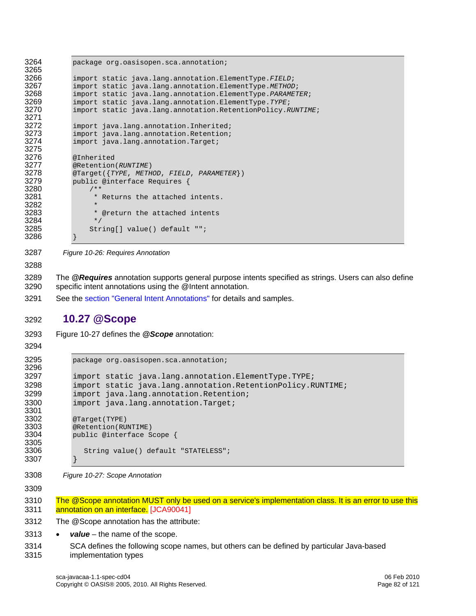3264 package org.oasisopen.sca.annotation; 3265<br>3266 3266 import static java.lang.annotation.ElementType.*FIELD*; 3267 import static java.lang.annotation.ElementType.*METHOD*; 3268 import static java.lang.annotation.ElementType.*PARAMETER*; 3269 import static java.lang.annotation.ElementType.*TYPE*; 3270 import static java.lang.annotation.RetentionPolicy.*RUNTIME*; 3271 3272 import java.lang.annotation.Inherited;<br>3273 import java.lang.annotation.Retention; 3273 import java.lang.annotation.Retention;<br>3274 import java.lang.annotation.Target; import java.lang.annotation.Target; 3275 3276 @Inherited<br>3277 @Retention 3277 @Retention(*RUNTIME*) 3278 @Target({*TYPE*, *METHOD*, *FIELD*, *PARAMETER*}) public @interface Requires {  $3280$  /\*\*<br>3281 \* \* Returns the attached intents. 3282<br>3283 \* @return the attached intents  $3284$  \*/<br>3285 Str String[] value() default ""; 3286 }

- <span id="page-81-0"></span>3287 *Figure 10-26: Requires Annotation*
- 3288

3289 The *@Requires* annotation supports general purpose intents specified as strings. Users can also define specific intent annotations using the @Intent annotation.

3291 See the [section "General Intent Annotations"](#page-30-0) for details and samples.

### 3292 **10.27 @Scope**

- 3293 [Figure 10-27](#page-81-1) defines the *@Scope* annotation:
- 3294

```
3295 package org.oasisopen.sca.annotation; 
3296 
3297 import static java.lang.annotation.ElementType.TYPE;<br>3298 import static java.lang.annotation.RetentionPolicy.R
3298 import static java.lang.annotation.RetentionPolicy.RUNTIME;<br>3299 import java.lang.annotation.Retention;
3299 import java.lang.annotation.Retention;<br>3300 import java.lang.annotation.Target;
                import java.lang.annotation.Target;
3301<br>3302
3302 @Target(TYPE)<br>3303 @Retention(RU
3303 @Retention(RUNTIME)<br>3304 public @interface S
                public @interface Scope {
3305<br>3306
                   String value() default "STATELESS";
3307 }
```
<span id="page-81-1"></span>3308 *Figure 10-27: Scope Annotation*

3309

3310 The @Scope annotation MUST only be used on a service's implementation class. It is an error to use this 3311 [annotation on an interf](#page-113-5)ace. [JCA90041]

3312 The @Scope annotation has the attribute:

- 3313 *value* the name of the scope.
- 3314 SCA defines the following scope names, but others can be defined by particular Java-based 3315 implementation types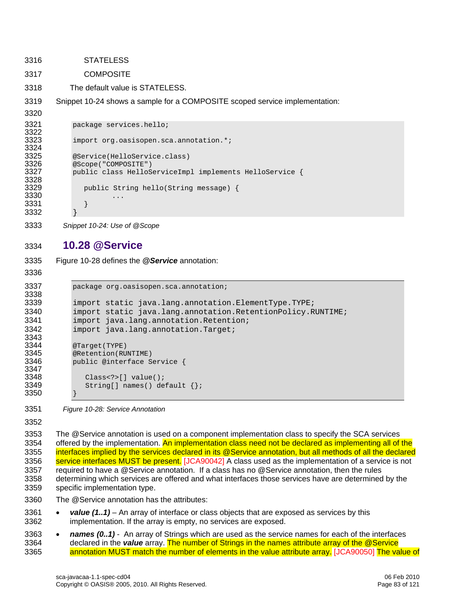3316 STATELESS 3317 COMPOSITE 3318 The default value is STATELESS. 3319 [Snippet 10-24](#page-82-0) shows a sample for a COMPOSITE scoped service implementation: 3320 3321 package services.hello; 3322<br>3323 import org.oasisopen.sca.annotation.\*; 3324 3325 @Service(HelloService.class) 3326 @Scope("COMPOSITE")<br>3327 public class HelloS public class HelloServiceImpl implements HelloService { 3328<br>3329 public String hello(String message) {  $3330$  ...<br> $3331$  } ... 3331 }

<span id="page-82-0"></span>3333 *Snippet 10-24: Use of @Scope* 

#### 3334 **10.28 @Service**

- 3335 [Figure 10-28](#page-82-1) defines the *@Service* annotation:
- 3336

3338

3343<br>3344

3347<br>3348

3350 }

3332 }

```
3337 package org.oasisopen.sca.annotation; 
3339 import static java.lang.annotation.ElementType.TYPE;<br>3340 import static java.lang.annotation.RetentionPolicy.R
3340 import static java.lang.annotation.RetentionPolicy.RUNTIME;<br>3341 import java.lang.annotation.Retention;
3341 import java.lang.annotation.Retention;<br>3342 import java.lang.annotation.Target;
               import java.lang.annotation.Target;
3344 @Target(TYPE)<br>3345 @Retention(RU
3345 @Retention(RUNTIME) 
               public @interface Service {
3348 Class<?>[] value();<br>3349 String[] names() de
                   String[] names() default \{\};
```
<span id="page-82-1"></span>3351 *Figure 10-28: Service Annotation* 

3352

3353 The @Service annotation is used on a component implementation class to specify the SCA services 3354 offered by the implementation. An implementation class need not be declared as implementing all of the 3355 interfaces implied by the services declared in its @Service annotation, but all methods of all the declared 3356 [service interfaces MUST b](#page-113-6)e present. [JCA90042] A class used as the implementation of a service is not 3357 required to have a @Service annotation. If a class has no @Service annotation, then the rules 3358 determining which services are offered and what interfaces those services have are determined by the 3359 specific implementation type.

- 3360 The @Service annotation has the attributes:
- 3361 *value (1..1)* An array of interface or class objects that are exposed as services by this 3362 implementation. If the array is empty, no services are exposed.
- 3363 *names (0..1)* An array of Strings which are used as the service names for each of the interfaces 3364 declared in the *value* [array. The number of Strings in the names attribute array of the @Service](#page-113-7)  [3365](#page-113-8) [annotation MUST match the number of elements in the value attribute a](#page-113-7)[rray. \[JCA90050\]](#page-113-8) The value of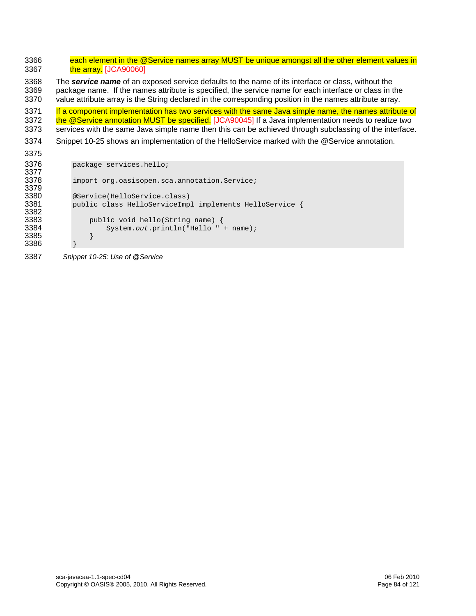3366 each element in the @Service names array MUST be unique amongst all the other element values in 3367 **the array.** [JCA90060] 3368 The *service name* of an exposed service defaults to the name of its interface or class, without the 3369 package name. If the names attribute is specified, the service name for each interface or class in the 3370 value attribute array is the String declared in the corresponding position in the names attribute array. 3371 If a component implementation has two services with the same Java simple name, the names attribute of 3372 [the @Service annotation MUST be specif](#page-113-9)ied. [JCA90045] If a Java implementation needs to realize two 3373 services with the same Java simple name then this can be achieved through subclassing of the interface. 3374 [Snippet 10-25](#page-83-0) shows an implementation of the HelloService marked with the @Service annotation. 3375 3376 package services.hello; 3377<br>3378 import org.oasisopen.sca.annotation.Service; 3379<br>3380 3380 @Service(HelloService.class) public class HelloServiceImpl implements HelloService { 3382<br>3383 3383 public void hello(String name) {<br>3384 System.out.println("Hello" System.*out*.println("Hello " + name); 3385 } 3386 }

<span id="page-83-0"></span>3387 *Snippet 10-25: Use of @Service*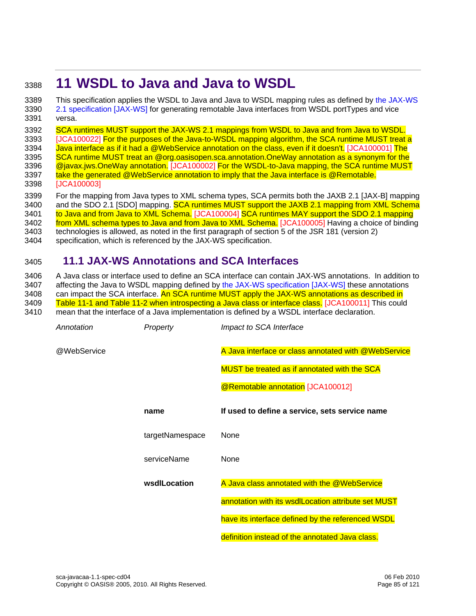## <sup>3388</sup>**11 WSDL to Java and Java to WSDL**

[3389 This specification applies the WSDL to Java and Java to WSDL mapping rules as defined by the JAX-WS](#page-6-0)  3390 [2.1 specification \[JAX](#page-6-0)-WS] for generating remotable Java interfaces from WSDL portTypes and vice 3391 versa.

3392 [SCA runtimes MUST support the JAX-WS 2.1 mappings from WSDL to Java and from Java to WSDL.](#page-115-0) 3393 [JCA100022] For the purposes of the Java-to-WSDL mapping algorithm, the SCA runtime MUST treat a [3394](#page-114-2) [Java interface as if it had a @WebService annotation on the class, even if it doe](#page-114-1)[sn't. \[JCA100001\]](#page-114-2) The [3395 SCA runtime MUST treat an @org.oasisopen.sca.annotation.OneWay annotation as a synonym for the](#page-114-2)  3396 **[@javax.jws.OneWay an](#page-114-2)notation.** [JCA100002] For the WSDL-to-Java mapping, the SCA runtime MUST 3397 [take the generated @WebService annotation to imply that the Java interface is @Remot](#page-114-3)able. 3398 [JCA100003]

<span id="page-84-0"></span>3399 For the mapping from Java types to XML schema types, SCA permits both the JAXB 2.1 [JAX-B] mapping 3400 and the SDO 2.1 [SDO] mapping. **SCA runtimes MUST support the JAXB 2.1 mapping from XML Schema** [3401](#page-114-5) [to Java and from Java to XML S](#page-114-4)[chema. \[JCA100004\]](#page-114-5) SCA runtimes MAY support the SDO 2.1 mapping 3402 [from XML schema types to Java and from Java to XML Sch](#page-114-5)ema. [JCA100005] Having a choice of binding 3403 technologies is allowed, as noted in the first paragraph of section 5 of the JSR 181 (version 2) 3404 specification, which is referenced by the JAX-WS specification.

## 3405 **11.1 JAX-WS Annotations and SCA Interfaces**

3406 A Java class or interface used to define an SCA interface can contain JAX-WS annotations. In addition to 3407 affecting the Java to WSDL mapping defined by [the JAX-WS specification \[JAX-WS\]](#page-6-0) these annotations 3408 can impact the SCA interface. An SCA runtime MUST apply the JAX-WS annotations as described in 3409 [Table 11-1 and Table 11-2 when introspecting a Java class or interface c](#page-114-6)lass. [JCA100011] This could 3410 mean that the interface of a Java implementation is defined by a WSDL interface declaration.

| Annotation  | Property        | Impact to SCA Interface                              |
|-------------|-----------------|------------------------------------------------------|
| @WebService |                 | A Java interface or class annotated with @WebService |
|             |                 | <b>MUST</b> be treated as if annotated with the SCA  |
|             |                 | @Remotable annotation [JCA100012]                    |
|             | name            | If used to define a service, sets service name       |
|             | targetNamespace | None                                                 |
|             | serviceName     | None                                                 |
|             | wsdlLocation    | A Java class annotated with the @WebService          |
|             |                 | annotation with its wsdlLocation attribute set MUST  |
|             |                 | have its interface defined by the referenced WSDL    |
|             |                 | definition instead of the annotated Java class.      |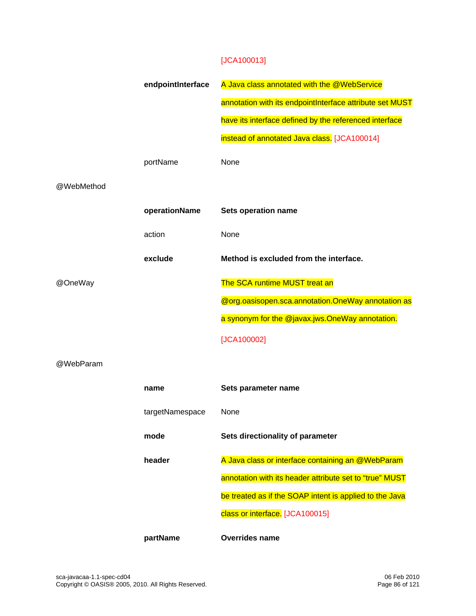#### [JCA100013]

|            | endpointInterface | A Java class annotated with the @WebService              |
|------------|-------------------|----------------------------------------------------------|
|            |                   | annotation with its endpointInterface attribute set MUST |
|            |                   | have its interface defined by the referenced interface   |
|            |                   | instead of annotated Java class. [JCA100014]             |
|            | portName          | None                                                     |
| @WebMethod |                   |                                                          |
|            | operationName     | <b>Sets operation name</b>                               |
|            | action            | None                                                     |
|            | exclude           | Method is excluded from the interface.                   |
| @OneWay    |                   | The SCA runtime MUST treat an                            |
|            |                   | @org.oasisopen.sca.annotation.OneWay annotation as       |
|            |                   | a synonym for the @javax.jws.OneWay annotation.          |
|            |                   | [JCA100002]                                              |
| @WebParam  |                   |                                                          |
|            | name              | Sets parameter name                                      |
|            | targetNamespace   | None                                                     |
|            | mode              | Sets directionality of parameter                         |
|            | header            | A Java class or interface containing an @WebParam        |
|            |                   | annotation with its header attribute set to "true" MUST  |
|            |                   | be treated as if the SOAP intent is applied to the Java  |
|            |                   | class or interface. [JCA100015]                          |
|            | partName          | <b>Overrides name</b>                                    |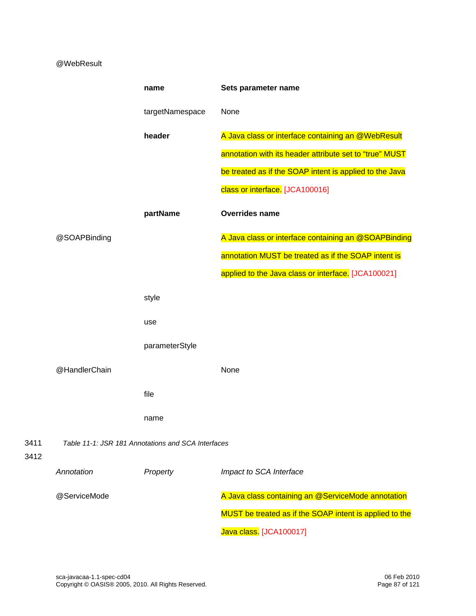#### @WebResult

|              |               | name                                               | Sets parameter name                                     |
|--------------|---------------|----------------------------------------------------|---------------------------------------------------------|
|              |               | targetNamespace                                    | None                                                    |
|              |               | header                                             | A Java class or interface containing an @WebResult      |
|              |               |                                                    | annotation with its header attribute set to "true" MUST |
|              |               |                                                    | be treated as if the SOAP intent is applied to the Java |
|              |               |                                                    | class or interface. [JCA100016]                         |
|              |               | partName                                           | <b>Overrides name</b>                                   |
|              | @SOAPBinding  |                                                    | A Java class or interface containing an @SOAPBinding    |
|              |               |                                                    | annotation MUST be treated as if the SOAP intent is     |
|              |               |                                                    | applied to the Java class or interface. [JCA100021]     |
|              |               | style                                              |                                                         |
|              |               | use                                                |                                                         |
|              |               | parameterStyle                                     |                                                         |
|              | @HandlerChain |                                                    | None                                                    |
|              |               | file                                               |                                                         |
|              |               | name                                               |                                                         |
| 3411<br>3412 |               | Table 11-1: JSR 181 Annotations and SCA Interfaces |                                                         |
|              | Annotation    | Property                                           | Impact to SCA Interface                                 |
|              | @ServiceMode  |                                                    | A Java class containing an @ServiceMode annotation      |
|              |               |                                                    | MUST be treated as if the SOAP intent is applied to the |
|              |               |                                                    | Java class [JCA100017]                                  |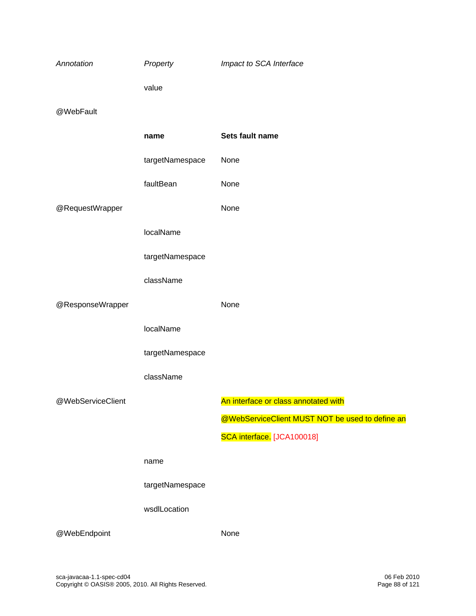| Annotation        | Property        | Impact to SCA Interface                         |
|-------------------|-----------------|-------------------------------------------------|
|                   | value           |                                                 |
| @WebFault         |                 |                                                 |
|                   | name            | Sets fault name                                 |
|                   | targetNamespace | None                                            |
|                   | faultBean       | None                                            |
| @RequestWrapper   |                 | None                                            |
|                   | localName       |                                                 |
|                   | targetNamespace |                                                 |
|                   | className       |                                                 |
| @ResponseWrapper  |                 | None                                            |
|                   | localName       |                                                 |
|                   | targetNamespace |                                                 |
|                   | className       |                                                 |
| @WebServiceClient |                 | An interface or class annotated with            |
|                   |                 | @WebServiceClient MUST NOT be used to define an |
|                   |                 | SCA interface. [JCA100018]                      |
|                   | name            |                                                 |
|                   | targetNamespace |                                                 |
|                   | wsdlLocation    |                                                 |
| @WebEndpoint      |                 | None                                            |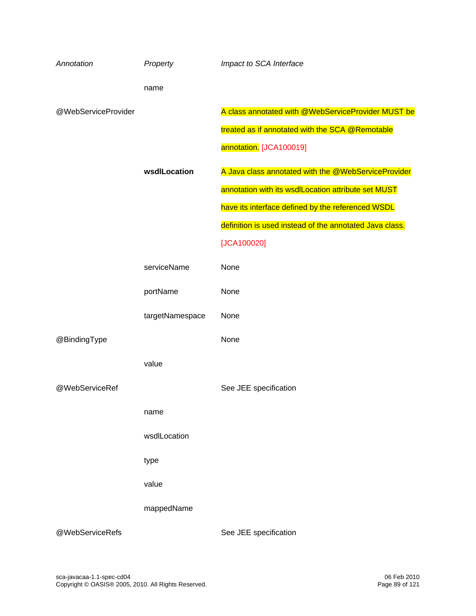| Annotation          | Property        | Impact to SCA Interface                                 |
|---------------------|-----------------|---------------------------------------------------------|
|                     | name            |                                                         |
| @WebServiceProvider |                 | A class annotated with @WebServiceProvider MUST be      |
|                     |                 | treated as if annotated with the SCA @Remotable         |
|                     |                 | annotation. [JCA100019]                                 |
|                     | wsdlLocation    | A Java class annotated with the @WebServiceProvider     |
|                     |                 | annotation with its wsdlLocation attribute set MUST     |
|                     |                 | have its interface defined by the referenced WSDL       |
|                     |                 | definition is used instead of the annotated Java class. |
|                     |                 | [JCA100020]                                             |
|                     | serviceName     | None                                                    |
|                     | portName        | None                                                    |
|                     | targetNamespace | None                                                    |
| @BindingType        |                 | None                                                    |
|                     | value           |                                                         |
| @WebServiceRef      |                 | See JEE specification                                   |
|                     | name            |                                                         |
|                     | wsdlLocation    |                                                         |
|                     | type            |                                                         |
|                     | value           |                                                         |
|                     | mappedName      |                                                         |
| @WebServiceRefs     |                 | See JEE specification                                   |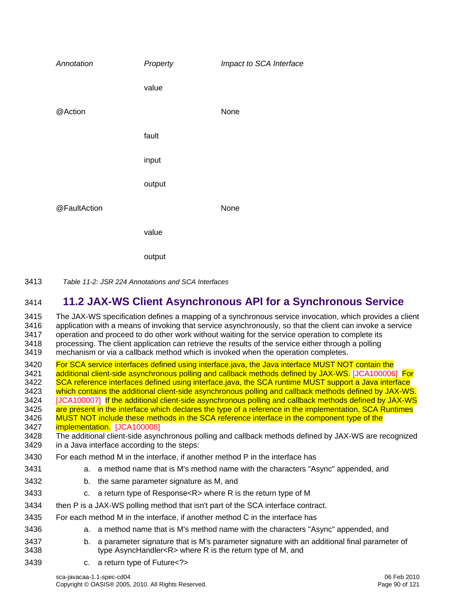| Annotation   | Property | Impact to SCA Interface |
|--------------|----------|-------------------------|
|              | value    |                         |
| @Action      |          | None                    |
|              | fault    |                         |
|              | input    |                         |
|              | output   |                         |
| @FaultAction |          | None                    |
|              | value    |                         |
|              | output   |                         |

3413 *Table 11-2: JSR 224 Annotations and SCA Interfaces* 

## 3414 **11.2 JAX-WS Client Asynchronous API for a Synchronous Service**

3415 The JAX-WS specification defines a mapping of a synchronous service invocation, which provides a client 3416 application with a means of invoking that service a service application with a means of invoking that service asynchronously, so that the client can invoke a service 3417 operation and proceed to do other work without waiting for the service operation to complete its 3418 processing. The client application can retrieve the results of the service either through a polling 3419 mechanism or via a callback method which is invoked when the operation completes.

[3420 For SCA service interfaces defined using interface.java, the Java interface MUST NOT contain the](#page-114-13) 3421 additional client-side asynchronus polling and callback methods defined by JAX-WS. [JCA100006 [additional client-side asynchronous polling and callback methods defined by J](#page-114-13)AX-WS. [JCA100006] For [3422 SCA reference interfaces defined using interface.java, the SCA runtime MUST support a Java interface](#page-114-14)  3423 [which contains the additional client-side asynchronous polling and callback methods defined](#page-114-14) by JAX-WS. 3424 **IJCA100007** If the additional client-side asynchronous polling and callback methods defined by JAX-WS [3425 are present in the interface which declares the type of a reference in the implementation, SCA Runtimes](#page-114-15)  3426 MUST NOT include these methods in the SCA reference interface in the component type of the

3427 **implementation.** [JCA100008]<br>3428 The additional client-side asyne The additional client-side asynchronous polling and callback methods defined by JAX-WS are recognized 3429 in a Java interface according to the steps:

- 3430 For each method M in the interface, if another method P in the interface has
- 3431 a. a method name that is M's method name with the characters "Async" appended, and
- 3432 b. the same parameter signature as M, and
- 3433 c. a return type of Response<R> where R is the return type of M
- 3434 then P is a JAX-WS polling method that isn't part of the SCA interface contract.
- 3435 For each method M in the interface, if another method C in the interface has
- 3436 a. a method name that is M's method name with the characters "Async" appended, and
- 3437 b. a parameter signature that is M's parameter signature with an additional final parameter of 3438 type AsyncHandler<R> where R is the return type of M, and
- 3439 c. a return type of Future<?>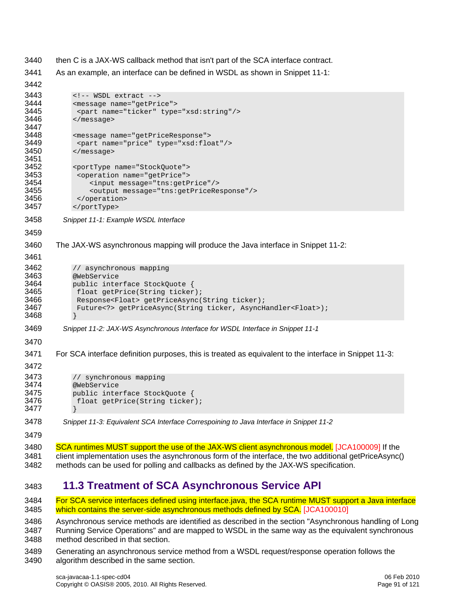- 3440 then C is a JAX-WS callback method that isn't part of the SCA interface contract.
- 3441 As an example, an interface can be defined in WSDL as shown in [Snippet 11-1:](#page-90-0)

```
3442 
3443 <!-- WSDL extract --><br>3444 <message name="getPric
3444 <message name="getPrice"> 
3445 <part name="ticker" type="xsd:string"/><br>3446 </message>
              3446 </message> 
3447<br>3448
3448 <message name="getPriceResponse"> 
3449 <part name="price" type="xsd:float"/><br>3450 </message>
              3450 </message> 
3451<br>3452
3452 <portType name="StockQuote"> 
3453 <operation name="getPrice"> 
                   3454 <input message="tns:getPrice"/> 
3455 <output message="tns:getPriceResponse"/> 
3456 </operation> 
3457 </portType> 
3458 Snippet 11-1: Example WSDL Interface 
3459 
3460 The JAX-WS asynchronous mapping will produce the Java interface in Snippet 11-2: 
3461 
3462 // asynchronous mapping<br>3463 @WebService
3463 @WebService 
3464 public interface StockQuote {<br>3465    float getPrice(String ticker
3465 float getPrice(String ticker);<br>3466 Response<Float> getPriceAsync(
3466 Response<Float> getPriceAsync(String ticker);<br>3467 Future<?> getPriceAsync(String ticker, AsyncH
               Future<?> qetPriceAsync(String ticker, AsyncHandler<Float>);
3468 } 
3469 Snippet 11-2: JAX-WS Asynchronous Interface for WSDL Interface in Snippet 11-1 
3470 
3471 For SCA interface definition purposes, this is treated as equivalent to the interface in Snippet 11-3: 
3472 
3473 // synchronous mapping<br>3474 @WebService
3474 @WebService<br>3475 public inter
3475 public interface StockQuote {<br>3476    float getPrice(String ticker
               float getPrice(String ticker);
3477 } 
3478 Snippet 11-3: Equivalent SCA Interface Correspoining to Java Interface in Snippet 11-2 
3479 
SCA runtimes MUST support the use of the JAX-WS client asynchronous model. [JCA100009] If the
3481 client implementation uses the asynchronous form of the interface, the two additional getPriceAsync() 
3482 methods can be used for polling and callbacks as defined by the JAX-WS specification.
```
## <span id="page-90-2"></span><span id="page-90-1"></span>3483 **11.3 Treatment of SCA Asynchronous Service API**

[3484 For SCA service interfaces defined using interface.java, the SCA runtime MUST support a Java interface](#page-114-17)  3485 [which contains the server-side asynchronous methods defined by](#page-114-17) SCA. [JCA100010]

3486 Asynchronous service methods are identified as described in the section "Asynchronous handling of Long 3487 Running Service Operations" and are mapped to WSDL in the same way as the equivalent synchronous 3488 method described in that section.

3489 Generating an asynchronous service method from a WSDL request/response operation follows the 3490 algorithm described in the same section.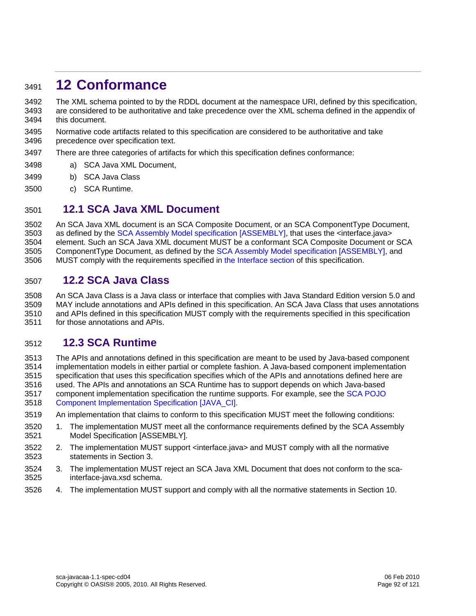## <sup>3491</sup>**12 Conformance**

3492 The XML schema pointed to by the RDDL document at the namespace URI, defined by this specification, 3493 are considered to be authoritative and take precedence over the XML schema defined in the appendix of 3494 this document.

- 3495 Normative code artifacts related to this specification are considered to be authoritative and take 3496 precedence over specification text.
- 3497 There are three categories of artifacts for which this specification defines conformance:
- 3498 a) SCA Java XML Document,
- 3499 b) SCA Java Class
- 3500 c) SCA Runtime.

### 3501 **12.1 SCA Java XML Document**

3502 An SCA Java XML document is an SCA Composite Document, or an SCA ComponentType Document, 3503 as defined by the [SCA Assembly Model specification \[ASSEMBLY\],](#page-6-0) that uses the <interface.java> 3504 element. Such an SCA Java XML document MUST be a conformant SCA Composite Document or SCA 3505 ComponentType Document, as defined by the [SCA Assembly Model specification \[ASSEMBLY\],](#page-6-0) and 3506 MUST comply with the requirements specified in [the Interface section](#page-13-0) of this specification.

#### 3507 **12.2 SCA Java Class**

3508 An SCA Java Class is a Java class or interface that complies with Java Standard Edition version 5.0 and 3509 MAY include annotations and APIs defined in this specification. An SCA Java Class that uses annotations 3510 and APIs defined in this specification MUST comply with the requirements specified in this specification 3511 for those annotations and APIs.

## 3512 **12.3 SCA Runtime**

3513 The APIs and annotations defined in this specification are meant to be used by Java-based component

- 3514 implementation models in either partial or complete fashion. A Java-based component implementation 3515 specification that uses this specification specifies which of the APIs and annotations defined here are
- 3516 used. The APIs and annotations an SCA Runtime has to support depends on which Java-based
- [3517 component implementation specification the runtime supports. For example, see the SCA POJO](#page-6-0)  3518 [Component Implementation Specification \[JAV](#page-6-0)A\_CI].
- 3519 An implementation that claims to conform to this specification MUST meet the following conditions:
- 3520 1. The implementation MUST meet all the conformance requirements defined by the SCA Assembly 3521 Model Specification [ASSEMBLY].
- 3522 2. The implementation MUST support <interface.java> and MUST comply with all the normative 3523 statements in Section 3.
- 3524 3. The implementation MUST reject an SCA Java XML Document that does not conform to the sca-3525 interface-java.xsd schema.
- 3526 4. The implementation MUST support and comply with all the normative statements in Section 10.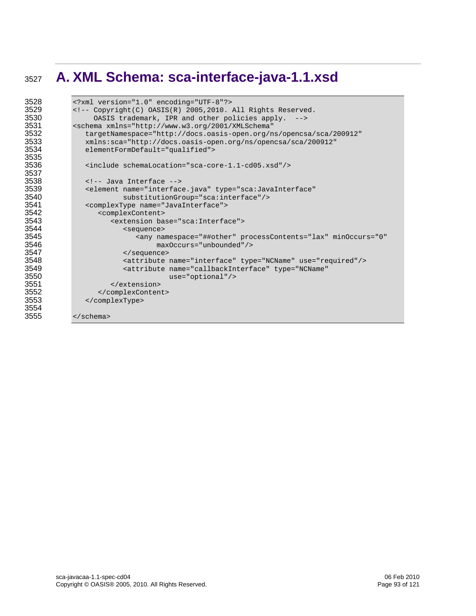## **A. XML Schema: sca-interface-java-1.1.xsd**

```
3528 <?xml version="1.0" encoding="UTF-8"?> 
3529 <!-- Copyright(C) OASIS(R) 2005, 2010. All Rights Reserved.<br>3530 0ASIS trademark. IPR and other policies apply. -->
3530 OASIS trademark, IPR and other policies apply. --><br>3531 Sechema xmlns="http://www.w3.org/2001/XMLSchema"
3531 <schema xmlns="http://www.w3.org/2001/XMLSchema" 
3532 targetNamespace="http://docs.oasis-open.org/ns/opencsa/sca/200912"<br>3533 millis:sca="http://docs.oasis-open.org/ns/opencsa/sca/200912"
3533 xmlns:sca="http://docs.oasis-open.org/ns/opencsa/sca/200912" 
               elementFormDefault="qualified">
3535 
3536 <include schemaLocation="sca-core-1.1-cd05.xsd"/> 
3537<br>3538
3538 <!-- Java Interface --> 
3539 <element name="interface.java" type="sca:JavaInterface" 
3540 substitutionGroup="sca:interface"/> 
3541 <complexType name="JavaInterface"> 
3542 <complexContent><br>3543 <complexcontent>
3543 <extension base="sca:Interface"><br>3544 <extension base="sca:Interface">
3544 <sequence> 
3545 \text{any namespace} = " # \text{#other" processContents} = "lax" \text{minOccurs} = "0"<br>3546 \text{maxOccurs} = " \text{unbounded} \text{ "} >3546 maxOccurs="unbounded"/> 
3547 </sequence> 
3548 <attribute name="interface" type="NCName" use="required"/> 
3549 <attribute name="callbackInterface" type="NCName" 
3550 use="optional"/> 
3551 </extension><br>3552 </complexContent
3552 </complexContent> 
               3553 </complexType> 
3554<br>3555
            3555 </schema>
```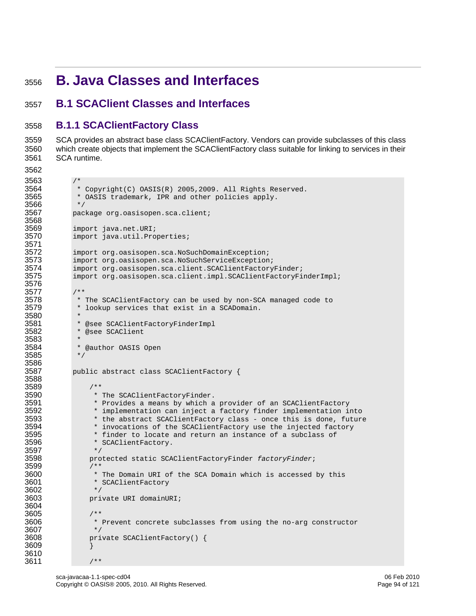## <sup>3556</sup>**B. Java Classes and Interfaces**

## 3557 **B.1 SCAClient Classes and Interfaces**

### 3558 **B.1.1 SCAClientFactory Class**

3559 SCA provides an abstract base class SCAClientFactory. Vendors can provide subclasses of this class 3560 which create objects that implement the SCAClientFactory class suitable for linking to services in their 3561 SCA runtime.

```
3562 
3563<br>3564
```
3566<br>3567

3568<br>3569

3571

3576 3577<br>3578

3580 \*

3583<br>3584

3585 3586

3588

3597<br>3598

3604

3607<br>3608

3610

```
3564 * Copyright(C) OASIS(R) 2005, 2009. All Rights Reserved.<br>3565 * OASIS trademark, IPR and other policies apply.
               * OASIS trademark, IPR and other policies apply.<br>*/
              package org.oasisopen.sca.client;
3569 import java.net.URI; 
              import java.util.Properties;
3572 import org.oasisopen.sca.NoSuchDomainException;<br>3573 import org.oasisopen.sca.NoSuchServiceException
3573 import org.oasisopen.sca.NoSuchServiceException; 
3574 import org.oasisopen.sca.client.SCAClientFactoryFinder;<br>3575 import org.oasisopen.sca.client.impl.SCAClientFactoryFi
              import org.oasisopen.sca.client.impl.SCAClientFactoryFinderImpl;
3578 * The SCAClientFactory can be used by non-SCA managed code to<br>3579 * lookup services that exist in a SCADomain.
               * lookup services that exist in a SCADomain.
3581 * @see SCAClientFactoryFinderImpl<br>3582 * @see SCAClient
               * @see SCAClient
               * @author OASIS Open<br>*/
3587 public abstract class SCAClientFactory { 
3589 /** 
3590 * The SCAClientFactoryFinder. 
3591 * Provides a means by which a provider of an SCAClientFactory<br>3592 * implementation can inject a factory finder implementation is
3592 * implementation can inject a factory finder implementation into 
3593 * the abstract SCAClientFactory class - once this is done, future<br>3594 * invocations of the SCAClientFactory use the injected factory
3594 * invocations of the SCAClientFactory use the injected factory<br>3595 * finder to locate and return an instance of a subclass of
3595 * finder to locate and return an instance of a subclass of 3596 * SCAClientFactory.
                    * SCAClientFactory.<br>*/
                   3598 protected static SCAClientFactoryFinder factoryFinder; 
3599 /**<br>3600 *
3600 * The Domain URI of the SCA Domain which is accessed by this 3601
                    * SCAClientFactory
3602 */<br>3603 pri
                   private URI domainURI;
3605 /**<br>3606 *
                    * Prevent concrete subclasses from using the no-arg constructor */
                   private SCAClientFactory() {
3609 } 
3611 /**
```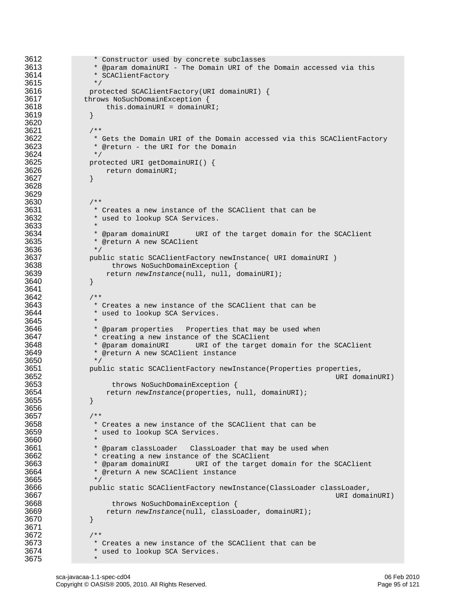```
3612 * Constructor used by concrete subclasses<br>3613 * @param domainURI - The Domain URI of the
3613 * @param domainURI - The Domain URI of the Domain accessed via this<br>3614 * SCAClientFactory
                   * SCAClientFactory
3615 */<br>3616 \frac{1}{2} prot
3616 protected SCAClientFactory(URI domainURI) { 
3617 throws NoSuchDomainException {<br>3618 this.domainURI = domainUR
                  this.domainURI = domainURI;<br>}
3619 } 
3620 
3621 /**<br>3622 * /
3622 * Gets the Domain URI of the Domain accessed via this SCAClientFactory<br>3623 * @return - the URI for the Domain
                  * @return - the URI for the Domain */
3624<br>3625
3625 protected URI getDomainURI() { 
                     return domainURI;
3627 } 
3628 
3629<br>3630
3630<br>3631 /**
3631 * Creates a new instance of the SCAClient that can be<br>3632 * used to lookup SCA Services.
                   * used to lookup SCA Services.
3633 * 
3634 * @param domainURI URI of the target domain for the SCAClient<br>3635 * @return A new SCAClient
                  * @return A new SCAClient */
3636<br>3637
3637 public static SCAClientFactory newInstance( URI domainURI ) 
3638 throws NoSuchDomainException {<br>3639 the settless return new Instance (null, null, or )
                 3639 return newInstance(null, null, domainURI); 
3640 } 
3641 
3642 /** 
3643 * Creates a new instance of the SCAClient that can be<br>3644 * used to lookup SCA Services.
                  * used to lookup SCA Services.
3645<br>3646
3646 * @param properties Properties that may be used when<br>3647 * creating a new instance of the SCAClient
3647 * creating a new instance of the SCAClient<br>3648 * @param domainURI URI of the target
3648 * @param domainURI URI of the target domain for the SCAClient<br>3649 * @return A new SCAClient instance
                  * @return A new SCAClient instance
3650<br>3651
3651 public static SCAClientFactory newInstance(Properties properties, 
3652 URI domainURI)<br>3653 URI domainURI) throws NoSuchDomainException {
3653 throws NoSuchDomainException {<br>3654 the sturn new Instance (properties, r
                      3654 return newInstance(properties, null, domainURI); 
3655 } 
3656 
3657 /**<br>3658 * /*
3658 * Creates a new instance of the SCAClient that can be<br>3659 * used to lookup SCA Services.
                   * used to lookup SCA Services.
3660<br>3661
3661 * @param classLoader ClassLoader that may be used when<br>3662 * creating a new instance of the SCAClient
3662 * creating a new instance of the SCAClient 
3663 * @param domainURI URI of the target domain for the SCAClient 
                   * @return A new SCAClient instance
3665 */<br>3666 pub
3666 public static SCAClientFactory newInstance(ClassLoader classLoader, 
3667 URI domainURI)<br>3668 URI domainURI) throws NoSuchDomainException {
3668 throws NoSuchDomainException {<br>3669 the sturn new Instance (null, classLoughterm
                 3669 return newInstance(null, classLoader, domainURI); 
3670 } 
3671 
3672 /** 
3673 * Creates a new instance of the SCAClient that can be 3674
                   * used to lookup SCA Services.
3675 *
```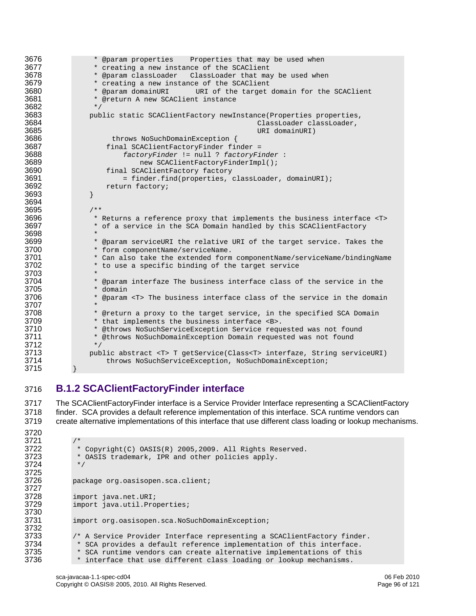```
3676 * @param properties Properties that may be used when<br>3677 * creating a new instance of the SCAClient
3677 * creating a new instance of the SCAClient<br>3678 * @param classLoader ClassLoader that may
3678 * @param classLoader ClassLoader that may be used when<br>3679 * creating a new instance of the SCAClient
3679 * creating a new instance of the SCAClient<br>3680 * @param domainURI URI of the target
3680 * @param domainURI URI of the target domain for the SCAClient 
                    * @return A new SCAClient instance
3682 */<br>3683 pub
3683 public static SCAClientFactory newInstance(Properties properties, 
3684 ClassLoader classLoader, 
3685 URI domainURI)<br>3686 URI domainURI) throws NoSuchDomainException
3686 throws NoSuchDomainException {<br>3687 tinal SCAClientFactoryFinder fi
3687 final SCAClientFactoryFinder finder =<br>3688 factoryFinder != null ? factoryFi
3688 factoryFinder != null ? factoryFinder : 
3689 new SCAClientFactoryFinderImpl();<br>3690 final SCAClientFactory factory
3690 final SCAClientFactory factory<br>3691 = finder.find(properties,
3691 = finder.find(properties, classLoader, domainURI);<br>3692 = return factory;
                   return factory;<br>}
3693 } 
3694 
3695 /**<br>3696 /**
3696 * Returns a reference proxy that implements the business interface <T> 3697 * of a service in the SCA Domain handled by this SCAClientFactory
                    * of a service in the SCA Domain handled by this SCAClientFactory
3698<br>3699
3699 * @param serviceURI the relative URI of the target service. Takes the 3700
3700 * form componentName/serviceName.<br>3701 * Can also take the extended form
3701 * Can also take the extended form componentName/serviceName/bindingName<br>3702 * to use a specific binding of the target service
                   * to use a specific binding of the target service
3703<br>3704
3704 * @param interfaze The business interface class of the service in the 3705
3705 * domain<br>3706 * @param
                   3706 * @param <T> The business interface class of the service in the domain 
3707<br>3708
3708 * @return a proxy to the target service, in the specified SCA Domain 3709 * that implements the business interface <B>.
3709 * that implements the business interface <B>.<br>3710 * @throws NoSuchServiceException Service requ
3710 * @throws NoSuchServiceException Service requested was not found<br>3711 * @throws NoSuchDomainException Domain requested was not found
                    * @throws NoSuchDomainException Domain requested was not found
3712 */<br>3713 pub
3713 public abstract <T> T getService(Class<T> interfaze, String serviceURI)<br>3714 throws NoSuchServiceException, NoSuchDomainException;
                        throws NoSuchServiceException, NoSuchDomainException;
3715 }
```
## 3716 **B.1.2 SCAClientFactoryFinder interface**

3717 The SCAClientFactoryFinder interface is a Service Provider Interface representing a SCAClientFactory 3718 finder. SCA provides a default reference implementation of this interface. SCA runtime vendors can 3719 create alternative implementations of this interface that use different class loading or lookup mechanisms.

```
3720 
3721<br>3722
3722 * Copyright(C) OASIS(R) 2005, 2009. All Rights Reserved.<br>3723 * OASIS trademark, IPR and other policies apply.
                   * OASIS trademark, IPR and other policies apply.<br>*/
3724
3725<br>3726
                 package org.oasisopen.sca.client;
3727 
3728 import java.net.URI;<br>3729 import java.util.Pro
                 import java.util.Properties;
3730<br>3731
                 import org.oasisopen.sca.NoSuchDomainException;
3732 
3733 /* A Service Provider Interface representing a SCAClientFactory finder.<br>3734 * SCA provides a default reference implementation of this interface.
3734 * SCA provides a default reference implementation of this interface.<br>3735 * SCA runtime vendors can create alternative implementations of this
3735 * SCA runtime vendors can create alternative implementations of this<br>3736 * interface that use different class loading or lookup mechanisms.
                  * interface that use different class loading or lookup mechanisms.
```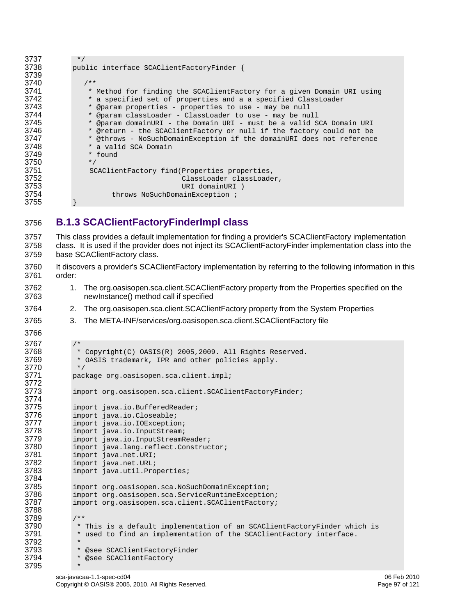| 3737 | $\star$ /                                                              |
|------|------------------------------------------------------------------------|
| 3738 | public interface SCAClientFactoryFinder {                              |
| 3739 |                                                                        |
| 3740 | $/ * *$                                                                |
| 3741 | * Method for finding the SCAClientFactory for a given Domain URI using |
| 3742 | * a specified set of properties and a a specified ClassLoader          |
| 3743 | * @param properties - properties to use - may be null                  |
| 3744 | * @param classLoader - ClassLoader to use - may be null                |
| 3745 | * @param domainURI - the Domain URI - must be a valid SCA Domain URI   |
| 3746 | * @return - the SCAClientFactory or null if the factory could not be   |
| 3747 | * @throws - NoSuchDomainException if the domainURI does not reference  |
| 3748 | * a valid SCA Domain                                                   |
| 3749 | * found                                                                |
| 3750 | $*$ /                                                                  |
| 3751 | SCAClientFactory find(Properties properties,                           |
| 3752 | ClassLoader classLoader,                                               |
| 3753 | URI domainURI)                                                         |
| 3754 | throws NoSuchDomainException;                                          |
| 3755 |                                                                        |

### 3756 **B.1.3 SCAClientFactoryFinderImpl class**

```
3757 This class provides a default implementation for finding a provider's SCAClientFactory implementation 
3758 class. It is used if the provider does not inject its SCAClientFactoryFinder implementation class into the 
3759 base SCAClientFactory class. 
3760 It discovers a provider's SCAClientFactory implementation by referring to the following information in this 
3761 order: 
3762 1. The org.oasisopen.sca.client.SCAClientFactory property from the Properties specified on the 
3763 newInstance() method call if specified 
3764 2. The org.oasisopen.sca.client.SCAClientFactory property from the System Properties 
3765 3. The META-INF/services/org.oasisopen.sca.client.SCAClientFactory file 
3766 
3767 /*<br>3768 *
3768 * Copyright(C) OASIS(R) 2005, 2009. All Rights Reserved.<br>3769 * OASIS trademark, IPR and other policies apply.
                * OASIS trademark, IPR and other policies apply.<br>*/
3770<br>3771
              package org.oasisopen.sca.client.impl;
3772 
3773 import org.oasisopen.sca.client.SCAClientFactoryFinder;
3774 
3775 import java.io.BufferedReader;<br>3776 import java.io.Closeable;
3776 import java.io.Closeable;<br>3777 import java.io.IOExceptio
3777 import java.io.IOException;<br>3778 import java.io.InputStream;
3778 import java.io.InputStream;<br>3779 import java.io.InputStreamR
3779 import java.io.InputStreamReader;<br>3780 import java.lang.reflect.Construc
3780 import java.lang.reflect.Constructor;<br>3781 import java.net.URI;
3781 import java.net.URI;<br>3782 import java.net.URL;
3782 import java.net.URL;<br>3783 import java.util.Pro
              import java.util.Properties;
3784<br>3785
              import org.oasisopen.sca.NoSuchDomainException;
3786 import org.oasisopen.sca.ServiceRuntimeException; 
3787 import org.oasisopen.sca.client.SCAClientFactory; 
3788 
3789 /**<br>3790 *
3790 * This is a default implementation of an SCAClientFactoryFinder which is<br>3791 * used to find an implementation of the SCAClientFactory interface.
                * used to find an implementation of the SCAClientFactory interface.
3792<br>3793
3793 * @see SCAClientFactoryFinder<br>3794 * @see SCAClientFactory
                * @see SCAClientFactory
3795 *
```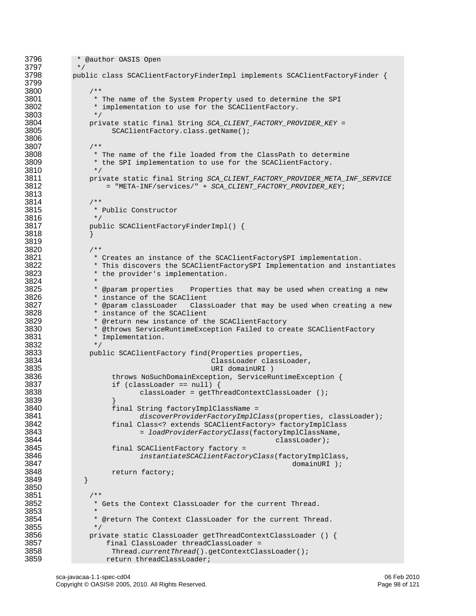```
3796 * @author OASIS Open 3797
3797<br>3798
            public class SCAClientFactoryFinderImpl implements SCAClientFactoryFinder {
3799 
3800 /** 
3801 * The name of the System Property used to determine the SPI<br>3802 * implementation to use for the SCAClientFactory.
                  * implementation to use for the SCAClientFactory.<br>*/
3803<br>3804
3804 private static final String SCA_CLIENT_FACTORY_PROVIDER_KEY = 
                      3805 SCAClientFactory.class.getName(); 
3806 
3807 /**<br>3808 * /*
3808 * The name of the file loaded from the ClassPath to determine<br>3809 * the SPI implementation to use for the SCAClientFactory.
                  * the SPI implementation to use for the SCAClientFactory.<br>*/
3810<br>3811
3811 private static final String SCA_CLIENT_FACTORY_PROVIDER_META_INF_SERVICE 
                    3812 = "META-INF/services/" + SCA_CLIENT_FACTORY_PROVIDER_KEY; 
3813 
3814 /**<br>3815 /**
                  * Public Constructor *3816<br>3817
                 public SCAClientFactoryFinderImpl() {
3818 } 
3819 
3820 /** 
3821 * Creates an instance of the SCAClientFactorySPI implementation.<br>3822 * This discovers the SCAClientFactorySPI Implementation and inst
3822 * This discovers the SCAClientFactorySPI Implementation and instantiates<br>3823 * the provider's implementation.
                 * the provider's implementation.
3824<br>3825 * @param properties
3825 * @param properties Properties that may be used when creating a new<br>3826 * instance of the SCAClient
3826 * instance of the SCAClient<br>3827 * @param classLoader Clas
3827 * @param classLoader ClassLoader that may be used when creating a new 
3828 * instance of the SCAClient<br>3829 * @return new instance of the
3829               * @return new instance of the SCAClientFactory<br>3830             * @throws ServiceRuntimeException Failed to cre
3830 * @throws ServiceRuntimeException Failed to create SCAClientFactory<br>3831 * Implementation.
                  * Implementation.
3832 */ 
3833 public SCAClientFactory find(Properties properties,<br>3834 ClassLoader classLoade
3834 ClassLoader classLoader, 
3835 URI domainURI ) 
3836 throws NoSuchDomainException, ServiceRuntimeException {<br>3837 the state of the state of the service and the service Rundel (3837 the state of the state of the service Rundel S
3837 if (classLoader == null) { 
                              classLoader = getThreadContextClassLoader ();
3839<br>3840
3840 final String factoryImplClassName =<br>3841 discoverProviderFactoryImplC.
3841 discoverProviderFactoryImplClass(properties, classLoader); 
3842 final Class<? extends SCAClientFactory> factoryImplClass 
3843 = loadProviderFactoryClass(factoryImplClassName, 
3844 classLoader); 
3845 final SCAClientFactory factory =<br>3846 instantiateSCAClientFactor
3846 instantiateSCAClientFactoryClass(factoryImplClass, 
                                                                       domainURI );
3848 return factory;<br>3849 }
3849 } 
3850 
3851 /**<br>3852 *
                 * Gets the Context ClassLoader for the current Thread.
3853 * 
                  * @return The Context ClassLoader for the current Thread.
3855 */<br>3856 pri
3856 private static ClassLoader getThreadContextClassLoader () { 
3857 final ClassLoader threadClassLoader =<br>3858 firead.currentThread().getContextCla
3858 Thread.currentThread().getContextClassLoader(); 
                     return threadClassLoader;
```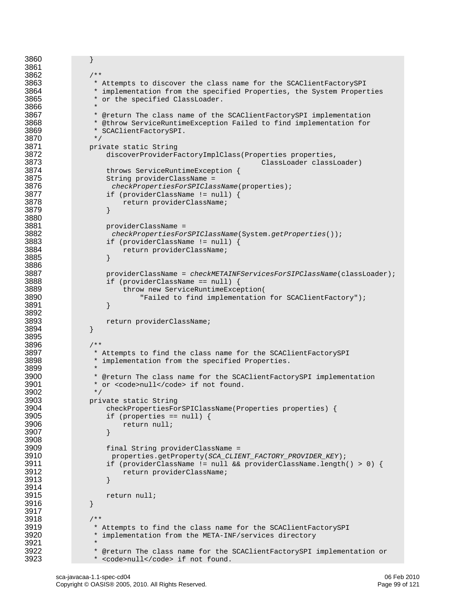```
3860 } 
3861 
3862 /** 
3863 * Attempts to discover the class name for the SCAClientFactorySPI<br>3864 * implementation from the specified Properties, the System Proper
3864 * implementation from the specified Properties, the System Properties<br>3865 * or the specified ClassLoader.
                  * or the specified ClassLoader.
3866<br>3867
3867 * @return The class name of the SCAClientFactorySPI implementation<br>3868 * * @throw ServiceRuntimeException Failed to find implementation for
3868 * @throw ServiceRuntimeException Failed to find implementation for<br>3869 * SCAClientFactorySPI.
                  * SCAClientFactorySPI.
3870 */<br>3871 pri
3871 private static String 
3872 discoverProviderFactoryImplClass(Properties properties, 
3873 ClassLoader classLoader)<br>3874 ClassLoader classLoader (1887)
3874 throws ServiceRuntimeException {<br>3875 String providerClassName =
3875 String providerClassName =<br>3876 String providerClassName =
3876 checkPropertiesForSPIClassName(properties); 
3877 if (providerClassName != null) { 
                          return providerClassName;
3879 } 
3880<br>3881
3881 providerClassName =<br>3882 providerClassName =
3882 checkPropertiesForSPIClassName(System.getProperties()); 
3883 if (providerClassName != null) { 
                          return providerClassName;
3885 }
3886 
3887 providerClassName = checkMETAINFServicesForSIPClassName(classLoader); 
3888 if (providerClassName == null) {<br>3889 throw new ServiceRuntimeExce
3889 throw new ServiceRuntimeException( 
                               "Failed to find implementation for SCAClientFactory");
3891 }
3892<br>3893
                 return providerClassName;<br>}
3894 } 
3895 
3896 /** 
3897 * Attempts to find the class name for the SCAClientFactorySPI<br>3898 * implementation from the specified Properties.
                  * implementation from the specified Properties.
3899<br>3900
3900 * @return The class name for the SCAClientFactorySPI implementation * or <code>null</code> if not found.
                  * or <code>null</code> if not found.
3902<br>3903
3903 below private static String<br>3904 beckPropertiesFollow
3904 checkPropertiesForSPIClassName(Properties properties) { 
3905 if (properties == null) {<br>3906 i return null;
                          return null;
3907 }
3908<br>3909
3909 final String providerClassName =<br>3910 properties.getProperty(SCA CLIE
3910 properties.getProperty(SCA_CLIENT_FACTORY_PROVIDER_KEY); 
3911 if (providerClassName != null && providerClassName.length() > 0) { 
                          return providerClassName;
3913 } 
3914<br>3915
                 return null;<br>}
3916 } 
3917 
3918 /** 
3919 * Attempts to find the class name for the SCAClientFactorySPI<br>3920 * implementation from the META-INF/services directory
                  * implementation from the META-INF/services directory
3921<br>3922
3922 * @return The class name for the SCAClientFactorySPI implementation or<br>3923 * <code>null</code> if not found.
                  * <code>null</code> if not found.
```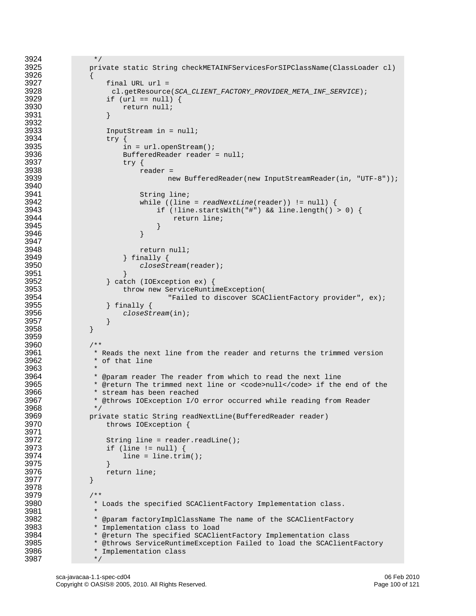```
3924 */<br>3925 pri
                3925 private static String checkMETAINFServicesForSIPClassName(ClassLoader cl) 
3926<br>3927
3927 final URL url = 
3928 cl.getResource(SCA_CLIENT_FACTORY_PROVIDER_META_INF_SERVICE); 
3929 if (url == null) {<br>3930 return null;
                        return null;
3931 } 
3932<br>3933
3933 InputStream in = null;<br>3934 \frac{1}{2}3934 try {<br>3935 try {
3935 in = url.openStream(); 
3936 BufferedReader reader = null;<br>3937 try {
3937 try {
3938 reader = 
                                    new BufferedReader(new InputStreamReader(in, "UTF-8"));
3940<br>3941
3941 String line; 
3942 while ((line = readNextLine(reader)) != null) { 
3943 if (!line.startsWith("#") && line.length() > 0) { 
                                      return line;
3945 } 
3946 }
3947<br>3948
3948 return null;<br>3949 1 finally {
3949 <br>3950 <br>closeSti <br>closeSti
                             3950 closeStream(reader); 
3951 }<br>3952 } cat
3952 <br>3953 <br>3953 <br>Brow new ServiceRunti
3953 throw new ServiceRuntimeException( 
3954 Trailed to discover SCAClientFactory provider", ex);<br>3955 \} finally {
3955 } finally {<br>3956 \qquad \qquad \qquad \qquad \qquad \qquad \qquad \qquad \qquad \qquad \qquad \qquad \qquad \qquad \qquad \qquad \qquad \qquad \qquad \qquad \qquad \qquad \qquad \qquad \qquad \qquad \qquad \qquad \qquad \qquad \qquad \qquad \q3956 closeStream(in); 
3957 }
3958 } 
3959 
3960 /** 
3961 * Reads the next line from the reader and returns the trimmed version 3962
                  * of that line
3963<br>3964
3964 * @param reader The reader from which to read the next line<br>3965 * @return The trimmed next line or <code>null</code> if the
3965 * @return The trimmed next line or <code>null</code> if the end of the 3966 * stream has been reached
3966 * stream has been reached<br>3967 * @throws IOException I/O
                 3967 * @throws IOException I/O error occurred while reading from Reader 
3968 */<br>3969 pri
3969 private static String readNextLine(BufferedReader reader) 
                    throws IOException {
3971 
3972 String line = reader.readLine(); 
3973 if (line != null) {<br>3974 line = line.tri
                         line = line.train();3975 } 
                     return line;
3977 } 
3978 
3979 /**<br>3980 *
                 * Loads the specified SCAClientFactory Implementation class.
3981<br>3982
3982 * @param factoryImplClassName The name of the SCAClientFactory 
3983 * Implementation class to load<br>3984 * @return The specified SCAClie
3984 * @return The specified SCAClientFactory Implementation class 
3985 * @throws ServiceRuntimeException Failed to load the SCAClientFactory<br>3986 * Implementation class
                 * Implementation class
3987 */
```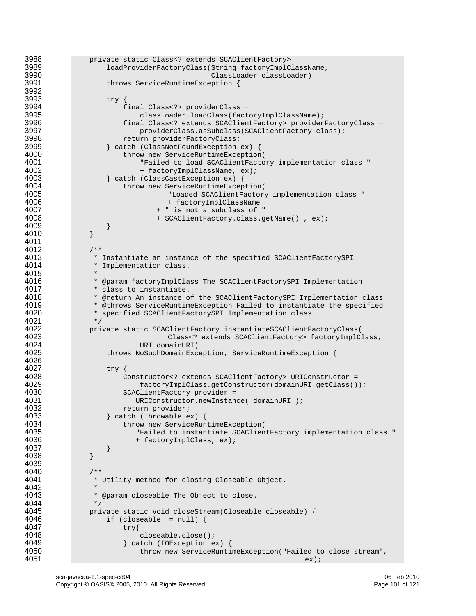```
3988 private static Class<? extends SCAClientFactory> 
3989 loadProviderFactoryClass(String factoryImplClassName, 
3990 ClassLoader classLoader)<br>3991 ClassLoader (18991 ClassLoader)
                    throws ServiceRuntimeException {
3992 
3993 try {<br>3994 f
3994 final Class<?> providerClass = 
3995 classLoader.loadClass(factoryImplClassName);<br>3996 class<? extends SCAClientFactory> provider
3996 final Class<? extends SCAClientFactory> providerFactoryClass =<br>3997 final class-cassubclass(SCAClientFactory.class);
3997 providerClass.asSubclass(SCAClientFactory.class); 
3998 return providerFactoryClass; 
3999 3999 } catch (ClassNotFoundException ex) {<br>4000 throw new ServiceRuntimeException
4000 throw new ServiceRuntimeException( 
4001 The Failed to load SCAClientFactory implementation class "<br>4002 The FactoryImplClassName, ex);
4002 + factoryImplClassName, ex);<br>4003 + catch (ClassCastException ex) {
4003 } catch (ClassCastException ex) { 
4004 throw new ServiceRuntimeException( 
4005 "Loaded SCAClientFactory implementation class " 
4006 + factoryImplClassName<br>4007 + factoryImplClassName + " is not a subclass of
4007 + " is not a subclass of "<br>4008 + SCAClientFactory.class.q
                                + SCAClientFactory.class.getName(), ex);
4009 } 
4010 } 
4011 
4012 /**<br>4013 *
4013 * Instantiate an instance of the specified SCAClientFactorySPI<br>4014 * Implementation class.
                 * Implementation class.
4015<br>4016
4016 * @param factoryImplClass The SCAClientFactorySPI Implementation<br>4017 * class to instantiate.
4017 * class to instantiate.<br>4018 * @return An instance o
4018 * @return An instance of the SCAClientFactorySPI Implementation class<br>4019 * @throws ServiceRuntimeException Failed to instantiate the specified
4019 * @throws ServiceRuntimeException Failed to instantiate the specified 4020
                * specified SCAClientFactorySPI Implementation class */
4021<br>4022
4022 private static SCAClientFactory instantiateSCAClientFactoryClass( 
4023 Class<? extends SCAClientFactory> factoryImplClass, 
4024 URI domainURI)<br>4025 10000 Unrows NoSuchDomainExc
                    throws NoSuchDomainException, ServiceRuntimeException {
4026<br>4027
4027 try {<br>4028 c
4028 Constructor<? extends SCAClientFactory> URIConstructor = 
4029 factoryImplClass.getConstructor(domainURI.getClass()); 
4030 SCAClientFactory provider =<br>4031 URIConstructor.newInstan
4031 URIConstructor.newInstance( domainURI );<br>4032 Teturn provider;
4032 return provider;<br>4033 b catch (Throwable e)
4033 \} catch (Throwable ex) {<br>4034 throw new ServiceRun
4034 throw new ServiceRuntimeException( 
4035 Trailed to instantiate SCAClientFactory implementation class "<br>4036 The factoryImplClass, ex);
                           + factoryImplClass, ex);
4037 } 
4038 } 
4039 
4040 /**<br>4041 *
                * Utility method for closing Closeable Object.
4042<br>4043
                * @param closeable The Object to close.<br>*/
4044<br>4045
4045 private static void closeStream(Closeable closeable) {<br>4046 if (closeable != null) {
                   if (closeable != null) {
4047 try{
4048 closeable.close();<br>4049 catch (IOException e)
4049 \} catch (IOException ex) {<br>4050 throw new ServiceRunti
4050 throw new ServiceRuntimeException("Failed to close stream",<br>4051 ex);
4051 ex);
```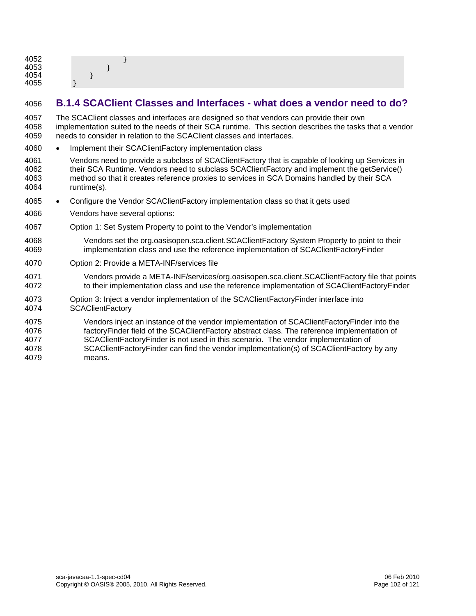| 4052<br>4053<br>4054<br>4055 |  |
|------------------------------|--|
|                              |  |

### 4056 **B.1.4 SCAClient Classes and Interfaces - what does a vendor need to do?**

4057 The SCAClient classes and interfaces are designed so that vendors can provide their own 4058 implementation suited to the needs of their SCA runtime. This section describes the tasks that a vendor 4059 needs to consider in relation to the SCAClient classes and interfaces.

- 4060 Implement their SCAClientFactory implementation class
- 4061 Vendors need to provide a subclass of SCAClientFactory that is capable of looking up Services in 4062 their SCA Runtime. Vendors need to subclass SCAClientFactory and implement the getService() 4063 method so that it creates reference proxies to services in SCA Domains handled by their SCA 4064 runtime(s).
- 4065 Configure the Vendor SCAClientFactory implementation class so that it gets used
- 4066 Vendors have several options:
- 4067 Option 1: Set System Property to point to the Vendor's implementation
- 4068 Vendors set the org.oasisopen.sca.client.SCAClientFactory System Property to point to their 4069 implementation class and use the reference implementation of SCAClientFactoryFinder
- 4070 Option 2: Provide a META-INF/services file
- 4071 Vendors provide a META-INF/services/org.oasisopen.sca.client.SCAClientFactory file that points 4072 to their implementation class and use the reference implementation of SCAClientFactoryFinder
- 4073 Option 3: Inject a vendor implementation of the SCAClientFactoryFinder interface into 4074 SCAClientFactory
- 4075 Vendors inject an instance of the vendor implementation of SCAClientFactoryFinder into the 4076 factoryFinder field of the SCAClientFactory abstract class. The reference implementation of 4077 SCAClientFactoryFinder is not used in this scenario. The vendor implementation of 4078 SCAClientFactoryFinder can find the vendor implementation(s) of SCAClientFactory by any 4079 means.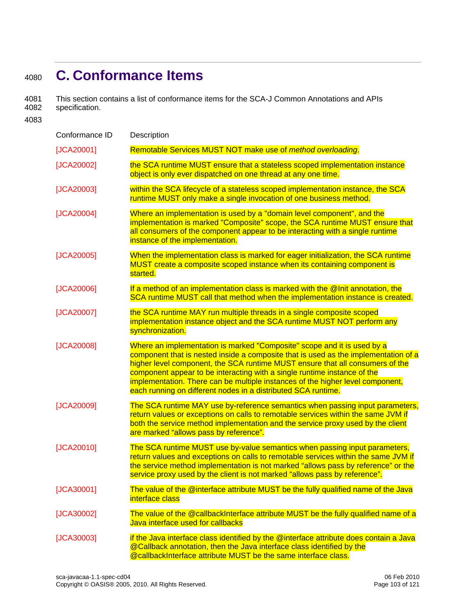# <sup>4080</sup>**C. Conformance Items**

4081 This section contains a list of conformance items for the SCA-J Common Annotations and APIs specification.

4083

| Conformance ID | Description                                                                                                                                                                                                                                                                                                                                                                                                                                                                    |
|----------------|--------------------------------------------------------------------------------------------------------------------------------------------------------------------------------------------------------------------------------------------------------------------------------------------------------------------------------------------------------------------------------------------------------------------------------------------------------------------------------|
| [JCA20001]     | Remotable Services MUST NOT make use of method overloading.                                                                                                                                                                                                                                                                                                                                                                                                                    |
| [JCA20002]     | the SCA runtime MUST ensure that a stateless scoped implementation instance<br>object is only ever dispatched on one thread at any one time.                                                                                                                                                                                                                                                                                                                                   |
| [JCA20003]     | within the SCA lifecycle of a stateless scoped implementation instance, the SCA<br>runtime MUST only make a single invocation of one business method.                                                                                                                                                                                                                                                                                                                          |
| [JCA20004]     | Where an implementation is used by a "domain level component", and the<br>implementation is marked "Composite" scope, the SCA runtime MUST ensure that<br>all consumers of the component appear to be interacting with a single runtime<br>instance of the implementation.                                                                                                                                                                                                     |
| [JCA20005]     | When the implementation class is marked for eager initialization, the SCA runtime<br>MUST create a composite scoped instance when its containing component is<br>started.                                                                                                                                                                                                                                                                                                      |
| [JCA20006]     | If a method of an implementation class is marked with the @Init annotation, the<br>SCA runtime MUST call that method when the implementation instance is created.                                                                                                                                                                                                                                                                                                              |
| [JCA20007]     | the SCA runtime MAY run multiple threads in a single composite scoped<br>implementation instance object and the SCA runtime MUST NOT perform any<br>synchronization.                                                                                                                                                                                                                                                                                                           |
| [JCA20008]     | Where an implementation is marked "Composite" scope and it is used by a<br>component that is nested inside a composite that is used as the implementation of a<br>higher level component, the SCA runtime MUST ensure that all consumers of the<br>component appear to be interacting with a single runtime instance of the<br>implementation. There can be multiple instances of the higher level component,<br>each running on different nodes in a distributed SCA runtime. |
| [JCA20009]     | The SCA runtime MAY use by-reference semantics when passing input parameters,<br>return values or exceptions on calls to remotable services within the same JVM if<br>both the service method implementation and the service proxy used by the client<br>are marked "allows pass by reference".                                                                                                                                                                                |
| $[JCA20010]$   | The SCA runtime MUST use by-value semantics when passing input parameters,<br>return values and exceptions on calls to remotable services within the same JVM if<br>the service method implementation is not marked "allows pass by reference" or the<br>service proxy used by the client is not marked "allows pass by reference".                                                                                                                                            |
| [JCA30001]     | The value of the @interface attribute MUST be the fully qualified name of the Java<br>interface class                                                                                                                                                                                                                                                                                                                                                                          |
| [JCA30002]     | The value of the @callbackInterface attribute MUST be the fully qualified name of a<br>Java interface used for callbacks                                                                                                                                                                                                                                                                                                                                                       |
| [JCA30003]     | if the Java interface class identified by the @interface attribute does contain a Java<br>@Callback annotation, then the Java interface class identified by the<br>@callbackInterface attribute MUST be the same interface class.                                                                                                                                                                                                                                              |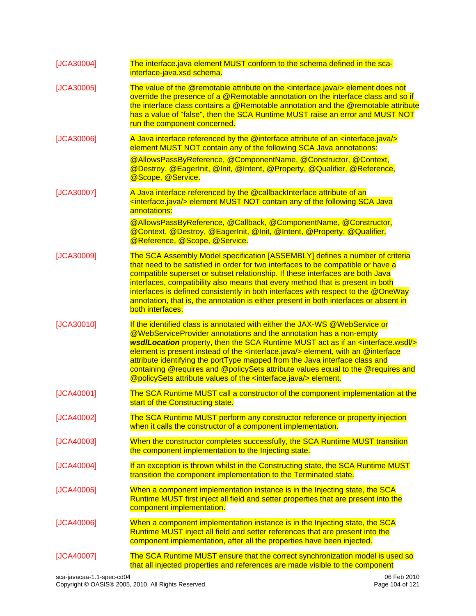| [JCA30004] | The interface java element MUST conform to the schema defined in the sca-<br>interface-java.xsd schema.                                                                                                                                                                                                                                                                                                                                                                                                                                                                                                            |
|------------|--------------------------------------------------------------------------------------------------------------------------------------------------------------------------------------------------------------------------------------------------------------------------------------------------------------------------------------------------------------------------------------------------------------------------------------------------------------------------------------------------------------------------------------------------------------------------------------------------------------------|
| [JCA30005] | The value of the @remotable attribute on the <interface.java></interface.java> element does not<br>override the presence of a @Remotable annotation on the interface class and so if<br>the interface class contains a @Remotable annotation and the @remotable attribute<br>has a value of "false", then the SCA Runtime MUST raise an error and MUST NOT<br>run the component concerned.                                                                                                                                                                                                                         |
| [JCA30006] | A Java interface referenced by the @interface attribute of an <interface.java></interface.java><br>element MUST NOT contain any of the following SCA Java annotations:                                                                                                                                                                                                                                                                                                                                                                                                                                             |
|            | @AllowsPassByReference, @ComponentName, @Constructor, @Context,<br>@Destroy, @EagerInit, @Init, @Intent, @Property, @Qualifier, @Reference,<br>@Scope, @Service.                                                                                                                                                                                                                                                                                                                                                                                                                                                   |
| [JCA30007] | A Java interface referenced by the @callbackInterface attribute of an<br><interface.java></interface.java> element MUST NOT contain any of the following SCA Java<br>annotations:                                                                                                                                                                                                                                                                                                                                                                                                                                  |
|            | @AllowsPassByReference, @Callback, @ComponentName, @Constructor,<br>@Context, @Destroy, @EagerInit, @Init, @Intent, @Property, @Qualifier,<br>@Reference, @Scope, @Service.                                                                                                                                                                                                                                                                                                                                                                                                                                        |
| [JCA30009] | The SCA Assembly Model specification [ASSEMBLY] defines a number of criteria<br>that need to be satisfied in order for two interfaces to be compatible or have a<br>compatible superset or subset relationship. If these interfaces are both Java<br>interfaces, compatibility also means that every method that is present in both<br>interfaces is defined consistently in both interfaces with respect to the @OneWay<br>annotation, that is, the annotation is either present in both interfaces or absent in<br>both interfaces.                                                                              |
| [JCA30010] | If the identified class is annotated with either the JAX-WS @WebService or<br>@WebServiceProvider annotations and the annotation has a non-empty<br><b>wsdlLocation</b> property, then the SCA Runtime MUST act as if an <interface.wsdl></interface.wsdl><br>element is present instead of the <interface.java></interface.java> element, with an @interface<br>attribute identifying the portType mapped from the Java interface class and<br>containing @requires and @policySets attribute values equal to the @requires and<br>@policySets attribute values of the <interface.java></interface.java> element. |
| [JCA40001] | The SCA Runtime MUST call a constructor of the component implementation at the<br>start of the Constructing state.                                                                                                                                                                                                                                                                                                                                                                                                                                                                                                 |
| [JCA40002] | The SCA Runtime MUST perform any constructor reference or property injection<br>when it calls the constructor of a component implementation.                                                                                                                                                                                                                                                                                                                                                                                                                                                                       |
| [JCA40003] | When the constructor completes successfully, the SCA Runtime MUST transition<br>the component implementation to the Injecting state.                                                                                                                                                                                                                                                                                                                                                                                                                                                                               |
| [JCA40004] | If an exception is thrown whilst in the Constructing state, the SCA Runtime MUST<br>transition the component implementation to the Terminated state.                                                                                                                                                                                                                                                                                                                                                                                                                                                               |
| [JCA40005] | When a component implementation instance is in the Injecting state, the SCA<br>Runtime MUST first inject all field and setter properties that are present into the<br>component implementation.                                                                                                                                                                                                                                                                                                                                                                                                                    |
| [JCA40006] | When a component implementation instance is in the Injecting state, the SCA<br>Runtime MUST inject all field and setter references that are present into the<br>component implementation, after all the properties have been injected.                                                                                                                                                                                                                                                                                                                                                                             |
| [JCA40007] | The SCA Runtime MUST ensure that the correct synchronization model is used so<br>that all injected properties and references are made visible to the component                                                                                                                                                                                                                                                                                                                                                                                                                                                     |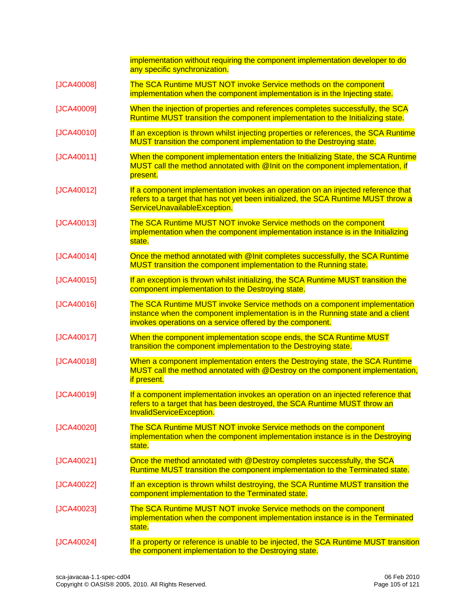|              | implementation without requiring the component implementation developer to do<br>any specific synchronization.                                                                                                            |
|--------------|---------------------------------------------------------------------------------------------------------------------------------------------------------------------------------------------------------------------------|
| [JCA40008]   | The SCA Runtime MUST NOT invoke Service methods on the component<br>implementation when the component implementation is in the Injecting state.                                                                           |
| [JCA40009]   | When the injection of properties and references completes successfully, the SCA<br>Runtime MUST transition the component implementation to the Initializing state.                                                        |
| [JCA40010]   | If an exception is thrown whilst injecting properties or references, the SCA Runtime<br>MUST transition the component implementation to the Destroying state.                                                             |
| $[JCA40011]$ | When the component implementation enters the Initializing State, the SCA Runtime<br>MUST call the method annotated with @Init on the component implementation, if<br>present.                                             |
| [JCA40012]   | If a component implementation invokes an operation on an injected reference that<br>refers to a target that has not yet been initialized, the SCA Runtime MUST throw a<br>ServiceUnavailableException.                    |
| [JCA40013]   | The SCA Runtime MUST NOT invoke Service methods on the component<br>implementation when the component implementation instance is in the Initializing<br>state.                                                            |
| [JCA40014]   | Once the method annotated with @Init completes successfully, the SCA Runtime<br>MUST transition the component implementation to the Running state.                                                                        |
| [JCA40015]   | If an exception is thrown whilst initializing, the SCA Runtime MUST transition the<br>component implementation to the Destroying state.                                                                                   |
| [JCA40016]   | The SCA Runtime MUST invoke Service methods on a component implementation<br>instance when the component implementation is in the Running state and a client<br>invokes operations on a service offered by the component. |
| [JCA40017]   | When the component implementation scope ends, the SCA Runtime MUST<br>transition the component implementation to the Destroying state.                                                                                    |
| [JCA40018]   | When a component implementation enters the Destroying state, the SCA Runtime<br>MUST call the method annotated with @Destroy on the component implementation,<br>if present.                                              |
| [JCA40019]   | If a component implementation invokes an operation on an injected reference that<br>refers to a target that has been destroyed, the SCA Runtime MUST throw an<br><b>InvalidServiceException.</b>                          |
| [JCA40020]   | The SCA Runtime MUST NOT invoke Service methods on the component<br>implementation when the component implementation instance is in the Destroying<br>state.                                                              |
| [JCA40021]   | Once the method annotated with @Destroy completes successfully, the SCA<br>Runtime MUST transition the component implementation to the Terminated state.                                                                  |
| [JCA40022]   | If an exception is thrown whilst destroying, the SCA Runtime MUST transition the<br>component implementation to the Terminated state.                                                                                     |
| [JCA40023]   | The SCA Runtime MUST NOT invoke Service methods on the component<br>implementation when the component implementation instance is in the Terminated<br>state.                                                              |
| [JCA40024]   | If a property or reference is unable to be injected, the SCA Runtime MUST transition<br>the component implementation to the Destroying state.                                                                             |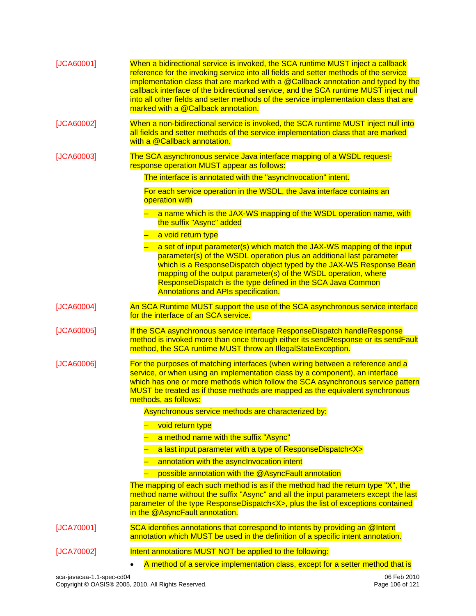| [JCA60001] | When a bidirectional service is invoked, the SCA runtime MUST inject a callback<br>reference for the invoking service into all fields and setter methods of the service<br>implementation class that are marked with a @Callback annotation and typed by the<br>callback interface of the bidirectional service, and the SCA runtime MUST inject null<br>into all other fields and setter methods of the service implementation class that are<br>marked with a @Callback annotation. |
|------------|---------------------------------------------------------------------------------------------------------------------------------------------------------------------------------------------------------------------------------------------------------------------------------------------------------------------------------------------------------------------------------------------------------------------------------------------------------------------------------------|
| [JCA60002] | When a non-bidirectional service is invoked, the SCA runtime MUST inject null into<br>all fields and setter methods of the service implementation class that are marked<br>with a @Callback annotation.                                                                                                                                                                                                                                                                               |
| [JCA60003] | The SCA asynchronous service Java interface mapping of a WSDL request-<br>response operation MUST appear as follows:                                                                                                                                                                                                                                                                                                                                                                  |
|            | The interface is annotated with the "asynclnvocation" intent.                                                                                                                                                                                                                                                                                                                                                                                                                         |
|            | For each service operation in the WSDL, the Java interface contains an<br>operation with                                                                                                                                                                                                                                                                                                                                                                                              |
|            | a name which is the JAX-WS mapping of the WSDL operation name, with<br>the suffix "Async" added                                                                                                                                                                                                                                                                                                                                                                                       |
|            | - a void return type                                                                                                                                                                                                                                                                                                                                                                                                                                                                  |
|            | a set of input parameter(s) which match the JAX-WS mapping of the input<br>parameter(s) of the WSDL operation plus an additional last parameter<br>which is a ResponseDispatch object typed by the JAX-WS Response Bean<br>mapping of the output parameter(s) of the WSDL operation, where<br>ResponseDispatch is the type defined in the SCA Java Common<br><b>Annotations and APIs specification.</b>                                                                               |
| [JCA60004] | An SCA Runtime MUST support the use of the SCA asynchronous service interface<br>for the interface of an SCA service.                                                                                                                                                                                                                                                                                                                                                                 |
| [JCA60005] | If the SCA asynchronous service interface ResponseDispatch handleResponse<br>method is invoked more than once through either its sendResponse or its sendFault<br>method, the SCA runtime MUST throw an IllegalStateException.                                                                                                                                                                                                                                                        |
| [JCA60006] | For the purposes of matching interfaces (when wiring between a reference and a<br>service, or when using an implementation class by a component), an interface<br>which has one or more methods which follow the SCA asynchronous service pattern<br>MUST be treated as if those methods are mapped as the equivalent synchronous<br>methods, as follows:                                                                                                                             |
|            | Asynchronous service methods are characterized by:                                                                                                                                                                                                                                                                                                                                                                                                                                    |
|            | void return type                                                                                                                                                                                                                                                                                                                                                                                                                                                                      |
|            | a method name with the suffix "Async"                                                                                                                                                                                                                                                                                                                                                                                                                                                 |
|            | a last input parameter with a type of ResponseDispatch <x></x>                                                                                                                                                                                                                                                                                                                                                                                                                        |
|            | annotation with the asynclnvocation intent                                                                                                                                                                                                                                                                                                                                                                                                                                            |
|            | possible annotation with the @AsyncFault annotation                                                                                                                                                                                                                                                                                                                                                                                                                                   |
|            | The mapping of each such method is as if the method had the return type "X", the<br>method name without the suffix "Async" and all the input parameters except the last<br>parameter of the type ResponseDispatch <x>, plus the list of exceptions contained<br/>in the @AsyncFault annotation.</x>                                                                                                                                                                                   |
| [JCA70001] | SCA identifies annotations that correspond to intents by providing an @Intent<br>annotation which MUST be used in the definition of a specific intent annotation.                                                                                                                                                                                                                                                                                                                     |
| [JCA70002] | Intent annotations MUST NOT be applied to the following:                                                                                                                                                                                                                                                                                                                                                                                                                              |
|            | A method of a service implementation class, except for a setter method that is                                                                                                                                                                                                                                                                                                                                                                                                        |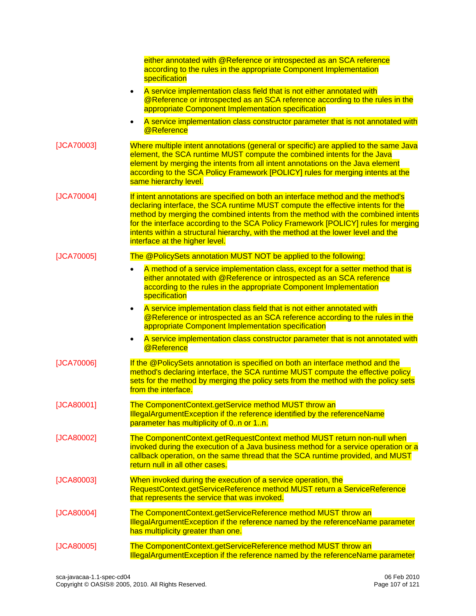|            | either annotated with @Reference or introspected as an SCA reference<br>according to the rules in the appropriate Component Implementation<br>specification                                                                                                                                                                                                                                                                                                          |
|------------|----------------------------------------------------------------------------------------------------------------------------------------------------------------------------------------------------------------------------------------------------------------------------------------------------------------------------------------------------------------------------------------------------------------------------------------------------------------------|
|            | A service implementation class field that is not either annotated with<br><b>@Reference or introspected as an SCA reference according to the rules in the</b><br>appropriate Component Implementation specification                                                                                                                                                                                                                                                  |
|            | A service implementation class constructor parameter that is not annotated with<br>@Reference                                                                                                                                                                                                                                                                                                                                                                        |
| [JCA70003] | Where multiple intent annotations (general or specific) are applied to the same Java<br>element, the SCA runtime MUST compute the combined intents for the Java<br>element by merging the intents from all intent annotations on the Java element<br>according to the SCA Policy Framework [POLICY] rules for merging intents at the<br>same hierarchy level.                                                                                                        |
| [JCA70004] | If intent annotations are specified on both an interface method and the method's<br>declaring interface, the SCA runtime MUST compute the effective intents for the<br>method by merging the combined intents from the method with the combined intents<br>for the interface according to the SCA Policy Framework [POLICY] rules for merging<br>intents within a structural hierarchy, with the method at the lower level and the<br>interface at the higher level. |
| [JCA70005] | The @PolicySets annotation MUST NOT be applied to the following:                                                                                                                                                                                                                                                                                                                                                                                                     |
|            | A method of a service implementation class, except for a setter method that is<br>either annotated with @Reference or introspected as an SCA reference<br>according to the rules in the appropriate Component Implementation<br>specification                                                                                                                                                                                                                        |
|            | A service implementation class field that is not either annotated with<br>@Reference or introspected as an SCA reference according to the rules in the<br>appropriate Component Implementation specification                                                                                                                                                                                                                                                         |
|            | A service implementation class constructor parameter that is not annotated with<br>$\bullet$<br>@Reference                                                                                                                                                                                                                                                                                                                                                           |
| [JCA70006] | If the @PolicySets annotation is specified on both an interface method and the<br>method's declaring interface, the SCA runtime MUST compute the effective policy<br>sets for the method by merging the policy sets from the method with the policy sets<br>from the interface.                                                                                                                                                                                      |
| [JCA80001] | The ComponentContext.getService method MUST throw an<br><b>IllegalArgumentException if the reference identified by the referenceName</b><br>parameter has multiplicity of 0n or 1n.                                                                                                                                                                                                                                                                                  |
| [JCA80002] | The ComponentContext.getRequestContext method MUST return non-null when<br>invoked during the execution of a Java business method for a service operation or a<br>callback operation, on the same thread that the SCA runtime provided, and MUST<br>return null in all other cases.                                                                                                                                                                                  |
| [JCA80003] | When invoked during the execution of a service operation, the<br>RequestContext.getServiceReference method MUST return a ServiceReference<br>that represents the service that was invoked.                                                                                                                                                                                                                                                                           |
| [JCA80004] | The ComponentContext.getServiceReference method MUST throw an<br><b>IllegalArgumentException if the reference named by the referenceName parameter</b><br>has multiplicity greater than one.                                                                                                                                                                                                                                                                         |
| [JCA80005] | The ComponentContext.getServiceReference method MUST throw an<br>IllegalArgumentException if the reference named by the referenceName parameter                                                                                                                                                                                                                                                                                                                      |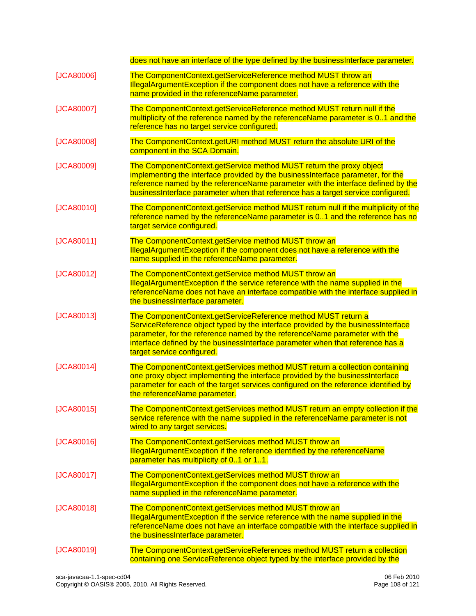does not have an interface of the type defined by the businessInterface parameter.

- [\[JCA80006\]](#page-43-0) The ComponentContext.getServiceReference method MUST throw an IllegalArgumentException if the component does not have a reference with the name provided in the referenceName parameter.
- [\[JCA80007\]](#page-42-3) The ComponentContext.getServiceReference method MUST return null if the multiplicity of the reference named by the referenceName parameter is 0..1 and the reference has no target service configured.
- [\[JCA80008\]](#page-41-0) The ComponentContext.getURI method MUST return the absolute URI of the component in the SCA Domain.
- [\[JCA80009\]](#page-42-4) The ComponentContext.getService method MUST return the proxy object implementing the interface provided by the businessInterface parameter, for the reference named by the referenceName parameter with the interface defined by the businessInterface parameter when that reference has a target service configured.
- [\[JCA80010\]](#page-42-5) The ComponentContext.getService method MUST return null if the multiplicity of the reference named by the referenceName parameter is 0..1 and the reference has no target service configured.
- [\[JCA80011\]](#page-42-6) The ComponentContext.getService method MUST throw an IllegalArgumentException if the component does not have a reference with the name supplied in the referenceName parameter.
- [\[JCA80012\]](#page-42-7) The ComponentContext.getService method MUST throw an IllegalArgumentException if the service reference with the name supplied in the referenceName does not have an interface compatible with the interface supplied in the businessInterface parameter.
- [\[JCA80013\]](#page-42-8) The ComponentContext.getServiceReference method MUST return a ServiceReference object typed by the interface provided by the businessInterface parameter, for the reference named by the referenceName parameter with the interface defined by the businessInterface parameter when that reference has a target service configured.
- [\[JCA80014\]](#page-43-1) The ComponentContext.getServices method MUST return a collection containing one proxy object implementing the interface provided by the businessInterface parameter for each of the target services configured on the reference identified by the referenceName parameter.
- [\[JCA80015\]](#page-43-2) The ComponentContext.getServices method MUST return an empty collection if the service reference with the name supplied in the referenceName parameter is not wired to any target services.
- [\[JCA80016\]](#page-43-3) The ComponentContext.getServices method MUST throw an IllegalArgumentException if the reference identified by the referenceName parameter has multiplicity of 0..1 or 1..1.
- [\[JCA80017\]](#page-43-4) The ComponentContext.getServices method MUST throw an IllegalArgumentException if the component does not have a reference with the name supplied in the referenceName parameter.
- [\[JCA80018\]](#page-43-5) The ComponentContext.getServices method MUST throw an IllegalArgumentException if the service reference with the name supplied in the referenceName does not have an interface compatible with the interface supplied in the businessInterface parameter.
- [\[JCA80019\]](#page-43-6) The ComponentContext.getServiceReferences method MUST return a collection containing one ServiceReference object typed by the interface provided by the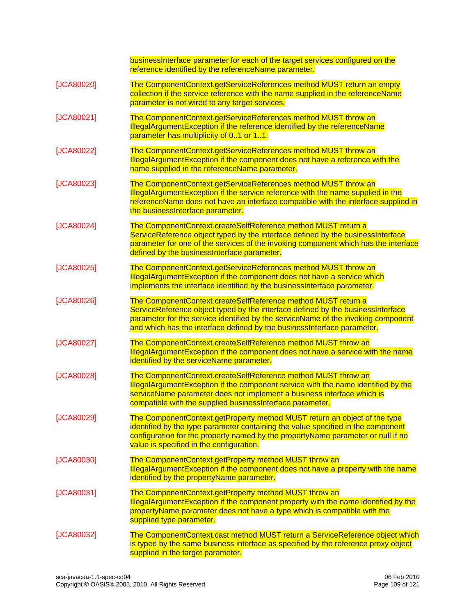|            | businessInterface parameter for each of the target services configured on the<br>reference identified by the referenceName parameter.                                                                                                                                                                            |
|------------|------------------------------------------------------------------------------------------------------------------------------------------------------------------------------------------------------------------------------------------------------------------------------------------------------------------|
| [JCA80020] | The ComponentContext.getServiceReferences method MUST return an empty<br>collection if the service reference with the name supplied in the referenceName<br>parameter is not wired to any target services.                                                                                                       |
| [JCA80021] | The ComponentContext.getServiceReferences method MUST throw an<br>IllegalArgumentException if the reference identified by the referenceName<br>parameter has multiplicity of 01 or 11.                                                                                                                           |
| [JCA80022] | The ComponentContext.getServiceReferences method MUST throw an<br>IllegalArgumentException if the component does not have a reference with the<br>name supplied in the referenceName parameter.                                                                                                                  |
| [JCA80023] | The ComponentContext.getServiceReferences method MUST throw an<br>IllegalArgumentException if the service reference with the name supplied in the<br>referenceName does not have an interface compatible with the interface supplied in<br>the businessInterface parameter.                                      |
| [JCA80024] | The ComponentContext.createSelfReference method MUST return a<br>ServiceReference object typed by the interface defined by the businessInterface<br>parameter for one of the services of the invoking component which has the interface<br>defined by the businessInterface parameter.                           |
| [JCA80025] | The ComponentContext.getServiceReferences method MUST throw an<br>IllegalArgumentException if the component does not have a service which<br>implements the interface identified by the businessinterface parameter.                                                                                             |
| [JCA80026] | The ComponentContext.createSelfReference method MUST return a<br>ServiceReference object typed by the interface defined by the businessInterface<br>parameter for the service identified by the serviceName of the invoking component<br>and which has the interface defined by the businessInterface parameter. |
| [JCA80027] | The ComponentContext.createSelfReference method MUST throw an<br>IllegalArgumentException if the component does not have a service with the name<br>identified by the serviceName parameter.                                                                                                                     |
| [JCA80028] | The ComponentContext.createSelfReference method MUST throw an<br>IllegalArgumentException if the component service with the name identified by the<br>serviceName parameter does not implement a business interface which is<br>compatible with the supplied businessinterface parameter.                        |
| [JCA80029] | The ComponentContext.getProperty method MUST return an object of the type<br>identified by the type parameter containing the value specified in the component<br>configuration for the property named by the propertyName parameter or null if no<br>value is specified in the configuration.                    |
| [JCA80030] | The ComponentContext.getProperty method MUST throw an<br>IllegalArgumentException if the component does not have a property with the name<br>identified by the propertyName parameter.                                                                                                                           |
| [JCA80031] | The ComponentContext.getProperty method MUST throw an<br>IllegalArgumentException if the component property with the name identified by the<br>propertyName parameter does not have a type which is compatible with the<br>supplied type parameter.                                                              |
| [JCA80032] | The ComponentContext.cast method MUST return a ServiceReference object which<br>is typed by the same business interface as specified by the reference proxy object<br>supplied in the target parameter.                                                                                                          |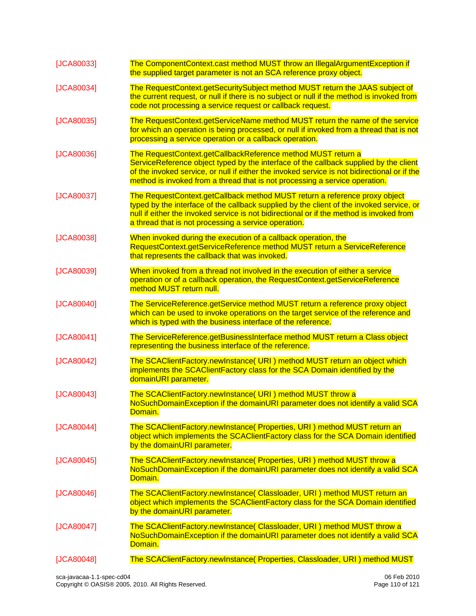| [JCA80033] | The ComponentContext.cast method MUST throw an IllegalArgumentException if<br>the supplied target parameter is not an SCA reference proxy object.                                                                                                                                                                                    |
|------------|--------------------------------------------------------------------------------------------------------------------------------------------------------------------------------------------------------------------------------------------------------------------------------------------------------------------------------------|
| [JCA80034] | The RequestContext.getSecuritySubject method MUST return the JAAS subject of<br>the current request, or null if there is no subject or null if the method is invoked from<br>code not processing a service request or callback request.                                                                                              |
| [JCA80035] | The RequestContext.getServiceName method MUST return the name of the service<br>for which an operation is being processed, or null if invoked from a thread that is not<br>processing a service operation or a callback operation.                                                                                                   |
| [JCA80036] | The RequestContext.getCallbackReference method MUST return a<br>ServiceReference object typed by the interface of the callback supplied by the client<br>of the invoked service, or null if either the invoked service is not bidirectional or if the<br>method is invoked from a thread that is not processing a service operation. |
| [JCA80037] | The RequestContext.getCallback method MUST return a reference proxy object<br>typed by the interface of the callback supplied by the client of the invoked service, or<br>null if either the invoked service is not bidirectional or if the method is invoked from<br>a thread that is not processing a service operation.           |
| [JCA80038] | When invoked during the execution of a callback operation, the<br>RequestContext.getServiceReference method MUST return a ServiceReference<br>that represents the callback that was invoked.                                                                                                                                         |
| [JCA80039] | When invoked from a thread not involved in the execution of either a service<br>operation or of a callback operation, the RequestContext getServiceReference<br>method MUST return null.                                                                                                                                             |
| [JCA80040] | The ServiceReference.getService method MUST return a reference proxy object<br>which can be used to invoke operations on the target service of the reference and<br>which is typed with the business interface of the reference.                                                                                                     |
| [JCA80041] | The ServiceReference.getBusinessInterface method MUST return a Class object<br>representing the business interface of the reference.                                                                                                                                                                                                 |
| [JCA80042] | The SCAClientFactory.newInstance( URI ) method MUST return an object which<br>implements the SCAClientFactory class for the SCA Domain identified by the<br>domainURI parameter.                                                                                                                                                     |
| [JCA80043] | The SCAClientFactory.newInstance( URI ) method MUST throw a<br>NoSuchDomainException if the domainURI parameter does not identify a valid SCA<br>Domain.                                                                                                                                                                             |
| [JCA80044] | The SCAClientFactory.newInstance(Properties, URI) method MUST return an<br>object which implements the SCAClientFactory class for the SCA Domain identified<br>by the domainURI parameter.                                                                                                                                           |
| [JCA80045] | The SCAClientFactory.newInstance( Properties, URI ) method MUST throw a<br>NoSuchDomainException if the domainURI parameter does not identify a valid SCA<br>Domain.                                                                                                                                                                 |
| [JCA80046] | The SCAClientFactory.newInstance( Classloader, URI) method MUST return an<br>object which implements the SCAClientFactory class for the SCA Domain identified<br>by the domainURI parameter.                                                                                                                                         |
| [JCA80047] | The SCAClientFactory.newInstance( Classloader, URI ) method MUST throw a<br>NoSuchDomainException if the domainURI parameter does not identify a valid SCA<br>Domain.                                                                                                                                                                |
| [JCA80048] | The SCAClientFactory.newInstance( Properties, Classloader, URI ) method MUST                                                                                                                                                                                                                                                         |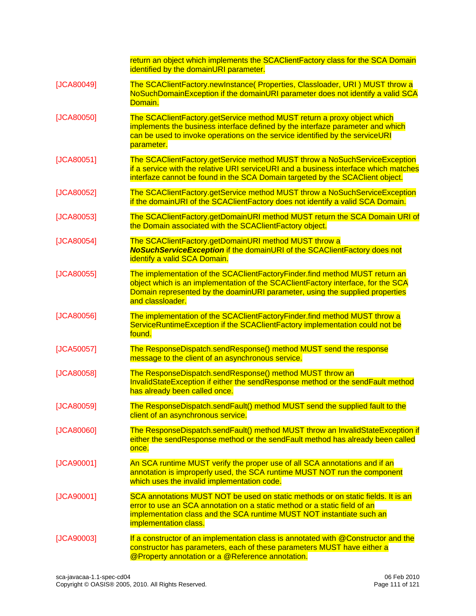|            | return an object which implements the SCAClientFactory class for the SCA Domain<br>identified by the domainURI parameter.                                                                                                                                           |  |  |  |  |  |
|------------|---------------------------------------------------------------------------------------------------------------------------------------------------------------------------------------------------------------------------------------------------------------------|--|--|--|--|--|
| [JCA80049] | The SCAClientFactory.newInstance( Properties, Classloader, URI ) MUST throw a<br>NoSuchDomainException if the domainURI parameter does not identify a valid SCA<br>Domain.                                                                                          |  |  |  |  |  |
| [JCA80050] | The SCAClientFactory.getService method MUST return a proxy object which<br>implements the business interface defined by the interfaze parameter and which<br>can be used to invoke operations on the service identified by the serviceURI<br>parameter.             |  |  |  |  |  |
| [JCA80051] | The SCAClientFactory.getService method MUST throw a NoSuchServiceException<br>if a service with the relative URI serviceURI and a business interface which matches<br>interfaze cannot be found in the SCA Domain targeted by the SCAClient object.                 |  |  |  |  |  |
| [JCA80052] | The SCAClientFactory.getService method MUST throw a NoSuchServiceException<br>if the domainURI of the SCAClientFactory does not identify a valid SCA Domain.                                                                                                        |  |  |  |  |  |
| [JCA80053] | The SCAClientFactory.getDomainURI method MUST return the SCA Domain URI of<br>the Domain associated with the SCAClientFactory object.                                                                                                                               |  |  |  |  |  |
| [JCA80054] | The SCAClientFactory.getDomainURI method MUST throw a<br><b>NoSuchServiceException</b> if the domainURI of the SCAClientFactory does not<br>identify a valid SCA Domain.                                                                                            |  |  |  |  |  |
| [JCA80055] | The implementation of the SCAClientFactoryFinder.find method MUST return an<br>object which is an implementation of the SCAClientFactory interface, for the SCA<br>Domain represented by the doaminURI parameter, using the supplied properties<br>and classloader. |  |  |  |  |  |
| [JCA80056] | The implementation of the SCAClientFactoryFinder.find method MUST throw a<br>ServiceRuntimeException if the SCAClientFactory implementation could not be<br>found.                                                                                                  |  |  |  |  |  |
| [JCA50057] | The ResponseDispatch.sendResponse() method MUST send the response<br>message to the client of an asynchronous service.                                                                                                                                              |  |  |  |  |  |
| [JCA80058] | The ResponseDispatch.sendResponse() method MUST throw an<br>InvalidStateException if either the sendResponse method or the sendFault method<br>has already been called once.                                                                                        |  |  |  |  |  |
| [JCA80059] | The ResponseDispatch.sendFault() method MUST send the supplied fault to the<br>client of an asynchronous service.                                                                                                                                                   |  |  |  |  |  |
| [JCA80060] | The ResponseDispatch.sendFault() method MUST throw an InvalidStateException if<br>either the sendResponse method or the sendFault method has already been called<br>once.                                                                                           |  |  |  |  |  |
| [JCA90001] | An SCA runtime MUST verify the proper use of all SCA annotations and if an<br>annotation is improperly used, the SCA runtime MUST NOT run the component<br>which uses the invalid implementation code.                                                              |  |  |  |  |  |
| [JCA90001] | SCA annotations MUST NOT be used on static methods or on static fields. It is an<br>error to use an SCA annotation on a static method or a static field of an<br>implementation class and the SCA runtime MUST NOT instantiate such an<br>implementation class.     |  |  |  |  |  |
| [JCA90003] | If a constructor of an implementation class is annotated with @Constructor and the<br>constructor has parameters, each of these parameters MUST have either a<br>@Property annotation or a @Reference annotation.                                                   |  |  |  |  |  |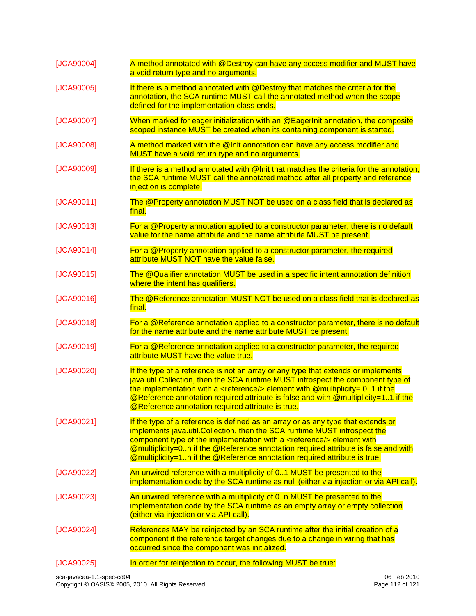| [JCA90004] | A method annotated with @Destroy can have any access modifier and MUST have<br>a void return type and no arguments.                                                                                                                                                                                                                                                                                                   |  |  |  |  |
|------------|-----------------------------------------------------------------------------------------------------------------------------------------------------------------------------------------------------------------------------------------------------------------------------------------------------------------------------------------------------------------------------------------------------------------------|--|--|--|--|
| [JCA90005] | If there is a method annotated with @Destroy that matches the criteria for the<br>annotation, the SCA runtime MUST call the annotated method when the scope<br>defined for the implementation class ends.                                                                                                                                                                                                             |  |  |  |  |
| [JCA90007] | When marked for eager initialization with an @EagerInit annotation, the composite<br>scoped instance MUST be created when its containing component is started.                                                                                                                                                                                                                                                        |  |  |  |  |
| [JCA90008] | A method marked with the @Init annotation can have any access modifier and<br>MUST have a void return type and no arguments.                                                                                                                                                                                                                                                                                          |  |  |  |  |
| [JCA90009] | If there is a method annotated with @ Init that matches the criteria for the annotation,<br>the SCA runtime MUST call the annotated method after all property and reference<br>injection is complete.                                                                                                                                                                                                                 |  |  |  |  |
| [JCA90011] | The @Property annotation MUST NOT be used on a class field that is declared as<br>final.                                                                                                                                                                                                                                                                                                                              |  |  |  |  |
| [JCA90013] | For a @Property annotation applied to a constructor parameter, there is no default<br>value for the name attribute and the name attribute MUST be present.                                                                                                                                                                                                                                                            |  |  |  |  |
| [JCA90014] | For a @Property annotation applied to a constructor parameter, the required<br>attribute MUST NOT have the value false.                                                                                                                                                                                                                                                                                               |  |  |  |  |
| [JCA90015] | The @Qualifier annotation MUST be used in a specific intent annotation definition<br>where the intent has qualifiers.                                                                                                                                                                                                                                                                                                 |  |  |  |  |
| [JCA90016] | The @Reference annotation MUST NOT be used on a class field that is declared as<br>final.                                                                                                                                                                                                                                                                                                                             |  |  |  |  |
| [JCA90018] | For a @Reference annotation applied to a constructor parameter, there is no default<br>for the name attribute and the name attribute MUST be present.                                                                                                                                                                                                                                                                 |  |  |  |  |
| [JCA90019] | For a @Reference annotation applied to a constructor parameter, the required<br>attribute MUST have the value true.                                                                                                                                                                                                                                                                                                   |  |  |  |  |
| [JCA90020] | If the type of a reference is not an array or any type that extends or implements<br>java.util.Collection, then the SCA runtime MUST introspect the component type of<br>the implementation with a <reference></reference> element with @multiplicity= $0.1$ if the<br><b>@Reference annotation required attribute is false and with @multiplicity=11 if the</b><br>@Reference annotation required attribute is true. |  |  |  |  |
| [JCA90021] | If the type of a reference is defined as an array or as any type that extends or<br>implements java.util. Collection, then the SCA runtime MUST introspect the<br>component type of the implementation with a <reference></reference> element with<br>@multiplicity=0n if the @Reference annotation required attribute is false and with<br>@multiplicity=1n if the @Reference annotation required attribute is true. |  |  |  |  |
| [JCA90022] | An unwired reference with a multiplicity of 01 MUST be presented to the<br>implementation code by the SCA runtime as null (either via injection or via API call).                                                                                                                                                                                                                                                     |  |  |  |  |
| [JCA90023] | An unwired reference with a multiplicity of 0n MUST be presented to the<br>implementation code by the SCA runtime as an empty array or empty collection<br>(either via injection or via API call).                                                                                                                                                                                                                    |  |  |  |  |
| [JCA90024] | References MAY be reinjected by an SCA runtime after the initial creation of a<br>component if the reference target changes due to a change in wiring that has<br>occurred since the component was initialized.                                                                                                                                                                                                       |  |  |  |  |
| [JCA90025] | In order for reinjection to occur, the following MUST be true:                                                                                                                                                                                                                                                                                                                                                        |  |  |  |  |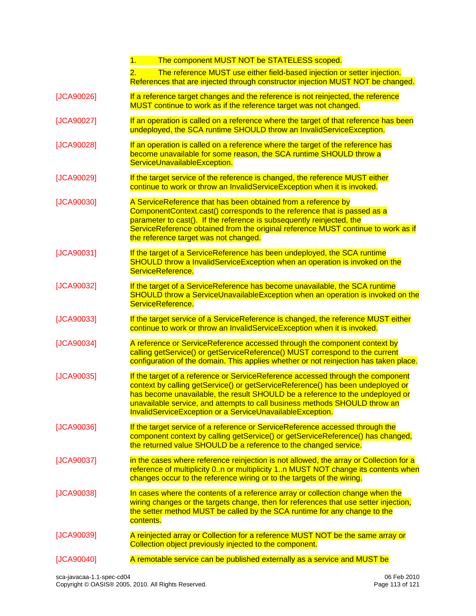|            | The component MUST NOT be STATELESS scoped.<br>1.                                                                                                                                                                                                                                                                                                                                              |  |  |  |  |  |
|------------|------------------------------------------------------------------------------------------------------------------------------------------------------------------------------------------------------------------------------------------------------------------------------------------------------------------------------------------------------------------------------------------------|--|--|--|--|--|
|            | The reference MUST use either field-based injection or setter injection.<br>2.<br>References that are injected through constructor injection MUST NOT be changed.                                                                                                                                                                                                                              |  |  |  |  |  |
| [JCA90026] | If a reference target changes and the reference is not reinjected, the reference<br>MUST continue to work as if the reference target was not changed.                                                                                                                                                                                                                                          |  |  |  |  |  |
| [JCA90027] | If an operation is called on a reference where the target of that reference has been<br>undeployed, the SCA runtime SHOULD throw an InvalidServiceException.                                                                                                                                                                                                                                   |  |  |  |  |  |
| [JCA90028] | If an operation is called on a reference where the target of the reference has<br>become unavailable for some reason, the SCA runtime SHOULD throw a<br>ServiceUnavailableException.                                                                                                                                                                                                           |  |  |  |  |  |
| [JCA90029] | If the target service of the reference is changed, the reference MUST either<br>continue to work or throw an InvalidServiceException when it is invoked.                                                                                                                                                                                                                                       |  |  |  |  |  |
| [JCA90030] | A ServiceReference that has been obtained from a reference by<br>ComponentContext.cast() corresponds to the reference that is passed as a<br>parameter to cast(). If the reference is subsequently reinjected, the<br>ServiceReference obtained from the original reference MUST continue to work as if<br>the reference target was not changed.                                               |  |  |  |  |  |
| [JCA90031] | If the target of a ServiceReference has been undeployed, the SCA runtime<br>SHOULD throw a InvalidServiceException when an operation is invoked on the<br>ServiceReference.                                                                                                                                                                                                                    |  |  |  |  |  |
| [JCA90032] | If the target of a ServiceReference has become unavailable, the SCA runtime<br>SHOULD throw a ServiceUnavailableException when an operation is invoked on the<br>ServiceReference.                                                                                                                                                                                                             |  |  |  |  |  |
| [JCA90033] | If the target service of a ServiceReference is changed, the reference MUST either<br>continue to work or throw an InvalidServiceException when it is invoked.                                                                                                                                                                                                                                  |  |  |  |  |  |
| [JCA90034] | A reference or ServiceReference accessed through the component context by<br>calling getService() or getServiceReference() MUST correspond to the current<br>configuration of the domain. This applies whether or not reinjection has taken place.                                                                                                                                             |  |  |  |  |  |
| [JCA90035] | If the target of a reference or ServiceReference accessed through the component<br>context by calling getService() or getServiceReference() has been undeployed or<br>has become unavailable, the result SHOULD be a reference to the undeployed or<br>unavailable service, and attempts to call business methods SHOULD throw an<br>InvalidServiceException or a ServiceUnavailableException. |  |  |  |  |  |
| [JCA90036] | If the target service of a reference or ServiceReference accessed through the<br>component context by calling getService() or getServiceReference() has changed,<br>the returned value SHOULD be a reference to the changed service.                                                                                                                                                           |  |  |  |  |  |
| [JCA90037] | in the cases where reference reinjection is not allowed, the array or Collection for a<br>reference of multiplicity 0n or multiplicity 1n MUST NOT change its contents when<br>changes occur to the reference wiring or to the targets of the wiring.                                                                                                                                          |  |  |  |  |  |
| [JCA90038] | In cases where the contents of a reference array or collection change when the<br>wiring changes or the targets change, then for references that use setter injection,<br>the setter method MUST be called by the SCA runtime for any change to the<br>contents.                                                                                                                               |  |  |  |  |  |
| [JCA90039] | A reinjected array or Collection for a reference MUST NOT be the same array or<br>Collection object previously injected to the component.                                                                                                                                                                                                                                                      |  |  |  |  |  |
| [JCA90040] | A remotable service can be published externally as a service and MUST be                                                                                                                                                                                                                                                                                                                       |  |  |  |  |  |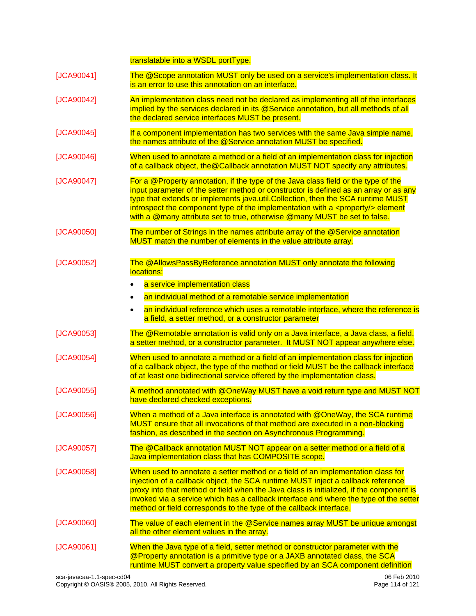translatable into a WSDL portType.

| [JCA90041] | The @Scope annotation MUST only be used on a service's implementation class. It<br>is an error to use this annotation on an interface.                                                                                                                                                                                                                                                                                                 |  |  |  |  |
|------------|----------------------------------------------------------------------------------------------------------------------------------------------------------------------------------------------------------------------------------------------------------------------------------------------------------------------------------------------------------------------------------------------------------------------------------------|--|--|--|--|
| [JCA90042] | An implementation class need not be declared as implementing all of the interfaces<br>implied by the services declared in its @Service annotation, but all methods of all<br>the declared service interfaces MUST be present.                                                                                                                                                                                                          |  |  |  |  |
| [JCA90045] | If a component implementation has two services with the same Java simple name,<br>the names attribute of the @Service annotation MUST be specified.                                                                                                                                                                                                                                                                                    |  |  |  |  |
| [JCA90046] | When used to annotate a method or a field of an implementation class for injection<br>of a callback object, the @Callback annotation MUST NOT specify any attributes.                                                                                                                                                                                                                                                                  |  |  |  |  |
| [JCA90047] | For a @Property annotation, if the type of the Java class field or the type of the<br>input parameter of the setter method or constructor is defined as an array or as any<br>type that extends or implements java.util.Collection, then the SCA runtime MUST<br>introspect the component type of the implementation with a <property></property> element<br>with a @many attribute set to true, otherwise @many MUST be set to false. |  |  |  |  |
| [JCA90050] | The number of Strings in the names attribute array of the @Service annotation<br>MUST match the number of elements in the value attribute array.                                                                                                                                                                                                                                                                                       |  |  |  |  |
| [JCA90052] | The @AllowsPassByReference annotation MUST only annotate the following<br>locations:<br>a service implementation class<br>an individual method of a remotable service implementation<br>an individual reference which uses a remotable interface, where the reference is<br>$\bullet$<br>a field, a setter method, or a constructor parameter                                                                                          |  |  |  |  |
| [JCA90053] | The @Remotable annotation is valid only on a Java interface, a Java class, a field,<br>a setter method, or a constructor parameter. It MUST NOT appear anywhere else.                                                                                                                                                                                                                                                                  |  |  |  |  |
| [JCA90054] | When used to annotate a method or a field of an implementation class for injection<br>of a callback object, the type of the method or field MUST be the callback interface<br>of at least one bidirectional service offered by the implementation class.                                                                                                                                                                               |  |  |  |  |
| [JCA90055] | A method annotated with @OneWay MUST have a void return type and MUST NOT<br>have declared checked exceptions.                                                                                                                                                                                                                                                                                                                         |  |  |  |  |
| [JCA90056] | When a method of a Java interface is annotated with @OneWay, the SCA runtime<br><u>MUST ensure that all invocations of that method are executed in a non-blocking</u><br>fashion, as described in the section on Asynchronous Programming.                                                                                                                                                                                             |  |  |  |  |
| [JCA90057] | The @Callback annotation MUST NOT appear on a setter method or a field of a<br>Java implementation class that has COMPOSITE scope.                                                                                                                                                                                                                                                                                                     |  |  |  |  |
| [JCA90058] | When used to annotate a setter method or a field of an implementation class for<br>injection of a callback object, the SCA runtime MUST inject a callback reference<br>proxy into that method or field when the Java class is initialized, if the component is<br>invoked via a service which has a callback interface and where the type of the setter<br>method or field corresponds to the type of the callback interface.          |  |  |  |  |
| [JCA90060] | The value of each element in the @Service names array MUST be unique amongst<br>all the other element values in the array.                                                                                                                                                                                                                                                                                                             |  |  |  |  |
| [JCA90061] | When the Java type of a field, setter method or constructor parameter with the<br>@Property annotation is a primitive type or a JAXB annotated class, the SCA<br>runtime MUST convert a property value specified by an SCA component definition                                                                                                                                                                                        |  |  |  |  |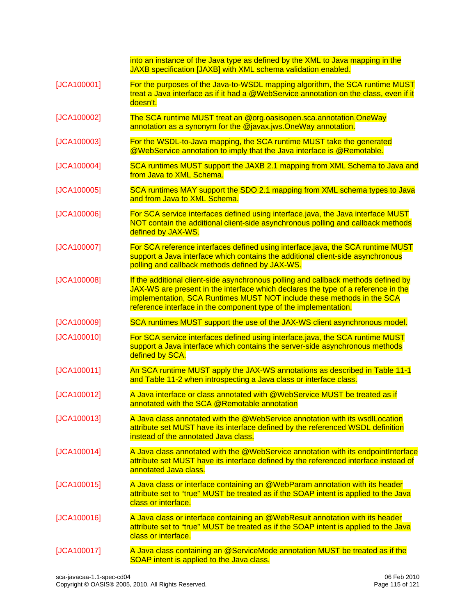|               | into an instance of the Java type as defined by the XML to Java mapping in the<br>JAXB specification [JAXB] with XML schema validation enabled.                                                                                                                                                                       |  |  |  |  |  |
|---------------|-----------------------------------------------------------------------------------------------------------------------------------------------------------------------------------------------------------------------------------------------------------------------------------------------------------------------|--|--|--|--|--|
| [JCA100001]   | For the purposes of the Java-to-WSDL mapping algorithm, the SCA runtime MUST<br>treat a Java interface as if it had a @WebService annotation on the class, even if it<br>doesn't.                                                                                                                                     |  |  |  |  |  |
| [JCA100002]   | The SCA runtime MUST treat an @org.oasisopen.sca.annotation.OneWay<br>annotation as a synonym for the @javax.jws.OneWay annotation.                                                                                                                                                                                   |  |  |  |  |  |
| [JCA100003]   | For the WSDL-to-Java mapping, the SCA runtime MUST take the generated<br>@WebService annotation to imply that the Java interface is @Remotable.                                                                                                                                                                       |  |  |  |  |  |
| [JCA100004]   | SCA runtimes MUST support the JAXB 2.1 mapping from XML Schema to Java and<br>from Java to XML Schema.                                                                                                                                                                                                                |  |  |  |  |  |
| [JCA100005]   | SCA runtimes MAY support the SDO 2.1 mapping from XML schema types to Java<br>and from Java to XML Schema.                                                                                                                                                                                                            |  |  |  |  |  |
| [JCA100006]   | For SCA service interfaces defined using interface java, the Java interface MUST<br>NOT contain the additional client-side asynchronous polling and callback methods<br>defined by JAX-WS.                                                                                                                            |  |  |  |  |  |
| [JCA100007]   | For SCA reference interfaces defined using interface.java, the SCA runtime MUST<br>support a Java interface which contains the additional client-side asynchronous<br>polling and callback methods defined by JAX-WS.                                                                                                 |  |  |  |  |  |
| [JCA100008]   | If the additional client-side asynchronous polling and callback methods defined by<br>JAX-WS are present in the interface which declares the type of a reference in the<br>implementation, SCA Runtimes MUST NOT include these methods in the SCA<br>reference interface in the component type of the implementation. |  |  |  |  |  |
| [JCA100009]   | SCA runtimes MUST support the use of the JAX-WS client asynchronous model.                                                                                                                                                                                                                                            |  |  |  |  |  |
| [JCA100010]   | For SCA service interfaces defined using interface.java, the SCA runtime MUST<br>support a Java interface which contains the server-side asynchronous methods<br>defined by SCA.                                                                                                                                      |  |  |  |  |  |
| [JCA100011]   | An SCA runtime MUST apply the JAX-WS annotations as described in Table 11-1<br>and Table 11-2 when introspecting a Java class or interface class.                                                                                                                                                                     |  |  |  |  |  |
| [JCA100012]   | A Java interface or class annotated with @WebService MUST be treated as if<br>annotated with the SCA @Remotable annotation                                                                                                                                                                                            |  |  |  |  |  |
| [JCA100013]   | A Java class annotated with the @WebService annotation with its wsdlLocation<br>attribute set MUST have its interface defined by the referenced WSDL definition<br>instead of the annotated Java class.                                                                                                               |  |  |  |  |  |
| [JCA100014]   | A Java class annotated with the @WebService annotation with its endpointInterface<br>attribute set MUST have its interface defined by the referenced interface instead of<br>annotated Java class.                                                                                                                    |  |  |  |  |  |
| [JCA100015]   | A Java class or interface containing an @WebParam annotation with its header<br>attribute set to "true" MUST be treated as if the SOAP intent is applied to the Java<br>class or interface.                                                                                                                           |  |  |  |  |  |
| $[JCA100016]$ | A Java class or interface containing an @WebResult annotation with its header<br>attribute set to "true" MUST be treated as if the SOAP intent is applied to the Java<br>class or interface.                                                                                                                          |  |  |  |  |  |
| [JCA100017]   | A Java class containing an @ServiceMode annotation MUST be treated as if the<br>SOAP intent is applied to the Java class.                                                                                                                                                                                             |  |  |  |  |  |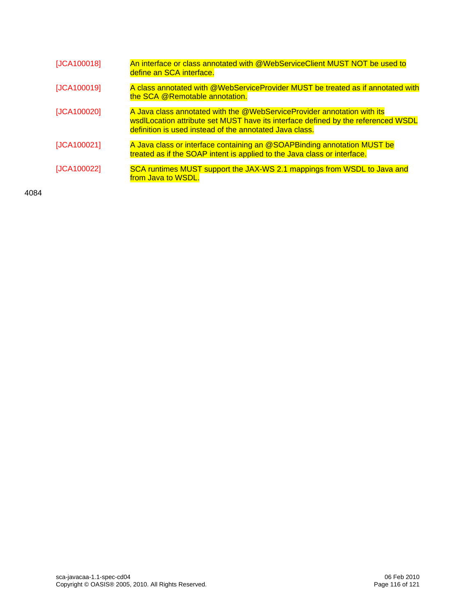| [JCA100018] | An interface or class annotated with @WebServiceClient MUST NOT be used to<br>define an SCA interface.                                                                                                                  |
|-------------|-------------------------------------------------------------------------------------------------------------------------------------------------------------------------------------------------------------------------|
| [JCA100019] | A class annotated with @WebServiceProvider MUST be treated as if annotated with<br>the SCA @Remotable annotation.                                                                                                       |
| [JCA100020] | A Java class annotated with the @WebServiceProvider annotation with its<br>wsdlLocation attribute set MUST have its interface defined by the referenced WSDL<br>definition is used instead of the annotated Java class. |
| [JCA100021] | A Java class or interface containing an @SOAPBinding annotation MUST be<br>treated as if the SOAP intent is applied to the Java class or interface.                                                                     |
| [JCA100022] | SCA runtimes MUST support the JAX-WS 2.1 mappings from WSDL to Java and<br>from Java to WSDL.                                                                                                                           |

4084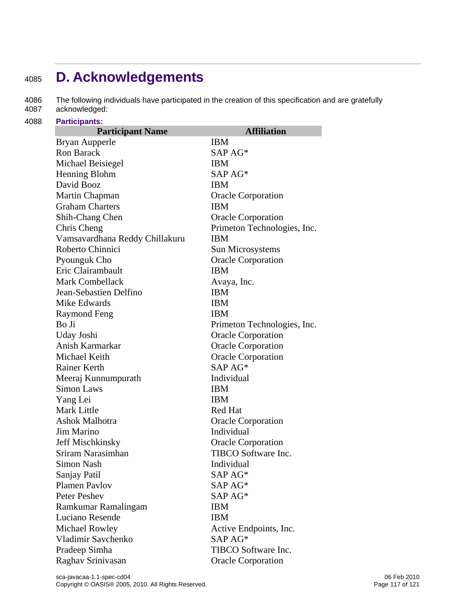## <sup>4085</sup>**D. Acknowledgements**

4086 The following individuals have participated in the creation of this specification and are gratefully 4087 acknowledged:

4088 **Participants:** 

| <b>Participant Name</b>        | <b>Affiliation</b>          |
|--------------------------------|-----------------------------|
| Bryan Aupperle                 | <b>IBM</b>                  |
| <b>Ron Barack</b>              | SAP AG*                     |
| Michael Beisiegel              | <b>IBM</b>                  |
| Henning Blohm                  | SAP AG*                     |
| David Booz                     | <b>IBM</b>                  |
| Martin Chapman                 | <b>Oracle Corporation</b>   |
| <b>Graham Charters</b>         | <b>IBM</b>                  |
| Shih-Chang Chen                | <b>Oracle Corporation</b>   |
| Chris Cheng                    | Primeton Technologies, Inc. |
| Vamsavardhana Reddy Chillakuru | <b>IBM</b>                  |
| Roberto Chinnici               | Sun Microsystems            |
| Pyounguk Cho                   | <b>Oracle Corporation</b>   |
| Eric Clairambault              | <b>IBM</b>                  |
| <b>Mark Combellack</b>         | Avaya, Inc.                 |
| Jean-Sebastien Delfino         | <b>IBM</b>                  |
| Mike Edwards                   | <b>IBM</b>                  |
| Raymond Feng                   | <b>IBM</b>                  |
| Bo Ji                          | Primeton Technologies, Inc. |
| Uday Joshi                     | <b>Oracle Corporation</b>   |
| Anish Karmarkar                | <b>Oracle Corporation</b>   |
| Michael Keith                  | <b>Oracle Corporation</b>   |
| Rainer Kerth                   | SAP AG*                     |
| Meeraj Kunnumpurath            | Individual                  |
| <b>Simon Laws</b>              | <b>IBM</b>                  |
| Yang Lei                       | <b>IBM</b>                  |
| <b>Mark Little</b>             | Red Hat                     |
| Ashok Malhotra                 | <b>Oracle Corporation</b>   |
| Jim Marino                     | Individual                  |
| Jeff Mischkinsky               | <b>Oracle Corporation</b>   |
| Sriram Narasimhan              | TIBCO Software Inc.         |
| Simon Nash                     | Individual                  |
| Sanjay Patil                   | SAP AG*                     |
| <b>Plamen Pavlov</b>           | SAP AG*                     |
| <b>Peter Peshev</b>            | SAP AG*                     |
| Ramkumar Ramalingam            | <b>IBM</b>                  |
| Luciano Resende                | <b>IBM</b>                  |
| <b>Michael Rowley</b>          | Active Endpoints, Inc.      |
| Vladimir Savchenko             | SAP AG*                     |
| Pradeep Simha                  | TIBCO Software Inc.         |
| Raghav Srinivasan              | <b>Oracle Corporation</b>   |
|                                |                             |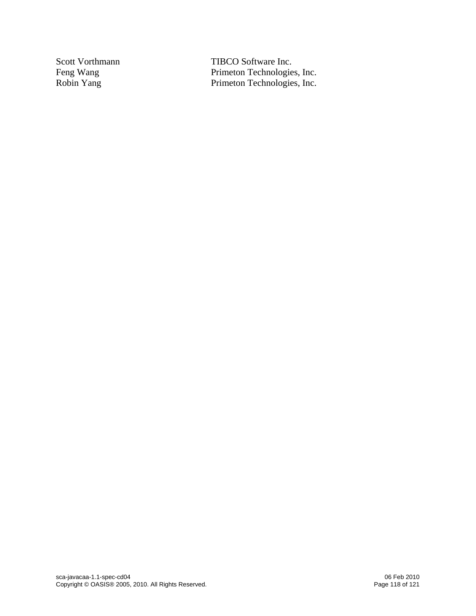Scott Vorthmann TIBCO Software Inc.<br>Feng Wang Primeton Technologie Feng Wang Primeton Technologies, Inc.<br>
Robin Yang Primeton Technologies, Inc. Primeton Technologies, Inc.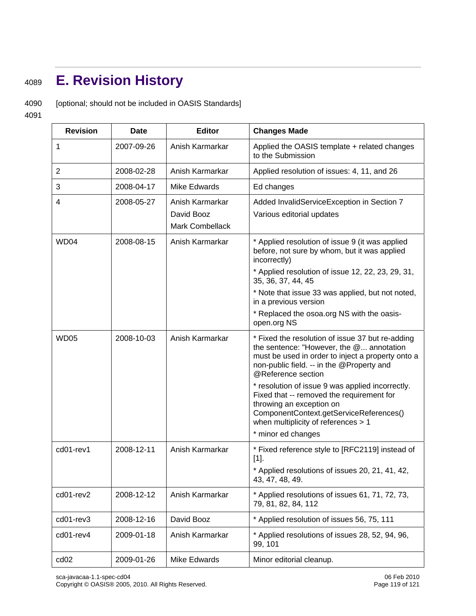## <sup>4089</sup>**E. Revision History**

4090 [optional; should not be included in OASIS Standards]

4091

| <b>Revision</b>  | <b>Date</b> | <b>Editor</b>                                    | <b>Changes Made</b>                                                                                                                                                                                                  |
|------------------|-------------|--------------------------------------------------|----------------------------------------------------------------------------------------------------------------------------------------------------------------------------------------------------------------------|
| 1                | 2007-09-26  | Anish Karmarkar                                  | Applied the OASIS template + related changes<br>to the Submission                                                                                                                                                    |
| $\overline{2}$   | 2008-02-28  | Anish Karmarkar                                  | Applied resolution of issues: 4, 11, and 26                                                                                                                                                                          |
| 3                | 2008-04-17  | Mike Edwards                                     | Ed changes                                                                                                                                                                                                           |
| 4                | 2008-05-27  | Anish Karmarkar<br>David Booz<br>Mark Combellack | Added InvalidServiceException in Section 7<br>Various editorial updates                                                                                                                                              |
| WD <sub>04</sub> | 2008-08-15  | Anish Karmarkar                                  | * Applied resolution of issue 9 (it was applied<br>before, not sure by whom, but it was applied<br>incorrectly)<br>* Applied resolution of issue 12, 22, 23, 29, 31,                                                 |
|                  |             |                                                  | 35, 36, 37, 44, 45                                                                                                                                                                                                   |
|                  |             |                                                  | * Note that issue 33 was applied, but not noted,<br>in a previous version                                                                                                                                            |
|                  |             |                                                  | * Replaced the osoa.org NS with the oasis-<br>open.org NS                                                                                                                                                            |
| <b>WD05</b>      | 2008-10-03  | Anish Karmarkar                                  | * Fixed the resolution of issue 37 but re-adding<br>the sentence: "However, the @ annotation<br>must be used in order to inject a property onto a<br>non-public field. -- in the @Property and<br>@Reference section |
|                  |             |                                                  | * resolution of issue 9 was applied incorrectly.<br>Fixed that -- removed the requirement for<br>throwing an exception on<br>ComponentContext.getServiceReferences()<br>when multiplicity of references > 1          |
|                  |             |                                                  | * minor ed changes                                                                                                                                                                                                   |
| cd01-rev1        | 2008-12-11  | Anish Karmarkar                                  | * Fixed reference style to [RFC2119] instead of<br>$[1]$ .                                                                                                                                                           |
|                  |             |                                                  | * Applied resolutions of issues 20, 21, 41, 42,<br>43, 47, 48, 49.                                                                                                                                                   |
| cd01-rev2        | 2008-12-12  | Anish Karmarkar                                  | * Applied resolutions of issues 61, 71, 72, 73,<br>79, 81, 82, 84, 112                                                                                                                                               |
| cd01-rev3        | 2008-12-16  | David Booz                                       | * Applied resolution of issues 56, 75, 111                                                                                                                                                                           |
| cd01-rev4        | 2009-01-18  | Anish Karmarkar                                  | * Applied resolutions of issues 28, 52, 94, 96,<br>99, 101                                                                                                                                                           |
| cd <sub>02</sub> | 2009-01-26  | Mike Edwards                                     | Minor editorial cleanup.                                                                                                                                                                                             |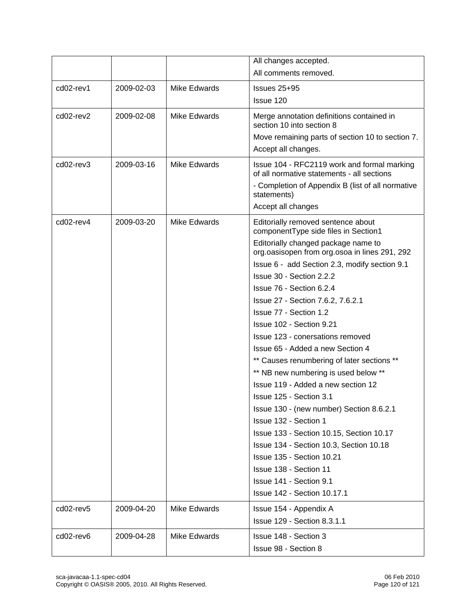|           |            |                     | All changes accepted.                                                                                                                          |
|-----------|------------|---------------------|------------------------------------------------------------------------------------------------------------------------------------------------|
|           |            |                     | All comments removed.                                                                                                                          |
| cd02-rev1 | 2009-02-03 | <b>Mike Edwards</b> | $Issues 25+95$                                                                                                                                 |
|           |            |                     | Issue 120                                                                                                                                      |
| cd02-rev2 | 2009-02-08 | Mike Edwards        | Merge annotation definitions contained in<br>section 10 into section 8                                                                         |
|           |            |                     | Move remaining parts of section 10 to section 7.                                                                                               |
|           |            |                     | Accept all changes.                                                                                                                            |
| cd02-rev3 | 2009-03-16 | <b>Mike Edwards</b> | Issue 104 - RFC2119 work and formal marking<br>of all normative statements - all sections<br>- Completion of Appendix B (list of all normative |
|           |            |                     | statements)                                                                                                                                    |
|           |            |                     | Accept all changes                                                                                                                             |
| cd02-rev4 | 2009-03-20 | Mike Edwards        | Editorially removed sentence about<br>componentType side files in Section1                                                                     |
|           |            |                     | Editorially changed package name to<br>org.oasisopen from org.osoa in lines 291, 292                                                           |
|           |            |                     | Issue 6 - add Section 2.3, modify section 9.1                                                                                                  |
|           |            |                     | Issue 30 - Section 2.2.2                                                                                                                       |
|           |            |                     | Issue 76 - Section 6.2.4                                                                                                                       |
|           |            |                     | Issue 27 - Section 7.6.2, 7.6.2.1                                                                                                              |
|           |            |                     | Issue 77 - Section 1.2                                                                                                                         |
|           |            |                     | Issue 102 - Section 9.21                                                                                                                       |
|           |            |                     | Issue 123 - conersations removed                                                                                                               |
|           |            |                     | Issue 65 - Added a new Section 4                                                                                                               |
|           |            |                     | ** Causes renumbering of later sections **                                                                                                     |
|           |            |                     | ** NB new numbering is used below **                                                                                                           |
|           |            |                     | Issue 119 - Added a new section 12                                                                                                             |
|           |            |                     | Issue 125 - Section 3.1                                                                                                                        |
|           |            |                     | Issue 130 - (new number) Section 8.6.2.1                                                                                                       |
|           |            |                     | Issue 132 - Section 1                                                                                                                          |
|           |            |                     | Issue 133 - Section 10.15, Section 10.17                                                                                                       |
|           |            |                     | Issue 134 - Section 10.3, Section 10.18                                                                                                        |
|           |            |                     | Issue 135 - Section 10.21                                                                                                                      |
|           |            |                     | Issue 138 - Section 11                                                                                                                         |
|           |            |                     | Issue 141 - Section 9.1                                                                                                                        |
|           |            |                     | <b>Issue 142 - Section 10.17.1</b>                                                                                                             |
| cd02-rev5 | 2009-04-20 | <b>Mike Edwards</b> | Issue 154 - Appendix A                                                                                                                         |
|           |            |                     | Issue 129 - Section 8.3.1.1                                                                                                                    |
| cd02-rev6 | 2009-04-28 | <b>Mike Edwards</b> | Issue 148 - Section 3                                                                                                                          |
|           |            |                     | Issue 98 - Section 8                                                                                                                           |